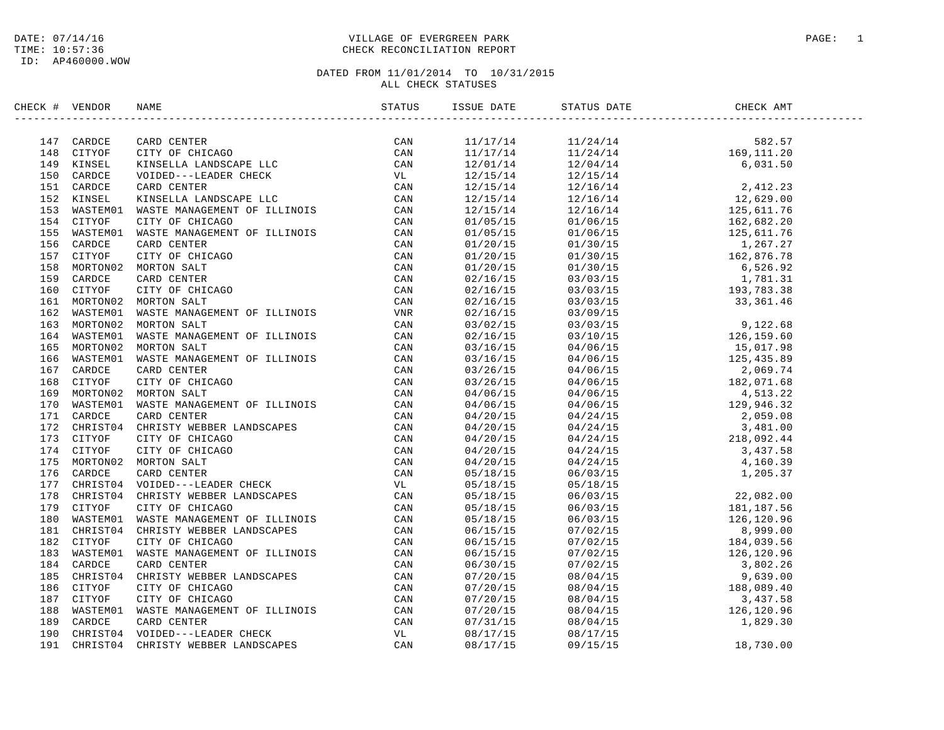## ID: AP460000.WOW

### DATE: 07/14/16 PAGE: 1 PAGE: 1 TIME: 10:57:36 CHECK RECONCILIATION REPORT

| CHECK # VENDOR | NAME | STATUS | ISSUE DATE | STATUS DATE                                                                                                                                                                                                                                                           | CHECK AMT |  |
|----------------|------|--------|------------|-----------------------------------------------------------------------------------------------------------------------------------------------------------------------------------------------------------------------------------------------------------------------|-----------|--|
|                |      |        |            | $\begin{tabular}{cccccccc} 11/17/14 & 11/24/14 & 1682.57\\ 11/17/14 & 11/24/14 & 169,111.20\\ 12/15/14 & 12/15/14 & 6,031.50\\ 12/15/14 & 12/15/14 & 2,412.33\\ 12/15/14 & 12/15/14 & 2,412.33\\ 12/15/14 & 12/16/14 & 12.639.00\\ 12/15/15 & 01/16/15 & 162.682.$    |           |  |
|                |      |        |            |                                                                                                                                                                                                                                                                       |           |  |
|                |      |        |            |                                                                                                                                                                                                                                                                       |           |  |
|                |      |        |            |                                                                                                                                                                                                                                                                       |           |  |
|                |      |        |            |                                                                                                                                                                                                                                                                       |           |  |
|                |      |        |            |                                                                                                                                                                                                                                                                       |           |  |
|                |      |        |            |                                                                                                                                                                                                                                                                       |           |  |
|                |      |        |            |                                                                                                                                                                                                                                                                       |           |  |
|                |      |        |            |                                                                                                                                                                                                                                                                       |           |  |
|                |      |        |            |                                                                                                                                                                                                                                                                       |           |  |
|                |      |        |            |                                                                                                                                                                                                                                                                       |           |  |
|                |      |        |            |                                                                                                                                                                                                                                                                       |           |  |
|                |      |        |            |                                                                                                                                                                                                                                                                       |           |  |
|                |      |        |            |                                                                                                                                                                                                                                                                       |           |  |
|                |      |        |            |                                                                                                                                                                                                                                                                       |           |  |
|                |      |        |            |                                                                                                                                                                                                                                                                       |           |  |
|                |      |        |            |                                                                                                                                                                                                                                                                       |           |  |
|                |      |        |            |                                                                                                                                                                                                                                                                       |           |  |
|                |      |        |            |                                                                                                                                                                                                                                                                       |           |  |
|                |      |        |            |                                                                                                                                                                                                                                                                       |           |  |
|                |      |        |            |                                                                                                                                                                                                                                                                       |           |  |
|                |      |        |            |                                                                                                                                                                                                                                                                       |           |  |
|                |      |        |            |                                                                                                                                                                                                                                                                       |           |  |
|                |      |        |            |                                                                                                                                                                                                                                                                       |           |  |
|                |      |        |            |                                                                                                                                                                                                                                                                       |           |  |
|                |      |        |            |                                                                                                                                                                                                                                                                       |           |  |
|                |      |        |            |                                                                                                                                                                                                                                                                       |           |  |
|                |      |        |            |                                                                                                                                                                                                                                                                       |           |  |
|                |      |        |            |                                                                                                                                                                                                                                                                       |           |  |
|                |      |        |            |                                                                                                                                                                                                                                                                       |           |  |
|                |      |        |            |                                                                                                                                                                                                                                                                       |           |  |
|                |      |        |            |                                                                                                                                                                                                                                                                       |           |  |
|                |      |        |            |                                                                                                                                                                                                                                                                       |           |  |
|                |      |        |            |                                                                                                                                                                                                                                                                       |           |  |
|                |      |        |            |                                                                                                                                                                                                                                                                       |           |  |
|                |      |        |            |                                                                                                                                                                                                                                                                       |           |  |
|                |      |        |            |                                                                                                                                                                                                                                                                       |           |  |
|                |      |        |            |                                                                                                                                                                                                                                                                       |           |  |
|                |      |        |            |                                                                                                                                                                                                                                                                       |           |  |
|                |      |        |            |                                                                                                                                                                                                                                                                       |           |  |
|                |      |        |            |                                                                                                                                                                                                                                                                       |           |  |
|                |      |        |            |                                                                                                                                                                                                                                                                       |           |  |
|                |      |        |            | $\begin{array}{cccccc} 05/18/15 & 06/03/15 & 181,187.56 \\ 05/18/15 & 06/03/15 & 126,120.96 \\ 06/15/15 & 07/02/15 & 8,999.00 \\ 06/15/15 & 07/02/15 & 184,039.56 \\ 06/30/15 & 07/02/15 & 126,120.96 \\ 06/30/15 & 07/02/15 & 3,802.26 \\ 07/20/15 & 08/04/15 & 9,6$ |           |  |
|                |      |        |            |                                                                                                                                                                                                                                                                       |           |  |
|                |      |        |            |                                                                                                                                                                                                                                                                       |           |  |
|                |      |        |            |                                                                                                                                                                                                                                                                       |           |  |
|                |      |        |            |                                                                                                                                                                                                                                                                       |           |  |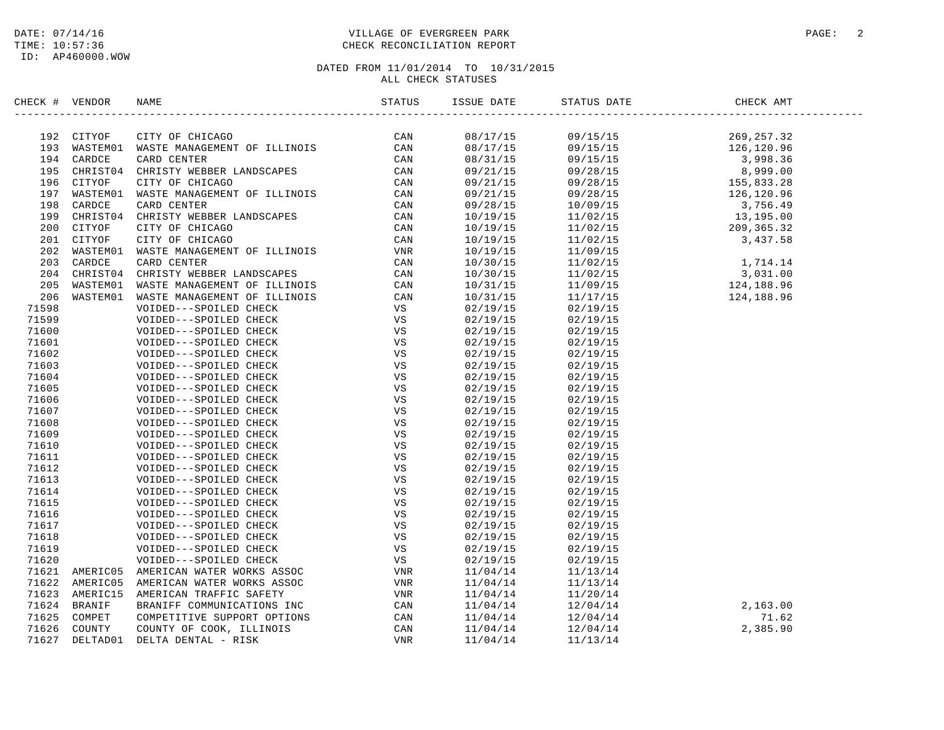### DATE: 07/14/16 PAGE: 2 PAGE: 2 TIME: 10:57:36 CHECK RECONCILIATION REPORT

| 192 CITYOF CITY OF CHICAGO<br>193 WASTEMO1 WASTE MANAGEMENT OF ILLINOIS CAN<br>194 CARDCE CARD CENTER<br>195 CHRISTO4 CHRISTY WEBBER LANDSCAPES CAN<br>196 CITYOF CITY OF CHICAGO CAN<br>197 WASTEMO1 WASTE MANAGEMENT OF ILLINOIS CAN<br><br>08/17/15<br>09/15/15<br>08/17/15<br>09/15/15<br>09/15/15<br>08/31/15<br>09/21/15<br>09/28/15<br>09/28/15<br>09/21/15<br>09/21/15<br>09/28/15<br>09/28/15<br>10/09/15<br>10/19/15<br>11/02/15 | 269,257.32<br>126,120.96<br>3,998.36<br>8,999.00<br>155,833.28<br>126, 120.96<br>3,756.49<br>13,195.00<br>209,365.32<br>3,031.00<br>$11/02/15$<br>$124,188.96$ |
|--------------------------------------------------------------------------------------------------------------------------------------------------------------------------------------------------------------------------------------------------------------------------------------------------------------------------------------------------------------------------------------------------------------------------------------------|----------------------------------------------------------------------------------------------------------------------------------------------------------------|
|                                                                                                                                                                                                                                                                                                                                                                                                                                            |                                                                                                                                                                |
|                                                                                                                                                                                                                                                                                                                                                                                                                                            |                                                                                                                                                                |
|                                                                                                                                                                                                                                                                                                                                                                                                                                            |                                                                                                                                                                |
|                                                                                                                                                                                                                                                                                                                                                                                                                                            |                                                                                                                                                                |
|                                                                                                                                                                                                                                                                                                                                                                                                                                            |                                                                                                                                                                |
|                                                                                                                                                                                                                                                                                                                                                                                                                                            |                                                                                                                                                                |
|                                                                                                                                                                                                                                                                                                                                                                                                                                            |                                                                                                                                                                |
|                                                                                                                                                                                                                                                                                                                                                                                                                                            |                                                                                                                                                                |
|                                                                                                                                                                                                                                                                                                                                                                                                                                            |                                                                                                                                                                |
| 10/19/15<br>11/02/15                                                                                                                                                                                                                                                                                                                                                                                                                       |                                                                                                                                                                |
| $11/02/15$ 3,437.58<br>10/19/15                                                                                                                                                                                                                                                                                                                                                                                                            |                                                                                                                                                                |
| 10/19/15<br>11/09/15                                                                                                                                                                                                                                                                                                                                                                                                                       |                                                                                                                                                                |
| $11/02/15$ 1, 714.14<br>10/30/15                                                                                                                                                                                                                                                                                                                                                                                                           |                                                                                                                                                                |
| 10/30/15<br>11/02/15                                                                                                                                                                                                                                                                                                                                                                                                                       |                                                                                                                                                                |
| 10/31/15                                                                                                                                                                                                                                                                                                                                                                                                                                   |                                                                                                                                                                |
| 206<br>WASTEM01<br>WASTE MANAGEMENT OF ILLINOIS<br>CAN<br>10/31/15<br>11/17/15                                                                                                                                                                                                                                                                                                                                                             | 124,188.96                                                                                                                                                     |
| 71598<br>VS<br>VOIDED---SPOILED CHECK<br>02/19/15<br>02/19/15                                                                                                                                                                                                                                                                                                                                                                              |                                                                                                                                                                |
| VS<br>71599<br>02/19/15<br>02/19/15<br>VOIDED---SPOILED CHECK                                                                                                                                                                                                                                                                                                                                                                              |                                                                                                                                                                |
| 71600<br>VS<br>VOIDED---SPOILED CHECK<br>02/19/15<br>02/19/15                                                                                                                                                                                                                                                                                                                                                                              |                                                                                                                                                                |
| 71601<br>VS<br>VOIDED---SPOILED CHECK<br>02/19/15<br>02/19/15                                                                                                                                                                                                                                                                                                                                                                              |                                                                                                                                                                |
| <b>VS</b><br>71602<br>VOIDED---SPOILED CHECK<br>02/19/15<br>02/19/15                                                                                                                                                                                                                                                                                                                                                                       |                                                                                                                                                                |
| 71603<br>VOIDED---SPOILED CHECK<br>VS<br>02/19/15<br>02/19/15                                                                                                                                                                                                                                                                                                                                                                              |                                                                                                                                                                |
| VS<br>71604<br>VOIDED---SPOILED CHECK<br>02/19/15<br>02/19/15                                                                                                                                                                                                                                                                                                                                                                              |                                                                                                                                                                |
| VS<br>71605<br>02/19/15<br>02/19/15<br>VOIDED---SPOILED CHECK                                                                                                                                                                                                                                                                                                                                                                              |                                                                                                                                                                |
| VS<br>71606<br>VOIDED---SPOILED CHECK<br>02/19/15<br>02/19/15                                                                                                                                                                                                                                                                                                                                                                              |                                                                                                                                                                |
| 71607<br>VS<br>VOIDED---SPOILED CHECK<br>02/19/15<br>02/19/15                                                                                                                                                                                                                                                                                                                                                                              |                                                                                                                                                                |
| VS<br>71608<br>02/19/15<br>02/19/15<br>VOIDED---SPOILED CHECK                                                                                                                                                                                                                                                                                                                                                                              |                                                                                                                                                                |
| 71609<br>VS<br>VOIDED---SPOILED CHECK<br>02/19/15<br>02/19/15                                                                                                                                                                                                                                                                                                                                                                              |                                                                                                                                                                |
| 71610<br>VS<br>VOIDED---SPOILED CHECK<br>02/19/15<br>02/19/15                                                                                                                                                                                                                                                                                                                                                                              |                                                                                                                                                                |
| 71611<br>VS<br>VOIDED---SPOILED CHECK<br>02/19/15<br>02/19/15                                                                                                                                                                                                                                                                                                                                                                              |                                                                                                                                                                |
| 71612<br>VS<br>VOIDED---SPOILED CHECK<br>02/19/15<br>02/19/15                                                                                                                                                                                                                                                                                                                                                                              |                                                                                                                                                                |
| VS<br>71613<br>VOIDED---SPOILED CHECK<br>02/19/15<br>02/19/15                                                                                                                                                                                                                                                                                                                                                                              |                                                                                                                                                                |
| VS<br>71614<br>VOIDED---SPOILED CHECK<br>02/19/15<br>02/19/15                                                                                                                                                                                                                                                                                                                                                                              |                                                                                                                                                                |
| 71615<br>VS<br>VOIDED---SPOILED CHECK<br>02/19/15<br>02/19/15                                                                                                                                                                                                                                                                                                                                                                              |                                                                                                                                                                |
| 71616<br>VS<br>VOIDED---SPOILED CHECK<br>02/19/15<br>02/19/15                                                                                                                                                                                                                                                                                                                                                                              |                                                                                                                                                                |
| VS<br>71617<br>VOIDED---SPOILED CHECK<br>02/19/15<br>02/19/15                                                                                                                                                                                                                                                                                                                                                                              |                                                                                                                                                                |
| VS<br>71618<br>VOIDED---SPOILED CHECK<br>02/19/15<br>02/19/15                                                                                                                                                                                                                                                                                                                                                                              |                                                                                                                                                                |
| VS<br>71619<br>02/19/15<br>VOIDED---SPOILED CHECK<br>02/19/15                                                                                                                                                                                                                                                                                                                                                                              |                                                                                                                                                                |
| 71620<br>VS<br>VOIDED---SPOILED CHECK<br>02/19/15<br>02/19/15                                                                                                                                                                                                                                                                                                                                                                              |                                                                                                                                                                |
| 71621 AMERIC05 AMERICAN WATER WORKS ASSOC<br>VNR<br>11/04/14<br>11/13/14                                                                                                                                                                                                                                                                                                                                                                   |                                                                                                                                                                |
| 71622 AMERIC05<br>AMERICAN WATER WORKS ASSOC<br>VNR<br>11/04/14<br>11/13/14                                                                                                                                                                                                                                                                                                                                                                |                                                                                                                                                                |
| 71623 AMERIC15 AMERICAN TRAFFIC SAFETY<br>VNR<br>11/04/14<br>11/20/14                                                                                                                                                                                                                                                                                                                                                                      |                                                                                                                                                                |
| 71624 BRANIF<br>CAN<br>11/04/14<br>12/04/14                                                                                                                                                                                                                                                                                                                                                                                                | 2,163.00                                                                                                                                                       |
| 71625 COMPET<br>CAN<br>11/04/14<br>12/04/14                                                                                                                                                                                                                                                                                                                                                                                                | 71.62                                                                                                                                                          |
| 71626 COUNTY<br>CAN<br>11/04/14<br>12/04/14                                                                                                                                                                                                                                                                                                                                                                                                | 2,385.90                                                                                                                                                       |
| AMERICAN WATER WORKS ASSOC<br>AMERICAN WATER WORKS ASSOC<br>AMERICAN TRAFFIC SAFETY<br>BRANIFF COMMUNICATIONS INC<br>COMPETITIVE SUPPORT OPTIONS<br>COUNTY OF COOK, ILLINOIS<br>DELTA DENTAL - RISK<br>71627 DELTAD01<br><b>VNR</b><br>11/04/14<br>11/13/14                                                                                                                                                                                |                                                                                                                                                                |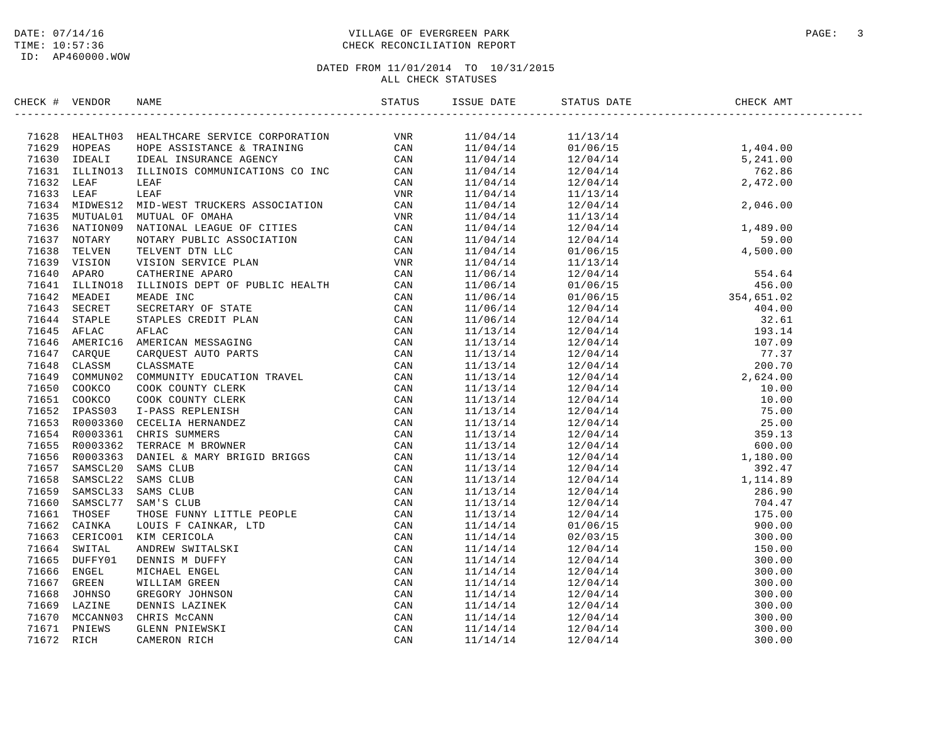ID: AP460000.WOW

### DATE: 07/14/16 PAGE: 3 PAGE: 3 TIME: 10:57:36 CHECK RECONCILIATION REPORT

| CHECK # VENDOR |                                                                                                                                                                                                                                                                                                                                                         |  |  |  |
|----------------|---------------------------------------------------------------------------------------------------------------------------------------------------------------------------------------------------------------------------------------------------------------------------------------------------------------------------------------------------------|--|--|--|
|                | $\begin{tabular}{ c c c c c c c c} \hline \textbf{0.834} & \textbf{0.845} & \textbf{0.854} & \textbf{0.865} & \textbf{0.875} & \textbf{0.875} & \textbf{0.875} & \textbf{0.875} & \textbf{0.875} & \textbf{0.875} & \textbf{0.875} & \textbf{0.875} & \textbf{0.875} & \textbf{0.875} & \textbf{0.875} & \textbf{0.875} & \textbf{0.875} & \textbf{0.8$ |  |  |  |
|                |                                                                                                                                                                                                                                                                                                                                                         |  |  |  |
|                |                                                                                                                                                                                                                                                                                                                                                         |  |  |  |
|                |                                                                                                                                                                                                                                                                                                                                                         |  |  |  |
|                |                                                                                                                                                                                                                                                                                                                                                         |  |  |  |
|                |                                                                                                                                                                                                                                                                                                                                                         |  |  |  |
|                |                                                                                                                                                                                                                                                                                                                                                         |  |  |  |
|                |                                                                                                                                                                                                                                                                                                                                                         |  |  |  |
|                |                                                                                                                                                                                                                                                                                                                                                         |  |  |  |
|                |                                                                                                                                                                                                                                                                                                                                                         |  |  |  |
|                |                                                                                                                                                                                                                                                                                                                                                         |  |  |  |
|                |                                                                                                                                                                                                                                                                                                                                                         |  |  |  |
|                |                                                                                                                                                                                                                                                                                                                                                         |  |  |  |
|                |                                                                                                                                                                                                                                                                                                                                                         |  |  |  |
|                |                                                                                                                                                                                                                                                                                                                                                         |  |  |  |
|                |                                                                                                                                                                                                                                                                                                                                                         |  |  |  |
|                |                                                                                                                                                                                                                                                                                                                                                         |  |  |  |
|                |                                                                                                                                                                                                                                                                                                                                                         |  |  |  |
|                |                                                                                                                                                                                                                                                                                                                                                         |  |  |  |
|                |                                                                                                                                                                                                                                                                                                                                                         |  |  |  |
|                |                                                                                                                                                                                                                                                                                                                                                         |  |  |  |
|                |                                                                                                                                                                                                                                                                                                                                                         |  |  |  |
|                |                                                                                                                                                                                                                                                                                                                                                         |  |  |  |
|                |                                                                                                                                                                                                                                                                                                                                                         |  |  |  |
|                |                                                                                                                                                                                                                                                                                                                                                         |  |  |  |
|                |                                                                                                                                                                                                                                                                                                                                                         |  |  |  |
|                |                                                                                                                                                                                                                                                                                                                                                         |  |  |  |
|                |                                                                                                                                                                                                                                                                                                                                                         |  |  |  |
|                |                                                                                                                                                                                                                                                                                                                                                         |  |  |  |
|                |                                                                                                                                                                                                                                                                                                                                                         |  |  |  |
|                |                                                                                                                                                                                                                                                                                                                                                         |  |  |  |
|                |                                                                                                                                                                                                                                                                                                                                                         |  |  |  |
|                |                                                                                                                                                                                                                                                                                                                                                         |  |  |  |
|                |                                                                                                                                                                                                                                                                                                                                                         |  |  |  |
|                |                                                                                                                                                                                                                                                                                                                                                         |  |  |  |
|                |                                                                                                                                                                                                                                                                                                                                                         |  |  |  |
|                |                                                                                                                                                                                                                                                                                                                                                         |  |  |  |
|                |                                                                                                                                                                                                                                                                                                                                                         |  |  |  |
|                |                                                                                                                                                                                                                                                                                                                                                         |  |  |  |
|                |                                                                                                                                                                                                                                                                                                                                                         |  |  |  |
|                |                                                                                                                                                                                                                                                                                                                                                         |  |  |  |
|                |                                                                                                                                                                                                                                                                                                                                                         |  |  |  |
|                |                                                                                                                                                                                                                                                                                                                                                         |  |  |  |
|                |                                                                                                                                                                                                                                                                                                                                                         |  |  |  |
|                |                                                                                                                                                                                                                                                                                                                                                         |  |  |  |
|                |                                                                                                                                                                                                                                                                                                                                                         |  |  |  |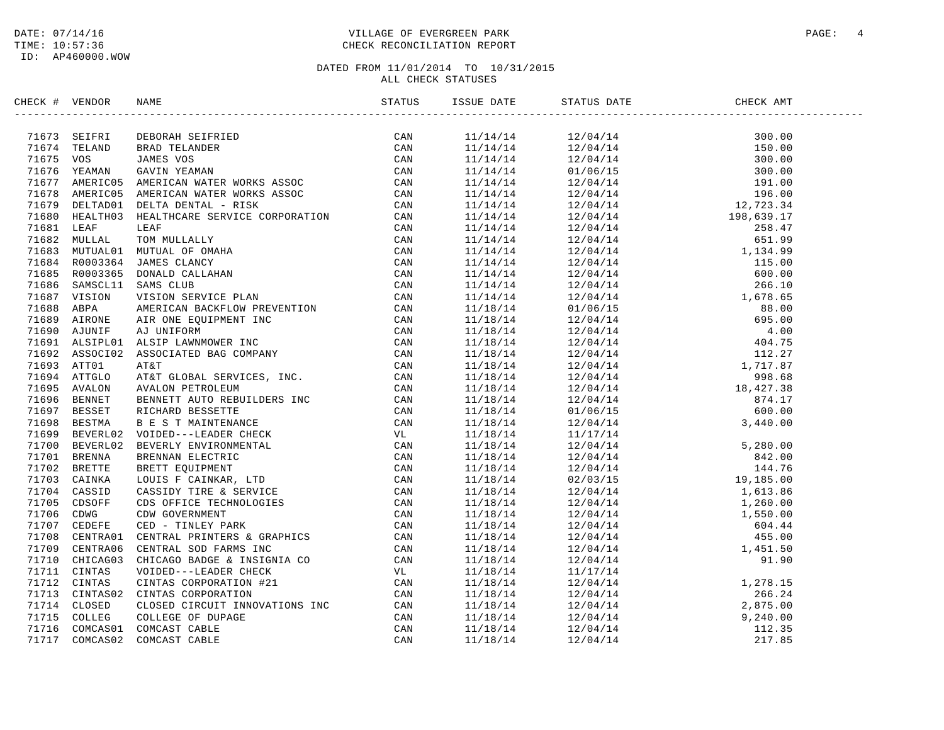### DATE: 07/14/16 PAGE: 4 TIME: 10:57:36 CHECK RECONCILIATION REPORT

| CHECK # VENDOR |                                                                                                                                                                                                                                 |  |                                                                                                                                                                                                                                                                                                                                                            |  |
|----------------|---------------------------------------------------------------------------------------------------------------------------------------------------------------------------------------------------------------------------------|--|------------------------------------------------------------------------------------------------------------------------------------------------------------------------------------------------------------------------------------------------------------------------------------------------------------------------------------------------------------|--|
|                | XROC + VENDOR NAME STATIST<br>2017 (STATIST DES ANNES ESTREIRE) CAN ANNES EN CAN CAN CONFERENCE CAN ANNES VON SALE (ANNES ANNES ANNES ANNES ANNES ANNES ANNES ANNES ANNES ANNES ANNES ANNES ANNES ANNES ANNES ANNES ANNES ANNES |  | $\begin{tabular}{cccccccc} \hline \textbf{111/14/14} & \textbf{12/04/14} & \textbf{300.00} \\ \hline \textbf{211/14/14} & \textbf{12/04/14} & \textbf{300.00} \\ \textbf{11/14/14} & \textbf{12/04/14} & \textbf{300.00} \\ \textbf{11/14/14} & \textbf{12/04/14} & \textbf{300.00} \\ \textbf{11/14/14} & \textbf{12/04/14} & \textbf{300.00} \\ \textbf$ |  |
|                |                                                                                                                                                                                                                                 |  |                                                                                                                                                                                                                                                                                                                                                            |  |
|                |                                                                                                                                                                                                                                 |  |                                                                                                                                                                                                                                                                                                                                                            |  |
|                |                                                                                                                                                                                                                                 |  |                                                                                                                                                                                                                                                                                                                                                            |  |
|                |                                                                                                                                                                                                                                 |  |                                                                                                                                                                                                                                                                                                                                                            |  |
|                |                                                                                                                                                                                                                                 |  |                                                                                                                                                                                                                                                                                                                                                            |  |
|                |                                                                                                                                                                                                                                 |  |                                                                                                                                                                                                                                                                                                                                                            |  |
|                |                                                                                                                                                                                                                                 |  |                                                                                                                                                                                                                                                                                                                                                            |  |
|                |                                                                                                                                                                                                                                 |  |                                                                                                                                                                                                                                                                                                                                                            |  |
|                |                                                                                                                                                                                                                                 |  |                                                                                                                                                                                                                                                                                                                                                            |  |
|                |                                                                                                                                                                                                                                 |  |                                                                                                                                                                                                                                                                                                                                                            |  |
|                |                                                                                                                                                                                                                                 |  |                                                                                                                                                                                                                                                                                                                                                            |  |
|                |                                                                                                                                                                                                                                 |  |                                                                                                                                                                                                                                                                                                                                                            |  |
|                |                                                                                                                                                                                                                                 |  |                                                                                                                                                                                                                                                                                                                                                            |  |
|                |                                                                                                                                                                                                                                 |  |                                                                                                                                                                                                                                                                                                                                                            |  |
|                |                                                                                                                                                                                                                                 |  |                                                                                                                                                                                                                                                                                                                                                            |  |
|                |                                                                                                                                                                                                                                 |  |                                                                                                                                                                                                                                                                                                                                                            |  |
|                |                                                                                                                                                                                                                                 |  |                                                                                                                                                                                                                                                                                                                                                            |  |
|                |                                                                                                                                                                                                                                 |  |                                                                                                                                                                                                                                                                                                                                                            |  |
|                |                                                                                                                                                                                                                                 |  |                                                                                                                                                                                                                                                                                                                                                            |  |
|                |                                                                                                                                                                                                                                 |  |                                                                                                                                                                                                                                                                                                                                                            |  |
|                |                                                                                                                                                                                                                                 |  |                                                                                                                                                                                                                                                                                                                                                            |  |
|                |                                                                                                                                                                                                                                 |  |                                                                                                                                                                                                                                                                                                                                                            |  |
|                |                                                                                                                                                                                                                                 |  |                                                                                                                                                                                                                                                                                                                                                            |  |
|                |                                                                                                                                                                                                                                 |  |                                                                                                                                                                                                                                                                                                                                                            |  |
|                |                                                                                                                                                                                                                                 |  |                                                                                                                                                                                                                                                                                                                                                            |  |
|                |                                                                                                                                                                                                                                 |  |                                                                                                                                                                                                                                                                                                                                                            |  |
|                |                                                                                                                                                                                                                                 |  |                                                                                                                                                                                                                                                                                                                                                            |  |
|                |                                                                                                                                                                                                                                 |  |                                                                                                                                                                                                                                                                                                                                                            |  |
|                |                                                                                                                                                                                                                                 |  |                                                                                                                                                                                                                                                                                                                                                            |  |
|                |                                                                                                                                                                                                                                 |  |                                                                                                                                                                                                                                                                                                                                                            |  |
|                |                                                                                                                                                                                                                                 |  |                                                                                                                                                                                                                                                                                                                                                            |  |
|                |                                                                                                                                                                                                                                 |  |                                                                                                                                                                                                                                                                                                                                                            |  |
|                |                                                                                                                                                                                                                                 |  |                                                                                                                                                                                                                                                                                                                                                            |  |
|                |                                                                                                                                                                                                                                 |  |                                                                                                                                                                                                                                                                                                                                                            |  |
|                |                                                                                                                                                                                                                                 |  |                                                                                                                                                                                                                                                                                                                                                            |  |
|                |                                                                                                                                                                                                                                 |  |                                                                                                                                                                                                                                                                                                                                                            |  |
|                |                                                                                                                                                                                                                                 |  |                                                                                                                                                                                                                                                                                                                                                            |  |
|                |                                                                                                                                                                                                                                 |  |                                                                                                                                                                                                                                                                                                                                                            |  |
|                |                                                                                                                                                                                                                                 |  |                                                                                                                                                                                                                                                                                                                                                            |  |
|                |                                                                                                                                                                                                                                 |  |                                                                                                                                                                                                                                                                                                                                                            |  |
|                |                                                                                                                                                                                                                                 |  |                                                                                                                                                                                                                                                                                                                                                            |  |
|                |                                                                                                                                                                                                                                 |  |                                                                                                                                                                                                                                                                                                                                                            |  |
|                |                                                                                                                                                                                                                                 |  |                                                                                                                                                                                                                                                                                                                                                            |  |
|                |                                                                                                                                                                                                                                 |  |                                                                                                                                                                                                                                                                                                                                                            |  |
|                |                                                                                                                                                                                                                                 |  |                                                                                                                                                                                                                                                                                                                                                            |  |
|                |                                                                                                                                                                                                                                 |  |                                                                                                                                                                                                                                                                                                                                                            |  |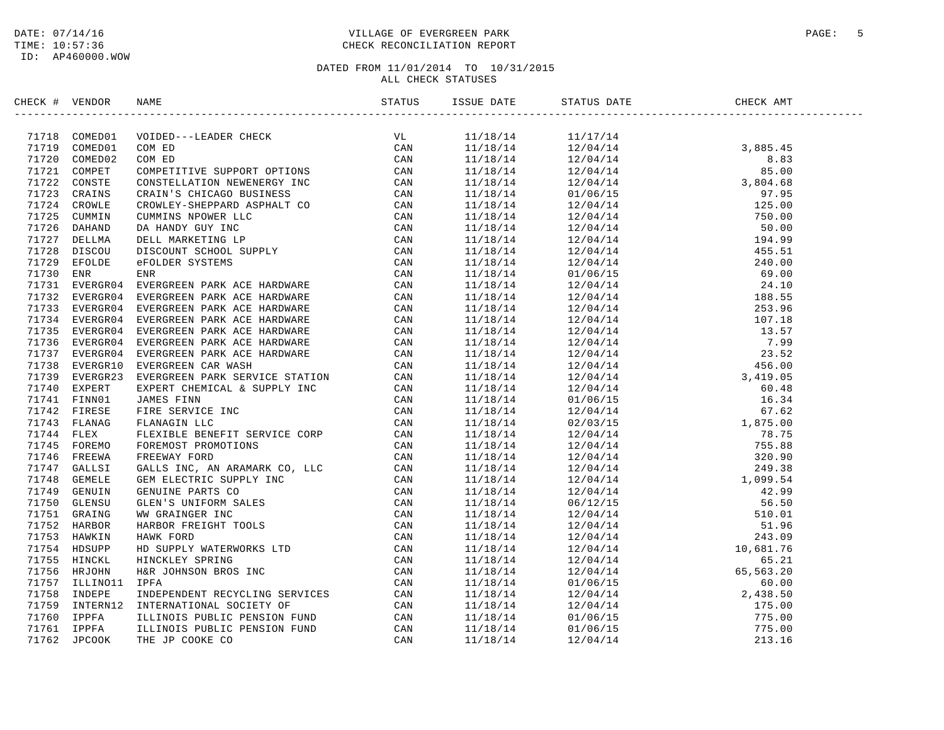### DATE: 07/14/16 PAGE: 5 PAGE: 5 PAGE: 5 PAGE: 5 PAGE: 5 PAGE: 5 PAGE: 5 PAGE: 5 PAGE: 5 PAGE: 5 PAGE: 5 PAGE: 5 TIME: 10:57:36 CHECK RECONCILIATION REPORT

| CHECK # VENDOR |                                                                                                                                                                                                                                                                                                                                                                                                                                                                    |  |  |  |
|----------------|--------------------------------------------------------------------------------------------------------------------------------------------------------------------------------------------------------------------------------------------------------------------------------------------------------------------------------------------------------------------------------------------------------------------------------------------------------------------|--|--|--|
|                | $\begin{tabular}{cccccccc} $\mathbf{r} & $\mathbf{r} & $\mathbf{r} & $\mathbf{r} & $\mathbf{r} & $\mathbf{r} & $\mathbf{r} & $\mathbf{r} & $\mathbf{r} & $\mathbf{r} & $\mathbf{r} & $\mathbf{r} & $\mathbf{r} & $\mathbf{r} & $\mathbf{r} & $\mathbf{r} & $\mathbf{r} & $\mathbf{r} & $\mathbf{r} & $\mathbf{r} & $\mathbf{r} & $\mathbf{r} & $\mathbf{r} & $\mathbf{r} & $\mathbf{r} & $\mathbf{r} & $\mathbf{r} & $\mathbf{r} & $\mathbf{r} & $\mathbf{r} & $\$ |  |  |  |
|                |                                                                                                                                                                                                                                                                                                                                                                                                                                                                    |  |  |  |
|                |                                                                                                                                                                                                                                                                                                                                                                                                                                                                    |  |  |  |
|                |                                                                                                                                                                                                                                                                                                                                                                                                                                                                    |  |  |  |
|                |                                                                                                                                                                                                                                                                                                                                                                                                                                                                    |  |  |  |
|                |                                                                                                                                                                                                                                                                                                                                                                                                                                                                    |  |  |  |
|                |                                                                                                                                                                                                                                                                                                                                                                                                                                                                    |  |  |  |
|                |                                                                                                                                                                                                                                                                                                                                                                                                                                                                    |  |  |  |
|                |                                                                                                                                                                                                                                                                                                                                                                                                                                                                    |  |  |  |
|                |                                                                                                                                                                                                                                                                                                                                                                                                                                                                    |  |  |  |
|                |                                                                                                                                                                                                                                                                                                                                                                                                                                                                    |  |  |  |
|                |                                                                                                                                                                                                                                                                                                                                                                                                                                                                    |  |  |  |
|                |                                                                                                                                                                                                                                                                                                                                                                                                                                                                    |  |  |  |
|                |                                                                                                                                                                                                                                                                                                                                                                                                                                                                    |  |  |  |
|                |                                                                                                                                                                                                                                                                                                                                                                                                                                                                    |  |  |  |
|                |                                                                                                                                                                                                                                                                                                                                                                                                                                                                    |  |  |  |
|                |                                                                                                                                                                                                                                                                                                                                                                                                                                                                    |  |  |  |
|                |                                                                                                                                                                                                                                                                                                                                                                                                                                                                    |  |  |  |
|                |                                                                                                                                                                                                                                                                                                                                                                                                                                                                    |  |  |  |
|                |                                                                                                                                                                                                                                                                                                                                                                                                                                                                    |  |  |  |
|                |                                                                                                                                                                                                                                                                                                                                                                                                                                                                    |  |  |  |
|                |                                                                                                                                                                                                                                                                                                                                                                                                                                                                    |  |  |  |
|                |                                                                                                                                                                                                                                                                                                                                                                                                                                                                    |  |  |  |
|                |                                                                                                                                                                                                                                                                                                                                                                                                                                                                    |  |  |  |
|                |                                                                                                                                                                                                                                                                                                                                                                                                                                                                    |  |  |  |
|                |                                                                                                                                                                                                                                                                                                                                                                                                                                                                    |  |  |  |
|                |                                                                                                                                                                                                                                                                                                                                                                                                                                                                    |  |  |  |
|                |                                                                                                                                                                                                                                                                                                                                                                                                                                                                    |  |  |  |
|                |                                                                                                                                                                                                                                                                                                                                                                                                                                                                    |  |  |  |
|                |                                                                                                                                                                                                                                                                                                                                                                                                                                                                    |  |  |  |
|                |                                                                                                                                                                                                                                                                                                                                                                                                                                                                    |  |  |  |
|                |                                                                                                                                                                                                                                                                                                                                                                                                                                                                    |  |  |  |
|                |                                                                                                                                                                                                                                                                                                                                                                                                                                                                    |  |  |  |
|                |                                                                                                                                                                                                                                                                                                                                                                                                                                                                    |  |  |  |
|                |                                                                                                                                                                                                                                                                                                                                                                                                                                                                    |  |  |  |
|                |                                                                                                                                                                                                                                                                                                                                                                                                                                                                    |  |  |  |
|                |                                                                                                                                                                                                                                                                                                                                                                                                                                                                    |  |  |  |
|                |                                                                                                                                                                                                                                                                                                                                                                                                                                                                    |  |  |  |
|                |                                                                                                                                                                                                                                                                                                                                                                                                                                                                    |  |  |  |
|                |                                                                                                                                                                                                                                                                                                                                                                                                                                                                    |  |  |  |
|                |                                                                                                                                                                                                                                                                                                                                                                                                                                                                    |  |  |  |
|                |                                                                                                                                                                                                                                                                                                                                                                                                                                                                    |  |  |  |
|                |                                                                                                                                                                                                                                                                                                                                                                                                                                                                    |  |  |  |
|                |                                                                                                                                                                                                                                                                                                                                                                                                                                                                    |  |  |  |
|                |                                                                                                                                                                                                                                                                                                                                                                                                                                                                    |  |  |  |
|                |                                                                                                                                                                                                                                                                                                                                                                                                                                                                    |  |  |  |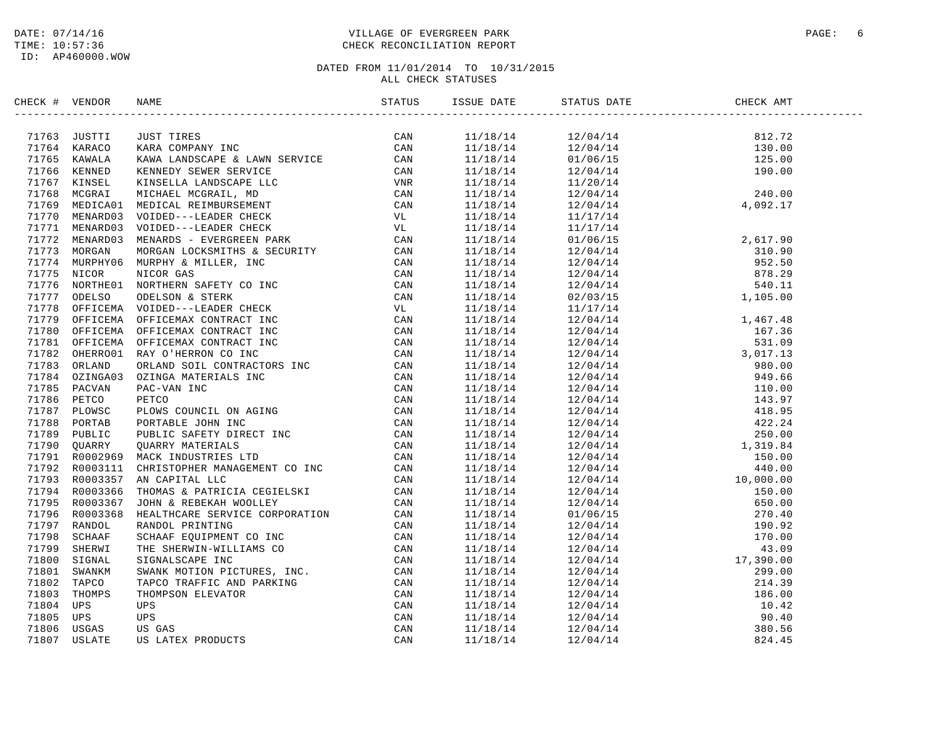### DATE: 07/14/16 PAGE: 6 PAGE: 6 PAGE: 6 PAGE: 6 PAGE: 6 PAGE: 9 PAGE: 6 PAGE: 9 PAGE: 9 PAGE: 9 PAGE: 9 PAGE: 9 TIME: 10:57:36 CHECK RECONCILIATION REPORT

| CHECK # VENDOR | NAME | STATUS | ISSUE DATE | STATUS DATE                                                                                                                                                                                                                                                             | CHECK AMT |  |
|----------------|------|--------|------------|-------------------------------------------------------------------------------------------------------------------------------------------------------------------------------------------------------------------------------------------------------------------------|-----------|--|
|                |      |        |            | $\begin{array}{cccc} 11/18/14 & 12/04/14 & 812.72 \\ 11/18/14 & 12/04/14 & 130.00 \\ 11/18/14 & 01/06/15 & 125.00 \\ 11/18/14 & 12/04/14 & 190.00 \\ 11/18/14 & 11/20/14 & 240.00 \\ 11/18/14 & 12/04/14 & 240.00 \\ 11/18/14 & 12/04/14 & 4,092.17 \\ 11/18/14 & 11/1$ |           |  |
|                |      |        |            |                                                                                                                                                                                                                                                                         |           |  |
|                |      |        |            |                                                                                                                                                                                                                                                                         |           |  |
|                |      |        |            |                                                                                                                                                                                                                                                                         |           |  |
|                |      |        |            |                                                                                                                                                                                                                                                                         |           |  |
|                |      |        |            |                                                                                                                                                                                                                                                                         |           |  |
|                |      |        |            |                                                                                                                                                                                                                                                                         |           |  |
|                |      |        | 11/18/14   | 11/17/14                                                                                                                                                                                                                                                                |           |  |
|                |      |        | 11/18/14   | $\begin{array}{cccc} 11/17/14 & & & & & 2,617.90 \\ 01/06/15 & & & & 2,617.90 \\ 12/04/14 & & & 310.90 \\ 12/04/14 & & & 952.50 \\ 12/04/14 & & & 878.29 \\ 12/04/14 & & & 540.11 \\ 02/03/15 & & & 1,105.00 \end{array}$                                               |           |  |
|                |      |        | 11/18/14   |                                                                                                                                                                                                                                                                         |           |  |
|                |      |        | 11/18/14   |                                                                                                                                                                                                                                                                         |           |  |
|                |      |        | 11/18/14   |                                                                                                                                                                                                                                                                         |           |  |
|                |      |        | 11/18/14   |                                                                                                                                                                                                                                                                         |           |  |
|                |      |        | 11/18/14   |                                                                                                                                                                                                                                                                         |           |  |
|                |      |        | 11/18/14   |                                                                                                                                                                                                                                                                         |           |  |
|                |      |        | 11/18/14   |                                                                                                                                                                                                                                                                         |           |  |
|                |      |        | 11/18/14   |                                                                                                                                                                                                                                                                         |           |  |
|                |      |        | 11/18/14   |                                                                                                                                                                                                                                                                         |           |  |
|                |      |        | 11/18/14   |                                                                                                                                                                                                                                                                         |           |  |
|                |      |        | 11/18/14   |                                                                                                                                                                                                                                                                         |           |  |
|                |      |        | 11/18/14   |                                                                                                                                                                                                                                                                         |           |  |
|                |      |        | 11/18/14   |                                                                                                                                                                                                                                                                         |           |  |
|                |      |        | 11/18/14   |                                                                                                                                                                                                                                                                         |           |  |
|                |      |        | 11/18/14   |                                                                                                                                                                                                                                                                         |           |  |
|                |      |        | 11/18/14   |                                                                                                                                                                                                                                                                         |           |  |
|                |      |        | 11/18/14   |                                                                                                                                                                                                                                                                         |           |  |
|                |      |        | 11/18/14   |                                                                                                                                                                                                                                                                         |           |  |
|                |      |        | 11/18/14   |                                                                                                                                                                                                                                                                         |           |  |
|                |      |        | 11/18/14   |                                                                                                                                                                                                                                                                         |           |  |
|                |      |        | 11/18/14   |                                                                                                                                                                                                                                                                         |           |  |
|                |      |        | 11/18/14   |                                                                                                                                                                                                                                                                         |           |  |
|                |      |        | 11/18/14   |                                                                                                                                                                                                                                                                         |           |  |
|                |      |        | 11/18/14   |                                                                                                                                                                                                                                                                         |           |  |
|                |      |        | 11/18/14   |                                                                                                                                                                                                                                                                         |           |  |
|                |      |        | 11/18/14   |                                                                                                                                                                                                                                                                         |           |  |
|                |      |        | 11/18/14   |                                                                                                                                                                                                                                                                         |           |  |
|                |      |        | 11/18/14   |                                                                                                                                                                                                                                                                         |           |  |
|                |      |        | 11/18/14   |                                                                                                                                                                                                                                                                         |           |  |
|                |      |        | 11/18/14   |                                                                                                                                                                                                                                                                         |           |  |
|                |      |        | 11/18/14   |                                                                                                                                                                                                                                                                         |           |  |
|                |      |        | 11/18/14   |                                                                                                                                                                                                                                                                         |           |  |
|                |      |        | 11/18/14   |                                                                                                                                                                                                                                                                         |           |  |
|                |      |        | 11/18/14   |                                                                                                                                                                                                                                                                         |           |  |
|                |      |        | 11/18/14   |                                                                                                                                                                                                                                                                         |           |  |
|                |      |        | 11/18/14   |                                                                                                                                                                                                                                                                         |           |  |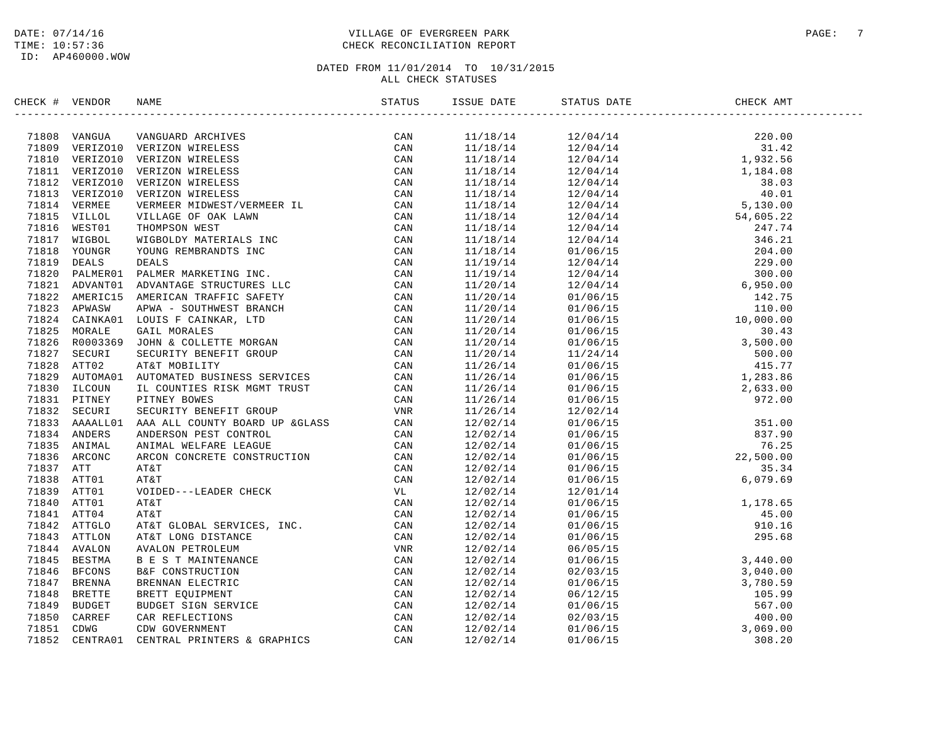### DATE: 07/14/16 PAGE: 7 PAGE: 7 TIME: 10:57:36 CHECK RECONCILIATION REPORT

| CHECK # VENDOR |                                                                                                                                                                                                                                             |                                                                    |                                                                                                                                                                                                                                                                                                                 |  |
|----------------|---------------------------------------------------------------------------------------------------------------------------------------------------------------------------------------------------------------------------------------------|--------------------------------------------------------------------|-----------------------------------------------------------------------------------------------------------------------------------------------------------------------------------------------------------------------------------------------------------------------------------------------------------------|--|
|                | SECK # VERDOR NAME<br>(1970) VERTICON VANCIAD ACCTURES<br>21809 VERTICON VERTICON NERELESS<br>21810 VERTICON VERTICON NERELESS<br>21811 VERTICON VERTICON TRELESS<br>21811 VERTICON VERTICON TRELESS<br>21811 VERTICON VERTICON TRELESS<br> |                                                                    | $\begin{tabular}{cccccccc} \multicolumn{4}{c}{\begin{tabular}{l} $11/18/14$ & $12/04/14$ & $20.00$ \\ $11/18/14$ & $12/04/14$ & $20.00$ \\ $11/18/14$ & $12/04/14$ & $1,81.4$ \\ $11/18/14$ & $12/04/14$ & $1,82.5$ \\ $11/18/14$ & $12/04/14$ & $1,83.25$ \\ $11/18/14$ & $12/04/14$ & $8.03$ \\ $11/18/14$ &$ |  |
|                |                                                                                                                                                                                                                                             |                                                                    |                                                                                                                                                                                                                                                                                                                 |  |
|                |                                                                                                                                                                                                                                             |                                                                    |                                                                                                                                                                                                                                                                                                                 |  |
|                |                                                                                                                                                                                                                                             |                                                                    |                                                                                                                                                                                                                                                                                                                 |  |
|                |                                                                                                                                                                                                                                             |                                                                    |                                                                                                                                                                                                                                                                                                                 |  |
|                |                                                                                                                                                                                                                                             |                                                                    |                                                                                                                                                                                                                                                                                                                 |  |
|                |                                                                                                                                                                                                                                             |                                                                    |                                                                                                                                                                                                                                                                                                                 |  |
|                |                                                                                                                                                                                                                                             |                                                                    |                                                                                                                                                                                                                                                                                                                 |  |
|                |                                                                                                                                                                                                                                             |                                                                    |                                                                                                                                                                                                                                                                                                                 |  |
|                |                                                                                                                                                                                                                                             |                                                                    |                                                                                                                                                                                                                                                                                                                 |  |
|                |                                                                                                                                                                                                                                             |                                                                    |                                                                                                                                                                                                                                                                                                                 |  |
|                |                                                                                                                                                                                                                                             |                                                                    |                                                                                                                                                                                                                                                                                                                 |  |
|                |                                                                                                                                                                                                                                             |                                                                    |                                                                                                                                                                                                                                                                                                                 |  |
|                |                                                                                                                                                                                                                                             |                                                                    |                                                                                                                                                                                                                                                                                                                 |  |
|                |                                                                                                                                                                                                                                             |                                                                    |                                                                                                                                                                                                                                                                                                                 |  |
|                |                                                                                                                                                                                                                                             |                                                                    |                                                                                                                                                                                                                                                                                                                 |  |
|                |                                                                                                                                                                                                                                             |                                                                    |                                                                                                                                                                                                                                                                                                                 |  |
|                |                                                                                                                                                                                                                                             |                                                                    |                                                                                                                                                                                                                                                                                                                 |  |
|                |                                                                                                                                                                                                                                             |                                                                    |                                                                                                                                                                                                                                                                                                                 |  |
|                |                                                                                                                                                                                                                                             |                                                                    |                                                                                                                                                                                                                                                                                                                 |  |
|                |                                                                                                                                                                                                                                             |                                                                    |                                                                                                                                                                                                                                                                                                                 |  |
|                |                                                                                                                                                                                                                                             |                                                                    |                                                                                                                                                                                                                                                                                                                 |  |
|                |                                                                                                                                                                                                                                             |                                                                    |                                                                                                                                                                                                                                                                                                                 |  |
|                |                                                                                                                                                                                                                                             |                                                                    |                                                                                                                                                                                                                                                                                                                 |  |
|                |                                                                                                                                                                                                                                             |                                                                    |                                                                                                                                                                                                                                                                                                                 |  |
|                |                                                                                                                                                                                                                                             |                                                                    |                                                                                                                                                                                                                                                                                                                 |  |
|                |                                                                                                                                                                                                                                             |                                                                    |                                                                                                                                                                                                                                                                                                                 |  |
|                |                                                                                                                                                                                                                                             |                                                                    |                                                                                                                                                                                                                                                                                                                 |  |
|                |                                                                                                                                                                                                                                             |                                                                    |                                                                                                                                                                                                                                                                                                                 |  |
|                |                                                                                                                                                                                                                                             |                                                                    |                                                                                                                                                                                                                                                                                                                 |  |
|                |                                                                                                                                                                                                                                             |                                                                    |                                                                                                                                                                                                                                                                                                                 |  |
|                |                                                                                                                                                                                                                                             |                                                                    |                                                                                                                                                                                                                                                                                                                 |  |
|                |                                                                                                                                                                                                                                             |                                                                    |                                                                                                                                                                                                                                                                                                                 |  |
|                |                                                                                                                                                                                                                                             | $\begin{array}{c} 12/02/14 \\ 12/02/14 \\ 12/02/14 \\ \end{array}$ |                                                                                                                                                                                                                                                                                                                 |  |
|                |                                                                                                                                                                                                                                             | 12/02/14                                                           |                                                                                                                                                                                                                                                                                                                 |  |
|                |                                                                                                                                                                                                                                             | 12/02/14                                                           |                                                                                                                                                                                                                                                                                                                 |  |
|                |                                                                                                                                                                                                                                             | 12/02/14                                                           |                                                                                                                                                                                                                                                                                                                 |  |
|                |                                                                                                                                                                                                                                             | 12/02/14                                                           |                                                                                                                                                                                                                                                                                                                 |  |
|                |                                                                                                                                                                                                                                             | 12/02/14                                                           |                                                                                                                                                                                                                                                                                                                 |  |
|                |                                                                                                                                                                                                                                             | 12/02/14                                                           |                                                                                                                                                                                                                                                                                                                 |  |
|                |                                                                                                                                                                                                                                             | 12/02/14                                                           |                                                                                                                                                                                                                                                                                                                 |  |
|                |                                                                                                                                                                                                                                             |                                                                    |                                                                                                                                                                                                                                                                                                                 |  |
|                |                                                                                                                                                                                                                                             | 12/02/14<br>12/02/14                                               |                                                                                                                                                                                                                                                                                                                 |  |
|                |                                                                                                                                                                                                                                             | 12/02/14                                                           |                                                                                                                                                                                                                                                                                                                 |  |
|                |                                                                                                                                                                                                                                             | 12/02/14                                                           |                                                                                                                                                                                                                                                                                                                 |  |
|                |                                                                                                                                                                                                                                             | 12/02/14                                                           | $\begin{array}{cccc} 01/06/15 & 6\,,079\,.\,\mathrm{69} \\ 12/01/14 & 01/06/15 & 1\,,178\,.\,\mathrm{65} \\ 01/06/15 & 45\,.\,00 \\ 01/06/15 & 910\,.\,16 \\ 01/06/15 & 295\,.\,\mathrm{68} \\ 06/05/15 & 3\,,440\,.\,00 \\ 02/03/15 & 3\,,040\,.\,00 \\ 01/06/15 & 3\,,780\,.\,59 \\ 01/06/15 & 5$             |  |
|                |                                                                                                                                                                                                                                             |                                                                    |                                                                                                                                                                                                                                                                                                                 |  |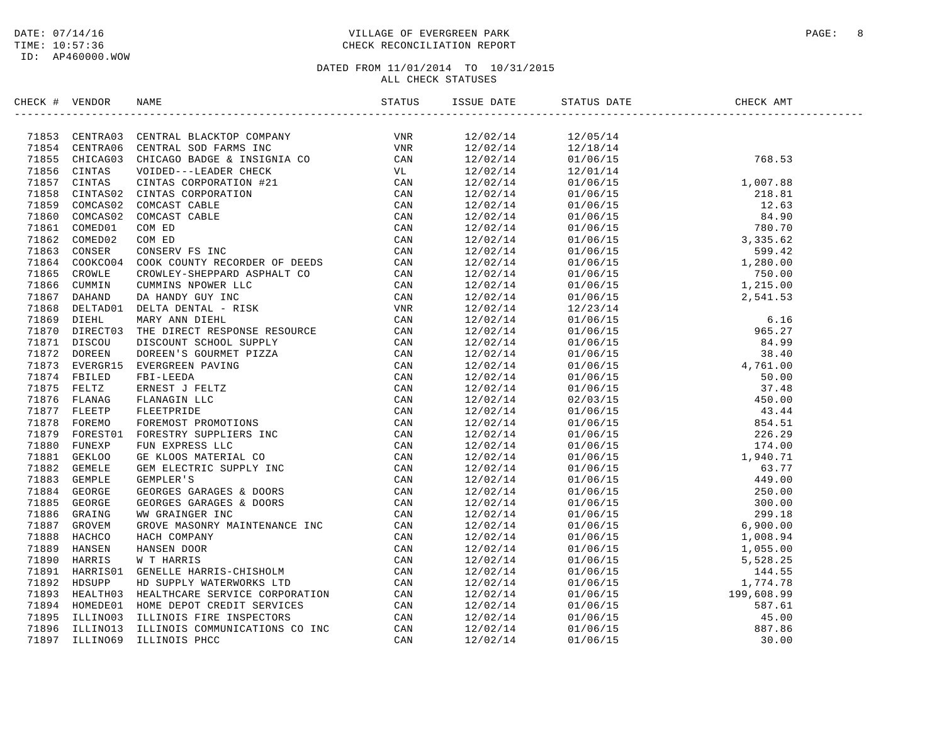### DATE: 07/14/16 PAGE: 8 TIME: 10:57:36 CHECK RECONCILIATION REPORT

# DATED FROM 11/01/2014 TO 10/31/2015

ALL CHECK STATUSES

| CHECK # VENDOR |                                                                                                                                                                                                                               | ISSUE DATE | STATUS DATE<br>----------------- | CHECK AMT                                                                                                                                                                                                                                                                                         |
|----------------|-------------------------------------------------------------------------------------------------------------------------------------------------------------------------------------------------------------------------------|------------|----------------------------------|---------------------------------------------------------------------------------------------------------------------------------------------------------------------------------------------------------------------------------------------------------------------------------------------------|
|                | SECK # VERDOR RANE STATES. IN SECURE STATES IN the second of the second of the second of the second of the second of the second of the second of the second of the second of the second of the second of the second of the se |            |                                  |                                                                                                                                                                                                                                                                                                   |
|                |                                                                                                                                                                                                                               | 12/02/14   | 12/05/14                         |                                                                                                                                                                                                                                                                                                   |
|                |                                                                                                                                                                                                                               | 12/02/14   | 12/18/14                         | 768.53                                                                                                                                                                                                                                                                                            |
|                |                                                                                                                                                                                                                               | 12/02/14   | 01/06/15                         |                                                                                                                                                                                                                                                                                                   |
|                |                                                                                                                                                                                                                               | 12/02/14   | 12/01/14                         | $\begin{array}{cccc} 12/01/14 & & & & & & 1,007.88 \\ 01/06/15 & & & & & 1,007.88 \\ 01/06/15 & & & & 218.81 \\ 01/06/15 & & & & 12.63 \\ 01/06/15 & & & 84.90 \\ 01/06/15 & & & 780.70 \\ 01/06/15 & & & 3,335.62 \\ 01/06/15 & & & 1,280.00 \\ 01/06/15 & & & 1,280.00 \\ 01/06/15 & & & 1,215$ |
|                |                                                                                                                                                                                                                               | 12/02/14   |                                  |                                                                                                                                                                                                                                                                                                   |
|                |                                                                                                                                                                                                                               | 12/02/14   |                                  |                                                                                                                                                                                                                                                                                                   |
|                |                                                                                                                                                                                                                               | 12/02/14   |                                  |                                                                                                                                                                                                                                                                                                   |
|                |                                                                                                                                                                                                                               | 12/02/14   |                                  |                                                                                                                                                                                                                                                                                                   |
|                |                                                                                                                                                                                                                               | 12/02/14   |                                  |                                                                                                                                                                                                                                                                                                   |
|                |                                                                                                                                                                                                                               | 12/02/14   |                                  |                                                                                                                                                                                                                                                                                                   |
|                |                                                                                                                                                                                                                               | 12/02/14   |                                  |                                                                                                                                                                                                                                                                                                   |
|                |                                                                                                                                                                                                                               | 12/02/14   |                                  |                                                                                                                                                                                                                                                                                                   |
|                |                                                                                                                                                                                                                               | 12/02/14   |                                  |                                                                                                                                                                                                                                                                                                   |
|                |                                                                                                                                                                                                                               | 12/02/14   |                                  | $01/06/15$<br>01/06/15<br>01/06/15<br>2,541.53                                                                                                                                                                                                                                                    |
|                |                                                                                                                                                                                                                               | 12/02/14   |                                  |                                                                                                                                                                                                                                                                                                   |
|                |                                                                                                                                                                                                                               | 12/02/14   |                                  |                                                                                                                                                                                                                                                                                                   |
|                |                                                                                                                                                                                                                               | 12/02/14   |                                  |                                                                                                                                                                                                                                                                                                   |
|                |                                                                                                                                                                                                                               | 12/02/14   |                                  |                                                                                                                                                                                                                                                                                                   |
|                |                                                                                                                                                                                                                               | 12/02/14   |                                  |                                                                                                                                                                                                                                                                                                   |
|                |                                                                                                                                                                                                                               | 12/02/14   |                                  |                                                                                                                                                                                                                                                                                                   |
|                |                                                                                                                                                                                                                               | 12/02/14   |                                  |                                                                                                                                                                                                                                                                                                   |
|                |                                                                                                                                                                                                                               | 12/02/14   |                                  |                                                                                                                                                                                                                                                                                                   |
|                |                                                                                                                                                                                                                               | 12/02/14   |                                  |                                                                                                                                                                                                                                                                                                   |
|                |                                                                                                                                                                                                                               | 12/02/14   |                                  |                                                                                                                                                                                                                                                                                                   |
|                |                                                                                                                                                                                                                               | 12/02/14   |                                  |                                                                                                                                                                                                                                                                                                   |
|                |                                                                                                                                                                                                                               | 12/02/14   |                                  |                                                                                                                                                                                                                                                                                                   |
|                |                                                                                                                                                                                                                               | 12/02/14   |                                  |                                                                                                                                                                                                                                                                                                   |
|                |                                                                                                                                                                                                                               | 12/02/14   |                                  |                                                                                                                                                                                                                                                                                                   |
|                |                                                                                                                                                                                                                               | 12/02/14   |                                  |                                                                                                                                                                                                                                                                                                   |
|                |                                                                                                                                                                                                                               | 12/02/14   |                                  |                                                                                                                                                                                                                                                                                                   |
|                |                                                                                                                                                                                                                               | 12/02/14   |                                  |                                                                                                                                                                                                                                                                                                   |
|                |                                                                                                                                                                                                                               | 12/02/14   |                                  |                                                                                                                                                                                                                                                                                                   |
|                |                                                                                                                                                                                                                               | 12/02/14   |                                  |                                                                                                                                                                                                                                                                                                   |
|                |                                                                                                                                                                                                                               | 12/02/14   |                                  |                                                                                                                                                                                                                                                                                                   |
|                |                                                                                                                                                                                                                               | 12/02/14   |                                  |                                                                                                                                                                                                                                                                                                   |
|                |                                                                                                                                                                                                                               | 12/02/14   |                                  |                                                                                                                                                                                                                                                                                                   |
|                |                                                                                                                                                                                                                               | 12/02/14   |                                  |                                                                                                                                                                                                                                                                                                   |
|                |                                                                                                                                                                                                                               | 12/02/14   |                                  |                                                                                                                                                                                                                                                                                                   |
|                |                                                                                                                                                                                                                               | 12/02/14   |                                  |                                                                                                                                                                                                                                                                                                   |
|                |                                                                                                                                                                                                                               | 12/02/14   |                                  |                                                                                                                                                                                                                                                                                                   |
|                |                                                                                                                                                                                                                               | 12/02/14   |                                  |                                                                                                                                                                                                                                                                                                   |
|                |                                                                                                                                                                                                                               | 12/02/14   |                                  |                                                                                                                                                                                                                                                                                                   |
|                |                                                                                                                                                                                                                               | 12/02/14   |                                  |                                                                                                                                                                                                                                                                                                   |
|                |                                                                                                                                                                                                                               | 12/02/14   |                                  |                                                                                                                                                                                                                                                                                                   |
|                |                                                                                                                                                                                                                               | 12/02/14   |                                  | $\begin{tabular}{l c c c} 0.100713 & 1.2353.00001 \\ 0.100713 & 1.2453.0000001 \\ 0.100715 & 0.100715 & 0.100715 \\ 0.100706/15 & 0.100715 \\ 0.100706/15 & 0.100715 \\ 0.100706/15 & 0.100715 \\ 0.100706/15 & 0.100715 \\ 0.100706/15 & 0.100715 \\ 0.100706/1$                                 |
|                |                                                                                                                                                                                                                               |            |                                  |                                                                                                                                                                                                                                                                                                   |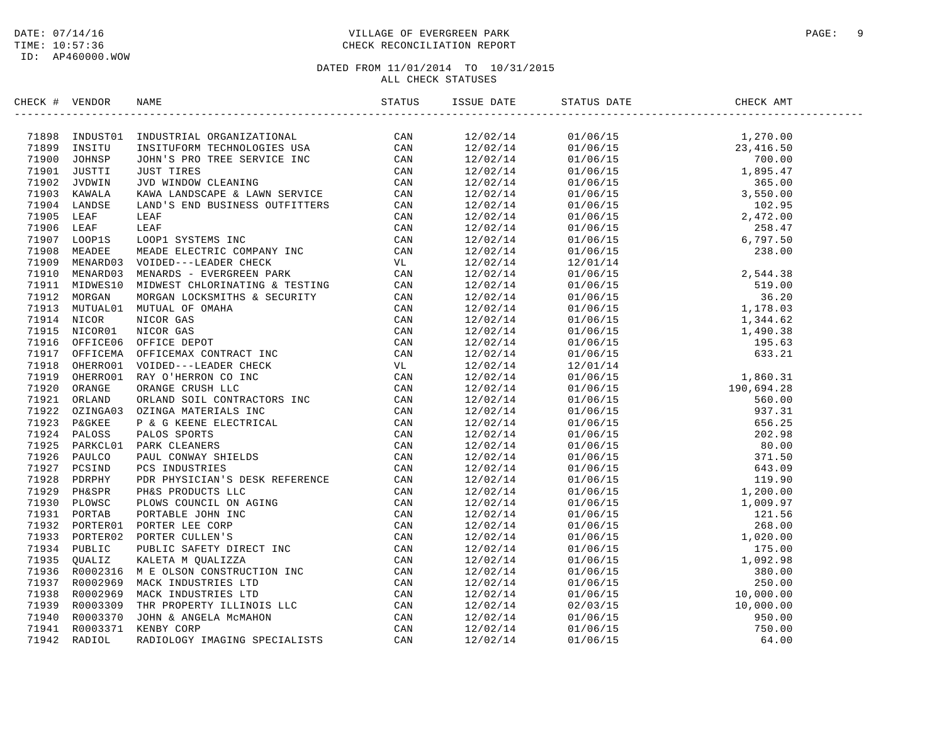ID: AP460000.WOW

### DATE: 07/14/16 PAGE: 9 PAGE: 9 TIME: 10:57:36 CHECK RECONCILIATION REPORT

| CHECK # VENDOR |                                                                                                                                                                                                                       | ISSUE DATE | STATUS DATE | CHECK AMT |  |
|----------------|-----------------------------------------------------------------------------------------------------------------------------------------------------------------------------------------------------------------------|------------|-------------|-----------|--|
|                | CRIC # WEDGE PROTECTIVE ANDETRATIONS<br>2013 - STATISTIC SCRIPT CONTINUES  (2013)<br>2013 - CONTINUES  (2013)<br>2013 - CONTINUES  (2013)<br>2013 - CONTINUES  (2013)<br>2013 - CONTINUES  (2013)<br>2013 - CONTINUES |            |             |           |  |
|                |                                                                                                                                                                                                                       |            |             |           |  |
|                |                                                                                                                                                                                                                       |            |             |           |  |
|                |                                                                                                                                                                                                                       |            |             |           |  |
|                |                                                                                                                                                                                                                       |            |             |           |  |
|                |                                                                                                                                                                                                                       |            |             |           |  |
|                |                                                                                                                                                                                                                       |            |             |           |  |
|                |                                                                                                                                                                                                                       |            |             |           |  |
|                |                                                                                                                                                                                                                       |            |             |           |  |
|                |                                                                                                                                                                                                                       |            |             |           |  |
|                |                                                                                                                                                                                                                       |            |             |           |  |
|                |                                                                                                                                                                                                                       |            |             |           |  |
|                |                                                                                                                                                                                                                       |            |             |           |  |
|                |                                                                                                                                                                                                                       |            |             |           |  |
|                |                                                                                                                                                                                                                       |            |             |           |  |
|                |                                                                                                                                                                                                                       |            |             |           |  |
|                |                                                                                                                                                                                                                       |            |             |           |  |
|                |                                                                                                                                                                                                                       |            |             |           |  |
|                |                                                                                                                                                                                                                       |            |             |           |  |
|                |                                                                                                                                                                                                                       |            |             |           |  |
|                |                                                                                                                                                                                                                       |            |             |           |  |
|                |                                                                                                                                                                                                                       |            |             |           |  |
|                |                                                                                                                                                                                                                       |            |             |           |  |
|                |                                                                                                                                                                                                                       |            |             |           |  |
|                |                                                                                                                                                                                                                       |            |             |           |  |
|                |                                                                                                                                                                                                                       |            |             |           |  |
|                |                                                                                                                                                                                                                       |            |             |           |  |
|                |                                                                                                                                                                                                                       |            |             |           |  |
|                |                                                                                                                                                                                                                       |            |             |           |  |
|                |                                                                                                                                                                                                                       |            |             |           |  |
|                |                                                                                                                                                                                                                       |            |             |           |  |
|                |                                                                                                                                                                                                                       |            |             |           |  |
|                |                                                                                                                                                                                                                       |            |             |           |  |
|                |                                                                                                                                                                                                                       |            |             |           |  |
|                |                                                                                                                                                                                                                       |            |             |           |  |
|                |                                                                                                                                                                                                                       |            |             |           |  |
|                |                                                                                                                                                                                                                       |            |             |           |  |
|                |                                                                                                                                                                                                                       |            |             |           |  |
|                |                                                                                                                                                                                                                       |            |             |           |  |
|                |                                                                                                                                                                                                                       |            |             |           |  |
|                |                                                                                                                                                                                                                       |            |             |           |  |
|                |                                                                                                                                                                                                                       |            |             |           |  |
|                |                                                                                                                                                                                                                       |            |             |           |  |
|                |                                                                                                                                                                                                                       |            |             |           |  |
|                |                                                                                                                                                                                                                       |            |             |           |  |
|                |                                                                                                                                                                                                                       |            |             |           |  |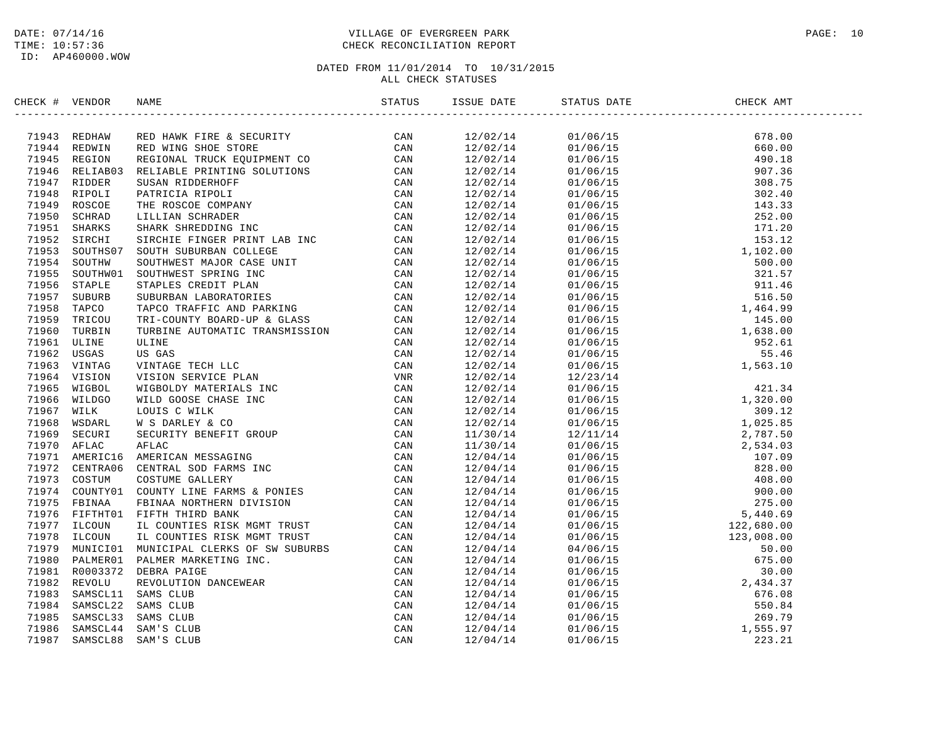### DATE: 07/14/16 PAGE: 10 TIME: 10:57:36 CHECK RECONCILIATION REPORT

| CHECK # VENDOR | NAME                                                                                                                                                                                                                                                                                                                                                                                                                                                                           | ISSUE DATE STATU     | STATUS DATE                                                                                                                                                                                                                                                                | CHECK AMT |  |
|----------------|--------------------------------------------------------------------------------------------------------------------------------------------------------------------------------------------------------------------------------------------------------------------------------------------------------------------------------------------------------------------------------------------------------------------------------------------------------------------------------|----------------------|----------------------------------------------------------------------------------------------------------------------------------------------------------------------------------------------------------------------------------------------------------------------------|-----------|--|
|                | $\begin{tabular}{cccc} \textbf{4} & \textbf{WREIDE} & \textbf{MME} & \textbf{SREPIB} \\ \textbf{5} & \textbf{REDHAN} & \textbf{RED HANK PIRE } & \textbf{SECUSTITY} \\ \textbf{6} & \textbf{REDIATION} & \textbf{REDE RING RISTY} \\ \textbf{7} & \textbf{8} & \textbf{REDIATION} & \textbf{REDE RING RISTY} \\ \textbf{8} & \textbf{REDIATION} & \textbf{REDIATION} & \textbf{REICID} \\ \textbf{9} & \textbf{REIDIDAND} & \textbf{REDIATION} & \textbf{REICID} \\ \textbf{1$ | 12/02/14             | $\begin{tabular}{@{}c@{}}\n  01/06/15 & 678.00 \\  01/06/15 & 660.00 \\  01/06/15 & 490.18 \\  01/06/15 & 308.75 \\  01/06/15 & 302.40 \\  01/06/15 & 302.40 \\  01/06/15 & 143.33 \\  01/06/15 & 143.33 \\  01/06/15 & 153.12 \\  01/06/15 & 153.12 \\  01/06/15 & 50.0$  |           |  |
|                |                                                                                                                                                                                                                                                                                                                                                                                                                                                                                | 12/02/14             |                                                                                                                                                                                                                                                                            |           |  |
|                |                                                                                                                                                                                                                                                                                                                                                                                                                                                                                | 12/02/14             |                                                                                                                                                                                                                                                                            |           |  |
|                |                                                                                                                                                                                                                                                                                                                                                                                                                                                                                | 12/02/14             |                                                                                                                                                                                                                                                                            |           |  |
|                |                                                                                                                                                                                                                                                                                                                                                                                                                                                                                | 12/02/14             |                                                                                                                                                                                                                                                                            |           |  |
|                |                                                                                                                                                                                                                                                                                                                                                                                                                                                                                | 12/02/14             |                                                                                                                                                                                                                                                                            |           |  |
|                |                                                                                                                                                                                                                                                                                                                                                                                                                                                                                | 12/02/14             |                                                                                                                                                                                                                                                                            |           |  |
|                |                                                                                                                                                                                                                                                                                                                                                                                                                                                                                | 12/02/14             |                                                                                                                                                                                                                                                                            |           |  |
|                |                                                                                                                                                                                                                                                                                                                                                                                                                                                                                | 12/02/14             |                                                                                                                                                                                                                                                                            |           |  |
|                |                                                                                                                                                                                                                                                                                                                                                                                                                                                                                | 12/02/14             |                                                                                                                                                                                                                                                                            |           |  |
|                |                                                                                                                                                                                                                                                                                                                                                                                                                                                                                | 12/02/14             |                                                                                                                                                                                                                                                                            |           |  |
|                |                                                                                                                                                                                                                                                                                                                                                                                                                                                                                | 12/02/14             |                                                                                                                                                                                                                                                                            |           |  |
|                |                                                                                                                                                                                                                                                                                                                                                                                                                                                                                | 12/02/14             |                                                                                                                                                                                                                                                                            |           |  |
|                |                                                                                                                                                                                                                                                                                                                                                                                                                                                                                | 12/02/14             |                                                                                                                                                                                                                                                                            |           |  |
|                |                                                                                                                                                                                                                                                                                                                                                                                                                                                                                |                      |                                                                                                                                                                                                                                                                            |           |  |
|                |                                                                                                                                                                                                                                                                                                                                                                                                                                                                                | 12/02/14             |                                                                                                                                                                                                                                                                            |           |  |
|                |                                                                                                                                                                                                                                                                                                                                                                                                                                                                                | 12/02/14<br>12/02/14 |                                                                                                                                                                                                                                                                            |           |  |
|                |                                                                                                                                                                                                                                                                                                                                                                                                                                                                                |                      |                                                                                                                                                                                                                                                                            |           |  |
|                |                                                                                                                                                                                                                                                                                                                                                                                                                                                                                | 12/02/14             |                                                                                                                                                                                                                                                                            |           |  |
|                |                                                                                                                                                                                                                                                                                                                                                                                                                                                                                | 12/02/14             |                                                                                                                                                                                                                                                                            |           |  |
|                |                                                                                                                                                                                                                                                                                                                                                                                                                                                                                | 12/02/14             |                                                                                                                                                                                                                                                                            |           |  |
|                |                                                                                                                                                                                                                                                                                                                                                                                                                                                                                | 12/02/14             |                                                                                                                                                                                                                                                                            |           |  |
|                |                                                                                                                                                                                                                                                                                                                                                                                                                                                                                | 12/02/14             |                                                                                                                                                                                                                                                                            |           |  |
|                |                                                                                                                                                                                                                                                                                                                                                                                                                                                                                | 12/02/14             |                                                                                                                                                                                                                                                                            |           |  |
|                |                                                                                                                                                                                                                                                                                                                                                                                                                                                                                | 12/02/14             |                                                                                                                                                                                                                                                                            |           |  |
|                |                                                                                                                                                                                                                                                                                                                                                                                                                                                                                | 12/02/14             |                                                                                                                                                                                                                                                                            |           |  |
|                |                                                                                                                                                                                                                                                                                                                                                                                                                                                                                | 12/02/14             |                                                                                                                                                                                                                                                                            |           |  |
|                |                                                                                                                                                                                                                                                                                                                                                                                                                                                                                | 11/30/14             |                                                                                                                                                                                                                                                                            |           |  |
|                |                                                                                                                                                                                                                                                                                                                                                                                                                                                                                | 11/30/14             |                                                                                                                                                                                                                                                                            |           |  |
|                |                                                                                                                                                                                                                                                                                                                                                                                                                                                                                | 12/04/14             |                                                                                                                                                                                                                                                                            |           |  |
|                |                                                                                                                                                                                                                                                                                                                                                                                                                                                                                | 12/04/14             |                                                                                                                                                                                                                                                                            |           |  |
|                |                                                                                                                                                                                                                                                                                                                                                                                                                                                                                | 12/04/14             |                                                                                                                                                                                                                                                                            |           |  |
|                |                                                                                                                                                                                                                                                                                                                                                                                                                                                                                | 12/04/14             |                                                                                                                                                                                                                                                                            |           |  |
|                |                                                                                                                                                                                                                                                                                                                                                                                                                                                                                | 12/04/14             |                                                                                                                                                                                                                                                                            |           |  |
|                |                                                                                                                                                                                                                                                                                                                                                                                                                                                                                | 12/04/14             |                                                                                                                                                                                                                                                                            |           |  |
|                |                                                                                                                                                                                                                                                                                                                                                                                                                                                                                | 12/04/14             |                                                                                                                                                                                                                                                                            |           |  |
|                |                                                                                                                                                                                                                                                                                                                                                                                                                                                                                | 12/04/14             |                                                                                                                                                                                                                                                                            |           |  |
|                |                                                                                                                                                                                                                                                                                                                                                                                                                                                                                | 12/04/14             |                                                                                                                                                                                                                                                                            |           |  |
|                |                                                                                                                                                                                                                                                                                                                                                                                                                                                                                | 12/04/14             |                                                                                                                                                                                                                                                                            |           |  |
|                |                                                                                                                                                                                                                                                                                                                                                                                                                                                                                | 12/04/14             |                                                                                                                                                                                                                                                                            |           |  |
|                |                                                                                                                                                                                                                                                                                                                                                                                                                                                                                | 12/04/14             |                                                                                                                                                                                                                                                                            |           |  |
|                |                                                                                                                                                                                                                                                                                                                                                                                                                                                                                | 12/04/14             | 01/06/15<br>01/06/15<br>01/06/15<br>01/06/15<br>01/06/15<br>01/06/15<br>01/06/15<br>01/06/15<br>01/06/15<br>01/06/15<br>01/06/15<br>01/06/15<br>01/06/15<br>01/06/15<br>01/06/15<br>01/06/15<br>01/06/15<br>01/06/15<br>01/06/15<br>01/06/15<br>01/06/15<br>01/06/15<br>01 |           |  |
|                |                                                                                                                                                                                                                                                                                                                                                                                                                                                                                | 12/04/14             |                                                                                                                                                                                                                                                                            |           |  |
|                |                                                                                                                                                                                                                                                                                                                                                                                                                                                                                | 12/04/14             |                                                                                                                                                                                                                                                                            |           |  |
|                |                                                                                                                                                                                                                                                                                                                                                                                                                                                                                | 12/04/14             |                                                                                                                                                                                                                                                                            |           |  |
|                |                                                                                                                                                                                                                                                                                                                                                                                                                                                                                | 12/04/14             |                                                                                                                                                                                                                                                                            |           |  |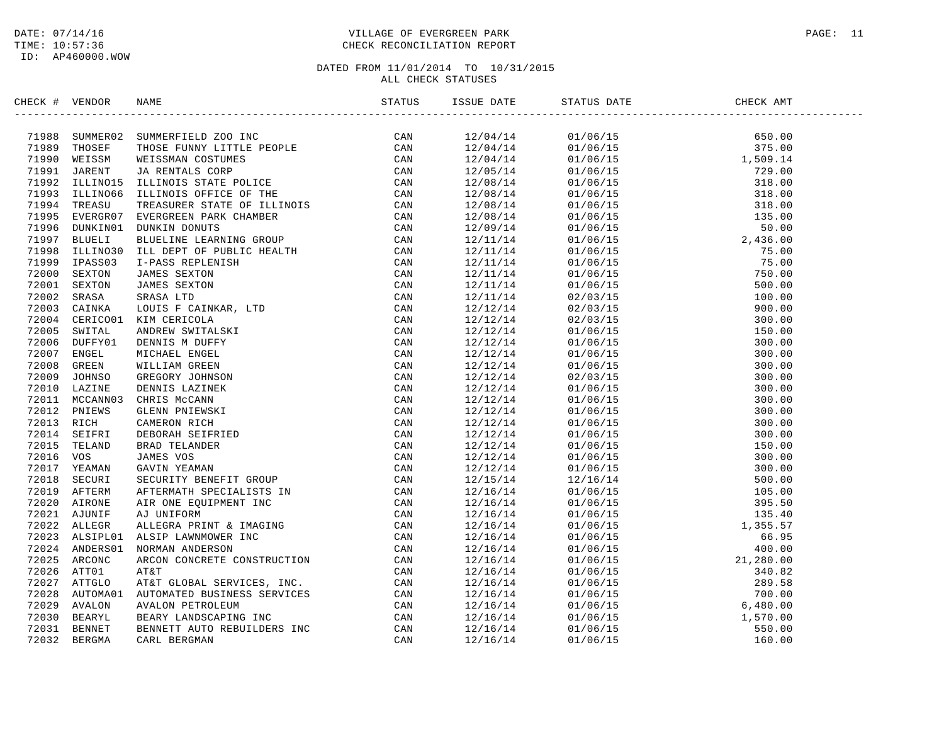### DATE: 07/14/16 PAGE: 11 TIME: 10:57:36 CHECK RECONCILIATION REPORT

| CHECK # VENDOR |  |  |                                                                                                                                                                                                                                                                                                              |  |
|----------------|--|--|--------------------------------------------------------------------------------------------------------------------------------------------------------------------------------------------------------------------------------------------------------------------------------------------------------------|--|
|                |  |  | $\begin{tabular}{cccccccc} 15808\, \text{BME} & 878709\, \text{BMEV} & 0.016715\, \text{M} & 0.016715\, \text{M} & 0.016715\, \text{M} & 0.016715\, \text{M} & 0.016715\, \text{M} & 0.016715\, \text{M} & 0.016715\, \text{M} & 0.016715\, \text{M} & 0.016715\, \text{M} & 0.016715\, \text{M} & 0.016715$ |  |
|                |  |  |                                                                                                                                                                                                                                                                                                              |  |
|                |  |  |                                                                                                                                                                                                                                                                                                              |  |
|                |  |  |                                                                                                                                                                                                                                                                                                              |  |
|                |  |  |                                                                                                                                                                                                                                                                                                              |  |
|                |  |  |                                                                                                                                                                                                                                                                                                              |  |
|                |  |  |                                                                                                                                                                                                                                                                                                              |  |
|                |  |  |                                                                                                                                                                                                                                                                                                              |  |
|                |  |  |                                                                                                                                                                                                                                                                                                              |  |
|                |  |  |                                                                                                                                                                                                                                                                                                              |  |
|                |  |  |                                                                                                                                                                                                                                                                                                              |  |
|                |  |  |                                                                                                                                                                                                                                                                                                              |  |
|                |  |  |                                                                                                                                                                                                                                                                                                              |  |
|                |  |  |                                                                                                                                                                                                                                                                                                              |  |
|                |  |  |                                                                                                                                                                                                                                                                                                              |  |
|                |  |  |                                                                                                                                                                                                                                                                                                              |  |
|                |  |  |                                                                                                                                                                                                                                                                                                              |  |
|                |  |  |                                                                                                                                                                                                                                                                                                              |  |
|                |  |  |                                                                                                                                                                                                                                                                                                              |  |
|                |  |  |                                                                                                                                                                                                                                                                                                              |  |
|                |  |  |                                                                                                                                                                                                                                                                                                              |  |
|                |  |  |                                                                                                                                                                                                                                                                                                              |  |
|                |  |  |                                                                                                                                                                                                                                                                                                              |  |
|                |  |  |                                                                                                                                                                                                                                                                                                              |  |
|                |  |  |                                                                                                                                                                                                                                                                                                              |  |
|                |  |  |                                                                                                                                                                                                                                                                                                              |  |
|                |  |  |                                                                                                                                                                                                                                                                                                              |  |
|                |  |  |                                                                                                                                                                                                                                                                                                              |  |
|                |  |  |                                                                                                                                                                                                                                                                                                              |  |
|                |  |  |                                                                                                                                                                                                                                                                                                              |  |
|                |  |  |                                                                                                                                                                                                                                                                                                              |  |
|                |  |  |                                                                                                                                                                                                                                                                                                              |  |
|                |  |  |                                                                                                                                                                                                                                                                                                              |  |
|                |  |  |                                                                                                                                                                                                                                                                                                              |  |
|                |  |  |                                                                                                                                                                                                                                                                                                              |  |
|                |  |  |                                                                                                                                                                                                                                                                                                              |  |
|                |  |  |                                                                                                                                                                                                                                                                                                              |  |
|                |  |  |                                                                                                                                                                                                                                                                                                              |  |
|                |  |  |                                                                                                                                                                                                                                                                                                              |  |
|                |  |  |                                                                                                                                                                                                                                                                                                              |  |
|                |  |  |                                                                                                                                                                                                                                                                                                              |  |
|                |  |  |                                                                                                                                                                                                                                                                                                              |  |
|                |  |  |                                                                                                                                                                                                                                                                                                              |  |
|                |  |  |                                                                                                                                                                                                                                                                                                              |  |
|                |  |  |                                                                                                                                                                                                                                                                                                              |  |
|                |  |  |                                                                                                                                                                                                                                                                                                              |  |
|                |  |  |                                                                                                                                                                                                                                                                                                              |  |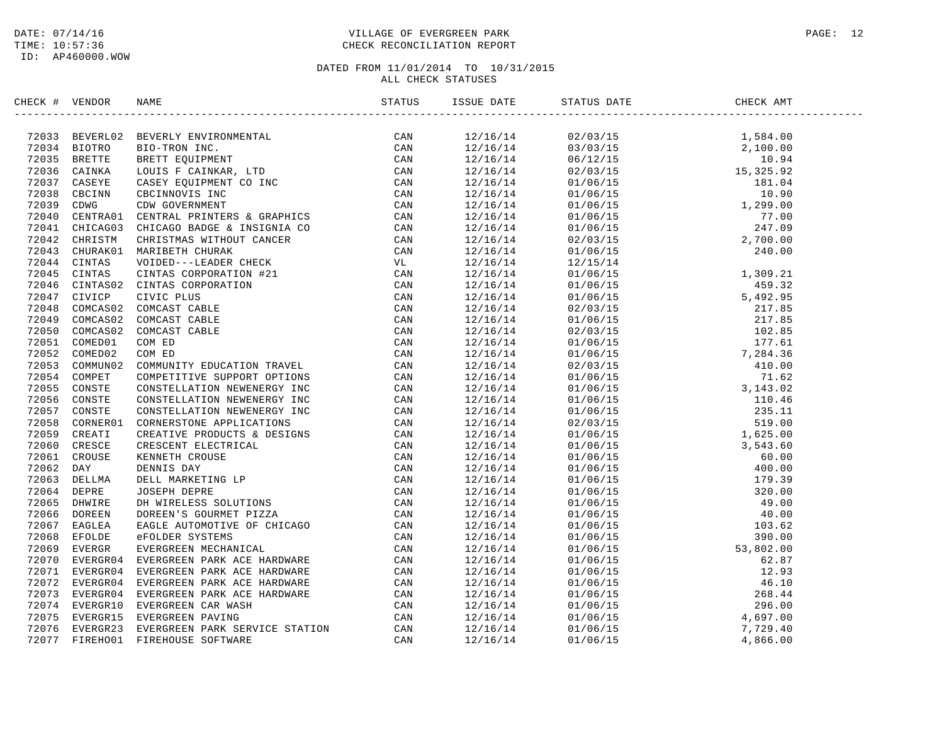### DATE: 07/14/16 PAGE: 12 TIME: 10:57:36 CHECK RECONCILIATION REPORT

| CHECK # VENDOR | NAME                                                                                                                                                                                                                               | ISSUE DATE STAT | STATUS DATE                                                                                                                                                                                                                                                                                            | CHECK AMT |  |
|----------------|------------------------------------------------------------------------------------------------------------------------------------------------------------------------------------------------------------------------------------|-----------------|--------------------------------------------------------------------------------------------------------------------------------------------------------------------------------------------------------------------------------------------------------------------------------------------------------|-----------|--|
|                | XRCK # VENDOR<br>172033 BEVELUGE BRVEKEN BUVECONNERVAL (CAN 20018)<br>172033 BEVELUGE BRVEKEN BUVECONNERVAL (CAN 2003 GATSTRA LOUIS POLINIKAR, LTD CAN 20036 CAINSA LOUIS POLINIKAR, LTD CAN 20036 CAINSA LOUIS POLINIKAR, LTD CAN |                 | $\begin{tabular}{cccccccc} $350.6$ & $4511$ & $1564.40$ & $1564.40$ \\[-0.2em] \hline 12/16/14 & 02/03/15 & 1,584.00$ \\[-0.2em] \hline 12/16/14 & 01/06/15 & 1,393$ \\[-0.2em] \hline 12/16/14 & 01/06/15 & 1,393$ \\[-0.2em] \hline 12/16/14 & 01/06/15 & 1,390$ \\[-0.2em] \hline 12/16/14 & 01/06$ |           |  |
|                |                                                                                                                                                                                                                                    |                 |                                                                                                                                                                                                                                                                                                        |           |  |
|                |                                                                                                                                                                                                                                    |                 |                                                                                                                                                                                                                                                                                                        |           |  |
|                |                                                                                                                                                                                                                                    |                 |                                                                                                                                                                                                                                                                                                        |           |  |
|                |                                                                                                                                                                                                                                    |                 |                                                                                                                                                                                                                                                                                                        |           |  |
|                |                                                                                                                                                                                                                                    |                 |                                                                                                                                                                                                                                                                                                        |           |  |
|                |                                                                                                                                                                                                                                    |                 |                                                                                                                                                                                                                                                                                                        |           |  |
|                |                                                                                                                                                                                                                                    |                 |                                                                                                                                                                                                                                                                                                        |           |  |
|                |                                                                                                                                                                                                                                    |                 |                                                                                                                                                                                                                                                                                                        |           |  |
|                |                                                                                                                                                                                                                                    |                 |                                                                                                                                                                                                                                                                                                        |           |  |
|                |                                                                                                                                                                                                                                    |                 |                                                                                                                                                                                                                                                                                                        |           |  |
|                |                                                                                                                                                                                                                                    |                 |                                                                                                                                                                                                                                                                                                        |           |  |
|                |                                                                                                                                                                                                                                    |                 |                                                                                                                                                                                                                                                                                                        |           |  |
|                |                                                                                                                                                                                                                                    |                 |                                                                                                                                                                                                                                                                                                        |           |  |
|                |                                                                                                                                                                                                                                    |                 |                                                                                                                                                                                                                                                                                                        |           |  |
|                |                                                                                                                                                                                                                                    |                 |                                                                                                                                                                                                                                                                                                        |           |  |
|                |                                                                                                                                                                                                                                    |                 |                                                                                                                                                                                                                                                                                                        |           |  |
|                |                                                                                                                                                                                                                                    |                 |                                                                                                                                                                                                                                                                                                        |           |  |
|                |                                                                                                                                                                                                                                    |                 |                                                                                                                                                                                                                                                                                                        |           |  |
|                |                                                                                                                                                                                                                                    |                 |                                                                                                                                                                                                                                                                                                        |           |  |
|                |                                                                                                                                                                                                                                    |                 |                                                                                                                                                                                                                                                                                                        |           |  |
|                |                                                                                                                                                                                                                                    |                 |                                                                                                                                                                                                                                                                                                        |           |  |
|                |                                                                                                                                                                                                                                    |                 |                                                                                                                                                                                                                                                                                                        |           |  |
|                |                                                                                                                                                                                                                                    |                 |                                                                                                                                                                                                                                                                                                        |           |  |
|                |                                                                                                                                                                                                                                    |                 |                                                                                                                                                                                                                                                                                                        |           |  |
|                |                                                                                                                                                                                                                                    |                 |                                                                                                                                                                                                                                                                                                        |           |  |
|                |                                                                                                                                                                                                                                    |                 |                                                                                                                                                                                                                                                                                                        |           |  |
|                |                                                                                                                                                                                                                                    |                 |                                                                                                                                                                                                                                                                                                        |           |  |
|                |                                                                                                                                                                                                                                    |                 |                                                                                                                                                                                                                                                                                                        |           |  |
|                |                                                                                                                                                                                                                                    |                 |                                                                                                                                                                                                                                                                                                        |           |  |
|                |                                                                                                                                                                                                                                    |                 |                                                                                                                                                                                                                                                                                                        |           |  |
|                |                                                                                                                                                                                                                                    |                 |                                                                                                                                                                                                                                                                                                        |           |  |
|                |                                                                                                                                                                                                                                    |                 |                                                                                                                                                                                                                                                                                                        |           |  |
|                |                                                                                                                                                                                                                                    |                 |                                                                                                                                                                                                                                                                                                        |           |  |
|                |                                                                                                                                                                                                                                    |                 |                                                                                                                                                                                                                                                                                                        |           |  |
|                |                                                                                                                                                                                                                                    |                 |                                                                                                                                                                                                                                                                                                        |           |  |
|                |                                                                                                                                                                                                                                    |                 |                                                                                                                                                                                                                                                                                                        |           |  |
|                |                                                                                                                                                                                                                                    |                 |                                                                                                                                                                                                                                                                                                        |           |  |
|                |                                                                                                                                                                                                                                    |                 |                                                                                                                                                                                                                                                                                                        |           |  |
|                |                                                                                                                                                                                                                                    |                 |                                                                                                                                                                                                                                                                                                        |           |  |
|                |                                                                                                                                                                                                                                    |                 |                                                                                                                                                                                                                                                                                                        |           |  |
|                |                                                                                                                                                                                                                                    |                 |                                                                                                                                                                                                                                                                                                        |           |  |
|                |                                                                                                                                                                                                                                    |                 |                                                                                                                                                                                                                                                                                                        |           |  |
|                |                                                                                                                                                                                                                                    |                 |                                                                                                                                                                                                                                                                                                        |           |  |
|                |                                                                                                                                                                                                                                    |                 |                                                                                                                                                                                                                                                                                                        |           |  |
|                |                                                                                                                                                                                                                                    |                 |                                                                                                                                                                                                                                                                                                        |           |  |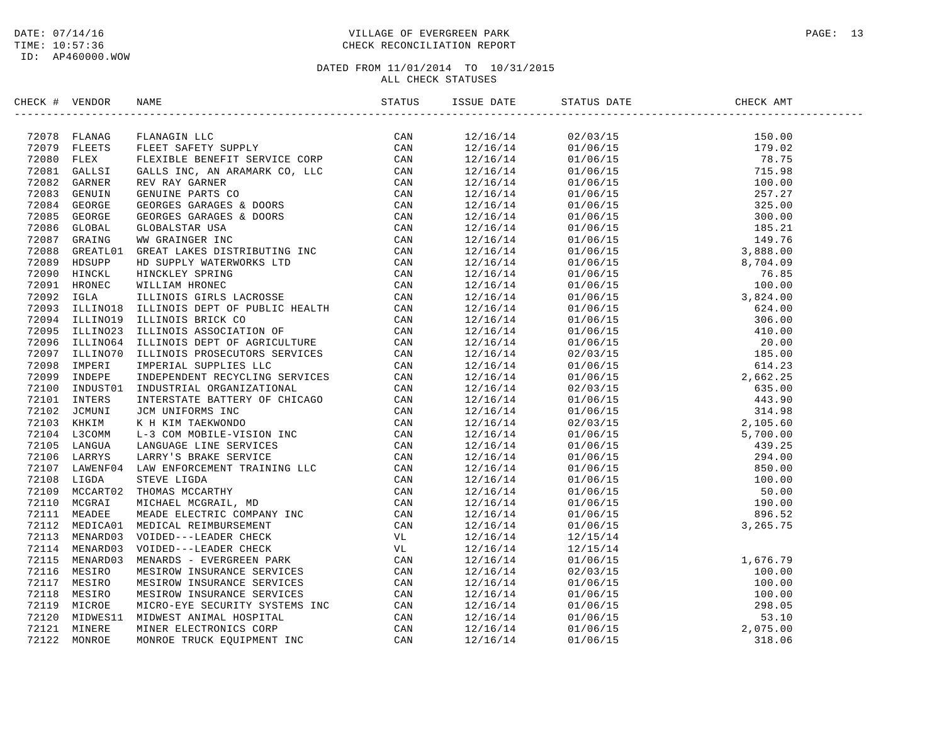### DATE: 07/14/16 PAGE: 13 TIME: 10:57:36 CHECK RECONCILIATION REPORT

| CHECK # VENDOR | NAME                                                                                                                                                                                                                                     | STATUS | ISSUE DATE           | STATUS DATE                                                                                                                                                                                                                                                                                                          | ________________<br>CHECK AMT |  |
|----------------|------------------------------------------------------------------------------------------------------------------------------------------------------------------------------------------------------------------------------------------|--------|----------------------|----------------------------------------------------------------------------------------------------------------------------------------------------------------------------------------------------------------------------------------------------------------------------------------------------------------------|-------------------------------|--|
|                | 72078 FLANAGIN LLC CAN CAN THE SERVICE CON THE SERVICE CON THE SERVICE CORP (CAN AT TRIGGALL GALLS INC., AN ARAMARK CO, LLC CAN AT 20081 GAILS INC. AN ARAMARK CO, LLC CAN TRIGGALL GENUINE PARTS CONTROLL CONTROLL CONTROLL             |        | 12/16/14             | $\begin{tabular}{@{}c c c c} \hline & $0.2/03/15$ & $150.00$ \\ \hline 01/06/15 & $179.02$ \\ 01/06/15 & $179.02$ \\ 01/06/15 & $179.02$ \\ 01/06/15 & $179.02$ \\ 01/06/15 & $15.98$ \\ 01/06/15 & $15.98$ \\ 01/06/15 & $15.98$ \\ 01/06/15 & $10.00$ \\ 01/06/15 & $18.21$ \\ 01/06/15 &$                         |                               |  |
|                |                                                                                                                                                                                                                                          |        | 12/16/14             |                                                                                                                                                                                                                                                                                                                      |                               |  |
|                |                                                                                                                                                                                                                                          |        | 12/16/14             |                                                                                                                                                                                                                                                                                                                      |                               |  |
|                |                                                                                                                                                                                                                                          |        | 12/16/14             |                                                                                                                                                                                                                                                                                                                      |                               |  |
|                |                                                                                                                                                                                                                                          |        | 12/16/14             |                                                                                                                                                                                                                                                                                                                      |                               |  |
|                |                                                                                                                                                                                                                                          |        | 12/16/14             |                                                                                                                                                                                                                                                                                                                      |                               |  |
|                |                                                                                                                                                                                                                                          |        | 12/16/14             |                                                                                                                                                                                                                                                                                                                      |                               |  |
|                |                                                                                                                                                                                                                                          |        | 12/16/14             |                                                                                                                                                                                                                                                                                                                      |                               |  |
|                |                                                                                                                                                                                                                                          |        | 12/16/14             |                                                                                                                                                                                                                                                                                                                      |                               |  |
|                |                                                                                                                                                                                                                                          |        | 12/16/14             |                                                                                                                                                                                                                                                                                                                      |                               |  |
|                |                                                                                                                                                                                                                                          |        | 12/16/14             |                                                                                                                                                                                                                                                                                                                      |                               |  |
|                |                                                                                                                                                                                                                                          |        | 12/16/14             |                                                                                                                                                                                                                                                                                                                      |                               |  |
|                |                                                                                                                                                                                                                                          |        | 12/16/14             |                                                                                                                                                                                                                                                                                                                      |                               |  |
|                |                                                                                                                                                                                                                                          |        | 12/16/14             |                                                                                                                                                                                                                                                                                                                      |                               |  |
|                |                                                                                                                                                                                                                                          |        | 12/16/14             |                                                                                                                                                                                                                                                                                                                      |                               |  |
|                |                                                                                                                                                                                                                                          |        | 12/16/14             |                                                                                                                                                                                                                                                                                                                      |                               |  |
|                |                                                                                                                                                                                                                                          |        | 12/16/14             |                                                                                                                                                                                                                                                                                                                      |                               |  |
|                |                                                                                                                                                                                                                                          |        | 12/16/14             |                                                                                                                                                                                                                                                                                                                      |                               |  |
|                |                                                                                                                                                                                                                                          |        | 12/16/14             |                                                                                                                                                                                                                                                                                                                      |                               |  |
|                |                                                                                                                                                                                                                                          |        |                      |                                                                                                                                                                                                                                                                                                                      |                               |  |
|                |                                                                                                                                                                                                                                          |        | 12/16/14<br>12/16/14 |                                                                                                                                                                                                                                                                                                                      |                               |  |
|                |                                                                                                                                                                                                                                          |        | 12/16/14             |                                                                                                                                                                                                                                                                                                                      |                               |  |
|                |                                                                                                                                                                                                                                          |        | 12/16/14             |                                                                                                                                                                                                                                                                                                                      |                               |  |
|                |                                                                                                                                                                                                                                          |        |                      |                                                                                                                                                                                                                                                                                                                      |                               |  |
|                |                                                                                                                                                                                                                                          |        | 12/16/14             |                                                                                                                                                                                                                                                                                                                      |                               |  |
|                |                                                                                                                                                                                                                                          |        | 12/16/14             |                                                                                                                                                                                                                                                                                                                      |                               |  |
|                |                                                                                                                                                                                                                                          |        | 12/16/14             |                                                                                                                                                                                                                                                                                                                      |                               |  |
|                |                                                                                                                                                                                                                                          |        | 12/16/14             |                                                                                                                                                                                                                                                                                                                      |                               |  |
|                |                                                                                                                                                                                                                                          |        | 12/16/14             |                                                                                                                                                                                                                                                                                                                      |                               |  |
|                |                                                                                                                                                                                                                                          |        | 12/16/14             |                                                                                                                                                                                                                                                                                                                      |                               |  |
|                |                                                                                                                                                                                                                                          |        | 12/16/14             |                                                                                                                                                                                                                                                                                                                      |                               |  |
|                |                                                                                                                                                                                                                                          |        | 12/16/14             |                                                                                                                                                                                                                                                                                                                      |                               |  |
|                |                                                                                                                                                                                                                                          |        | 12/16/14             |                                                                                                                                                                                                                                                                                                                      |                               |  |
|                |                                                                                                                                                                                                                                          |        | 12/16/14             |                                                                                                                                                                                                                                                                                                                      |                               |  |
|                |                                                                                                                                                                                                                                          |        | 12/16/14             |                                                                                                                                                                                                                                                                                                                      |                               |  |
|                |                                                                                                                                                                                                                                          |        | 12/16/14             |                                                                                                                                                                                                                                                                                                                      |                               |  |
|                |                                                                                                                                                                                                                                          |        | 12/16/14             | 12/15/14                                                                                                                                                                                                                                                                                                             |                               |  |
|                |                                                                                                                                                                                                                                          |        | 12/16/14             |                                                                                                                                                                                                                                                                                                                      |                               |  |
|                |                                                                                                                                                                                                                                          |        | 12/16/14             |                                                                                                                                                                                                                                                                                                                      |                               |  |
|                |                                                                                                                                                                                                                                          |        | 12/16/14             |                                                                                                                                                                                                                                                                                                                      |                               |  |
|                |                                                                                                                                                                                                                                          |        | 12/16/14             |                                                                                                                                                                                                                                                                                                                      |                               |  |
|                | 7495 - LILINOS HELINOIS ASSOCIATION OF CAR<br>72096 ILLINOS ILLINOIS BEPT OF AGRICULTURE CAN<br>72096 ILLINOS ILLINOIS PROSECUTORS SERVICES CAN<br>72099 IMPERT IMPERTAL GUPPLIES LC<br>72099 IMPERT IMPERTAL GUPPLIES LC<br>72099 IMPER |        | 12/16/14             | $\begin{array}{cccc} 12/15/14 & & & & & & \\ 12/15/14 & & & & & & & \\ 01/06/15 & & & & & & 1,676.79 \\ 02/03/15 & & & & & 100.00 \\ 01/06/15 & & & & & 100.00 \\ 01/06/15 & & & & & 100.00 \\ 01/06/15 & & & & & 298.05 \\ 01/06/15 & & & & & 53.10 \\ 01/06/15 & & & & & 2,075.00 \\ 01/06/15 & & & & 318.06 \\ \$ |                               |  |
|                |                                                                                                                                                                                                                                          |        | 12/16/14             |                                                                                                                                                                                                                                                                                                                      |                               |  |
|                |                                                                                                                                                                                                                                          |        | 12/16/14             |                                                                                                                                                                                                                                                                                                                      |                               |  |
|                |                                                                                                                                                                                                                                          |        | 12/16/14             |                                                                                                                                                                                                                                                                                                                      |                               |  |
|                |                                                                                                                                                                                                                                          |        | 12/16/14             |                                                                                                                                                                                                                                                                                                                      |                               |  |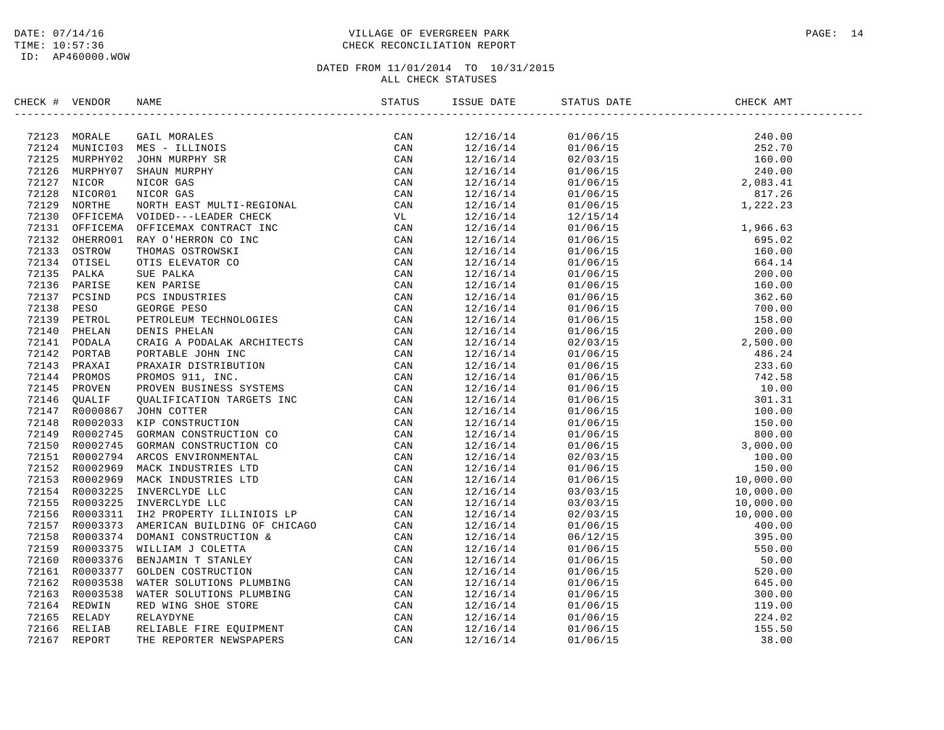### DATE: 07/14/16 PAGE: 14 TIME: 10:57:36 CHECK RECONCILIATION REPORT

| CHECK # VENDOR |  | ISSUE DATE | STATUS DATE | CHECK AMT |  |
|----------------|--|------------|-------------|-----------|--|
|                |  |            |             |           |  |
|                |  |            |             |           |  |
|                |  |            |             |           |  |
|                |  |            |             |           |  |
|                |  |            |             |           |  |
|                |  |            |             |           |  |
|                |  |            |             |           |  |
|                |  |            |             |           |  |
|                |  |            |             |           |  |
|                |  |            |             |           |  |
|                |  |            |             |           |  |
|                |  |            |             |           |  |
|                |  |            |             |           |  |
|                |  |            |             |           |  |
|                |  |            |             |           |  |
|                |  |            |             |           |  |
|                |  |            |             |           |  |
|                |  |            |             |           |  |
|                |  |            |             |           |  |
|                |  |            |             |           |  |
|                |  |            |             |           |  |
|                |  |            |             |           |  |
|                |  |            |             |           |  |
|                |  |            |             |           |  |
|                |  |            |             |           |  |
|                |  |            |             |           |  |
|                |  |            |             |           |  |
|                |  |            |             |           |  |
|                |  |            |             |           |  |
|                |  |            |             |           |  |
|                |  |            |             |           |  |
|                |  |            |             |           |  |
|                |  |            |             |           |  |
|                |  |            |             |           |  |
|                |  |            |             |           |  |
|                |  |            |             |           |  |
|                |  |            |             |           |  |
|                |  |            |             |           |  |
|                |  |            |             |           |  |
|                |  |            |             |           |  |
|                |  |            |             |           |  |
|                |  |            |             |           |  |
|                |  |            |             |           |  |
|                |  |            |             |           |  |
|                |  |            |             |           |  |
|                |  |            |             |           |  |
|                |  |            |             |           |  |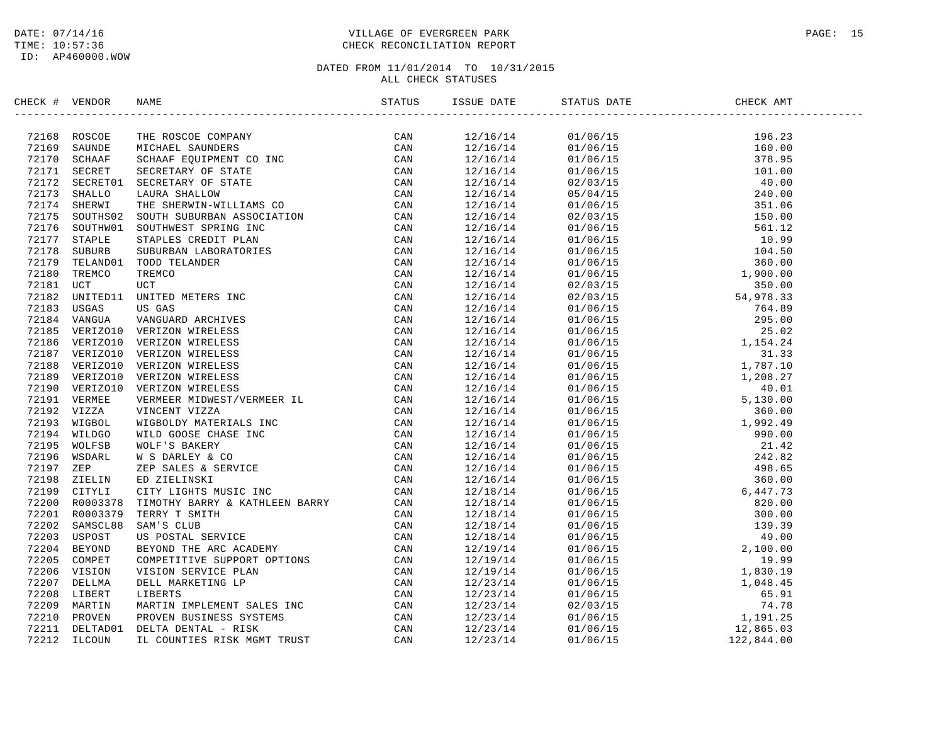### DATE: 07/14/16 PAGE: 15 TIME: 10:57:36 CHECK RECONCILIATION REPORT

| CHECK # VENDOR |                                                                                                                                                                                                                               | ISSUE DATE | STATUS DATE                                                                                                                                                                                                                                                                              | CHECK AMT |  |
|----------------|-------------------------------------------------------------------------------------------------------------------------------------------------------------------------------------------------------------------------------|------------|------------------------------------------------------------------------------------------------------------------------------------------------------------------------------------------------------------------------------------------------------------------------------------------|-----------|--|
|                | THE VERIFIES AND MANUS TRANSFORM IN THE SERVICE AND VALUE AND VALUE AND SAMEL PARAMETERS CAN TRANSFORM CONTENT CONTENT CONTENT CONTENT CONTENT CONTENT CONTENT CONTENT CONTENT CONTENT CONTENT CONTENT CONTENT CONTENT CONTEN |            | $\begin{tabular}{cccccccc} $12/15/14$ & 81/106/15$ & 196.33$ \\[-2pt] $12/16/14$ & 01/06/15$ & 196.35$ \\[-2pt] $12/16/14$ & 01/06/15$ & 160.39$ \\[-2pt] $12/16/14$ & 01/06/15$ & 160.39$ \\[-2pt] $12/16/14$ & 01/06/15$ & 161.00$ \\[-2pt] $12/16/14$ & 01/06/15$ & 161.00$ \\[-2pt]$ |           |  |
|                |                                                                                                                                                                                                                               |            |                                                                                                                                                                                                                                                                                          |           |  |
|                |                                                                                                                                                                                                                               |            |                                                                                                                                                                                                                                                                                          |           |  |
|                |                                                                                                                                                                                                                               |            |                                                                                                                                                                                                                                                                                          |           |  |
|                |                                                                                                                                                                                                                               |            |                                                                                                                                                                                                                                                                                          |           |  |
|                |                                                                                                                                                                                                                               |            |                                                                                                                                                                                                                                                                                          |           |  |
|                |                                                                                                                                                                                                                               |            |                                                                                                                                                                                                                                                                                          |           |  |
|                |                                                                                                                                                                                                                               |            |                                                                                                                                                                                                                                                                                          |           |  |
|                |                                                                                                                                                                                                                               |            |                                                                                                                                                                                                                                                                                          |           |  |
|                |                                                                                                                                                                                                                               |            |                                                                                                                                                                                                                                                                                          |           |  |
|                |                                                                                                                                                                                                                               |            |                                                                                                                                                                                                                                                                                          |           |  |
|                |                                                                                                                                                                                                                               |            |                                                                                                                                                                                                                                                                                          |           |  |
|                |                                                                                                                                                                                                                               |            |                                                                                                                                                                                                                                                                                          |           |  |
|                |                                                                                                                                                                                                                               |            |                                                                                                                                                                                                                                                                                          |           |  |
|                |                                                                                                                                                                                                                               |            |                                                                                                                                                                                                                                                                                          |           |  |
|                |                                                                                                                                                                                                                               |            |                                                                                                                                                                                                                                                                                          |           |  |
|                |                                                                                                                                                                                                                               |            |                                                                                                                                                                                                                                                                                          |           |  |
|                |                                                                                                                                                                                                                               |            |                                                                                                                                                                                                                                                                                          |           |  |
|                |                                                                                                                                                                                                                               |            |                                                                                                                                                                                                                                                                                          |           |  |
|                |                                                                                                                                                                                                                               |            |                                                                                                                                                                                                                                                                                          |           |  |
|                |                                                                                                                                                                                                                               |            |                                                                                                                                                                                                                                                                                          |           |  |
|                |                                                                                                                                                                                                                               |            |                                                                                                                                                                                                                                                                                          |           |  |
|                |                                                                                                                                                                                                                               |            |                                                                                                                                                                                                                                                                                          |           |  |
|                |                                                                                                                                                                                                                               |            |                                                                                                                                                                                                                                                                                          |           |  |
|                |                                                                                                                                                                                                                               |            |                                                                                                                                                                                                                                                                                          |           |  |
|                |                                                                                                                                                                                                                               |            |                                                                                                                                                                                                                                                                                          |           |  |
|                |                                                                                                                                                                                                                               |            |                                                                                                                                                                                                                                                                                          |           |  |
|                |                                                                                                                                                                                                                               |            |                                                                                                                                                                                                                                                                                          |           |  |
|                |                                                                                                                                                                                                                               |            |                                                                                                                                                                                                                                                                                          |           |  |
|                |                                                                                                                                                                                                                               |            |                                                                                                                                                                                                                                                                                          |           |  |
|                |                                                                                                                                                                                                                               |            |                                                                                                                                                                                                                                                                                          |           |  |
|                |                                                                                                                                                                                                                               |            |                                                                                                                                                                                                                                                                                          |           |  |
|                |                                                                                                                                                                                                                               |            |                                                                                                                                                                                                                                                                                          |           |  |
|                |                                                                                                                                                                                                                               |            |                                                                                                                                                                                                                                                                                          |           |  |
|                |                                                                                                                                                                                                                               |            |                                                                                                                                                                                                                                                                                          |           |  |
|                |                                                                                                                                                                                                                               |            |                                                                                                                                                                                                                                                                                          |           |  |
|                |                                                                                                                                                                                                                               |            |                                                                                                                                                                                                                                                                                          |           |  |
|                |                                                                                                                                                                                                                               |            |                                                                                                                                                                                                                                                                                          |           |  |
|                |                                                                                                                                                                                                                               |            |                                                                                                                                                                                                                                                                                          |           |  |
|                |                                                                                                                                                                                                                               |            |                                                                                                                                                                                                                                                                                          |           |  |
|                |                                                                                                                                                                                                                               |            |                                                                                                                                                                                                                                                                                          |           |  |
|                |                                                                                                                                                                                                                               |            |                                                                                                                                                                                                                                                                                          |           |  |
|                |                                                                                                                                                                                                                               |            |                                                                                                                                                                                                                                                                                          |           |  |
|                |                                                                                                                                                                                                                               |            |                                                                                                                                                                                                                                                                                          |           |  |
|                |                                                                                                                                                                                                                               |            |                                                                                                                                                                                                                                                                                          |           |  |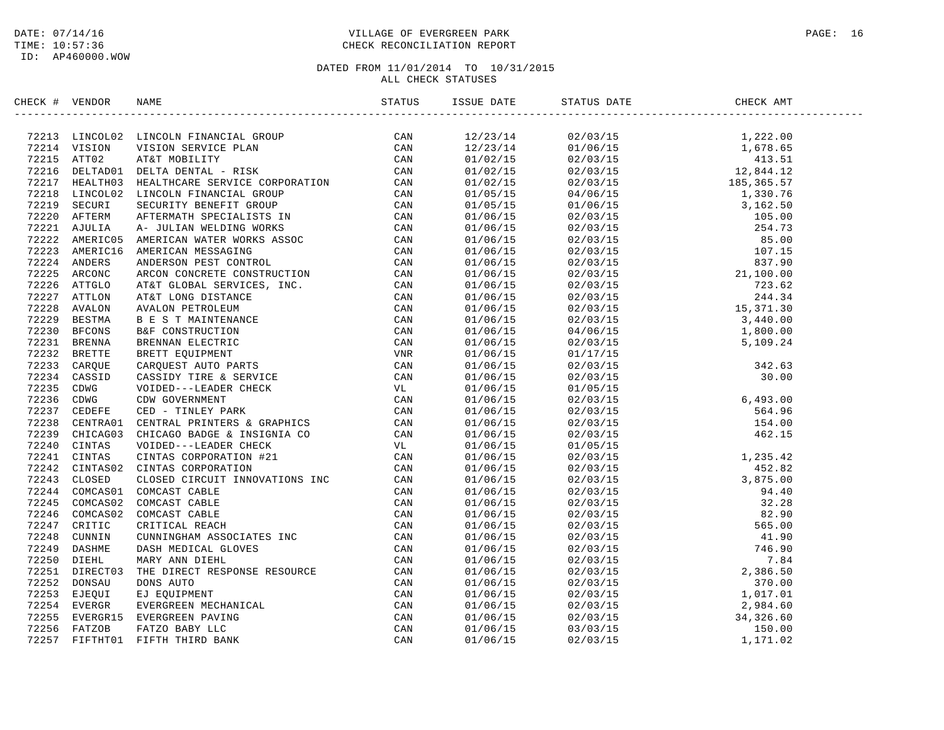### DATE: 07/14/16 PAGE: 16 TIME: 10:57:36 CHECK RECONCILIATION REPORT

| CHECK # VENDOR |                                                                                                                                                                                                                                                             |  |  |  |
|----------------|-------------------------------------------------------------------------------------------------------------------------------------------------------------------------------------------------------------------------------------------------------------|--|--|--|
|                | -<br>- Martin Phone (1980)<br>- 1997)<br>1997) Martin Street (1980)<br>1997) Martin Street (1980)<br>1997) Martin Street (1980)<br>1997) Martin Street (1980)<br>1997) Martin Street (1980)<br>1997) Martin Street (1980)<br>1997) Martin Street (1980)<br> |  |  |  |
|                |                                                                                                                                                                                                                                                             |  |  |  |
|                |                                                                                                                                                                                                                                                             |  |  |  |
|                |                                                                                                                                                                                                                                                             |  |  |  |
|                |                                                                                                                                                                                                                                                             |  |  |  |
|                |                                                                                                                                                                                                                                                             |  |  |  |
|                |                                                                                                                                                                                                                                                             |  |  |  |
|                |                                                                                                                                                                                                                                                             |  |  |  |
|                |                                                                                                                                                                                                                                                             |  |  |  |
|                |                                                                                                                                                                                                                                                             |  |  |  |
|                |                                                                                                                                                                                                                                                             |  |  |  |
|                |                                                                                                                                                                                                                                                             |  |  |  |
|                |                                                                                                                                                                                                                                                             |  |  |  |
|                |                                                                                                                                                                                                                                                             |  |  |  |
|                |                                                                                                                                                                                                                                                             |  |  |  |
|                |                                                                                                                                                                                                                                                             |  |  |  |
|                |                                                                                                                                                                                                                                                             |  |  |  |
|                |                                                                                                                                                                                                                                                             |  |  |  |
|                |                                                                                                                                                                                                                                                             |  |  |  |
|                |                                                                                                                                                                                                                                                             |  |  |  |
|                |                                                                                                                                                                                                                                                             |  |  |  |
|                |                                                                                                                                                                                                                                                             |  |  |  |
|                |                                                                                                                                                                                                                                                             |  |  |  |
|                |                                                                                                                                                                                                                                                             |  |  |  |
|                |                                                                                                                                                                                                                                                             |  |  |  |
|                |                                                                                                                                                                                                                                                             |  |  |  |
|                |                                                                                                                                                                                                                                                             |  |  |  |
|                |                                                                                                                                                                                                                                                             |  |  |  |
|                |                                                                                                                                                                                                                                                             |  |  |  |
|                |                                                                                                                                                                                                                                                             |  |  |  |
|                |                                                                                                                                                                                                                                                             |  |  |  |
|                |                                                                                                                                                                                                                                                             |  |  |  |
|                |                                                                                                                                                                                                                                                             |  |  |  |
|                |                                                                                                                                                                                                                                                             |  |  |  |
|                |                                                                                                                                                                                                                                                             |  |  |  |
|                |                                                                                                                                                                                                                                                             |  |  |  |
|                |                                                                                                                                                                                                                                                             |  |  |  |
|                |                                                                                                                                                                                                                                                             |  |  |  |
|                |                                                                                                                                                                                                                                                             |  |  |  |
|                |                                                                                                                                                                                                                                                             |  |  |  |
|                |                                                                                                                                                                                                                                                             |  |  |  |
|                |                                                                                                                                                                                                                                                             |  |  |  |
|                |                                                                                                                                                                                                                                                             |  |  |  |
|                |                                                                                                                                                                                                                                                             |  |  |  |
|                |                                                                                                                                                                                                                                                             |  |  |  |
|                |                                                                                                                                                                                                                                                             |  |  |  |
|                |                                                                                                                                                                                                                                                             |  |  |  |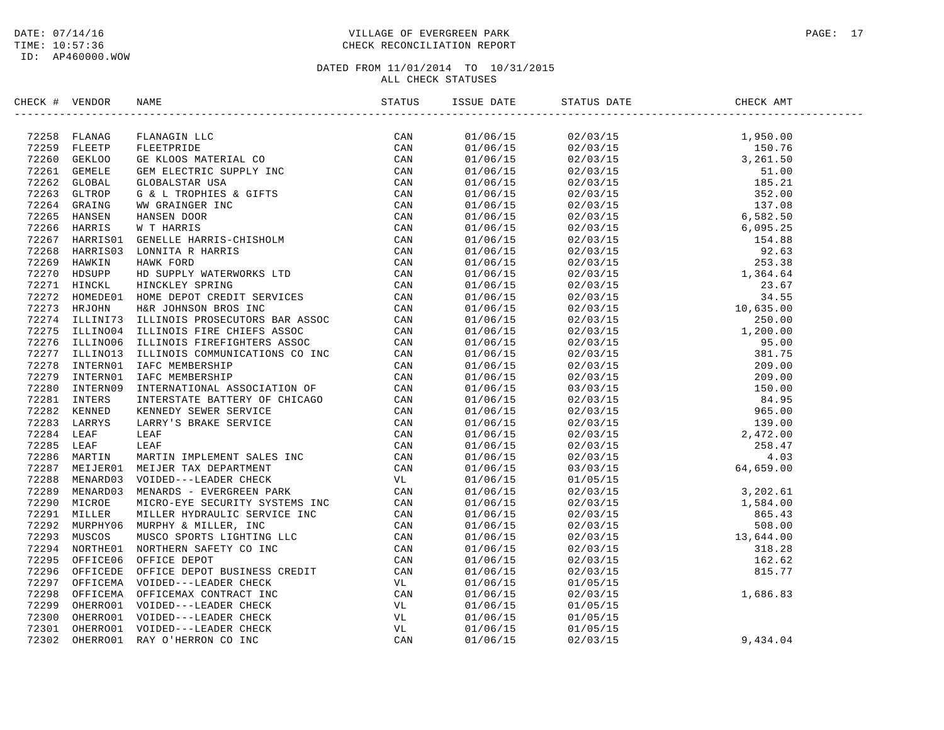### DATE: 07/14/16 PAGE: 17 TIME: 10:57:36 CHECK RECONCILIATION REPORT

| CHECK # VENDOR | NAME                                                                                                                                                                                                                          | ISSUE DATE | STATUS DATE                                                                                                                                                                                                                                        | CHECK AMT |  |
|----------------|-------------------------------------------------------------------------------------------------------------------------------------------------------------------------------------------------------------------------------|------------|----------------------------------------------------------------------------------------------------------------------------------------------------------------------------------------------------------------------------------------------------|-----------|--|
|                | NEXCRET VERIDOR NAME IN STATISTIC STATISTICS (STATISTIC CAN ARREST 1982-2010 ORDER IN THE STATISTIC CAN CONSUMER AND CONSUMERANT CONSULTING THE STATISTIC CAN ARREST 1982-2010 ORDER IN THE STATISTIC CAN CONSULTER THE CAN C |            | $\begin{tabular}{@{}c@{}}\hline & {\it 1.106/15}& 0.210/13& 0.110/15& 0.110/15& 0.110/15& 0.110/15& 0.110/15& 0.110/15& 0.110/15& 0.110/15& 0.110/15& 0.110/15& 0.110/15& 0.110/15& 0.110/15& 0.110/15& 0.110/15& 0.110/15& 0.110/15& 0.110/15& 0$ |           |  |
|                |                                                                                                                                                                                                                               |            |                                                                                                                                                                                                                                                    |           |  |
|                |                                                                                                                                                                                                                               |            |                                                                                                                                                                                                                                                    |           |  |
|                |                                                                                                                                                                                                                               |            |                                                                                                                                                                                                                                                    |           |  |
|                |                                                                                                                                                                                                                               |            |                                                                                                                                                                                                                                                    |           |  |
|                |                                                                                                                                                                                                                               |            |                                                                                                                                                                                                                                                    |           |  |
|                |                                                                                                                                                                                                                               |            |                                                                                                                                                                                                                                                    |           |  |
|                |                                                                                                                                                                                                                               |            |                                                                                                                                                                                                                                                    |           |  |
|                |                                                                                                                                                                                                                               |            |                                                                                                                                                                                                                                                    |           |  |
|                |                                                                                                                                                                                                                               |            |                                                                                                                                                                                                                                                    |           |  |
|                |                                                                                                                                                                                                                               |            |                                                                                                                                                                                                                                                    |           |  |
|                |                                                                                                                                                                                                                               |            |                                                                                                                                                                                                                                                    |           |  |
|                |                                                                                                                                                                                                                               |            |                                                                                                                                                                                                                                                    |           |  |
|                |                                                                                                                                                                                                                               |            |                                                                                                                                                                                                                                                    |           |  |
|                |                                                                                                                                                                                                                               |            |                                                                                                                                                                                                                                                    |           |  |
|                |                                                                                                                                                                                                                               |            |                                                                                                                                                                                                                                                    |           |  |
|                |                                                                                                                                                                                                                               |            |                                                                                                                                                                                                                                                    |           |  |
|                |                                                                                                                                                                                                                               |            |                                                                                                                                                                                                                                                    |           |  |
|                |                                                                                                                                                                                                                               |            |                                                                                                                                                                                                                                                    |           |  |
|                |                                                                                                                                                                                                                               |            |                                                                                                                                                                                                                                                    |           |  |
|                |                                                                                                                                                                                                                               |            |                                                                                                                                                                                                                                                    |           |  |
|                |                                                                                                                                                                                                                               |            |                                                                                                                                                                                                                                                    |           |  |
|                |                                                                                                                                                                                                                               |            |                                                                                                                                                                                                                                                    |           |  |
|                |                                                                                                                                                                                                                               |            |                                                                                                                                                                                                                                                    |           |  |
|                |                                                                                                                                                                                                                               |            |                                                                                                                                                                                                                                                    |           |  |
|                |                                                                                                                                                                                                                               |            |                                                                                                                                                                                                                                                    |           |  |
|                |                                                                                                                                                                                                                               |            |                                                                                                                                                                                                                                                    |           |  |
|                |                                                                                                                                                                                                                               |            |                                                                                                                                                                                                                                                    |           |  |
|                |                                                                                                                                                                                                                               |            |                                                                                                                                                                                                                                                    |           |  |
|                |                                                                                                                                                                                                                               |            |                                                                                                                                                                                                                                                    |           |  |
|                |                                                                                                                                                                                                                               |            |                                                                                                                                                                                                                                                    |           |  |
|                |                                                                                                                                                                                                                               |            |                                                                                                                                                                                                                                                    |           |  |
|                |                                                                                                                                                                                                                               |            |                                                                                                                                                                                                                                                    |           |  |
|                |                                                                                                                                                                                                                               |            |                                                                                                                                                                                                                                                    |           |  |
|                |                                                                                                                                                                                                                               |            |                                                                                                                                                                                                                                                    |           |  |
|                |                                                                                                                                                                                                                               |            |                                                                                                                                                                                                                                                    |           |  |
|                |                                                                                                                                                                                                                               |            |                                                                                                                                                                                                                                                    |           |  |
|                |                                                                                                                                                                                                                               |            |                                                                                                                                                                                                                                                    |           |  |
|                |                                                                                                                                                                                                                               |            |                                                                                                                                                                                                                                                    |           |  |
|                |                                                                                                                                                                                                                               |            |                                                                                                                                                                                                                                                    |           |  |
|                |                                                                                                                                                                                                                               |            |                                                                                                                                                                                                                                                    |           |  |
|                |                                                                                                                                                                                                                               |            | $01/06/15$ $01/05/15$<br>$01/06/15$ $01/05/15$                                                                                                                                                                                                     |           |  |
|                |                                                                                                                                                                                                                               |            | $01/06/15$ $01/05/15$                                                                                                                                                                                                                              |           |  |
|                |                                                                                                                                                                                                                               | 01/06/15   | 02/03/15                                                                                                                                                                                                                                           | 9,434.04  |  |
|                |                                                                                                                                                                                                                               |            |                                                                                                                                                                                                                                                    |           |  |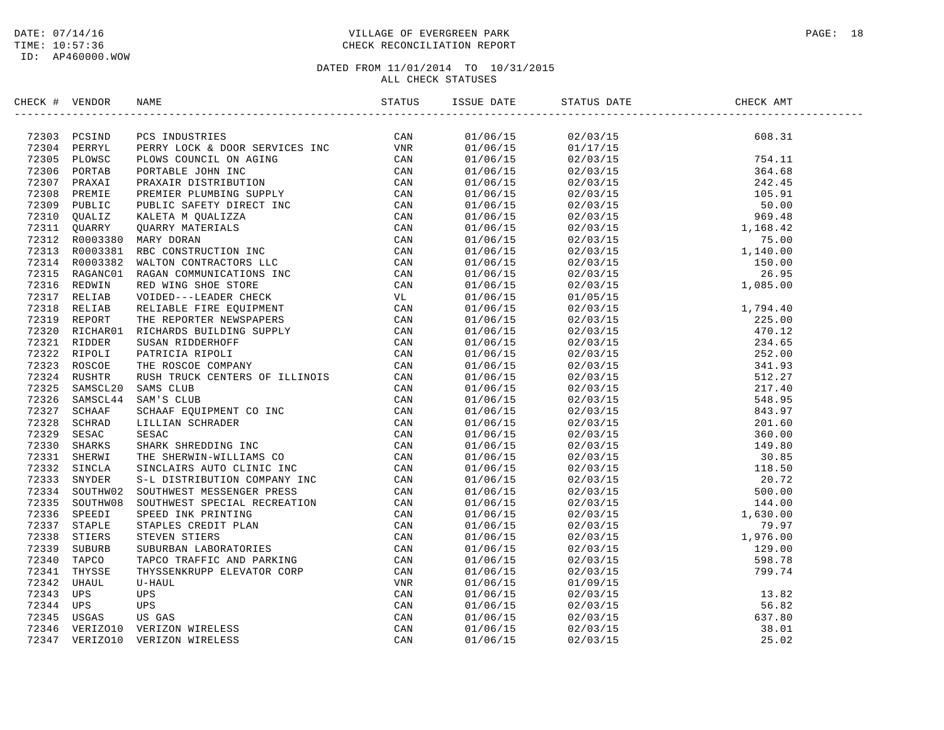ID: AP460000.WOW

### DATE: 07/14/16 PAGE: 18 TIME: 10:57:36 CHECK RECONCILIATION REPORT

| CHECK # VENDOR |                                                                                                                                                                                                                              |                          |                                                                                                                                                                                                                                                                             |  |
|----------------|------------------------------------------------------------------------------------------------------------------------------------------------------------------------------------------------------------------------------|--------------------------|-----------------------------------------------------------------------------------------------------------------------------------------------------------------------------------------------------------------------------------------------------------------------------|--|
|                | ISCNE WENDON RANS THE RECORD CONSULTIES (2013) POINT AND THE SERVICE IN CAN 19330 PER PROPERTING THE SERVICE ON A STATE THAT IS A 1930 PER PROPERTING CONSULTING THE SERVICE ON THE SERVICE IN THE SERVICE ON THE SERVICE ON |                          |                                                                                                                                                                                                                                                                             |  |
|                |                                                                                                                                                                                                                              |                          |                                                                                                                                                                                                                                                                             |  |
|                |                                                                                                                                                                                                                              |                          |                                                                                                                                                                                                                                                                             |  |
|                |                                                                                                                                                                                                                              |                          |                                                                                                                                                                                                                                                                             |  |
|                |                                                                                                                                                                                                                              |                          |                                                                                                                                                                                                                                                                             |  |
|                |                                                                                                                                                                                                                              |                          |                                                                                                                                                                                                                                                                             |  |
|                |                                                                                                                                                                                                                              |                          |                                                                                                                                                                                                                                                                             |  |
|                |                                                                                                                                                                                                                              |                          |                                                                                                                                                                                                                                                                             |  |
|                |                                                                                                                                                                                                                              |                          |                                                                                                                                                                                                                                                                             |  |
|                |                                                                                                                                                                                                                              |                          |                                                                                                                                                                                                                                                                             |  |
|                |                                                                                                                                                                                                                              |                          |                                                                                                                                                                                                                                                                             |  |
|                |                                                                                                                                                                                                                              |                          |                                                                                                                                                                                                                                                                             |  |
|                |                                                                                                                                                                                                                              |                          |                                                                                                                                                                                                                                                                             |  |
|                |                                                                                                                                                                                                                              |                          |                                                                                                                                                                                                                                                                             |  |
|                |                                                                                                                                                                                                                              |                          |                                                                                                                                                                                                                                                                             |  |
|                |                                                                                                                                                                                                                              | 01/06/15                 |                                                                                                                                                                                                                                                                             |  |
|                |                                                                                                                                                                                                                              | 01/06/15                 |                                                                                                                                                                                                                                                                             |  |
|                |                                                                                                                                                                                                                              | 01/06/15                 |                                                                                                                                                                                                                                                                             |  |
|                |                                                                                                                                                                                                                              | 01/06/15                 |                                                                                                                                                                                                                                                                             |  |
|                |                                                                                                                                                                                                                              | 01/06/15                 |                                                                                                                                                                                                                                                                             |  |
|                |                                                                                                                                                                                                                              | 01/06/15                 |                                                                                                                                                                                                                                                                             |  |
|                |                                                                                                                                                                                                                              | 01/06/15                 |                                                                                                                                                                                                                                                                             |  |
|                |                                                                                                                                                                                                                              | 01/06/15                 |                                                                                                                                                                                                                                                                             |  |
|                |                                                                                                                                                                                                                              | 01/06/15                 |                                                                                                                                                                                                                                                                             |  |
|                |                                                                                                                                                                                                                              | 01/06/15                 |                                                                                                                                                                                                                                                                             |  |
|                |                                                                                                                                                                                                                              | 01/06/15                 |                                                                                                                                                                                                                                                                             |  |
|                |                                                                                                                                                                                                                              | 01/06/15                 |                                                                                                                                                                                                                                                                             |  |
|                |                                                                                                                                                                                                                              | $01/06/15$<br>$01/06/15$ |                                                                                                                                                                                                                                                                             |  |
|                |                                                                                                                                                                                                                              |                          |                                                                                                                                                                                                                                                                             |  |
|                |                                                                                                                                                                                                                              | 01/06/15                 |                                                                                                                                                                                                                                                                             |  |
|                |                                                                                                                                                                                                                              | 01/06/15                 |                                                                                                                                                                                                                                                                             |  |
|                |                                                                                                                                                                                                                              | 01/06/15                 |                                                                                                                                                                                                                                                                             |  |
|                |                                                                                                                                                                                                                              | 01/06/15                 |                                                                                                                                                                                                                                                                             |  |
|                |                                                                                                                                                                                                                              | 01/06/15                 |                                                                                                                                                                                                                                                                             |  |
|                |                                                                                                                                                                                                                              | 01/06/15                 |                                                                                                                                                                                                                                                                             |  |
|                |                                                                                                                                                                                                                              | 01/06/15                 |                                                                                                                                                                                                                                                                             |  |
|                |                                                                                                                                                                                                                              | 01/06/15                 |                                                                                                                                                                                                                                                                             |  |
|                |                                                                                                                                                                                                                              | 01/06/15                 |                                                                                                                                                                                                                                                                             |  |
|                |                                                                                                                                                                                                                              | 01/06/15                 |                                                                                                                                                                                                                                                                             |  |
|                |                                                                                                                                                                                                                              | 01/06/15                 |                                                                                                                                                                                                                                                                             |  |
|                |                                                                                                                                                                                                                              | 01/06/15                 |                                                                                                                                                                                                                                                                             |  |
|                |                                                                                                                                                                                                                              |                          |                                                                                                                                                                                                                                                                             |  |
|                |                                                                                                                                                                                                                              | $01/06/15$<br>$01/06/15$ | $\begin{tabular}{@{}c@{}}\n 02/03/15 & 26.95 \\ 2/03/15 & 1,085.00 \\ 02/03/15 & 1,085.00 \\ 02/03/15 & 2794.40 \\ 02/03/15 & 2794.40 \\ 02/03/15 & 2703.15 \\ 02/03/15 & 2703.15 \\ 02/03/15 & 241.93 \\ 02/03/15 & 341.93 \\ 02/03/15 & 512.27 \\ 02/03/15 & 512.27 \\ 0$ |  |
|                |                                                                                                                                                                                                                              | 01/06/15                 |                                                                                                                                                                                                                                                                             |  |
|                |                                                                                                                                                                                                                              | 01/06/15                 |                                                                                                                                                                                                                                                                             |  |
|                |                                                                                                                                                                                                                              | 01/06/15                 |                                                                                                                                                                                                                                                                             |  |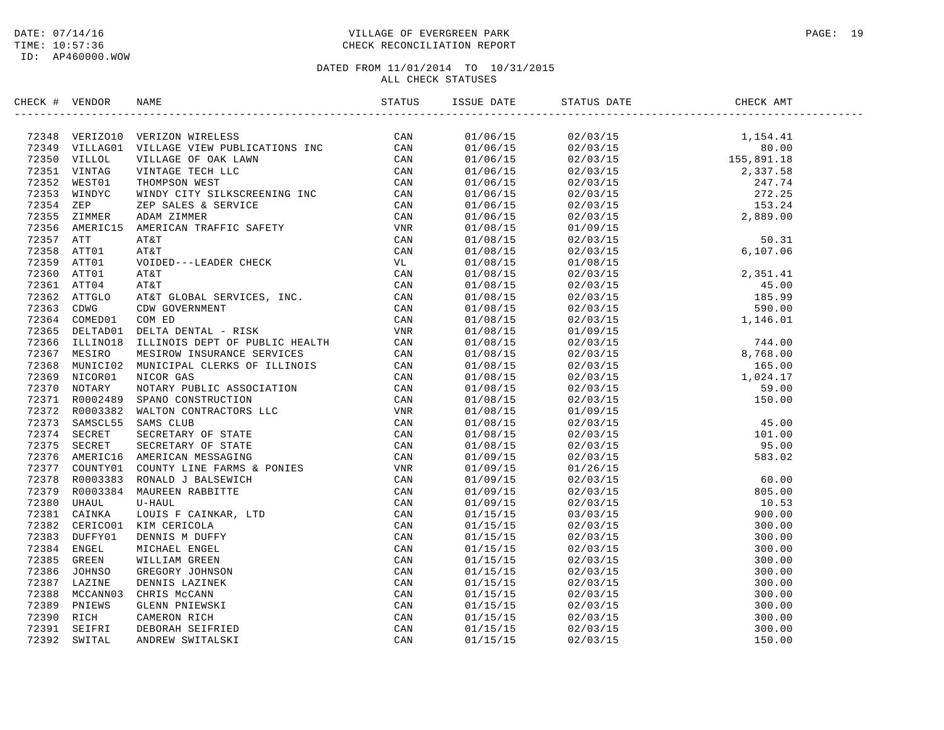### DATE: 07/14/16 PAGE: 19 TIME: 10:57:36 CHECK RECONCILIATION REPORT

| CHECK # VENDOR |                                                                                                                                                                                                                                           |  |                                                                                                                                                                                                                                                                                                     |  |
|----------------|-------------------------------------------------------------------------------------------------------------------------------------------------------------------------------------------------------------------------------------------|--|-----------------------------------------------------------------------------------------------------------------------------------------------------------------------------------------------------------------------------------------------------------------------------------------------------|--|
|                | NEXC 4 VERION NAME<br>1972-14 VERICAN VERICAN INDUSTRIES (2000)<br>1973-14 VERICAN VERICAN INDUSTRIES (2000)<br>1973-15 VERICAL VERICAN INTERNET (2000)<br>1973-15 VERICAN VERICAN INTERNET (2000)<br>1973-15 VERICAN INTERNET (2000)<br> |  | $\begin{tabular}{l c c c c} \hline \multicolumn{1}{c}{\textbf{0.1/60/15}} & 0.210314 & 0.11054 & 0.11054 & 0.11054 \\ \hline 0.1/06/15 & 0.2/03/15 & 1.544 & 0.10 \\ \hline 0.1/06/15 & 0.2/03/15 & 2.37.58 \\ \hline 0.1/06/15 & 0.2/03/15 & 2.37.78 \\ \hline 0.1/06/15 & 0.2/03/15 & 2.37.78 \\$ |  |
|                |                                                                                                                                                                                                                                           |  |                                                                                                                                                                                                                                                                                                     |  |
|                |                                                                                                                                                                                                                                           |  |                                                                                                                                                                                                                                                                                                     |  |
|                |                                                                                                                                                                                                                                           |  |                                                                                                                                                                                                                                                                                                     |  |
|                |                                                                                                                                                                                                                                           |  |                                                                                                                                                                                                                                                                                                     |  |
|                |                                                                                                                                                                                                                                           |  |                                                                                                                                                                                                                                                                                                     |  |
|                |                                                                                                                                                                                                                                           |  |                                                                                                                                                                                                                                                                                                     |  |
|                |                                                                                                                                                                                                                                           |  |                                                                                                                                                                                                                                                                                                     |  |
|                |                                                                                                                                                                                                                                           |  |                                                                                                                                                                                                                                                                                                     |  |
|                |                                                                                                                                                                                                                                           |  |                                                                                                                                                                                                                                                                                                     |  |
|                |                                                                                                                                                                                                                                           |  |                                                                                                                                                                                                                                                                                                     |  |
|                |                                                                                                                                                                                                                                           |  |                                                                                                                                                                                                                                                                                                     |  |
|                |                                                                                                                                                                                                                                           |  |                                                                                                                                                                                                                                                                                                     |  |
|                |                                                                                                                                                                                                                                           |  |                                                                                                                                                                                                                                                                                                     |  |
|                |                                                                                                                                                                                                                                           |  |                                                                                                                                                                                                                                                                                                     |  |
|                |                                                                                                                                                                                                                                           |  |                                                                                                                                                                                                                                                                                                     |  |
|                |                                                                                                                                                                                                                                           |  |                                                                                                                                                                                                                                                                                                     |  |
|                |                                                                                                                                                                                                                                           |  |                                                                                                                                                                                                                                                                                                     |  |
|                |                                                                                                                                                                                                                                           |  |                                                                                                                                                                                                                                                                                                     |  |
|                |                                                                                                                                                                                                                                           |  |                                                                                                                                                                                                                                                                                                     |  |
|                |                                                                                                                                                                                                                                           |  |                                                                                                                                                                                                                                                                                                     |  |
|                |                                                                                                                                                                                                                                           |  |                                                                                                                                                                                                                                                                                                     |  |
|                |                                                                                                                                                                                                                                           |  |                                                                                                                                                                                                                                                                                                     |  |
|                |                                                                                                                                                                                                                                           |  |                                                                                                                                                                                                                                                                                                     |  |
|                |                                                                                                                                                                                                                                           |  |                                                                                                                                                                                                                                                                                                     |  |
|                |                                                                                                                                                                                                                                           |  |                                                                                                                                                                                                                                                                                                     |  |
|                |                                                                                                                                                                                                                                           |  |                                                                                                                                                                                                                                                                                                     |  |
|                |                                                                                                                                                                                                                                           |  |                                                                                                                                                                                                                                                                                                     |  |
|                |                                                                                                                                                                                                                                           |  |                                                                                                                                                                                                                                                                                                     |  |
|                |                                                                                                                                                                                                                                           |  |                                                                                                                                                                                                                                                                                                     |  |
|                |                                                                                                                                                                                                                                           |  |                                                                                                                                                                                                                                                                                                     |  |
|                |                                                                                                                                                                                                                                           |  |                                                                                                                                                                                                                                                                                                     |  |
|                |                                                                                                                                                                                                                                           |  |                                                                                                                                                                                                                                                                                                     |  |
|                |                                                                                                                                                                                                                                           |  |                                                                                                                                                                                                                                                                                                     |  |
|                |                                                                                                                                                                                                                                           |  |                                                                                                                                                                                                                                                                                                     |  |
|                |                                                                                                                                                                                                                                           |  |                                                                                                                                                                                                                                                                                                     |  |
|                |                                                                                                                                                                                                                                           |  |                                                                                                                                                                                                                                                                                                     |  |
|                |                                                                                                                                                                                                                                           |  |                                                                                                                                                                                                                                                                                                     |  |
|                |                                                                                                                                                                                                                                           |  |                                                                                                                                                                                                                                                                                                     |  |
|                |                                                                                                                                                                                                                                           |  |                                                                                                                                                                                                                                                                                                     |  |
|                |                                                                                                                                                                                                                                           |  |                                                                                                                                                                                                                                                                                                     |  |
|                |                                                                                                                                                                                                                                           |  |                                                                                                                                                                                                                                                                                                     |  |
|                |                                                                                                                                                                                                                                           |  |                                                                                                                                                                                                                                                                                                     |  |
|                |                                                                                                                                                                                                                                           |  |                                                                                                                                                                                                                                                                                                     |  |
|                |                                                                                                                                                                                                                                           |  |                                                                                                                                                                                                                                                                                                     |  |
|                |                                                                                                                                                                                                                                           |  |                                                                                                                                                                                                                                                                                                     |  |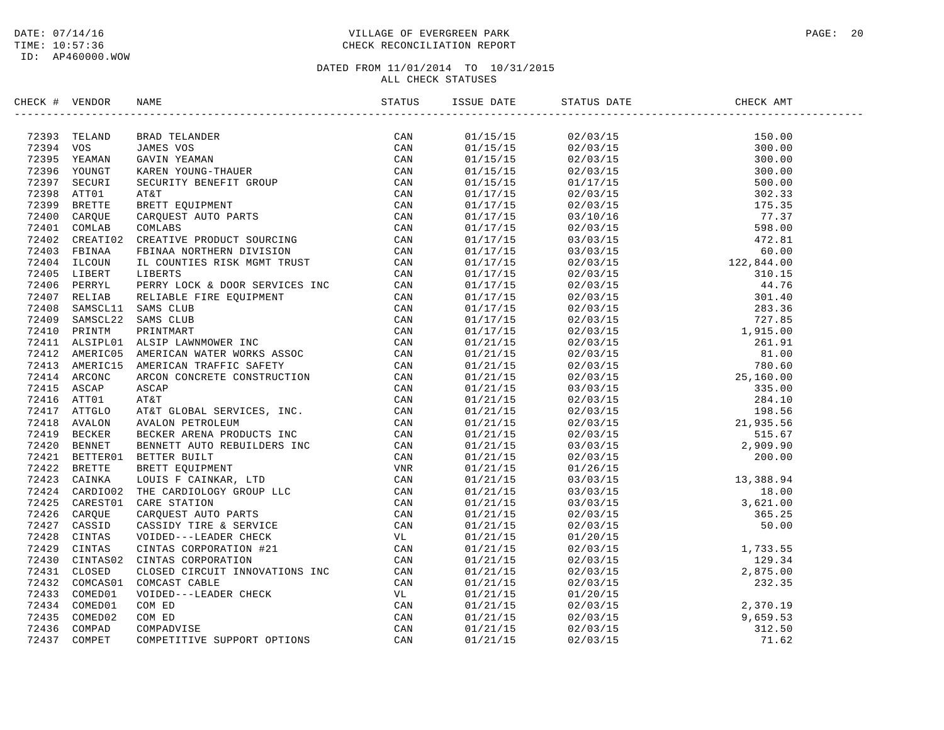### DATE: 07/14/16 PAGE: 20 PAGE: 20 PAGE: 20 PAGE: 20 PAGE: 20 PAGE: 20 PAGE: 20 PAGE: 20 PAGE: 20 TIME: 10:57:36 CHECK RECONCILIATION REPORT

| CHECK # VENDOR |                                                                                                                                                                                                                               |  |                                                                                                                                                                                                                                                                                                                                                                       |  |
|----------------|-------------------------------------------------------------------------------------------------------------------------------------------------------------------------------------------------------------------------------|--|-----------------------------------------------------------------------------------------------------------------------------------------------------------------------------------------------------------------------------------------------------------------------------------------------------------------------------------------------------------------------|--|
|                | SECK # VERDOG NAME STATUS IS CAN SERVICE AN ANY MANUS CAN ARREST FOR A 2019 AND CAN ARREST TREAT IN THE CAN ARREST TREAT IN THE CAN ARREST TREAT IN THE SERVICE THAT IS CONSIDERED TO A 1410 STATISTIC REPORT TREAT IN THE CA |  | $\begin{tabular}{l c c c c} \hline \textbf{3.55} & \textbf{5.65} & \textbf{5.66} & \textbf{5.67} & \textbf{5.67} & \textbf{5.67} & \textbf{5.68} & \textbf{5.69} & \textbf{5.69} & \textbf{5.60} & \textbf{5.60} & \textbf{5.61} & \textbf{5.62} & \textbf{5.63} & \textbf{5.65} & \textbf{5.67} & \textbf{5.67} & \textbf{5.68} & \textbf{5.69} & \textbf{5.61} & \$ |  |
|                |                                                                                                                                                                                                                               |  |                                                                                                                                                                                                                                                                                                                                                                       |  |
|                |                                                                                                                                                                                                                               |  |                                                                                                                                                                                                                                                                                                                                                                       |  |
|                |                                                                                                                                                                                                                               |  |                                                                                                                                                                                                                                                                                                                                                                       |  |
|                |                                                                                                                                                                                                                               |  |                                                                                                                                                                                                                                                                                                                                                                       |  |
|                |                                                                                                                                                                                                                               |  |                                                                                                                                                                                                                                                                                                                                                                       |  |
|                |                                                                                                                                                                                                                               |  |                                                                                                                                                                                                                                                                                                                                                                       |  |
|                |                                                                                                                                                                                                                               |  |                                                                                                                                                                                                                                                                                                                                                                       |  |
|                |                                                                                                                                                                                                                               |  |                                                                                                                                                                                                                                                                                                                                                                       |  |
|                |                                                                                                                                                                                                                               |  |                                                                                                                                                                                                                                                                                                                                                                       |  |
|                |                                                                                                                                                                                                                               |  |                                                                                                                                                                                                                                                                                                                                                                       |  |
|                |                                                                                                                                                                                                                               |  |                                                                                                                                                                                                                                                                                                                                                                       |  |
|                |                                                                                                                                                                                                                               |  |                                                                                                                                                                                                                                                                                                                                                                       |  |
|                |                                                                                                                                                                                                                               |  |                                                                                                                                                                                                                                                                                                                                                                       |  |
|                |                                                                                                                                                                                                                               |  |                                                                                                                                                                                                                                                                                                                                                                       |  |
|                |                                                                                                                                                                                                                               |  |                                                                                                                                                                                                                                                                                                                                                                       |  |
|                |                                                                                                                                                                                                                               |  |                                                                                                                                                                                                                                                                                                                                                                       |  |
|                |                                                                                                                                                                                                                               |  |                                                                                                                                                                                                                                                                                                                                                                       |  |
|                |                                                                                                                                                                                                                               |  |                                                                                                                                                                                                                                                                                                                                                                       |  |
|                |                                                                                                                                                                                                                               |  |                                                                                                                                                                                                                                                                                                                                                                       |  |
|                |                                                                                                                                                                                                                               |  |                                                                                                                                                                                                                                                                                                                                                                       |  |
|                |                                                                                                                                                                                                                               |  |                                                                                                                                                                                                                                                                                                                                                                       |  |
|                |                                                                                                                                                                                                                               |  |                                                                                                                                                                                                                                                                                                                                                                       |  |
|                |                                                                                                                                                                                                                               |  |                                                                                                                                                                                                                                                                                                                                                                       |  |
|                |                                                                                                                                                                                                                               |  |                                                                                                                                                                                                                                                                                                                                                                       |  |
|                |                                                                                                                                                                                                                               |  |                                                                                                                                                                                                                                                                                                                                                                       |  |
|                |                                                                                                                                                                                                                               |  |                                                                                                                                                                                                                                                                                                                                                                       |  |
|                |                                                                                                                                                                                                                               |  |                                                                                                                                                                                                                                                                                                                                                                       |  |
|                |                                                                                                                                                                                                                               |  |                                                                                                                                                                                                                                                                                                                                                                       |  |
|                |                                                                                                                                                                                                                               |  |                                                                                                                                                                                                                                                                                                                                                                       |  |
|                |                                                                                                                                                                                                                               |  |                                                                                                                                                                                                                                                                                                                                                                       |  |
|                |                                                                                                                                                                                                                               |  |                                                                                                                                                                                                                                                                                                                                                                       |  |
|                |                                                                                                                                                                                                                               |  |                                                                                                                                                                                                                                                                                                                                                                       |  |
|                |                                                                                                                                                                                                                               |  |                                                                                                                                                                                                                                                                                                                                                                       |  |
|                |                                                                                                                                                                                                                               |  |                                                                                                                                                                                                                                                                                                                                                                       |  |
|                |                                                                                                                                                                                                                               |  |                                                                                                                                                                                                                                                                                                                                                                       |  |
|                |                                                                                                                                                                                                                               |  |                                                                                                                                                                                                                                                                                                                                                                       |  |
|                |                                                                                                                                                                                                                               |  |                                                                                                                                                                                                                                                                                                                                                                       |  |
|                |                                                                                                                                                                                                                               |  |                                                                                                                                                                                                                                                                                                                                                                       |  |
|                |                                                                                                                                                                                                                               |  |                                                                                                                                                                                                                                                                                                                                                                       |  |
|                |                                                                                                                                                                                                                               |  |                                                                                                                                                                                                                                                                                                                                                                       |  |
|                |                                                                                                                                                                                                                               |  |                                                                                                                                                                                                                                                                                                                                                                       |  |
|                |                                                                                                                                                                                                                               |  |                                                                                                                                                                                                                                                                                                                                                                       |  |
|                |                                                                                                                                                                                                                               |  |                                                                                                                                                                                                                                                                                                                                                                       |  |
|                |                                                                                                                                                                                                                               |  |                                                                                                                                                                                                                                                                                                                                                                       |  |
|                |                                                                                                                                                                                                                               |  |                                                                                                                                                                                                                                                                                                                                                                       |  |
|                |                                                                                                                                                                                                                               |  |                                                                                                                                                                                                                                                                                                                                                                       |  |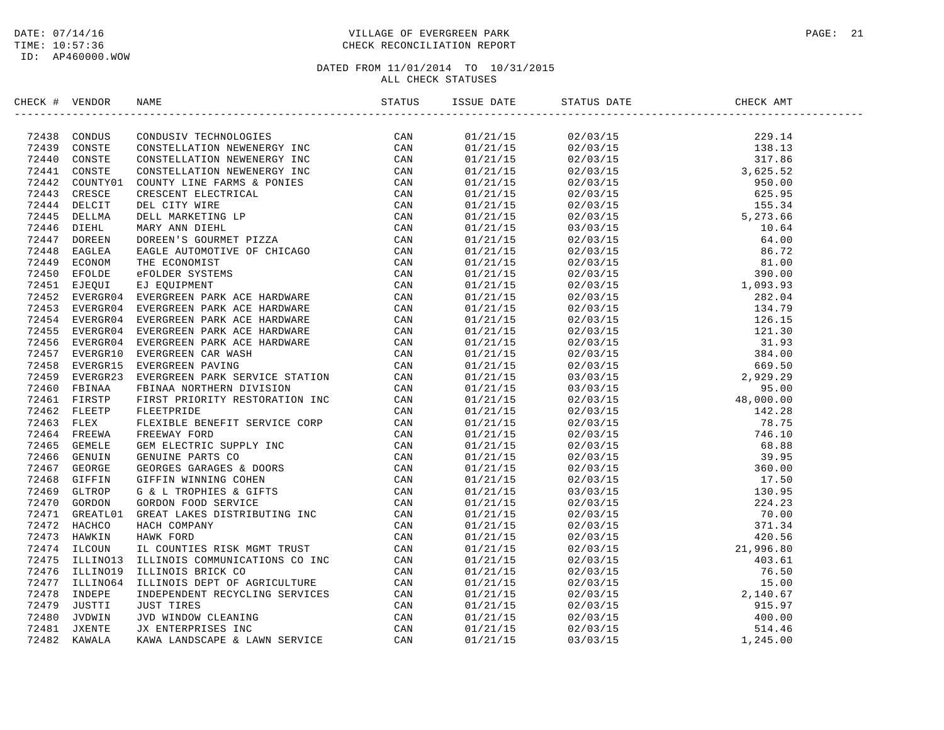### DATE: 07/14/16 PAGE: 21 PAGE: 21 TIME: 10:57:36 CHECK RECONCILIATION REPORT

| CHECK # VENDOR | NAME                                                                                                                                                                                                                          | STATUS | ISSUE DATE STATUS DATE                                                                                                                                                                                                                                                | CHECK AMT |  |
|----------------|-------------------------------------------------------------------------------------------------------------------------------------------------------------------------------------------------------------------------------|--------|-----------------------------------------------------------------------------------------------------------------------------------------------------------------------------------------------------------------------------------------------------------------------|-----------|--|
|                | ECR # VEROIDS CONDITIVE TRANSPORTED TRANSPORT IN CAN 197443 CONDUCTS (CAN 197441 CONSTRUCTED CONDUCTS) THE CAN CONDUCT CONDUCTS (CAN 197441 CONDUCTS) THE LIFT OF THE STATE OF THE CAN 197441 CONDUCTS (CAN 197441 DETAIL DRI |        | $\begin{tabular}{ll ll ll ll ll } \hline 3141/21/15 & 02/03/15 & 229, 14 & 141/15 & 02/03/15 & 229, 14 & 141/15 & 02/03/15 & 229, 141/15 & 229, 141/15 & 229, 141/15 & 229, 20, 201/15 & 221/15 & 221/15 & 221/15 & 221/15 & 221/15 & 221/15 & 221/15 & 221/15 & 221$ |           |  |
|                |                                                                                                                                                                                                                               |        |                                                                                                                                                                                                                                                                       |           |  |
|                |                                                                                                                                                                                                                               |        |                                                                                                                                                                                                                                                                       |           |  |
|                |                                                                                                                                                                                                                               |        |                                                                                                                                                                                                                                                                       |           |  |
|                |                                                                                                                                                                                                                               |        |                                                                                                                                                                                                                                                                       |           |  |
|                |                                                                                                                                                                                                                               |        |                                                                                                                                                                                                                                                                       |           |  |
|                |                                                                                                                                                                                                                               |        |                                                                                                                                                                                                                                                                       |           |  |
|                |                                                                                                                                                                                                                               |        |                                                                                                                                                                                                                                                                       |           |  |
|                |                                                                                                                                                                                                                               |        |                                                                                                                                                                                                                                                                       |           |  |
|                |                                                                                                                                                                                                                               |        |                                                                                                                                                                                                                                                                       |           |  |
|                |                                                                                                                                                                                                                               |        |                                                                                                                                                                                                                                                                       |           |  |
|                |                                                                                                                                                                                                                               |        |                                                                                                                                                                                                                                                                       |           |  |
|                |                                                                                                                                                                                                                               |        |                                                                                                                                                                                                                                                                       |           |  |
|                |                                                                                                                                                                                                                               |        |                                                                                                                                                                                                                                                                       |           |  |
|                |                                                                                                                                                                                                                               |        |                                                                                                                                                                                                                                                                       |           |  |
|                |                                                                                                                                                                                                                               |        |                                                                                                                                                                                                                                                                       |           |  |
|                |                                                                                                                                                                                                                               |        |                                                                                                                                                                                                                                                                       |           |  |
|                |                                                                                                                                                                                                                               |        |                                                                                                                                                                                                                                                                       |           |  |
|                |                                                                                                                                                                                                                               |        |                                                                                                                                                                                                                                                                       |           |  |
|                |                                                                                                                                                                                                                               |        |                                                                                                                                                                                                                                                                       |           |  |
|                |                                                                                                                                                                                                                               |        |                                                                                                                                                                                                                                                                       |           |  |
|                |                                                                                                                                                                                                                               |        |                                                                                                                                                                                                                                                                       |           |  |
|                |                                                                                                                                                                                                                               |        |                                                                                                                                                                                                                                                                       |           |  |
|                |                                                                                                                                                                                                                               |        |                                                                                                                                                                                                                                                                       |           |  |
|                |                                                                                                                                                                                                                               |        |                                                                                                                                                                                                                                                                       |           |  |
|                |                                                                                                                                                                                                                               |        |                                                                                                                                                                                                                                                                       |           |  |
|                |                                                                                                                                                                                                                               |        |                                                                                                                                                                                                                                                                       |           |  |
|                |                                                                                                                                                                                                                               |        |                                                                                                                                                                                                                                                                       |           |  |
|                |                                                                                                                                                                                                                               |        |                                                                                                                                                                                                                                                                       |           |  |
|                |                                                                                                                                                                                                                               |        |                                                                                                                                                                                                                                                                       |           |  |
|                |                                                                                                                                                                                                                               |        |                                                                                                                                                                                                                                                                       |           |  |
|                |                                                                                                                                                                                                                               |        |                                                                                                                                                                                                                                                                       |           |  |
|                |                                                                                                                                                                                                                               |        |                                                                                                                                                                                                                                                                       |           |  |
|                |                                                                                                                                                                                                                               |        |                                                                                                                                                                                                                                                                       |           |  |
|                |                                                                                                                                                                                                                               |        |                                                                                                                                                                                                                                                                       |           |  |
|                |                                                                                                                                                                                                                               |        |                                                                                                                                                                                                                                                                       |           |  |
|                |                                                                                                                                                                                                                               |        |                                                                                                                                                                                                                                                                       |           |  |
|                |                                                                                                                                                                                                                               |        |                                                                                                                                                                                                                                                                       |           |  |
|                |                                                                                                                                                                                                                               |        |                                                                                                                                                                                                                                                                       |           |  |
|                |                                                                                                                                                                                                                               |        |                                                                                                                                                                                                                                                                       |           |  |
|                |                                                                                                                                                                                                                               |        |                                                                                                                                                                                                                                                                       |           |  |
|                |                                                                                                                                                                                                                               |        |                                                                                                                                                                                                                                                                       |           |  |
|                |                                                                                                                                                                                                                               |        |                                                                                                                                                                                                                                                                       |           |  |
|                |                                                                                                                                                                                                                               |        |                                                                                                                                                                                                                                                                       |           |  |
|                |                                                                                                                                                                                                                               |        |                                                                                                                                                                                                                                                                       |           |  |
|                |                                                                                                                                                                                                                               |        |                                                                                                                                                                                                                                                                       |           |  |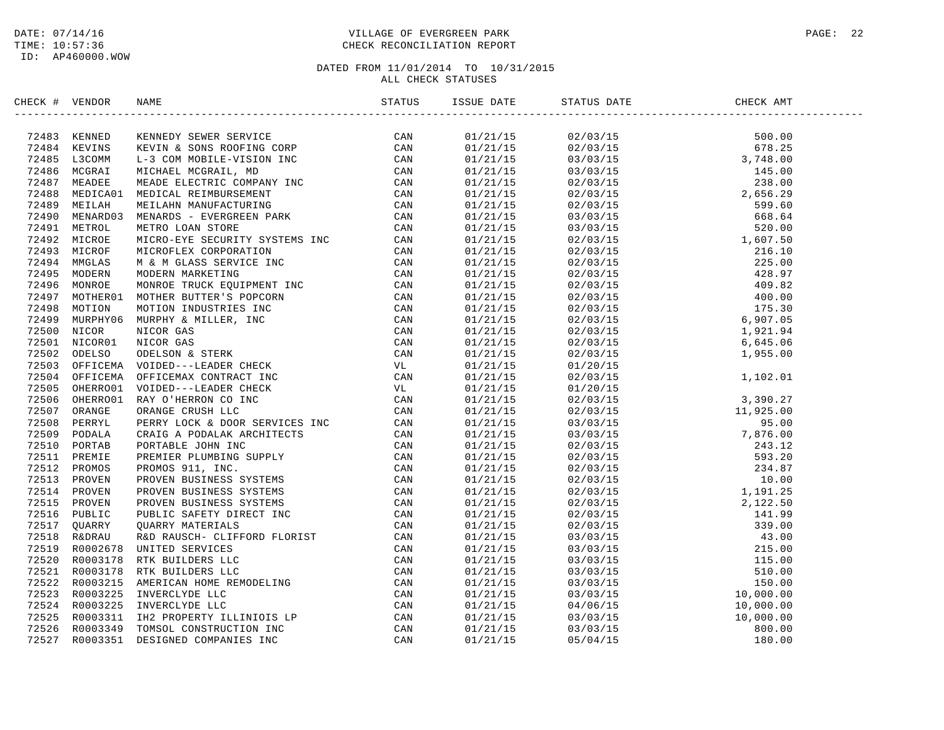### DATE: 07/14/16 PAGE: 22 TIME: 10:57:36 CHECK RECONCILIATION REPORT

| CHECK # VENDOR |                                                                                                                                                                                                                               |          | ISSUE DATE STATUS DATE                                                                                                                                                                                                                                                       | CHECK AMT |  |
|----------------|-------------------------------------------------------------------------------------------------------------------------------------------------------------------------------------------------------------------------------|----------|------------------------------------------------------------------------------------------------------------------------------------------------------------------------------------------------------------------------------------------------------------------------------|-----------|--|
|                | CK # VERIDOS MARK TIME (CAN SOME MARK TIME ON THE STANDARD STANDARD STANDARD CAN ARREST CAN ASSOCIATE CAN ASSOCIATE CAN ARREST MARK THE CAN CONSULTED A SUBMISSION CONSULTED AND MANUSCRIPT CAN CAN ARREST CAN ARREST CONSULT | 01/21/15 | $\begin{tabular}{@{}c@{}}\n 02/03/15 & 500.00 \\ 02/03/15 & 678.25 \\ 03/03/15 & 48.00 \\ 02/03/15 & 28.00 \\ 02/03/15 & 28.00 \\ 02/03/15 & 599.60 \\ 03/03/15 & 599.60 \\ 02/03/15 & 599.60 \\ 02/03/15 & 520.00 \\ 02/03/15 & 216.10 \\ 02/03/15 & 225.00 \\ 02/03/15 & $ |           |  |
|                |                                                                                                                                                                                                                               | 01/21/15 |                                                                                                                                                                                                                                                                              |           |  |
|                |                                                                                                                                                                                                                               | 01/21/15 |                                                                                                                                                                                                                                                                              |           |  |
|                |                                                                                                                                                                                                                               | 01/21/15 |                                                                                                                                                                                                                                                                              |           |  |
|                |                                                                                                                                                                                                                               | 01/21/15 |                                                                                                                                                                                                                                                                              |           |  |
|                |                                                                                                                                                                                                                               | 01/21/15 |                                                                                                                                                                                                                                                                              |           |  |
|                |                                                                                                                                                                                                                               | 01/21/15 |                                                                                                                                                                                                                                                                              |           |  |
|                |                                                                                                                                                                                                                               | 01/21/15 |                                                                                                                                                                                                                                                                              |           |  |
|                |                                                                                                                                                                                                                               | 01/21/15 |                                                                                                                                                                                                                                                                              |           |  |
|                |                                                                                                                                                                                                                               | 01/21/15 |                                                                                                                                                                                                                                                                              |           |  |
|                |                                                                                                                                                                                                                               | 01/21/15 |                                                                                                                                                                                                                                                                              |           |  |
|                |                                                                                                                                                                                                                               | 01/21/15 |                                                                                                                                                                                                                                                                              |           |  |
|                |                                                                                                                                                                                                                               | 01/21/15 |                                                                                                                                                                                                                                                                              |           |  |
|                |                                                                                                                                                                                                                               | 01/21/15 |                                                                                                                                                                                                                                                                              |           |  |
|                |                                                                                                                                                                                                                               | 01/21/15 |                                                                                                                                                                                                                                                                              |           |  |
|                |                                                                                                                                                                                                                               | 01/21/15 |                                                                                                                                                                                                                                                                              |           |  |
|                |                                                                                                                                                                                                                               | 01/21/15 |                                                                                                                                                                                                                                                                              |           |  |
|                |                                                                                                                                                                                                                               | 01/21/15 |                                                                                                                                                                                                                                                                              |           |  |
|                |                                                                                                                                                                                                                               | 01/21/15 |                                                                                                                                                                                                                                                                              |           |  |
|                |                                                                                                                                                                                                                               | 01/21/15 |                                                                                                                                                                                                                                                                              |           |  |
|                |                                                                                                                                                                                                                               | 01/21/15 |                                                                                                                                                                                                                                                                              |           |  |
|                |                                                                                                                                                                                                                               | 01/21/15 |                                                                                                                                                                                                                                                                              |           |  |
|                |                                                                                                                                                                                                                               | 01/21/15 |                                                                                                                                                                                                                                                                              |           |  |
|                |                                                                                                                                                                                                                               | 01/21/15 |                                                                                                                                                                                                                                                                              |           |  |
|                |                                                                                                                                                                                                                               | 01/21/15 |                                                                                                                                                                                                                                                                              |           |  |
|                |                                                                                                                                                                                                                               | 01/21/15 |                                                                                                                                                                                                                                                                              |           |  |
|                |                                                                                                                                                                                                                               | 01/21/15 |                                                                                                                                                                                                                                                                              |           |  |
|                |                                                                                                                                                                                                                               | 01/21/15 |                                                                                                                                                                                                                                                                              |           |  |
|                |                                                                                                                                                                                                                               | 01/21/15 |                                                                                                                                                                                                                                                                              |           |  |
|                |                                                                                                                                                                                                                               | 01/21/15 |                                                                                                                                                                                                                                                                              |           |  |
|                |                                                                                                                                                                                                                               | 01/21/15 |                                                                                                                                                                                                                                                                              |           |  |
|                |                                                                                                                                                                                                                               | 01/21/15 |                                                                                                                                                                                                                                                                              |           |  |
|                |                                                                                                                                                                                                                               | 01/21/15 |                                                                                                                                                                                                                                                                              |           |  |
|                |                                                                                                                                                                                                                               | 01/21/15 |                                                                                                                                                                                                                                                                              |           |  |
|                |                                                                                                                                                                                                                               | 01/21/15 |                                                                                                                                                                                                                                                                              |           |  |
|                |                                                                                                                                                                                                                               | 01/21/15 |                                                                                                                                                                                                                                                                              |           |  |
|                |                                                                                                                                                                                                                               | 01/21/15 |                                                                                                                                                                                                                                                                              |           |  |
|                |                                                                                                                                                                                                                               | 01/21/15 |                                                                                                                                                                                                                                                                              |           |  |
|                |                                                                                                                                                                                                                               | 01/21/15 |                                                                                                                                                                                                                                                                              |           |  |
|                |                                                                                                                                                                                                                               | 01/21/15 |                                                                                                                                                                                                                                                                              |           |  |
|                |                                                                                                                                                                                                                               | 01/21/15 | $\begin{tabular}{@{}c@{}}\n  02/03/15 & 1,955.00 \\  01/20/15 & 1,102.01 \\  02/03/15 & 1,102.01 \\  01/20/15 & 3,390.27 \\  02/03/15 & 3,390.27 \\  03/03/15 & 7,876.00 \\  03/03/15 & 7,876.00 \\  03/03/15 & 243.12 \\  02/03/15 & 234.87 \\  02/03/15 & 1,191.25 \\$     |           |  |
|                |                                                                                                                                                                                                                               | 01/21/15 |                                                                                                                                                                                                                                                                              |           |  |
|                |                                                                                                                                                                                                                               | 01/21/15 |                                                                                                                                                                                                                                                                              |           |  |
|                |                                                                                                                                                                                                                               | 01/21/15 |                                                                                                                                                                                                                                                                              |           |  |
|                |                                                                                                                                                                                                                               |          |                                                                                                                                                                                                                                                                              |           |  |
|                |                                                                                                                                                                                                                               | 01/21/15 |                                                                                                                                                                                                                                                                              |           |  |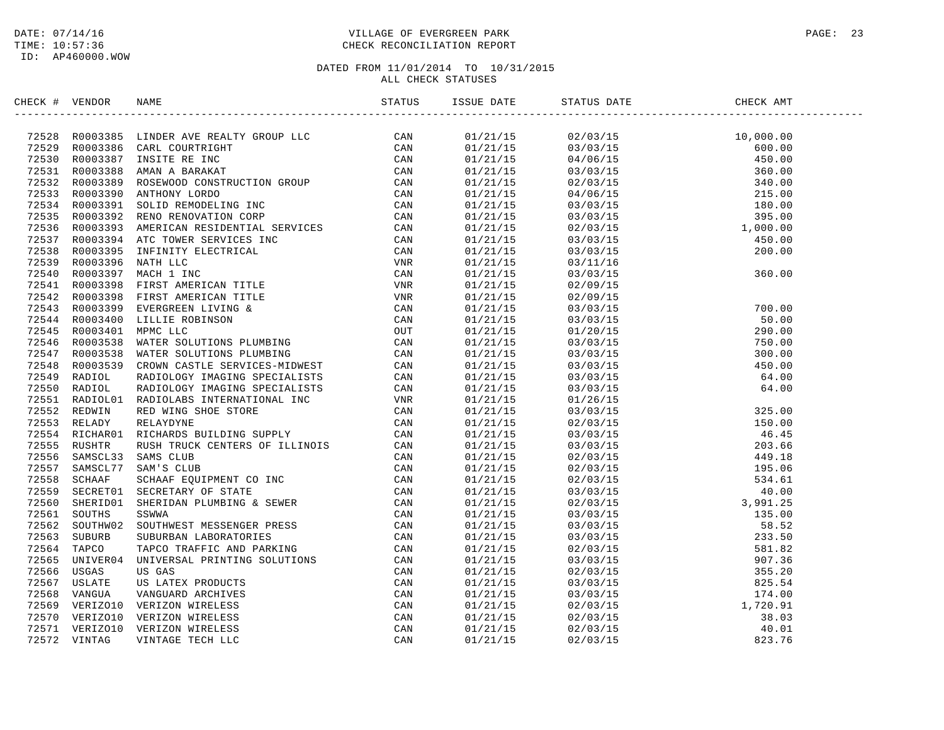### DATE: 07/14/16 PAGE: 23 TIME: 10:57:36 CHECK RECONCILIATION REPORT

| CHECK # VENDOR |                                                                                                                                                                                                                                              |  |  |
|----------------|----------------------------------------------------------------------------------------------------------------------------------------------------------------------------------------------------------------------------------------------|--|--|
|                | NECK + VERDOR RANE CONTROL ISSUE 2001<br>1977-1293 1981<br>27828 20013186 LIMIDER AVERICANT GROUP LLC CAN (2002)<br>27853 20013186 LIMIDER NEW RANKAT CAN (2002)<br>27853 20013186 LIMIDER RANKAT CAN (2002)<br>27853 20013189 RANKAT TOOSTE |  |  |
|                |                                                                                                                                                                                                                                              |  |  |
|                |                                                                                                                                                                                                                                              |  |  |
|                |                                                                                                                                                                                                                                              |  |  |
|                |                                                                                                                                                                                                                                              |  |  |
|                |                                                                                                                                                                                                                                              |  |  |
|                |                                                                                                                                                                                                                                              |  |  |
|                |                                                                                                                                                                                                                                              |  |  |
|                |                                                                                                                                                                                                                                              |  |  |
|                |                                                                                                                                                                                                                                              |  |  |
|                |                                                                                                                                                                                                                                              |  |  |
|                |                                                                                                                                                                                                                                              |  |  |
|                |                                                                                                                                                                                                                                              |  |  |
|                |                                                                                                                                                                                                                                              |  |  |
|                |                                                                                                                                                                                                                                              |  |  |
|                |                                                                                                                                                                                                                                              |  |  |
|                |                                                                                                                                                                                                                                              |  |  |
|                |                                                                                                                                                                                                                                              |  |  |
|                |                                                                                                                                                                                                                                              |  |  |
|                |                                                                                                                                                                                                                                              |  |  |
|                |                                                                                                                                                                                                                                              |  |  |
|                |                                                                                                                                                                                                                                              |  |  |
|                |                                                                                                                                                                                                                                              |  |  |
|                |                                                                                                                                                                                                                                              |  |  |
|                |                                                                                                                                                                                                                                              |  |  |
|                |                                                                                                                                                                                                                                              |  |  |
|                |                                                                                                                                                                                                                                              |  |  |
|                |                                                                                                                                                                                                                                              |  |  |
|                |                                                                                                                                                                                                                                              |  |  |
|                |                                                                                                                                                                                                                                              |  |  |
|                |                                                                                                                                                                                                                                              |  |  |
|                |                                                                                                                                                                                                                                              |  |  |
|                |                                                                                                                                                                                                                                              |  |  |
|                |                                                                                                                                                                                                                                              |  |  |
|                |                                                                                                                                                                                                                                              |  |  |
|                |                                                                                                                                                                                                                                              |  |  |
|                |                                                                                                                                                                                                                                              |  |  |
|                |                                                                                                                                                                                                                                              |  |  |
|                |                                                                                                                                                                                                                                              |  |  |
|                |                                                                                                                                                                                                                                              |  |  |
|                |                                                                                                                                                                                                                                              |  |  |
|                |                                                                                                                                                                                                                                              |  |  |
|                |                                                                                                                                                                                                                                              |  |  |
|                |                                                                                                                                                                                                                                              |  |  |
|                |                                                                                                                                                                                                                                              |  |  |
|                |                                                                                                                                                                                                                                              |  |  |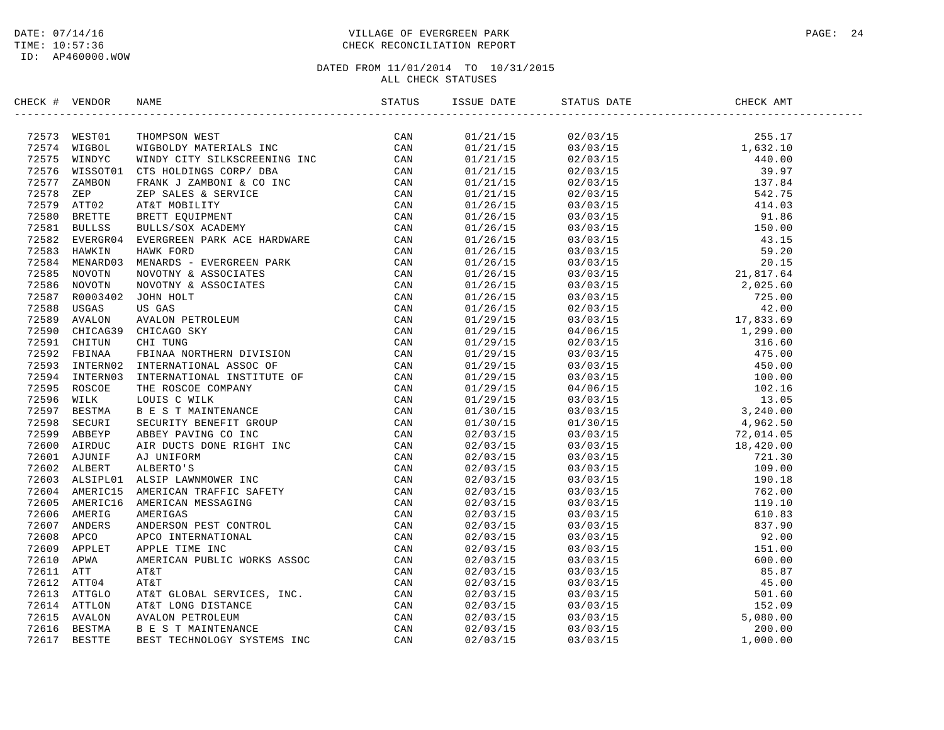### DATE: 07/14/16 PAGE: 24 TIME: 10:57:36 CHECK RECONCILIATION REPORT

| 2007 11 VERDOR NAME (2008)<br>177371 MESTII THOMPSON WEST TAISSERED TRINING CAN 177374 MESSONG MITRING CORP. THE SAME CONSTRUES CONTROLL AND THE SAME CONSTRUES (2008) 2013 1011 121 VERTILE CAN CONSTRUES (2008) 2013 METHOD CO<br>01/21/15<br>$\begin{tabular}{l c c c c c} \hline & 0.2703/15 & 0.2708 & 0.2708 & 0.2708 & 0.2708 & 0.2708 & 0.2708 & 0.2708 & 0.2708 & 0.2708 & 0.2708 & 0.2708 & 0.2708 & 0.2708 & 0.2708 & 0.2708 & 0.2708 & 0.2708 & 0.2708 & 0.2708 & 0.2708 & 0.2708 & 0.2708 & 0.2708 & 0.$<br>01/21/15<br>01/21/15<br>01/21/15<br>01/21/15<br>01/21/15<br>01/26/15<br>01/26/15<br>01/26/15<br>01/26/15<br>01/26/15<br>01/26/15<br>01/26/15<br>01/26/15<br>01/26/15<br>01/26/15<br>01/29/15<br>01/29/15<br>01/29/15<br>01/29/15<br>01/29/15<br>01/29/15<br>01/29/15<br>01/29/15<br>01/30/15<br>01/30/15<br>02/03/15<br>02/03/15<br>02/03/15<br>02/03/15<br>02/03/15<br>02/03/15<br>02/03/15<br>02/03/15<br>02/03/15<br>02/03/15<br>02/03/15<br>02/03/15<br>02/03/15<br>02/03/15<br>02/03/15<br>02/03/15<br>02/03/15<br>02/03/15 | CHECK # VENDOR |  | STATUS | ISSUE DATE | STATUS DATE | CHECK AMT |  |
|-----------------------------------------------------------------------------------------------------------------------------------------------------------------------------------------------------------------------------------------------------------------------------------------------------------------------------------------------------------------------------------------------------------------------------------------------------------------------------------------------------------------------------------------------------------------------------------------------------------------------------------------------------------------------------------------------------------------------------------------------------------------------------------------------------------------------------------------------------------------------------------------------------------------------------------------------------------------------------------------------------------------------------------------------------------|----------------|--|--------|------------|-------------|-----------|--|
|                                                                                                                                                                                                                                                                                                                                                                                                                                                                                                                                                                                                                                                                                                                                                                                                                                                                                                                                                                                                                                                           |                |  |        |            |             |           |  |
|                                                                                                                                                                                                                                                                                                                                                                                                                                                                                                                                                                                                                                                                                                                                                                                                                                                                                                                                                                                                                                                           |                |  |        |            |             |           |  |
|                                                                                                                                                                                                                                                                                                                                                                                                                                                                                                                                                                                                                                                                                                                                                                                                                                                                                                                                                                                                                                                           |                |  |        |            |             |           |  |
|                                                                                                                                                                                                                                                                                                                                                                                                                                                                                                                                                                                                                                                                                                                                                                                                                                                                                                                                                                                                                                                           |                |  |        |            |             |           |  |
|                                                                                                                                                                                                                                                                                                                                                                                                                                                                                                                                                                                                                                                                                                                                                                                                                                                                                                                                                                                                                                                           |                |  |        |            |             |           |  |
|                                                                                                                                                                                                                                                                                                                                                                                                                                                                                                                                                                                                                                                                                                                                                                                                                                                                                                                                                                                                                                                           |                |  |        |            |             |           |  |
|                                                                                                                                                                                                                                                                                                                                                                                                                                                                                                                                                                                                                                                                                                                                                                                                                                                                                                                                                                                                                                                           |                |  |        |            |             |           |  |
|                                                                                                                                                                                                                                                                                                                                                                                                                                                                                                                                                                                                                                                                                                                                                                                                                                                                                                                                                                                                                                                           |                |  |        |            |             |           |  |
|                                                                                                                                                                                                                                                                                                                                                                                                                                                                                                                                                                                                                                                                                                                                                                                                                                                                                                                                                                                                                                                           |                |  |        |            |             |           |  |
|                                                                                                                                                                                                                                                                                                                                                                                                                                                                                                                                                                                                                                                                                                                                                                                                                                                                                                                                                                                                                                                           |                |  |        |            |             |           |  |
|                                                                                                                                                                                                                                                                                                                                                                                                                                                                                                                                                                                                                                                                                                                                                                                                                                                                                                                                                                                                                                                           |                |  |        |            |             |           |  |
|                                                                                                                                                                                                                                                                                                                                                                                                                                                                                                                                                                                                                                                                                                                                                                                                                                                                                                                                                                                                                                                           |                |  |        |            |             |           |  |
|                                                                                                                                                                                                                                                                                                                                                                                                                                                                                                                                                                                                                                                                                                                                                                                                                                                                                                                                                                                                                                                           |                |  |        |            |             |           |  |
|                                                                                                                                                                                                                                                                                                                                                                                                                                                                                                                                                                                                                                                                                                                                                                                                                                                                                                                                                                                                                                                           |                |  |        |            |             |           |  |
|                                                                                                                                                                                                                                                                                                                                                                                                                                                                                                                                                                                                                                                                                                                                                                                                                                                                                                                                                                                                                                                           |                |  |        |            |             |           |  |
|                                                                                                                                                                                                                                                                                                                                                                                                                                                                                                                                                                                                                                                                                                                                                                                                                                                                                                                                                                                                                                                           |                |  |        |            |             |           |  |
|                                                                                                                                                                                                                                                                                                                                                                                                                                                                                                                                                                                                                                                                                                                                                                                                                                                                                                                                                                                                                                                           |                |  |        |            |             |           |  |
|                                                                                                                                                                                                                                                                                                                                                                                                                                                                                                                                                                                                                                                                                                                                                                                                                                                                                                                                                                                                                                                           |                |  |        |            |             |           |  |
|                                                                                                                                                                                                                                                                                                                                                                                                                                                                                                                                                                                                                                                                                                                                                                                                                                                                                                                                                                                                                                                           |                |  |        |            |             |           |  |
|                                                                                                                                                                                                                                                                                                                                                                                                                                                                                                                                                                                                                                                                                                                                                                                                                                                                                                                                                                                                                                                           |                |  |        |            |             |           |  |
|                                                                                                                                                                                                                                                                                                                                                                                                                                                                                                                                                                                                                                                                                                                                                                                                                                                                                                                                                                                                                                                           |                |  |        |            |             |           |  |
|                                                                                                                                                                                                                                                                                                                                                                                                                                                                                                                                                                                                                                                                                                                                                                                                                                                                                                                                                                                                                                                           |                |  |        |            |             |           |  |
|                                                                                                                                                                                                                                                                                                                                                                                                                                                                                                                                                                                                                                                                                                                                                                                                                                                                                                                                                                                                                                                           |                |  |        |            |             |           |  |
|                                                                                                                                                                                                                                                                                                                                                                                                                                                                                                                                                                                                                                                                                                                                                                                                                                                                                                                                                                                                                                                           |                |  |        |            |             |           |  |
|                                                                                                                                                                                                                                                                                                                                                                                                                                                                                                                                                                                                                                                                                                                                                                                                                                                                                                                                                                                                                                                           |                |  |        |            |             |           |  |
|                                                                                                                                                                                                                                                                                                                                                                                                                                                                                                                                                                                                                                                                                                                                                                                                                                                                                                                                                                                                                                                           |                |  |        |            |             |           |  |
|                                                                                                                                                                                                                                                                                                                                                                                                                                                                                                                                                                                                                                                                                                                                                                                                                                                                                                                                                                                                                                                           |                |  |        |            |             |           |  |
|                                                                                                                                                                                                                                                                                                                                                                                                                                                                                                                                                                                                                                                                                                                                                                                                                                                                                                                                                                                                                                                           |                |  |        |            |             |           |  |
|                                                                                                                                                                                                                                                                                                                                                                                                                                                                                                                                                                                                                                                                                                                                                                                                                                                                                                                                                                                                                                                           |                |  |        |            |             |           |  |
|                                                                                                                                                                                                                                                                                                                                                                                                                                                                                                                                                                                                                                                                                                                                                                                                                                                                                                                                                                                                                                                           |                |  |        |            |             |           |  |
|                                                                                                                                                                                                                                                                                                                                                                                                                                                                                                                                                                                                                                                                                                                                                                                                                                                                                                                                                                                                                                                           |                |  |        |            |             |           |  |
|                                                                                                                                                                                                                                                                                                                                                                                                                                                                                                                                                                                                                                                                                                                                                                                                                                                                                                                                                                                                                                                           |                |  |        |            |             |           |  |
|                                                                                                                                                                                                                                                                                                                                                                                                                                                                                                                                                                                                                                                                                                                                                                                                                                                                                                                                                                                                                                                           |                |  |        |            |             |           |  |
|                                                                                                                                                                                                                                                                                                                                                                                                                                                                                                                                                                                                                                                                                                                                                                                                                                                                                                                                                                                                                                                           |                |  |        |            |             |           |  |
|                                                                                                                                                                                                                                                                                                                                                                                                                                                                                                                                                                                                                                                                                                                                                                                                                                                                                                                                                                                                                                                           |                |  |        |            |             |           |  |
|                                                                                                                                                                                                                                                                                                                                                                                                                                                                                                                                                                                                                                                                                                                                                                                                                                                                                                                                                                                                                                                           |                |  |        |            |             |           |  |
|                                                                                                                                                                                                                                                                                                                                                                                                                                                                                                                                                                                                                                                                                                                                                                                                                                                                                                                                                                                                                                                           |                |  |        |            |             |           |  |
|                                                                                                                                                                                                                                                                                                                                                                                                                                                                                                                                                                                                                                                                                                                                                                                                                                                                                                                                                                                                                                                           |                |  |        |            |             |           |  |
|                                                                                                                                                                                                                                                                                                                                                                                                                                                                                                                                                                                                                                                                                                                                                                                                                                                                                                                                                                                                                                                           |                |  |        |            |             |           |  |
|                                                                                                                                                                                                                                                                                                                                                                                                                                                                                                                                                                                                                                                                                                                                                                                                                                                                                                                                                                                                                                                           |                |  |        |            |             |           |  |
|                                                                                                                                                                                                                                                                                                                                                                                                                                                                                                                                                                                                                                                                                                                                                                                                                                                                                                                                                                                                                                                           |                |  |        |            |             |           |  |
|                                                                                                                                                                                                                                                                                                                                                                                                                                                                                                                                                                                                                                                                                                                                                                                                                                                                                                                                                                                                                                                           |                |  |        |            |             |           |  |
|                                                                                                                                                                                                                                                                                                                                                                                                                                                                                                                                                                                                                                                                                                                                                                                                                                                                                                                                                                                                                                                           |                |  |        |            |             |           |  |
|                                                                                                                                                                                                                                                                                                                                                                                                                                                                                                                                                                                                                                                                                                                                                                                                                                                                                                                                                                                                                                                           |                |  |        |            |             |           |  |
|                                                                                                                                                                                                                                                                                                                                                                                                                                                                                                                                                                                                                                                                                                                                                                                                                                                                                                                                                                                                                                                           |                |  |        | 02/03/15   |             |           |  |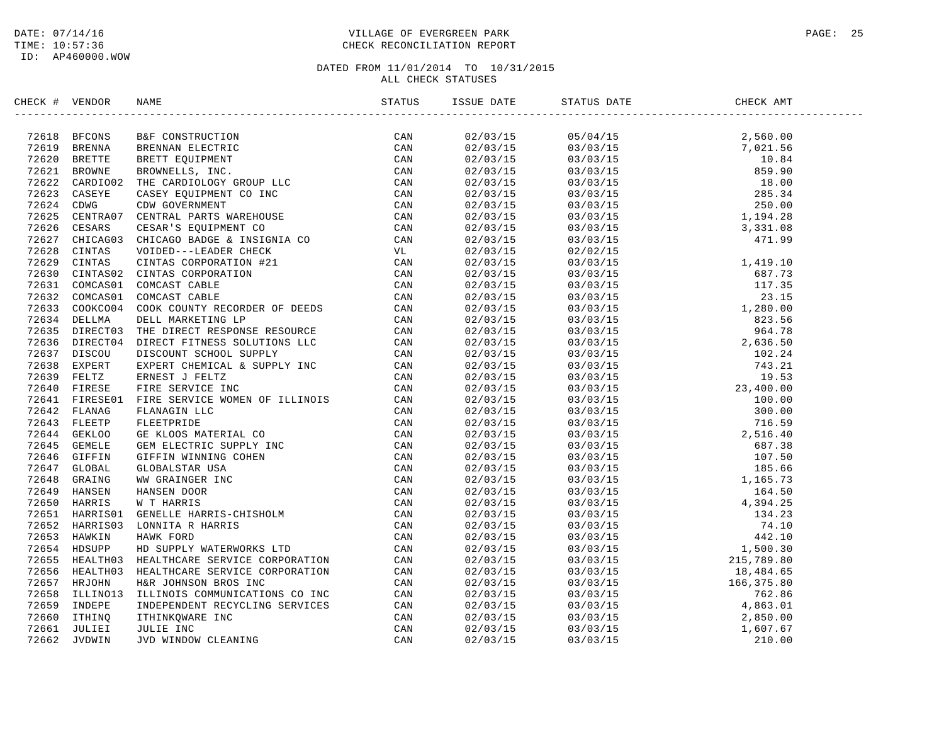### DATE: 07/14/16 PAGE: 25 TIME: 10:57:36 CHECK RECONCILIATION REPORT

| CHECK # VENDOR |                                                                                                                                                                                                                                   |  | STATUS DATE | CHECK AMT |  |
|----------------|-----------------------------------------------------------------------------------------------------------------------------------------------------------------------------------------------------------------------------------|--|-------------|-----------|--|
|                | NECK + VENDOR NAME<br>1972618 BPCONS RAEC CONSTRUCTION STATUS - 1974<br>197418 BROWN BROWNER EXPIRENCE CAN CAN 197418 BROWNER CAN CAN CAN CAN CAN CAN CAN CAN CONSTRUCT THE CANNELS ON CONSTRUCT CAN CAN CONSTRUCT CAN CAN CONSTR |  |             |           |  |
|                |                                                                                                                                                                                                                                   |  |             |           |  |
|                |                                                                                                                                                                                                                                   |  |             |           |  |
|                |                                                                                                                                                                                                                                   |  |             |           |  |
|                |                                                                                                                                                                                                                                   |  |             |           |  |
|                |                                                                                                                                                                                                                                   |  |             |           |  |
|                |                                                                                                                                                                                                                                   |  |             |           |  |
|                |                                                                                                                                                                                                                                   |  |             |           |  |
|                |                                                                                                                                                                                                                                   |  |             |           |  |
|                |                                                                                                                                                                                                                                   |  |             |           |  |
|                |                                                                                                                                                                                                                                   |  |             |           |  |
|                |                                                                                                                                                                                                                                   |  |             |           |  |
|                |                                                                                                                                                                                                                                   |  |             |           |  |
|                |                                                                                                                                                                                                                                   |  |             |           |  |
|                |                                                                                                                                                                                                                                   |  |             |           |  |
|                |                                                                                                                                                                                                                                   |  |             |           |  |
|                |                                                                                                                                                                                                                                   |  |             |           |  |
|                |                                                                                                                                                                                                                                   |  |             |           |  |
|                |                                                                                                                                                                                                                                   |  |             |           |  |
|                |                                                                                                                                                                                                                                   |  |             |           |  |
|                |                                                                                                                                                                                                                                   |  |             |           |  |
|                |                                                                                                                                                                                                                                   |  |             |           |  |
|                |                                                                                                                                                                                                                                   |  |             |           |  |
|                |                                                                                                                                                                                                                                   |  |             |           |  |
|                |                                                                                                                                                                                                                                   |  |             |           |  |
|                |                                                                                                                                                                                                                                   |  |             |           |  |
|                |                                                                                                                                                                                                                                   |  |             |           |  |
|                |                                                                                                                                                                                                                                   |  |             |           |  |
|                |                                                                                                                                                                                                                                   |  |             |           |  |
|                |                                                                                                                                                                                                                                   |  |             |           |  |
|                |                                                                                                                                                                                                                                   |  |             |           |  |
|                |                                                                                                                                                                                                                                   |  |             |           |  |
|                |                                                                                                                                                                                                                                   |  |             |           |  |
|                |                                                                                                                                                                                                                                   |  |             |           |  |
|                |                                                                                                                                                                                                                                   |  |             |           |  |
|                |                                                                                                                                                                                                                                   |  |             |           |  |
|                |                                                                                                                                                                                                                                   |  |             |           |  |
|                |                                                                                                                                                                                                                                   |  |             |           |  |
|                |                                                                                                                                                                                                                                   |  |             |           |  |
|                |                                                                                                                                                                                                                                   |  |             |           |  |
|                |                                                                                                                                                                                                                                   |  |             |           |  |
|                |                                                                                                                                                                                                                                   |  |             |           |  |
|                |                                                                                                                                                                                                                                   |  |             |           |  |
|                |                                                                                                                                                                                                                                   |  |             |           |  |
|                |                                                                                                                                                                                                                                   |  |             |           |  |
|                |                                                                                                                                                                                                                                   |  |             |           |  |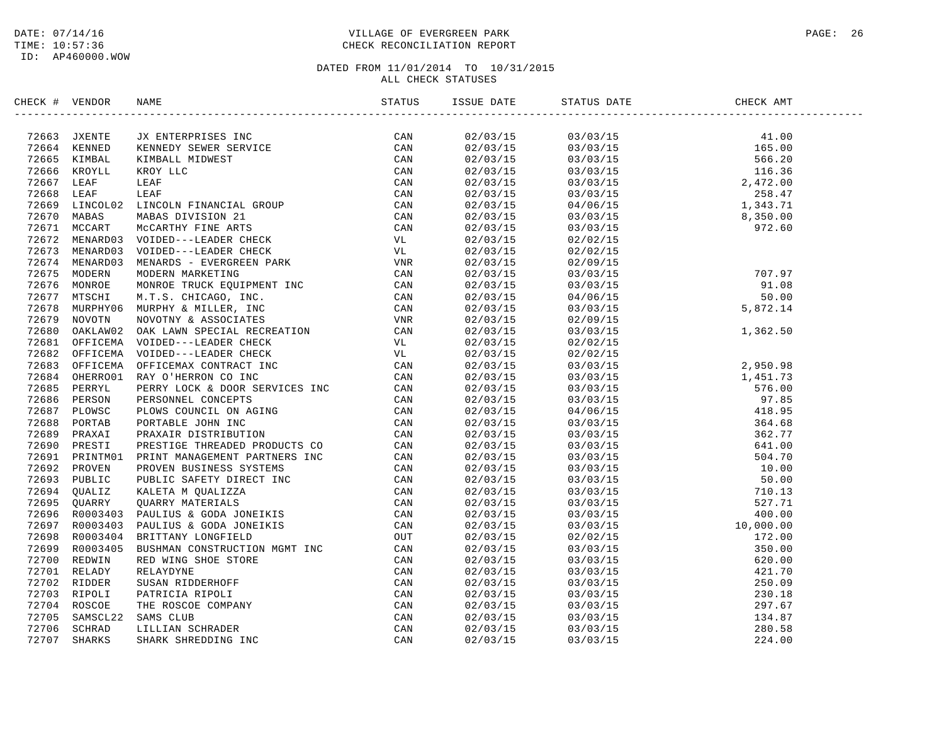### DATE: 07/14/16 PAGE: 26 TIME: 10:57:36 CHECK RECONCILIATION REPORT

| CHECK # VENDOR | NAME STATUS ISSNAME STATUS ISSNAME STATUS POINT USSNAME STATUS ISSNAME STATUS ISSNAME STATUS ISSNAME STATUS IS                                                                                                                | ISSUE DATE | STATUS DATE                                                                                                                                                                                                                                                                  | CHECK AMT |
|----------------|-------------------------------------------------------------------------------------------------------------------------------------------------------------------------------------------------------------------------------|------------|------------------------------------------------------------------------------------------------------------------------------------------------------------------------------------------------------------------------------------------------------------------------------|-----------|
|                | Hence + VERINGE TREATESTING THE SERVICE SERVICE CAN ARREST CAN ARREST TREAT THE CAN CONFIDENTIAL MINIMILA MINIMILA MINIMILA (CAN CAN CAN CONFIDENTIAL MINIMILA MINIMILA MINIMILA (CAN CAN CONFIDENT) (2001) THE CAN CONFIDENT | 02/03/15   |                                                                                                                                                                                                                                                                              |           |
|                |                                                                                                                                                                                                                               | 02/03/15   |                                                                                                                                                                                                                                                                              |           |
|                |                                                                                                                                                                                                                               | 02/03/15   |                                                                                                                                                                                                                                                                              |           |
|                |                                                                                                                                                                                                                               | 02/03/15   |                                                                                                                                                                                                                                                                              |           |
|                |                                                                                                                                                                                                                               | 02/03/15   |                                                                                                                                                                                                                                                                              |           |
|                |                                                                                                                                                                                                                               | 02/03/15   |                                                                                                                                                                                                                                                                              |           |
|                |                                                                                                                                                                                                                               | 02/03/15   |                                                                                                                                                                                                                                                                              |           |
|                |                                                                                                                                                                                                                               | 02/03/15   |                                                                                                                                                                                                                                                                              |           |
|                |                                                                                                                                                                                                                               | 02/03/15   |                                                                                                                                                                                                                                                                              |           |
|                |                                                                                                                                                                                                                               | 02/03/15   |                                                                                                                                                                                                                                                                              |           |
|                |                                                                                                                                                                                                                               | 02/03/15   | 02/02/15                                                                                                                                                                                                                                                                     |           |
|                |                                                                                                                                                                                                                               | 02/03/15   | 02/09/15                                                                                                                                                                                                                                                                     |           |
|                |                                                                                                                                                                                                                               | 02/03/15   | $707.97$<br>$03/03/15$<br>$04/06/15$<br>$03/03/15$<br>$03/03/15$<br>$02/09/15$<br>$02/09/15$<br>5,872.14                                                                                                                                                                     |           |
|                |                                                                                                                                                                                                                               | 02/03/15   |                                                                                                                                                                                                                                                                              |           |
|                |                                                                                                                                                                                                                               | 02/03/15   |                                                                                                                                                                                                                                                                              |           |
|                |                                                                                                                                                                                                                               | 02/03/15   |                                                                                                                                                                                                                                                                              |           |
|                |                                                                                                                                                                                                                               | 02/03/15   |                                                                                                                                                                                                                                                                              |           |
|                |                                                                                                                                                                                                                               | 02/03/15   | 03/03/15                                                                                                                                                                                                                                                                     | 1,362.50  |
|                |                                                                                                                                                                                                                               | 02/03/15   | 02/02/15                                                                                                                                                                                                                                                                     |           |
|                |                                                                                                                                                                                                                               | 02/03/15   |                                                                                                                                                                                                                                                                              |           |
|                |                                                                                                                                                                                                                               | 02/03/15   |                                                                                                                                                                                                                                                                              |           |
|                |                                                                                                                                                                                                                               | 02/03/15   |                                                                                                                                                                                                                                                                              |           |
|                |                                                                                                                                                                                                                               | 02/03/15   |                                                                                                                                                                                                                                                                              |           |
|                |                                                                                                                                                                                                                               | 02/03/15   |                                                                                                                                                                                                                                                                              |           |
|                |                                                                                                                                                                                                                               | 02/03/15   |                                                                                                                                                                                                                                                                              |           |
|                |                                                                                                                                                                                                                               | 02/03/15   |                                                                                                                                                                                                                                                                              |           |
|                |                                                                                                                                                                                                                               | 02/03/15   |                                                                                                                                                                                                                                                                              |           |
|                |                                                                                                                                                                                                                               | 02/03/15   |                                                                                                                                                                                                                                                                              |           |
|                |                                                                                                                                                                                                                               |            |                                                                                                                                                                                                                                                                              |           |
|                |                                                                                                                                                                                                                               | 02/03/15   |                                                                                                                                                                                                                                                                              |           |
|                |                                                                                                                                                                                                                               | 02/03/15   |                                                                                                                                                                                                                                                                              |           |
|                |                                                                                                                                                                                                                               | 02/03/15   |                                                                                                                                                                                                                                                                              |           |
|                |                                                                                                                                                                                                                               | 02/03/15   |                                                                                                                                                                                                                                                                              |           |
|                |                                                                                                                                                                                                                               | 02/03/15   |                                                                                                                                                                                                                                                                              |           |
|                |                                                                                                                                                                                                                               | 02/03/15   |                                                                                                                                                                                                                                                                              |           |
|                |                                                                                                                                                                                                                               | 02/03/15   |                                                                                                                                                                                                                                                                              |           |
|                |                                                                                                                                                                                                                               | 02/03/15   |                                                                                                                                                                                                                                                                              |           |
|                |                                                                                                                                                                                                                               | 02/03/15   |                                                                                                                                                                                                                                                                              |           |
|                |                                                                                                                                                                                                                               | 02/03/15   |                                                                                                                                                                                                                                                                              |           |
|                |                                                                                                                                                                                                                               | 02/03/15   |                                                                                                                                                                                                                                                                              |           |
|                |                                                                                                                                                                                                                               | 02/03/15   | $\begin{array}{cccccc} 0.3/0.3/15 & 2,950.98 \\ 2/0.2/15 & 3/0.3/15 \\ 0.3/0.3/15 & 5/0.3 \\ 3/0.3/15 & 5/0.0 \\ 0.3/0.3/15 & 5/0.0 \\ 0.3/0.3/15 & 5/0.0 \\ 0.3/0.3/15 & 5/0.0 \\ 0.3/0.3/15 & 5/0.0 \\ 0.3/0.3/15 & 5/0.0 \\ 0.3/0.3/15 & 5/0.0 \\ 0.3/0.3/15 & 5/0.0 \\ $ |           |
|                |                                                                                                                                                                                                                               | 02/03/15   |                                                                                                                                                                                                                                                                              |           |
|                |                                                                                                                                                                                                                               | 02/03/15   |                                                                                                                                                                                                                                                                              |           |
|                |                                                                                                                                                                                                                               | 02/03/15   |                                                                                                                                                                                                                                                                              |           |
|                |                                                                                                                                                                                                                               | 02/03/15   |                                                                                                                                                                                                                                                                              |           |
|                |                                                                                                                                                                                                                               | 02/03/15   |                                                                                                                                                                                                                                                                              |           |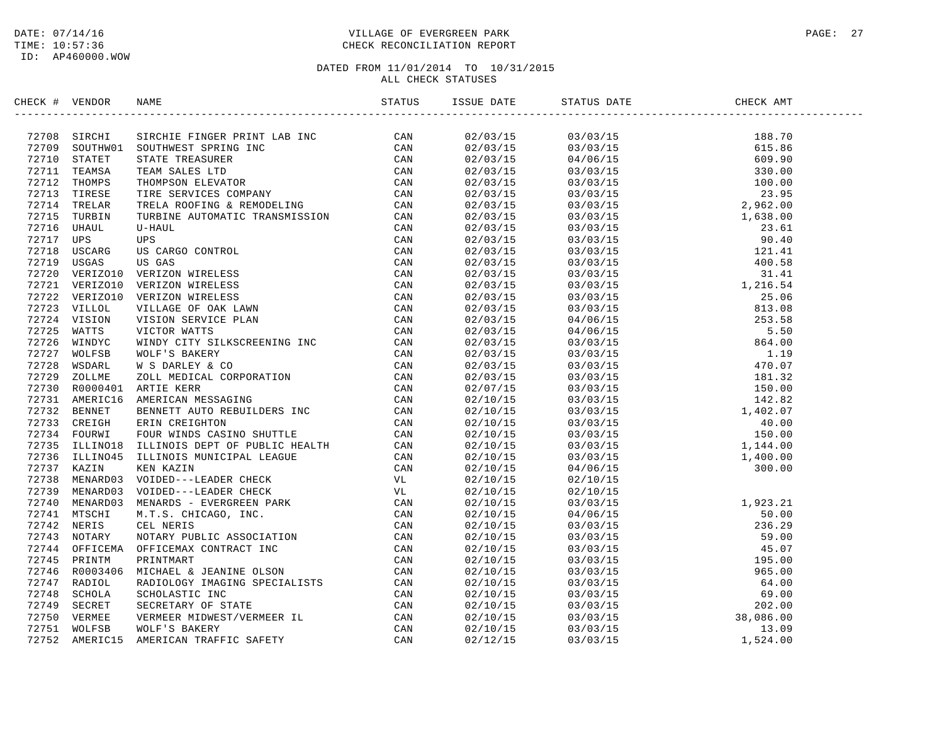### DATE: 07/14/16 PAGE: 27 PAGE: 27 TIME: 10:57:36 CHECK RECONCILIATION REPORT

| CHECK # VENDOR |                                                                                                                                                                                                                                 |  |  |  |
|----------------|---------------------------------------------------------------------------------------------------------------------------------------------------------------------------------------------------------------------------------|--|--|--|
|                | 2019   World Joseph   Marcos 2019   1922<br>2020   Marcos 2020   Marcos 2020   Marcos 2020   Marcos 2020   Marcos 2020   Marcos 2020   Marcos 2020   Marcos 2020   Marcos 2020   Marcos 2020   Marcos 2020   Marcos 2020   Marc |  |  |  |
|                |                                                                                                                                                                                                                                 |  |  |  |
|                |                                                                                                                                                                                                                                 |  |  |  |
|                |                                                                                                                                                                                                                                 |  |  |  |
|                |                                                                                                                                                                                                                                 |  |  |  |
|                |                                                                                                                                                                                                                                 |  |  |  |
|                |                                                                                                                                                                                                                                 |  |  |  |
|                |                                                                                                                                                                                                                                 |  |  |  |
|                |                                                                                                                                                                                                                                 |  |  |  |
|                |                                                                                                                                                                                                                                 |  |  |  |
|                |                                                                                                                                                                                                                                 |  |  |  |
|                |                                                                                                                                                                                                                                 |  |  |  |
|                |                                                                                                                                                                                                                                 |  |  |  |
|                |                                                                                                                                                                                                                                 |  |  |  |
|                |                                                                                                                                                                                                                                 |  |  |  |
|                |                                                                                                                                                                                                                                 |  |  |  |
|                |                                                                                                                                                                                                                                 |  |  |  |
|                |                                                                                                                                                                                                                                 |  |  |  |
|                |                                                                                                                                                                                                                                 |  |  |  |
|                |                                                                                                                                                                                                                                 |  |  |  |
|                |                                                                                                                                                                                                                                 |  |  |  |
|                |                                                                                                                                                                                                                                 |  |  |  |
|                |                                                                                                                                                                                                                                 |  |  |  |
|                |                                                                                                                                                                                                                                 |  |  |  |
|                |                                                                                                                                                                                                                                 |  |  |  |
|                |                                                                                                                                                                                                                                 |  |  |  |
|                |                                                                                                                                                                                                                                 |  |  |  |
|                |                                                                                                                                                                                                                                 |  |  |  |
|                |                                                                                                                                                                                                                                 |  |  |  |
|                |                                                                                                                                                                                                                                 |  |  |  |
|                |                                                                                                                                                                                                                                 |  |  |  |
|                |                                                                                                                                                                                                                                 |  |  |  |
|                |                                                                                                                                                                                                                                 |  |  |  |
|                |                                                                                                                                                                                                                                 |  |  |  |
|                |                                                                                                                                                                                                                                 |  |  |  |
|                |                                                                                                                                                                                                                                 |  |  |  |
|                |                                                                                                                                                                                                                                 |  |  |  |
|                |                                                                                                                                                                                                                                 |  |  |  |
|                |                                                                                                                                                                                                                                 |  |  |  |
|                |                                                                                                                                                                                                                                 |  |  |  |
|                |                                                                                                                                                                                                                                 |  |  |  |
|                |                                                                                                                                                                                                                                 |  |  |  |
|                |                                                                                                                                                                                                                                 |  |  |  |
|                |                                                                                                                                                                                                                                 |  |  |  |
|                |                                                                                                                                                                                                                                 |  |  |  |
|                |                                                                                                                                                                                                                                 |  |  |  |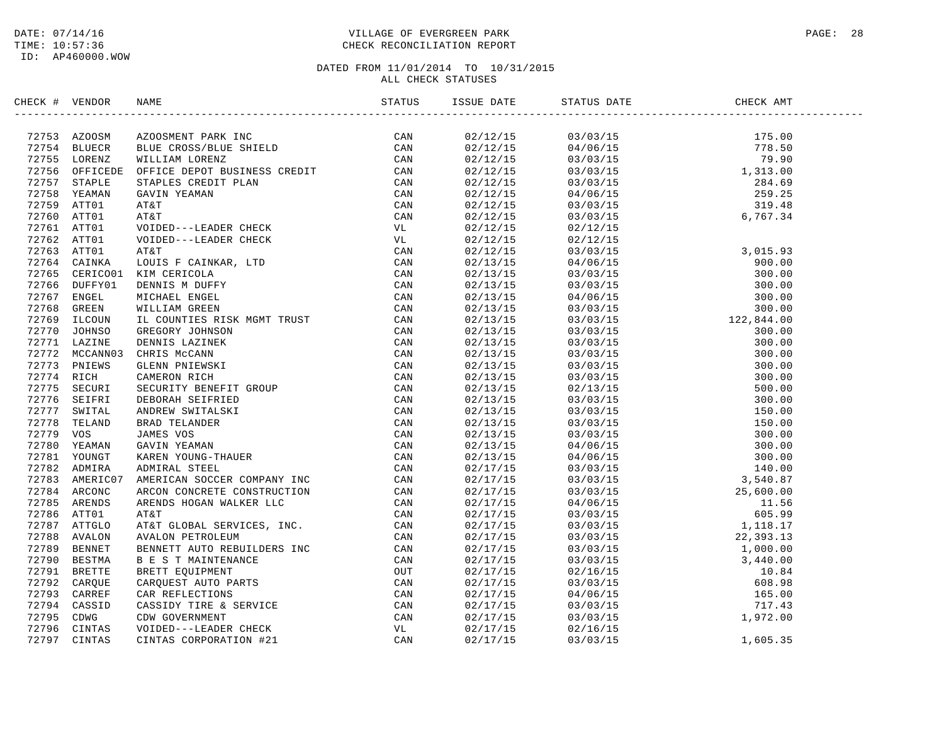### DATE: 07/14/16 PAGE: 28 TIME: 10:57:36 CHECK RECONCILIATION REPORT

| CHECK # VENDOR |  |                      |                                                                                                                                                                                                                                                                                      |  |
|----------------|--|----------------------|--------------------------------------------------------------------------------------------------------------------------------------------------------------------------------------------------------------------------------------------------------------------------------------|--|
|                |  |                      |                                                                                                                                                                                                                                                                                      |  |
|                |  | 02/12/15<br>02/12/15 | $\begin{array}{cccc} 03/03/15 & 175.00 \\ 04/06/15 & 778.50 \\ 03/03/15 & 79.90 \\ 03/03/15 & 1,313.00 \\ 03/03/15 & 284.69 \\ 04/06/15 & 259.25 \\ 03/03/15 & 319.48 \\ 02/12/15 & 6,767.34 \end{array}$                                                                            |  |
|                |  |                      |                                                                                                                                                                                                                                                                                      |  |
|                |  | 02/12/15<br>02/12/15 |                                                                                                                                                                                                                                                                                      |  |
|                |  |                      |                                                                                                                                                                                                                                                                                      |  |
|                |  | 02/12/15             |                                                                                                                                                                                                                                                                                      |  |
|                |  | 02/12/15<br>02/12/15 |                                                                                                                                                                                                                                                                                      |  |
|                |  |                      |                                                                                                                                                                                                                                                                                      |  |
|                |  | 02/12/15<br>02/12/15 |                                                                                                                                                                                                                                                                                      |  |
|                |  | 02/12/15             |                                                                                                                                                                                                                                                                                      |  |
|                |  | 02/12/15             |                                                                                                                                                                                                                                                                                      |  |
|                |  | 02/13/15             |                                                                                                                                                                                                                                                                                      |  |
|                |  |                      |                                                                                                                                                                                                                                                                                      |  |
|                |  | 02/13/15<br>02/13/15 |                                                                                                                                                                                                                                                                                      |  |
|                |  |                      |                                                                                                                                                                                                                                                                                      |  |
|                |  | 02/13/15<br>02/13/15 |                                                                                                                                                                                                                                                                                      |  |
|                |  |                      |                                                                                                                                                                                                                                                                                      |  |
|                |  | 02/13/15<br>02/13/15 |                                                                                                                                                                                                                                                                                      |  |
|                |  | 02/13/15             |                                                                                                                                                                                                                                                                                      |  |
|                |  | 02/13/15             |                                                                                                                                                                                                                                                                                      |  |
|                |  | 02/13/15             |                                                                                                                                                                                                                                                                                      |  |
|                |  | 02/13/15<br>02/13/15 |                                                                                                                                                                                                                                                                                      |  |
|                |  |                      |                                                                                                                                                                                                                                                                                      |  |
|                |  | 02/13/15             |                                                                                                                                                                                                                                                                                      |  |
|                |  | 02/13/15             |                                                                                                                                                                                                                                                                                      |  |
|                |  | 02/13/15             |                                                                                                                                                                                                                                                                                      |  |
|                |  | 02/13/15             |                                                                                                                                                                                                                                                                                      |  |
|                |  | 02/13/15             |                                                                                                                                                                                                                                                                                      |  |
|                |  | 02/13/15<br>02/17/15 |                                                                                                                                                                                                                                                                                      |  |
|                |  |                      |                                                                                                                                                                                                                                                                                      |  |
|                |  | 02/17/15<br>02/17/15 |                                                                                                                                                                                                                                                                                      |  |
|                |  | 02/17/15             |                                                                                                                                                                                                                                                                                      |  |
|                |  | 02/17/15             |                                                                                                                                                                                                                                                                                      |  |
|                |  | 02/17/15             |                                                                                                                                                                                                                                                                                      |  |
|                |  | 02/17/15             |                                                                                                                                                                                                                                                                                      |  |
|                |  | 02/17/15<br>02/17/15 |                                                                                                                                                                                                                                                                                      |  |
|                |  |                      |                                                                                                                                                                                                                                                                                      |  |
|                |  | 02/17/15             |                                                                                                                                                                                                                                                                                      |  |
|                |  | 02/17/15             |                                                                                                                                                                                                                                                                                      |  |
|                |  | 02/17/15<br>02/17/15 |                                                                                                                                                                                                                                                                                      |  |
|                |  |                      |                                                                                                                                                                                                                                                                                      |  |
|                |  | 02/17/15             | $\begin{array}{cccc} 03/03/15 \\ 2/12/15 \\ 03/03/15 \\ 04/06/15 \\ 03/03/15 \\ 03/03/15 \\ 03/03/15 \\ 03/03/15 \\ 03/03/15 \\ 03/03/15 \\ 03/03/15 \\ 03/03/15 \\ 03/03/15 \\ 03/03/15 \\ 03/03/15 \\ 03/03/15 \\ 03/03/15 \\ 03/03/15 \\ 03/03/15 \\ 03/03/15 \\ 03/03/15 \\ 03/$ |  |
|                |  | 02/17/15             |                                                                                                                                                                                                                                                                                      |  |
|                |  | 02/17/15             |                                                                                                                                                                                                                                                                                      |  |
|                |  | 02/17/15             |                                                                                                                                                                                                                                                                                      |  |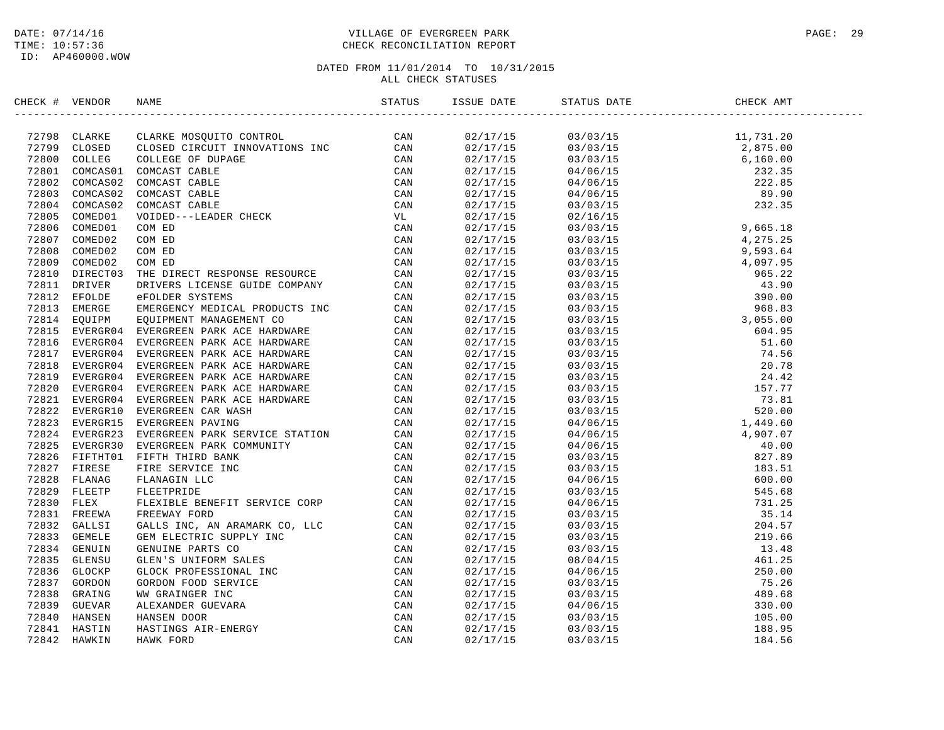### DATE: 07/14/16 PAGE: 29 PAGE: 29 TIME: 10:57:36 CHECK RECONCILIATION REPORT

| CHECK # VENDOR |  | ISSUE DATE STATUS DATE | ------------------                                                                                                                                                                                                                                                                                                                                                                                                  | CHECK AMT |
|----------------|--|------------------------|---------------------------------------------------------------------------------------------------------------------------------------------------------------------------------------------------------------------------------------------------------------------------------------------------------------------------------------------------------------------------------------------------------------------|-----------|
|                |  |                        | $\begin{tabular}{l cccc} \hline \textbf{35} & \textbf{54} & \textbf{55} & \textbf{56} & \textbf{57} & \textbf{58} \\ \hline \textbf{15} & \textbf{15} & \textbf{15} & \textbf{15} & \textbf{15} & \textbf{15} & \textbf{15} \\ \hline \textbf{25} & \textbf{25} & \textbf{25} & \textbf{25} & \textbf{25} & \textbf{25} & \textbf{25} \\ \hline \textbf{36} & \textbf{37} & \textbf{37} & \textbf{37} & \textbf{37$ |           |
|                |  |                        |                                                                                                                                                                                                                                                                                                                                                                                                                     |           |
|                |  |                        |                                                                                                                                                                                                                                                                                                                                                                                                                     |           |
|                |  |                        |                                                                                                                                                                                                                                                                                                                                                                                                                     |           |
|                |  |                        |                                                                                                                                                                                                                                                                                                                                                                                                                     |           |
|                |  |                        |                                                                                                                                                                                                                                                                                                                                                                                                                     |           |
|                |  |                        |                                                                                                                                                                                                                                                                                                                                                                                                                     |           |
|                |  |                        |                                                                                                                                                                                                                                                                                                                                                                                                                     |           |
|                |  |                        |                                                                                                                                                                                                                                                                                                                                                                                                                     |           |
|                |  |                        |                                                                                                                                                                                                                                                                                                                                                                                                                     |           |
|                |  |                        |                                                                                                                                                                                                                                                                                                                                                                                                                     |           |
|                |  |                        |                                                                                                                                                                                                                                                                                                                                                                                                                     |           |
|                |  |                        |                                                                                                                                                                                                                                                                                                                                                                                                                     |           |
|                |  |                        |                                                                                                                                                                                                                                                                                                                                                                                                                     |           |
|                |  |                        |                                                                                                                                                                                                                                                                                                                                                                                                                     |           |
|                |  |                        |                                                                                                                                                                                                                                                                                                                                                                                                                     |           |
|                |  |                        |                                                                                                                                                                                                                                                                                                                                                                                                                     |           |
|                |  |                        |                                                                                                                                                                                                                                                                                                                                                                                                                     |           |
|                |  |                        |                                                                                                                                                                                                                                                                                                                                                                                                                     |           |
|                |  |                        |                                                                                                                                                                                                                                                                                                                                                                                                                     |           |
|                |  |                        |                                                                                                                                                                                                                                                                                                                                                                                                                     |           |
|                |  |                        |                                                                                                                                                                                                                                                                                                                                                                                                                     |           |
|                |  |                        |                                                                                                                                                                                                                                                                                                                                                                                                                     |           |
|                |  |                        |                                                                                                                                                                                                                                                                                                                                                                                                                     |           |
|                |  |                        |                                                                                                                                                                                                                                                                                                                                                                                                                     |           |
|                |  |                        |                                                                                                                                                                                                                                                                                                                                                                                                                     |           |
|                |  |                        |                                                                                                                                                                                                                                                                                                                                                                                                                     |           |
|                |  |                        |                                                                                                                                                                                                                                                                                                                                                                                                                     |           |
|                |  |                        |                                                                                                                                                                                                                                                                                                                                                                                                                     |           |
|                |  |                        |                                                                                                                                                                                                                                                                                                                                                                                                                     |           |
|                |  |                        |                                                                                                                                                                                                                                                                                                                                                                                                                     |           |
|                |  |                        |                                                                                                                                                                                                                                                                                                                                                                                                                     |           |
|                |  |                        |                                                                                                                                                                                                                                                                                                                                                                                                                     |           |
|                |  |                        |                                                                                                                                                                                                                                                                                                                                                                                                                     |           |
|                |  |                        |                                                                                                                                                                                                                                                                                                                                                                                                                     |           |
|                |  |                        |                                                                                                                                                                                                                                                                                                                                                                                                                     |           |
|                |  |                        |                                                                                                                                                                                                                                                                                                                                                                                                                     |           |
|                |  |                        |                                                                                                                                                                                                                                                                                                                                                                                                                     |           |
|                |  |                        |                                                                                                                                                                                                                                                                                                                                                                                                                     |           |
|                |  |                        |                                                                                                                                                                                                                                                                                                                                                                                                                     |           |
|                |  |                        |                                                                                                                                                                                                                                                                                                                                                                                                                     |           |
|                |  |                        |                                                                                                                                                                                                                                                                                                                                                                                                                     |           |
|                |  |                        |                                                                                                                                                                                                                                                                                                                                                                                                                     |           |
|                |  |                        |                                                                                                                                                                                                                                                                                                                                                                                                                     |           |
|                |  |                        |                                                                                                                                                                                                                                                                                                                                                                                                                     |           |
|                |  | 02/17/15               |                                                                                                                                                                                                                                                                                                                                                                                                                     |           |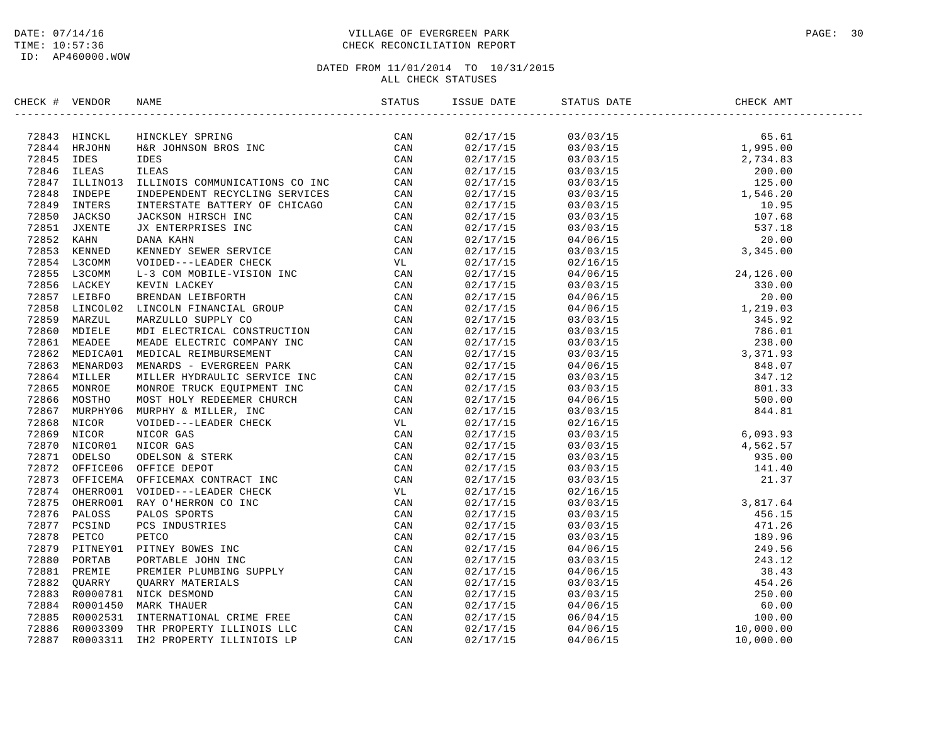### DATE: 07/14/16 PAGE: 30 PAGE: 30 TIME: 10:57:36 CHECK RECONCILIATION REPORT

| CHECK # VENDOR | NAME | ISSUE DATE | STATUS DATE | CHECK AMT |  |
|----------------|------|------------|-------------|-----------|--|
|                |      |            |             |           |  |
|                |      |            |             |           |  |
|                |      |            |             |           |  |
|                |      |            |             |           |  |
|                |      |            |             |           |  |
|                |      |            |             |           |  |
|                |      |            |             |           |  |
|                |      |            |             |           |  |
|                |      |            |             |           |  |
|                |      |            |             |           |  |
|                |      |            |             |           |  |
|                |      |            |             |           |  |
|                |      |            |             |           |  |
|                |      |            |             |           |  |
|                |      |            |             |           |  |
|                |      |            |             |           |  |
|                |      |            |             |           |  |
|                |      |            |             |           |  |
|                |      |            |             |           |  |
|                |      |            |             |           |  |
|                |      |            |             |           |  |
|                |      |            |             |           |  |
|                |      |            |             |           |  |
|                |      |            |             |           |  |
|                |      |            |             |           |  |
|                |      |            |             |           |  |
|                |      |            |             |           |  |
|                |      |            |             |           |  |
|                |      |            |             |           |  |
|                |      |            |             |           |  |
|                |      |            |             |           |  |
|                |      |            |             |           |  |
|                |      |            |             |           |  |
|                |      |            |             |           |  |
|                |      |            |             |           |  |
|                |      |            |             |           |  |
|                |      |            |             |           |  |
|                |      |            |             |           |  |
|                |      |            |             |           |  |
|                |      |            |             |           |  |
|                |      |            |             |           |  |
|                |      |            |             |           |  |
|                |      |            |             |           |  |
|                |      |            |             |           |  |
|                |      |            |             |           |  |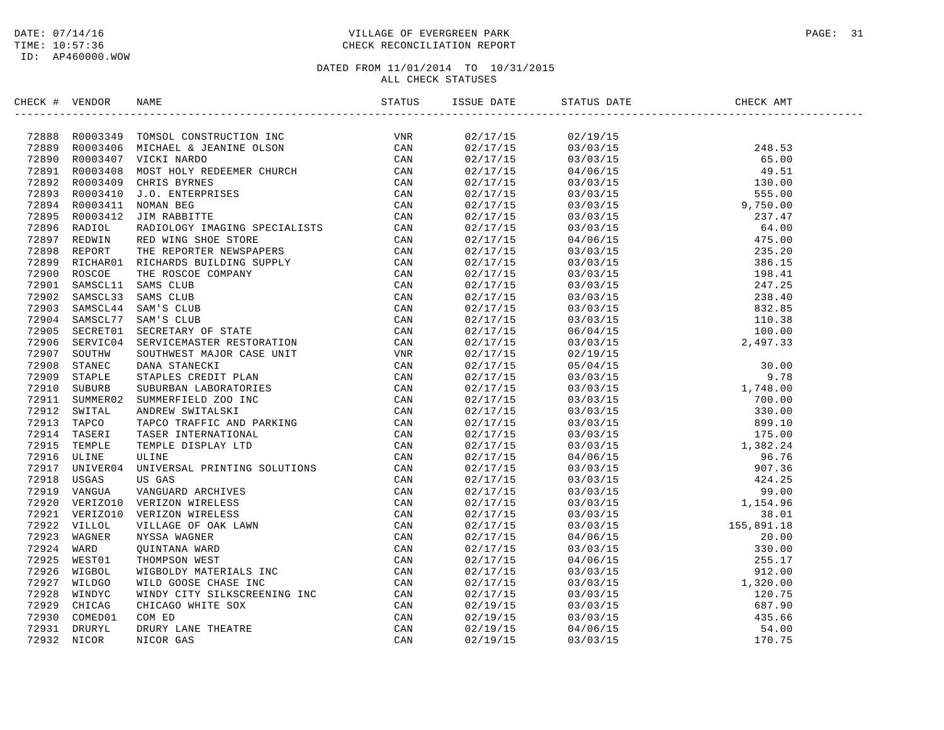### DATE: 07/14/16 PAGE: 31 PAGE: 31 TIME: 10:57:36 CHECK RECONCILIATION REPORT

| CHECK # VENDOR |                                                                                                                                                                                                                                   |  |  |  |
|----------------|-----------------------------------------------------------------------------------------------------------------------------------------------------------------------------------------------------------------------------------|--|--|--|
|                | 2006: II (1930-53 1968)<br>2006: II (1930-54 1968)<br>2008: 2008-2149 1008-40 conserved and the same of the same of the same of the same of the same of the same of the same of the same of the same of the same of the same of t |  |  |  |
|                |                                                                                                                                                                                                                                   |  |  |  |
|                |                                                                                                                                                                                                                                   |  |  |  |
|                |                                                                                                                                                                                                                                   |  |  |  |
|                |                                                                                                                                                                                                                                   |  |  |  |
|                |                                                                                                                                                                                                                                   |  |  |  |
|                |                                                                                                                                                                                                                                   |  |  |  |
|                |                                                                                                                                                                                                                                   |  |  |  |
|                |                                                                                                                                                                                                                                   |  |  |  |
|                |                                                                                                                                                                                                                                   |  |  |  |
|                |                                                                                                                                                                                                                                   |  |  |  |
|                |                                                                                                                                                                                                                                   |  |  |  |
|                |                                                                                                                                                                                                                                   |  |  |  |
|                |                                                                                                                                                                                                                                   |  |  |  |
|                |                                                                                                                                                                                                                                   |  |  |  |
|                |                                                                                                                                                                                                                                   |  |  |  |
|                |                                                                                                                                                                                                                                   |  |  |  |
|                |                                                                                                                                                                                                                                   |  |  |  |
|                |                                                                                                                                                                                                                                   |  |  |  |
|                |                                                                                                                                                                                                                                   |  |  |  |
|                |                                                                                                                                                                                                                                   |  |  |  |
|                |                                                                                                                                                                                                                                   |  |  |  |
|                |                                                                                                                                                                                                                                   |  |  |  |
|                |                                                                                                                                                                                                                                   |  |  |  |
|                |                                                                                                                                                                                                                                   |  |  |  |
|                |                                                                                                                                                                                                                                   |  |  |  |
|                |                                                                                                                                                                                                                                   |  |  |  |
|                |                                                                                                                                                                                                                                   |  |  |  |
|                |                                                                                                                                                                                                                                   |  |  |  |
|                |                                                                                                                                                                                                                                   |  |  |  |
|                |                                                                                                                                                                                                                                   |  |  |  |
|                |                                                                                                                                                                                                                                   |  |  |  |
|                |                                                                                                                                                                                                                                   |  |  |  |
|                |                                                                                                                                                                                                                                   |  |  |  |
|                |                                                                                                                                                                                                                                   |  |  |  |
|                |                                                                                                                                                                                                                                   |  |  |  |
|                |                                                                                                                                                                                                                                   |  |  |  |
|                |                                                                                                                                                                                                                                   |  |  |  |
|                |                                                                                                                                                                                                                                   |  |  |  |
|                |                                                                                                                                                                                                                                   |  |  |  |
|                |                                                                                                                                                                                                                                   |  |  |  |
|                |                                                                                                                                                                                                                                   |  |  |  |
|                |                                                                                                                                                                                                                                   |  |  |  |
|                |                                                                                                                                                                                                                                   |  |  |  |
|                |                                                                                                                                                                                                                                   |  |  |  |
|                |                                                                                                                                                                                                                                   |  |  |  |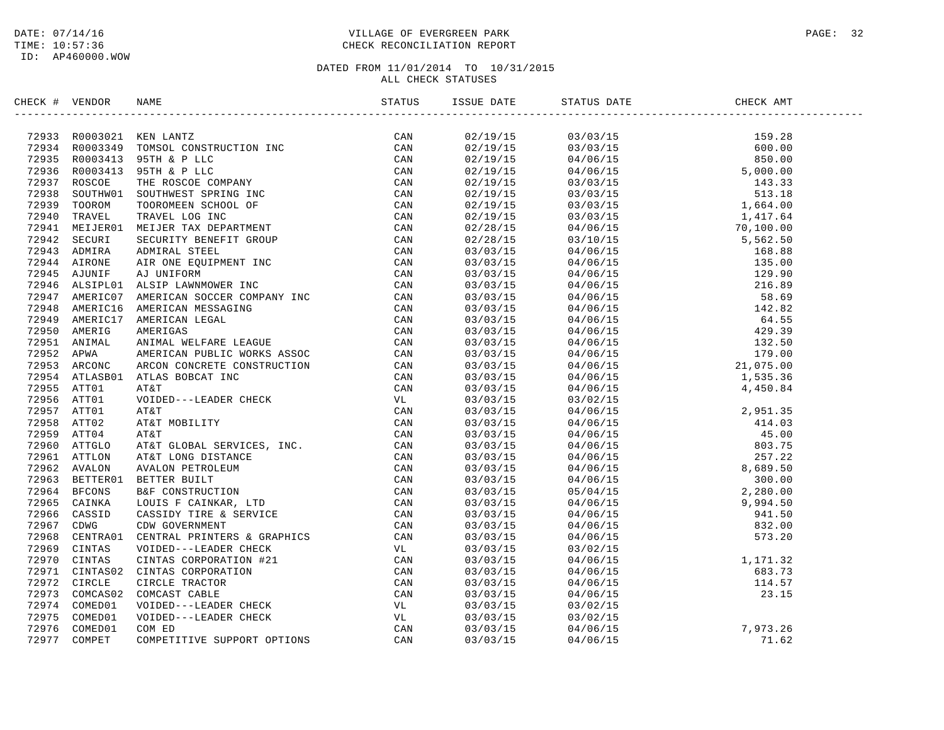### DATE: 07/14/16 PAGE: 32 TIME: 10:57:36 CHECK RECONCILIATION REPORT

| CHECK # VENDOR |                                                                                                                                                                                                                                           |          |                                                            |  |
|----------------|-------------------------------------------------------------------------------------------------------------------------------------------------------------------------------------------------------------------------------------------|----------|------------------------------------------------------------|--|
|                | XRCK + VERIOGR NAME<br>XRCK + VERIOGR NAME ANTES<br>27933 ROGISSAS TOMOS LONGT-SUCTION TRE CAN<br>27933 ROGISSAS TOMOS LONGT-SUCTION TRE CAN<br>27933 ROGISSAS TOMOS LONGT-SUCTION TRE CAN<br>27933 ROGISSAS TOROS TER & LLC<br>27933 ROG |          |                                                            |  |
|                |                                                                                                                                                                                                                                           |          |                                                            |  |
|                |                                                                                                                                                                                                                                           |          |                                                            |  |
|                |                                                                                                                                                                                                                                           |          |                                                            |  |
|                |                                                                                                                                                                                                                                           |          |                                                            |  |
|                |                                                                                                                                                                                                                                           |          |                                                            |  |
|                |                                                                                                                                                                                                                                           |          |                                                            |  |
|                |                                                                                                                                                                                                                                           |          |                                                            |  |
|                |                                                                                                                                                                                                                                           |          |                                                            |  |
|                |                                                                                                                                                                                                                                           |          |                                                            |  |
|                |                                                                                                                                                                                                                                           |          |                                                            |  |
|                |                                                                                                                                                                                                                                           |          |                                                            |  |
|                |                                                                                                                                                                                                                                           |          |                                                            |  |
|                |                                                                                                                                                                                                                                           |          |                                                            |  |
|                |                                                                                                                                                                                                                                           |          |                                                            |  |
|                |                                                                                                                                                                                                                                           |          |                                                            |  |
|                |                                                                                                                                                                                                                                           |          |                                                            |  |
|                |                                                                                                                                                                                                                                           |          |                                                            |  |
|                |                                                                                                                                                                                                                                           |          |                                                            |  |
|                |                                                                                                                                                                                                                                           |          |                                                            |  |
|                |                                                                                                                                                                                                                                           |          |                                                            |  |
|                |                                                                                                                                                                                                                                           |          |                                                            |  |
|                |                                                                                                                                                                                                                                           |          |                                                            |  |
|                |                                                                                                                                                                                                                                           |          |                                                            |  |
|                |                                                                                                                                                                                                                                           |          |                                                            |  |
|                |                                                                                                                                                                                                                                           |          |                                                            |  |
|                |                                                                                                                                                                                                                                           |          |                                                            |  |
|                |                                                                                                                                                                                                                                           |          |                                                            |  |
|                |                                                                                                                                                                                                                                           |          |                                                            |  |
|                |                                                                                                                                                                                                                                           |          |                                                            |  |
|                |                                                                                                                                                                                                                                           |          |                                                            |  |
|                |                                                                                                                                                                                                                                           |          |                                                            |  |
|                |                                                                                                                                                                                                                                           |          |                                                            |  |
|                |                                                                                                                                                                                                                                           |          |                                                            |  |
|                |                                                                                                                                                                                                                                           |          |                                                            |  |
|                |                                                                                                                                                                                                                                           |          |                                                            |  |
|                |                                                                                                                                                                                                                                           |          |                                                            |  |
|                |                                                                                                                                                                                                                                           |          |                                                            |  |
|                |                                                                                                                                                                                                                                           |          |                                                            |  |
|                |                                                                                                                                                                                                                                           |          |                                                            |  |
|                |                                                                                                                                                                                                                                           |          |                                                            |  |
|                |                                                                                                                                                                                                                                           |          |                                                            |  |
|                |                                                                                                                                                                                                                                           |          | $03/03/15$<br>03/03/15<br>03/03/15<br>03/03/15<br>04/06/15 |  |
|                |                                                                                                                                                                                                                                           |          |                                                            |  |
|                |                                                                                                                                                                                                                                           |          |                                                            |  |
|                |                                                                                                                                                                                                                                           | 03/03/15 | $03/02/15$<br>04/06/15<br>04/06/15<br>04/06/15<br>71.62    |  |
|                |                                                                                                                                                                                                                                           |          |                                                            |  |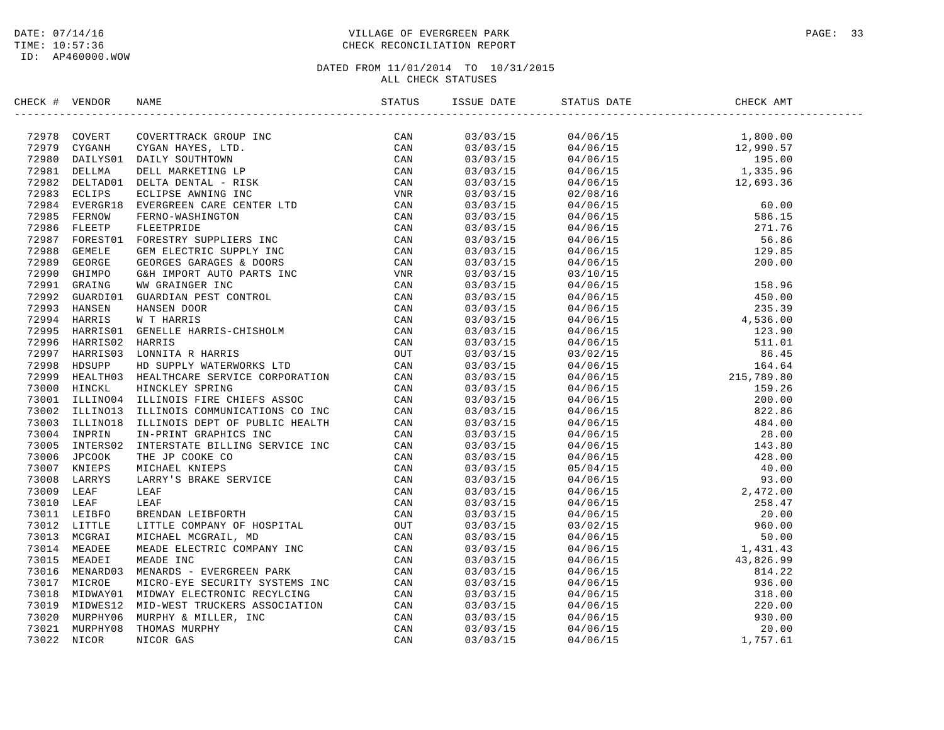### DATE: 07/14/16 PAGE: 33 TIME: 10:57:36 CHECK RECONCILIATION REPORT

| $\begin{array}{cccc} 03/03/15 & 04/06/15 & 1,800.00 \\ 03/03/15 & 04/06/15 & 12,990.57 \\ 03/03/15 & 04/06/15 & 195.00 \\ 03/03/15 & 04/06/15 & 195.00 \\ 03/03/15 & 04/06/15 & 1,335.96 \\ 03/03/15 & 02/08/16 & 12,693.36 \end{array}$<br>03/03/15<br>03/03/15<br>03/03/15<br>03/03/15<br>03/03/15<br>03/03/15<br>03/03/15<br>03/03/15<br>03/03/15<br>03/03/15<br>03/03/15<br>03/03/15 |  |
|------------------------------------------------------------------------------------------------------------------------------------------------------------------------------------------------------------------------------------------------------------------------------------------------------------------------------------------------------------------------------------------|--|
|                                                                                                                                                                                                                                                                                                                                                                                          |  |
|                                                                                                                                                                                                                                                                                                                                                                                          |  |
|                                                                                                                                                                                                                                                                                                                                                                                          |  |
|                                                                                                                                                                                                                                                                                                                                                                                          |  |
|                                                                                                                                                                                                                                                                                                                                                                                          |  |
|                                                                                                                                                                                                                                                                                                                                                                                          |  |
|                                                                                                                                                                                                                                                                                                                                                                                          |  |
|                                                                                                                                                                                                                                                                                                                                                                                          |  |
|                                                                                                                                                                                                                                                                                                                                                                                          |  |
|                                                                                                                                                                                                                                                                                                                                                                                          |  |
|                                                                                                                                                                                                                                                                                                                                                                                          |  |
|                                                                                                                                                                                                                                                                                                                                                                                          |  |
|                                                                                                                                                                                                                                                                                                                                                                                          |  |
|                                                                                                                                                                                                                                                                                                                                                                                          |  |
|                                                                                                                                                                                                                                                                                                                                                                                          |  |
|                                                                                                                                                                                                                                                                                                                                                                                          |  |
|                                                                                                                                                                                                                                                                                                                                                                                          |  |
|                                                                                                                                                                                                                                                                                                                                                                                          |  |
| 03/03/15                                                                                                                                                                                                                                                                                                                                                                                 |  |
| 03/03/15                                                                                                                                                                                                                                                                                                                                                                                 |  |
| 03/03/15                                                                                                                                                                                                                                                                                                                                                                                 |  |
| 03/03/15                                                                                                                                                                                                                                                                                                                                                                                 |  |
| 03/03/15                                                                                                                                                                                                                                                                                                                                                                                 |  |
| 03/03/15                                                                                                                                                                                                                                                                                                                                                                                 |  |
| 03/03/15                                                                                                                                                                                                                                                                                                                                                                                 |  |
| 03/03/15                                                                                                                                                                                                                                                                                                                                                                                 |  |
| 03/03/15                                                                                                                                                                                                                                                                                                                                                                                 |  |
| 03/03/15                                                                                                                                                                                                                                                                                                                                                                                 |  |
| 03/03/15                                                                                                                                                                                                                                                                                                                                                                                 |  |
| 03/03/15                                                                                                                                                                                                                                                                                                                                                                                 |  |
| 03/03/15                                                                                                                                                                                                                                                                                                                                                                                 |  |
| 03/03/15                                                                                                                                                                                                                                                                                                                                                                                 |  |
| 03/03/15                                                                                                                                                                                                                                                                                                                                                                                 |  |
| 03/03/15                                                                                                                                                                                                                                                                                                                                                                                 |  |
| 03/03/15                                                                                                                                                                                                                                                                                                                                                                                 |  |
| 03/03/15                                                                                                                                                                                                                                                                                                                                                                                 |  |
| 03/03/15                                                                                                                                                                                                                                                                                                                                                                                 |  |
| 03/03/15                                                                                                                                                                                                                                                                                                                                                                                 |  |
| 03/03/15                                                                                                                                                                                                                                                                                                                                                                                 |  |
| 03/03/15                                                                                                                                                                                                                                                                                                                                                                                 |  |
| 03/03/15                                                                                                                                                                                                                                                                                                                                                                                 |  |
| 03/03/15                                                                                                                                                                                                                                                                                                                                                                                 |  |
| 03/03/15                                                                                                                                                                                                                                                                                                                                                                                 |  |
| 03/03/15                                                                                                                                                                                                                                                                                                                                                                                 |  |
| 03/03/15                                                                                                                                                                                                                                                                                                                                                                                 |  |
| 03/03/15                                                                                                                                                                                                                                                                                                                                                                                 |  |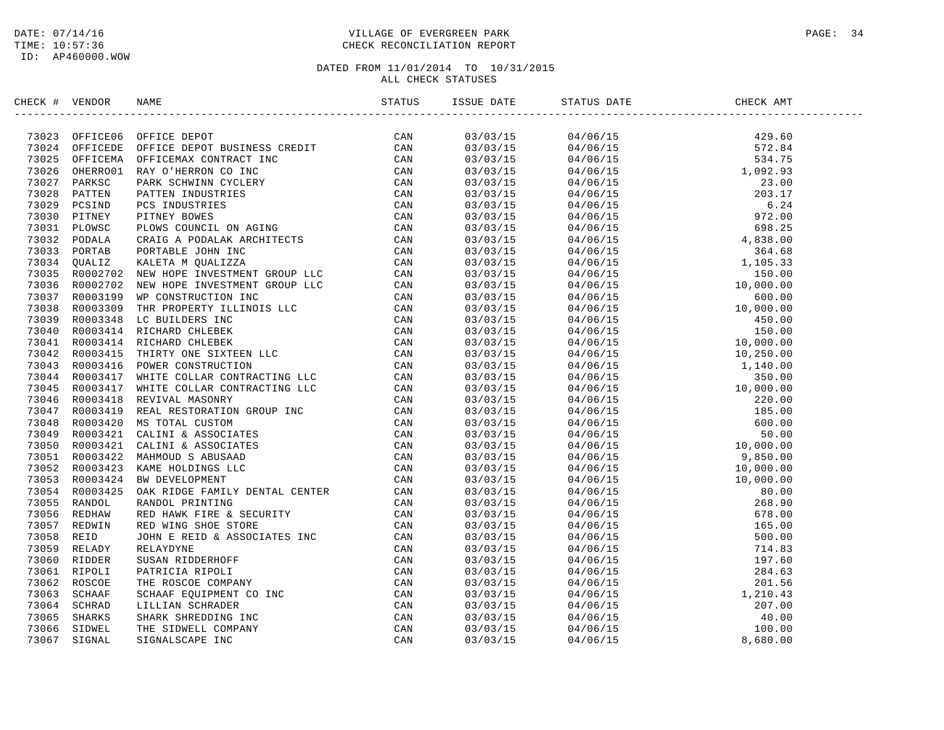### DATE: 07/14/16 PAGE: 34 TIME: 10:57:36 CHECK RECONCILIATION REPORT

| CHECK # VENDOR |                                                                                                                                                                                                                                     | ISSUE DATE | STATUS DATE | CHECK AMT |  |
|----------------|-------------------------------------------------------------------------------------------------------------------------------------------------------------------------------------------------------------------------------------|------------|-------------|-----------|--|
|                | SERIC 4 VERDOR NAME (STATES THEY CONSTRUES)<br>TREES A COPYRIGE DEPOTE DEPOTE THE SERIC CAN ANDEN CONSTRUES (STATES AND A CONSTRUES)<br>TREES AND A COPYRIGE DEPATHMENT INCOLLER CAN A STATE ON A STATE AND CONSTRUES (STATES)<br>T |            |             |           |  |
|                |                                                                                                                                                                                                                                     |            |             |           |  |
|                |                                                                                                                                                                                                                                     |            |             |           |  |
|                |                                                                                                                                                                                                                                     |            |             |           |  |
|                |                                                                                                                                                                                                                                     |            |             |           |  |
|                |                                                                                                                                                                                                                                     |            |             |           |  |
|                |                                                                                                                                                                                                                                     |            |             |           |  |
|                |                                                                                                                                                                                                                                     |            |             |           |  |
|                |                                                                                                                                                                                                                                     |            |             |           |  |
|                |                                                                                                                                                                                                                                     |            |             |           |  |
|                |                                                                                                                                                                                                                                     |            |             |           |  |
|                |                                                                                                                                                                                                                                     |            |             |           |  |
|                |                                                                                                                                                                                                                                     |            |             |           |  |
|                |                                                                                                                                                                                                                                     |            |             |           |  |
|                |                                                                                                                                                                                                                                     |            |             |           |  |
|                |                                                                                                                                                                                                                                     |            |             |           |  |
|                |                                                                                                                                                                                                                                     |            |             |           |  |
|                |                                                                                                                                                                                                                                     |            |             |           |  |
|                |                                                                                                                                                                                                                                     |            |             |           |  |
|                |                                                                                                                                                                                                                                     |            |             |           |  |
|                |                                                                                                                                                                                                                                     |            |             |           |  |
|                |                                                                                                                                                                                                                                     |            |             |           |  |
|                |                                                                                                                                                                                                                                     |            |             |           |  |
|                |                                                                                                                                                                                                                                     |            |             |           |  |
|                |                                                                                                                                                                                                                                     |            |             |           |  |
|                |                                                                                                                                                                                                                                     |            |             |           |  |
|                |                                                                                                                                                                                                                                     |            |             |           |  |
|                |                                                                                                                                                                                                                                     |            |             |           |  |
|                |                                                                                                                                                                                                                                     |            |             |           |  |
|                |                                                                                                                                                                                                                                     |            |             |           |  |
|                |                                                                                                                                                                                                                                     |            |             |           |  |
|                |                                                                                                                                                                                                                                     |            |             |           |  |
|                |                                                                                                                                                                                                                                     |            |             |           |  |
|                |                                                                                                                                                                                                                                     |            |             |           |  |
|                |                                                                                                                                                                                                                                     |            |             |           |  |
|                |                                                                                                                                                                                                                                     |            |             |           |  |
|                |                                                                                                                                                                                                                                     |            |             |           |  |
|                |                                                                                                                                                                                                                                     |            |             |           |  |
|                |                                                                                                                                                                                                                                     |            |             |           |  |
|                |                                                                                                                                                                                                                                     |            |             |           |  |
|                |                                                                                                                                                                                                                                     |            |             |           |  |
|                |                                                                                                                                                                                                                                     |            |             |           |  |
|                |                                                                                                                                                                                                                                     |            |             |           |  |
|                |                                                                                                                                                                                                                                     |            |             |           |  |
|                |                                                                                                                                                                                                                                     |            |             |           |  |
|                |                                                                                                                                                                                                                                     |            |             |           |  |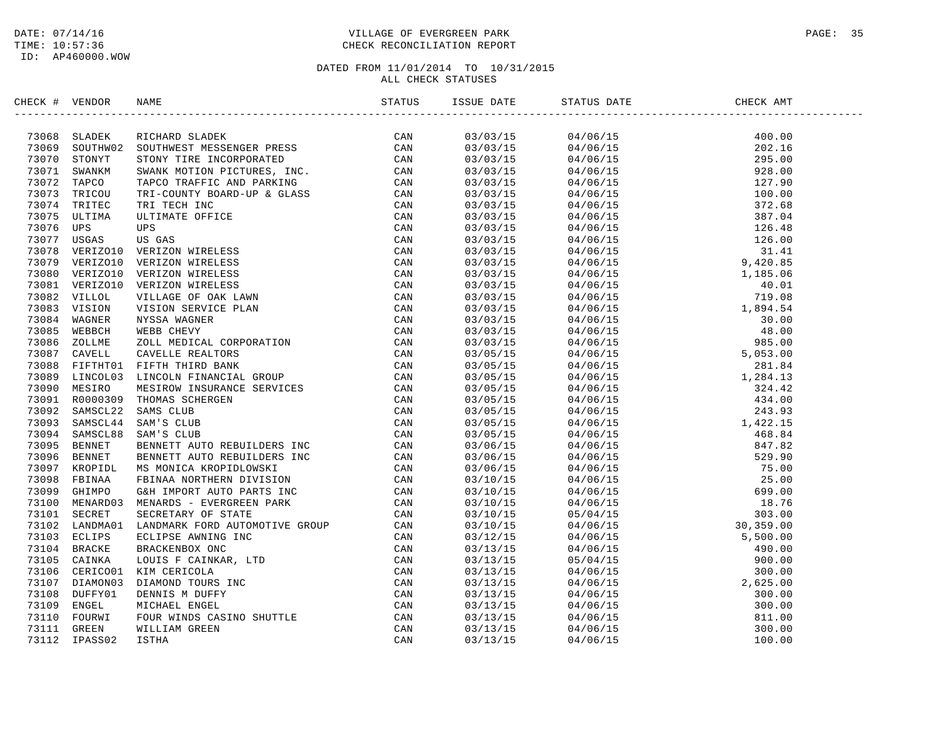### DATE: 07/14/16 PAGE: 35 TIME: 10:57:36 CHECK RECONCILIATION REPORT

| CHECK # VENDOR |                | NAME                                                                                                                                                                                                                          | STATUS | ISSUE DATE | STATUS DATE | CHECK AMT                                                                                                                                                                                                                                                                                                                                                                                                               |  |
|----------------|----------------|-------------------------------------------------------------------------------------------------------------------------------------------------------------------------------------------------------------------------------|--------|------------|-------------|-------------------------------------------------------------------------------------------------------------------------------------------------------------------------------------------------------------------------------------------------------------------------------------------------------------------------------------------------------------------------------------------------------------------------|--|
|                | 73068 SLADEK   | NAME TRICHARD SLADER TRISSERIES (CAN ARRENT AND TRICHARD SCRIPTING TOWN THE INCORPORATED CAN ARRENT COUNTY DETITIVES TO THE CAN ARRENT AND TRISSERIES (CAN ULTIMATE OFFICE AND CAN ULTIMATE OF THE CAN WERE THE CONFORMED CAN | CAN    | 03/03/15   |             | $\begin{tabular}{l c c c} \multicolumn{1}{c}{\begin{tabular}{c} $0$-0000$} \multicolumn{1}{c}{\begin{tabular}{c} $0$-0000$} \multicolumn{1}{c}{\begin{tabular}{c} $0$-0000$} \multicolumn{1}{c}{\begin{tabular}{c} $0$-0000$} \multicolumn{1}{c}{\begin{tabular}{c} $0$-0000$} \multicolumn{1}{c}{\begin{tabular}{c} $0$-0000$} \multicolumn{1}{c}{\begin{tabular}{c} $0$-0000$} \multicolumn{1}{c}{\begin{tabular}{c}$ |  |
| 73069          | SOUTHW02       |                                                                                                                                                                                                                               |        | 03/03/15   |             |                                                                                                                                                                                                                                                                                                                                                                                                                         |  |
|                | 73070 STONYT   |                                                                                                                                                                                                                               |        | 03/03/15   |             |                                                                                                                                                                                                                                                                                                                                                                                                                         |  |
| 73071          | SWANKM         |                                                                                                                                                                                                                               |        | 03/03/15   |             |                                                                                                                                                                                                                                                                                                                                                                                                                         |  |
| 73072          | TAPCO          |                                                                                                                                                                                                                               |        |            |             |                                                                                                                                                                                                                                                                                                                                                                                                                         |  |
| 73073          | TRICOU         |                                                                                                                                                                                                                               |        | 03/03/15   |             |                                                                                                                                                                                                                                                                                                                                                                                                                         |  |
|                |                |                                                                                                                                                                                                                               |        | 03/03/15   |             |                                                                                                                                                                                                                                                                                                                                                                                                                         |  |
| 73074<br>73075 | TRITEC         |                                                                                                                                                                                                                               |        | 03/03/15   |             |                                                                                                                                                                                                                                                                                                                                                                                                                         |  |
|                | ULTIMA         |                                                                                                                                                                                                                               |        | 03/03/15   |             |                                                                                                                                                                                                                                                                                                                                                                                                                         |  |
| 73076          | UPS            |                                                                                                                                                                                                                               |        | 03/03/15   |             |                                                                                                                                                                                                                                                                                                                                                                                                                         |  |
| 73077          | USGAS          |                                                                                                                                                                                                                               |        | 03/03/15   |             |                                                                                                                                                                                                                                                                                                                                                                                                                         |  |
| 73078          | VERIZO10       |                                                                                                                                                                                                                               |        | 03/03/15   |             |                                                                                                                                                                                                                                                                                                                                                                                                                         |  |
| 73079          | VERIZO10       |                                                                                                                                                                                                                               |        | 03/03/15   |             |                                                                                                                                                                                                                                                                                                                                                                                                                         |  |
| 73080          | VERIZO10       |                                                                                                                                                                                                                               |        | 03/03/15   |             |                                                                                                                                                                                                                                                                                                                                                                                                                         |  |
| 73081          | VERIZO10       |                                                                                                                                                                                                                               |        | 03/03/15   |             |                                                                                                                                                                                                                                                                                                                                                                                                                         |  |
| 73082          | VILLOL         |                                                                                                                                                                                                                               |        | 03/03/15   |             |                                                                                                                                                                                                                                                                                                                                                                                                                         |  |
| 73083          | VISION         |                                                                                                                                                                                                                               |        | 03/03/15   |             |                                                                                                                                                                                                                                                                                                                                                                                                                         |  |
| 73084          | WAGNER         |                                                                                                                                                                                                                               |        | 03/03/15   |             |                                                                                                                                                                                                                                                                                                                                                                                                                         |  |
| 73085          | WEBBCH         |                                                                                                                                                                                                                               |        | 03/03/15   |             |                                                                                                                                                                                                                                                                                                                                                                                                                         |  |
| 73086          | ZOLLME         |                                                                                                                                                                                                                               |        | 03/03/15   |             |                                                                                                                                                                                                                                                                                                                                                                                                                         |  |
|                | 73087 CAVELL   |                                                                                                                                                                                                                               |        | 03/05/15   |             |                                                                                                                                                                                                                                                                                                                                                                                                                         |  |
|                | 73088 FIFTHT01 |                                                                                                                                                                                                                               |        | 03/05/15   |             |                                                                                                                                                                                                                                                                                                                                                                                                                         |  |
| 73089          | LINCOL03       |                                                                                                                                                                                                                               |        | 03/05/15   |             |                                                                                                                                                                                                                                                                                                                                                                                                                         |  |
| 73090          | MESIRO         |                                                                                                                                                                                                                               |        | 03/05/15   |             |                                                                                                                                                                                                                                                                                                                                                                                                                         |  |
| 73091          | R0000309       |                                                                                                                                                                                                                               |        | 03/05/15   |             |                                                                                                                                                                                                                                                                                                                                                                                                                         |  |
|                | 73092 SAMSCL22 |                                                                                                                                                                                                                               |        | 03/05/15   |             |                                                                                                                                                                                                                                                                                                                                                                                                                         |  |
|                | 73093 SAMSCL44 |                                                                                                                                                                                                                               |        | 03/05/15   |             |                                                                                                                                                                                                                                                                                                                                                                                                                         |  |
|                | 73094 SAMSCL88 |                                                                                                                                                                                                                               |        | 03/05/15   |             |                                                                                                                                                                                                                                                                                                                                                                                                                         |  |
|                | 73095 BENNET   |                                                                                                                                                                                                                               |        | 03/06/15   |             |                                                                                                                                                                                                                                                                                                                                                                                                                         |  |
| 73096          | BENNET         |                                                                                                                                                                                                                               |        | 03/06/15   |             |                                                                                                                                                                                                                                                                                                                                                                                                                         |  |
|                | 73097 KROPIDL  |                                                                                                                                                                                                                               |        | 03/06/15   |             |                                                                                                                                                                                                                                                                                                                                                                                                                         |  |
| 73098          | FBINAA         |                                                                                                                                                                                                                               |        | 03/10/15   |             |                                                                                                                                                                                                                                                                                                                                                                                                                         |  |
| 73099          | GHIMPO         |                                                                                                                                                                                                                               |        | 03/10/15   |             |                                                                                                                                                                                                                                                                                                                                                                                                                         |  |
| 73100          | MENARD03       |                                                                                                                                                                                                                               |        | 03/10/15   |             |                                                                                                                                                                                                                                                                                                                                                                                                                         |  |
| 73101          | SECRET         |                                                                                                                                                                                                                               |        | 03/10/15   |             |                                                                                                                                                                                                                                                                                                                                                                                                                         |  |
|                | 73102 LANDMA01 |                                                                                                                                                                                                                               |        | 03/10/15   |             |                                                                                                                                                                                                                                                                                                                                                                                                                         |  |
| 73103          | ECLIPS         |                                                                                                                                                                                                                               |        | 03/12/15   |             |                                                                                                                                                                                                                                                                                                                                                                                                                         |  |
|                | 73104 BRACKE   |                                                                                                                                                                                                                               |        | 03/13/15   |             |                                                                                                                                                                                                                                                                                                                                                                                                                         |  |
| 73105          | CAINKA         |                                                                                                                                                                                                                               |        | 03/13/15   |             |                                                                                                                                                                                                                                                                                                                                                                                                                         |  |
|                | 73106 CERICO01 |                                                                                                                                                                                                                               |        | 03/13/15   |             |                                                                                                                                                                                                                                                                                                                                                                                                                         |  |
| 73107          | DIAMON03       |                                                                                                                                                                                                                               |        | 03/13/15   |             |                                                                                                                                                                                                                                                                                                                                                                                                                         |  |
| 73108          | DUFFY01        |                                                                                                                                                                                                                               |        | 03/13/15   |             |                                                                                                                                                                                                                                                                                                                                                                                                                         |  |
| 73109          | ENGEL          |                                                                                                                                                                                                                               |        | 03/13/15   |             |                                                                                                                                                                                                                                                                                                                                                                                                                         |  |
| 73110          | FOURWI         |                                                                                                                                                                                                                               |        | 03/13/15   |             |                                                                                                                                                                                                                                                                                                                                                                                                                         |  |
|                | 73111 GREEN    |                                                                                                                                                                                                                               |        | 03/13/15   |             |                                                                                                                                                                                                                                                                                                                                                                                                                         |  |
| 73112          | IPASS02        |                                                                                                                                                                                                                               |        | 03/13/15   |             |                                                                                                                                                                                                                                                                                                                                                                                                                         |  |
|                |                |                                                                                                                                                                                                                               |        |            |             |                                                                                                                                                                                                                                                                                                                                                                                                                         |  |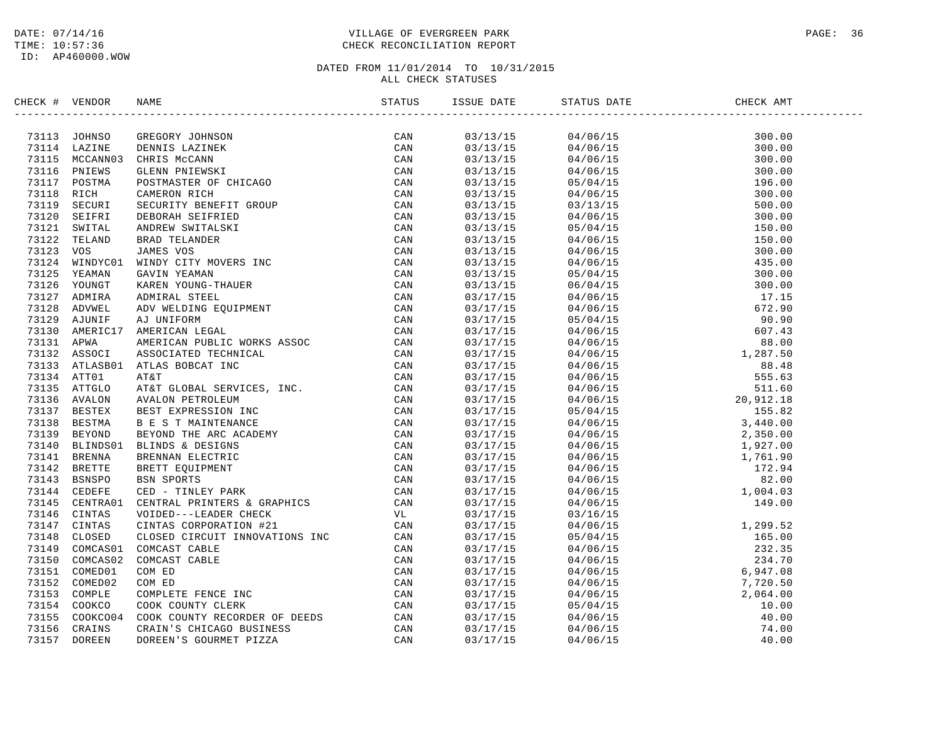### DATE: 07/14/16 PAGE: 36 TIME: 10:57:36 CHECK RECONCILIATION REPORT

| CHECK # VENDOR |                | NAME                                                                                                                                                                                                                           | STATUS | ISSUE DATE | STATUS DATE                                                                                                                                                                                                                                                                                                              | CHECK AMT |  |
|----------------|----------------|--------------------------------------------------------------------------------------------------------------------------------------------------------------------------------------------------------------------------------|--------|------------|--------------------------------------------------------------------------------------------------------------------------------------------------------------------------------------------------------------------------------------------------------------------------------------------------------------------------|-----------|--|
|                | 73113 JOHNSO   | NAME SANTER TRINIPS AN EXERCISE ON A DERICAL CAN CAN CANNON BUNDA DESINTE DENTILES (CAN CAN CAN CAN DESINE STREAM CAN DESINE STREAM CAN DESING STREAM STREAM CAN DESINE STREAM STREAM CAN BUNDAY CHANGES (CAN ANDEN STREAM STR |        | 03/13/15   | $\begin{tabular}{l c c c c} $0$ & $0.406\% \\[-20pt] $0$ & $0.406\% \\[-20pt] $0$ & $0.406\% \\[-20pt] $0$ & $0.406\% \\[-20pt] $0$ & $0.406\% \\[-20pt] $0$ & $0.406\% \\[-20pt] $0$ & $0.406\% \\[-20pt] $0$ & $0.406\% \\[-20pt] $0$ & $0.406\% \\[-20pt] $0$ & $0.406\% \\[-20pt] $0$ & $0.406\% \\[-20pt] $0$ & $0$ |           |  |
|                | 73114 LAZINE   |                                                                                                                                                                                                                                |        | 03/13/15   |                                                                                                                                                                                                                                                                                                                          |           |  |
|                | 73115 MCCANN03 |                                                                                                                                                                                                                                |        | 03/13/15   |                                                                                                                                                                                                                                                                                                                          |           |  |
|                | 73116 PNIEWS   |                                                                                                                                                                                                                                |        | 03/13/15   |                                                                                                                                                                                                                                                                                                                          |           |  |
|                | 73117 POSTMA   |                                                                                                                                                                                                                                |        | 03/13/15   |                                                                                                                                                                                                                                                                                                                          |           |  |
| 73118 RICH     |                |                                                                                                                                                                                                                                |        | 03/13/15   |                                                                                                                                                                                                                                                                                                                          |           |  |
| 73119          | SECURI         |                                                                                                                                                                                                                                |        | 03/13/15   |                                                                                                                                                                                                                                                                                                                          |           |  |
| 73120          | SEIFRI         |                                                                                                                                                                                                                                |        | 03/13/15   |                                                                                                                                                                                                                                                                                                                          |           |  |
| 73121          | SWITAL         |                                                                                                                                                                                                                                |        | 03/13/15   |                                                                                                                                                                                                                                                                                                                          |           |  |
|                | 73122 TELAND   |                                                                                                                                                                                                                                |        | 03/13/15   |                                                                                                                                                                                                                                                                                                                          |           |  |
| 73123          | vos            |                                                                                                                                                                                                                                |        | 03/13/15   |                                                                                                                                                                                                                                                                                                                          |           |  |
|                | 73124 WINDYC01 |                                                                                                                                                                                                                                |        | 03/13/15   |                                                                                                                                                                                                                                                                                                                          |           |  |
| 73125          | YEAMAN         |                                                                                                                                                                                                                                |        | 03/13/15   |                                                                                                                                                                                                                                                                                                                          |           |  |
|                |                |                                                                                                                                                                                                                                |        |            |                                                                                                                                                                                                                                                                                                                          |           |  |
|                | 73126 YOUNGT   |                                                                                                                                                                                                                                |        | 03/13/15   |                                                                                                                                                                                                                                                                                                                          |           |  |
|                | 73127 ADMIRA   |                                                                                                                                                                                                                                |        | 03/17/15   |                                                                                                                                                                                                                                                                                                                          |           |  |
| 73128          | ADVWEL         |                                                                                                                                                                                                                                |        | 03/17/15   |                                                                                                                                                                                                                                                                                                                          |           |  |
|                | 73129 AJUNIF   |                                                                                                                                                                                                                                |        | 03/17/15   |                                                                                                                                                                                                                                                                                                                          |           |  |
|                | 73130 AMERIC17 |                                                                                                                                                                                                                                |        | 03/17/15   |                                                                                                                                                                                                                                                                                                                          |           |  |
| 73131 APWA     |                |                                                                                                                                                                                                                                |        | 03/17/15   |                                                                                                                                                                                                                                                                                                                          |           |  |
|                | 73132 ASSOCI   |                                                                                                                                                                                                                                |        | 03/17/15   |                                                                                                                                                                                                                                                                                                                          |           |  |
|                | 73133 ATLASB01 |                                                                                                                                                                                                                                |        | 03/17/15   |                                                                                                                                                                                                                                                                                                                          |           |  |
|                | 73134 ATT01    |                                                                                                                                                                                                                                |        | 03/17/15   |                                                                                                                                                                                                                                                                                                                          |           |  |
|                | 73135 ATTGLO   |                                                                                                                                                                                                                                |        | 03/17/15   |                                                                                                                                                                                                                                                                                                                          |           |  |
|                | 73136 AVALON   |                                                                                                                                                                                                                                |        | 03/17/15   |                                                                                                                                                                                                                                                                                                                          |           |  |
|                | 73137 BESTEX   |                                                                                                                                                                                                                                |        | 03/17/15   |                                                                                                                                                                                                                                                                                                                          |           |  |
|                | 73138 BESTMA   |                                                                                                                                                                                                                                |        | 03/17/15   |                                                                                                                                                                                                                                                                                                                          |           |  |
|                | 73139 BEYOND   |                                                                                                                                                                                                                                |        | 03/17/15   |                                                                                                                                                                                                                                                                                                                          |           |  |
|                |                | 73140 BLINDS01 BLINDS & DESIGNS                                                                                                                                                                                                |        | 03/17/15   |                                                                                                                                                                                                                                                                                                                          |           |  |
|                | 73141 BRENNA   |                                                                                                                                                                                                                                |        | 03/17/15   |                                                                                                                                                                                                                                                                                                                          |           |  |
|                | 73142 BRETTE   |                                                                                                                                                                                                                                |        | 03/17/15   |                                                                                                                                                                                                                                                                                                                          |           |  |
|                | 73143 BSNSPO   |                                                                                                                                                                                                                                |        | 03/17/15   |                                                                                                                                                                                                                                                                                                                          |           |  |
|                | 73144 CEDEFE   |                                                                                                                                                                                                                                |        | 03/17/15   |                                                                                                                                                                                                                                                                                                                          |           |  |
|                | 73145 CENTRA01 |                                                                                                                                                                                                                                |        | 03/17/15   |                                                                                                                                                                                                                                                                                                                          |           |  |
|                | 73146 CINTAS   |                                                                                                                                                                                                                                |        | 03/17/15   |                                                                                                                                                                                                                                                                                                                          |           |  |
|                | 73147 CINTAS   |                                                                                                                                                                                                                                |        | 03/17/15   |                                                                                                                                                                                                                                                                                                                          |           |  |
| 73148          | CLOSED         |                                                                                                                                                                                                                                |        | 03/17/15   |                                                                                                                                                                                                                                                                                                                          |           |  |
|                | 73149 COMCAS01 |                                                                                                                                                                                                                                |        | 03/17/15   |                                                                                                                                                                                                                                                                                                                          |           |  |
|                | 73150 COMCAS02 |                                                                                                                                                                                                                                |        | 03/17/15   |                                                                                                                                                                                                                                                                                                                          |           |  |
|                | 73151 COMED01  |                                                                                                                                                                                                                                |        | 03/17/15   |                                                                                                                                                                                                                                                                                                                          |           |  |
|                | 73152 COMED02  |                                                                                                                                                                                                                                |        | 03/17/15   |                                                                                                                                                                                                                                                                                                                          |           |  |
|                | 73153 COMPLE   |                                                                                                                                                                                                                                |        | 03/17/15   |                                                                                                                                                                                                                                                                                                                          |           |  |
|                | 73154 COOKCO   |                                                                                                                                                                                                                                |        | 03/17/15   |                                                                                                                                                                                                                                                                                                                          |           |  |
| 73155          | COOKCO04       |                                                                                                                                                                                                                                |        | 03/17/15   |                                                                                                                                                                                                                                                                                                                          |           |  |
|                | 73156 CRAINS   |                                                                                                                                                                                                                                |        | 03/17/15   |                                                                                                                                                                                                                                                                                                                          |           |  |
| 73157          | <b>DOREEN</b>  |                                                                                                                                                                                                                                |        | 03/17/15   |                                                                                                                                                                                                                                                                                                                          |           |  |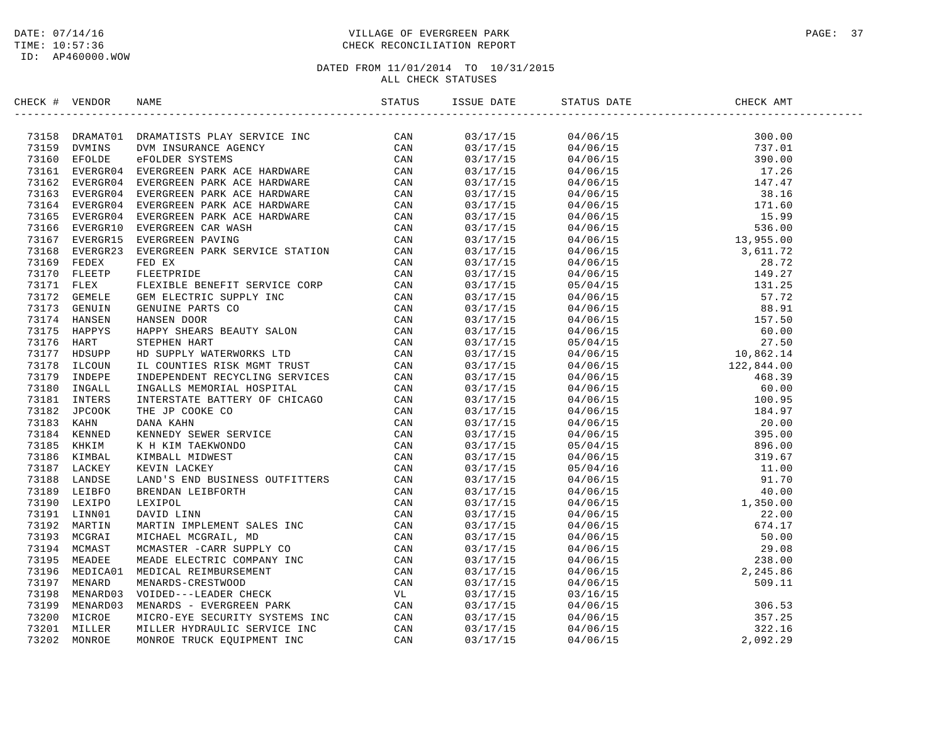### DATE: 07/14/16 PAGE: 37 TIME: 10:57:36 CHECK RECONCILIATION REPORT

| 73158 DRAMATO1 DRAMATISTS PLAY SERVICE INC CAN<br>73159 DVMINS DVM INSURANCE AGENCY CAN<br>73160 EFOLDE eFOLDER SYSTEMS CAN<br>73161 EVERGR04 EVERGREEN PARK ACE HARDWARE CAN<br>73162 EVERGR04 EVERGREEN PARK ACE HARDWARE CAN<br>73164<br>03/17/15<br>03/17/15<br>03/17/15<br>03/17/15<br>03/17/15<br>03/17/15<br>03/17/15<br>03/17/15<br>03/17/15<br>03/17/15<br>EVERGREEN CAR WASH CAN CAN EXPERIENCE STATION CAN EVERGREEN PARTIES ENERGY CON CAN FILET THE REVICE CONTRACT CAN GENTILE BENEFIT SERVICE COPP CAN HAPPY SHERES BENEFIT SERVICE COPP CAN HAPPY SHERES BENEFIT SERVICE CORN HAPP<br>73168 EVERGR23<br>03/17/15<br>73169 FEDEX<br>03/17/15<br>73170 FLEETP<br>03/17/15<br>73171 FLEX<br>03/17/15<br>73172 GEMELE<br>03/17/15<br>73173 GENUIN<br>03/17/15<br>73174 HANSEN<br>03/17/15<br>73175<br>HAPPYS<br>03/17/15<br>73176 HART<br>03/17/15<br>73177<br>HDSUPP<br>03/17/15<br>73178<br>ILCOUN<br>03/17/15<br>73179<br>INDEPE<br>03/17/15<br>73180 INGALL<br>03/17/15<br>73181 INTERS<br>03/17/15<br>73182 JPCOOK<br>03/17/15<br>73183 KAHN<br>03/17/15<br>73184 KENNED<br>03/17/15<br>73185 KHKIM<br>03/17/15<br>73186 KIMBAL<br>03/17/15<br>73187 LACKEY<br>03/17/15<br>73188 LANDSE<br>03/17/15<br>73189 LEIBFO<br>03/17/15<br>73190 LEXIPO<br>03/17/15<br>73191 LINN01<br>03/17/15<br>73192 MARTIN<br>03/17/15<br>73193 MCGRAI<br>03/17/15<br>73194 MCMAST<br>03/17/15<br>73195 MEADEE<br>03/17/15<br>73196 MEDICA01<br>03/17/15<br>73197 MENARD<br>03/17/15<br>73198 MENARD03<br>03/17/15<br>73199<br>MENARD03<br>03/17/15 | CHECK # VENDOR | :<br>:----------------------------------<br><b>NAME</b> | STATUS | ISSUE DATE | STATUS DATE | CHECK AMT |  |
|---------------------------------------------------------------------------------------------------------------------------------------------------------------------------------------------------------------------------------------------------------------------------------------------------------------------------------------------------------------------------------------------------------------------------------------------------------------------------------------------------------------------------------------------------------------------------------------------------------------------------------------------------------------------------------------------------------------------------------------------------------------------------------------------------------------------------------------------------------------------------------------------------------------------------------------------------------------------------------------------------------------------------------------------------------------------------------------------------------------------------------------------------------------------------------------------------------------------------------------------------------------------------------------------------------------------------------------------------------------------------------------------------------------------------------------------------------------------------------------------------------------------------------------------------|----------------|---------------------------------------------------------|--------|------------|-------------|-----------|--|
|                                                                                                                                                                                                                                                                                                                                                                                                                                                                                                                                                                                                                                                                                                                                                                                                                                                                                                                                                                                                                                                                                                                                                                                                                                                                                                                                                                                                                                                                                                                                                   |                |                                                         |        |            |             |           |  |
|                                                                                                                                                                                                                                                                                                                                                                                                                                                                                                                                                                                                                                                                                                                                                                                                                                                                                                                                                                                                                                                                                                                                                                                                                                                                                                                                                                                                                                                                                                                                                   |                |                                                         |        |            |             |           |  |
|                                                                                                                                                                                                                                                                                                                                                                                                                                                                                                                                                                                                                                                                                                                                                                                                                                                                                                                                                                                                                                                                                                                                                                                                                                                                                                                                                                                                                                                                                                                                                   |                |                                                         |        |            |             |           |  |
|                                                                                                                                                                                                                                                                                                                                                                                                                                                                                                                                                                                                                                                                                                                                                                                                                                                                                                                                                                                                                                                                                                                                                                                                                                                                                                                                                                                                                                                                                                                                                   |                |                                                         |        |            |             |           |  |
|                                                                                                                                                                                                                                                                                                                                                                                                                                                                                                                                                                                                                                                                                                                                                                                                                                                                                                                                                                                                                                                                                                                                                                                                                                                                                                                                                                                                                                                                                                                                                   |                |                                                         |        |            |             |           |  |
|                                                                                                                                                                                                                                                                                                                                                                                                                                                                                                                                                                                                                                                                                                                                                                                                                                                                                                                                                                                                                                                                                                                                                                                                                                                                                                                                                                                                                                                                                                                                                   |                |                                                         |        |            |             |           |  |
|                                                                                                                                                                                                                                                                                                                                                                                                                                                                                                                                                                                                                                                                                                                                                                                                                                                                                                                                                                                                                                                                                                                                                                                                                                                                                                                                                                                                                                                                                                                                                   |                |                                                         |        |            |             |           |  |
|                                                                                                                                                                                                                                                                                                                                                                                                                                                                                                                                                                                                                                                                                                                                                                                                                                                                                                                                                                                                                                                                                                                                                                                                                                                                                                                                                                                                                                                                                                                                                   |                |                                                         |        |            |             |           |  |
|                                                                                                                                                                                                                                                                                                                                                                                                                                                                                                                                                                                                                                                                                                                                                                                                                                                                                                                                                                                                                                                                                                                                                                                                                                                                                                                                                                                                                                                                                                                                                   |                |                                                         |        |            |             |           |  |
|                                                                                                                                                                                                                                                                                                                                                                                                                                                                                                                                                                                                                                                                                                                                                                                                                                                                                                                                                                                                                                                                                                                                                                                                                                                                                                                                                                                                                                                                                                                                                   |                |                                                         |        |            |             |           |  |
|                                                                                                                                                                                                                                                                                                                                                                                                                                                                                                                                                                                                                                                                                                                                                                                                                                                                                                                                                                                                                                                                                                                                                                                                                                                                                                                                                                                                                                                                                                                                                   |                |                                                         |        |            |             |           |  |
|                                                                                                                                                                                                                                                                                                                                                                                                                                                                                                                                                                                                                                                                                                                                                                                                                                                                                                                                                                                                                                                                                                                                                                                                                                                                                                                                                                                                                                                                                                                                                   |                |                                                         |        |            |             |           |  |
|                                                                                                                                                                                                                                                                                                                                                                                                                                                                                                                                                                                                                                                                                                                                                                                                                                                                                                                                                                                                                                                                                                                                                                                                                                                                                                                                                                                                                                                                                                                                                   |                |                                                         |        |            |             |           |  |
|                                                                                                                                                                                                                                                                                                                                                                                                                                                                                                                                                                                                                                                                                                                                                                                                                                                                                                                                                                                                                                                                                                                                                                                                                                                                                                                                                                                                                                                                                                                                                   |                |                                                         |        |            |             |           |  |
|                                                                                                                                                                                                                                                                                                                                                                                                                                                                                                                                                                                                                                                                                                                                                                                                                                                                                                                                                                                                                                                                                                                                                                                                                                                                                                                                                                                                                                                                                                                                                   |                |                                                         |        |            |             |           |  |
|                                                                                                                                                                                                                                                                                                                                                                                                                                                                                                                                                                                                                                                                                                                                                                                                                                                                                                                                                                                                                                                                                                                                                                                                                                                                                                                                                                                                                                                                                                                                                   |                |                                                         |        |            |             |           |  |
|                                                                                                                                                                                                                                                                                                                                                                                                                                                                                                                                                                                                                                                                                                                                                                                                                                                                                                                                                                                                                                                                                                                                                                                                                                                                                                                                                                                                                                                                                                                                                   |                |                                                         |        |            |             |           |  |
|                                                                                                                                                                                                                                                                                                                                                                                                                                                                                                                                                                                                                                                                                                                                                                                                                                                                                                                                                                                                                                                                                                                                                                                                                                                                                                                                                                                                                                                                                                                                                   |                |                                                         |        |            |             |           |  |
|                                                                                                                                                                                                                                                                                                                                                                                                                                                                                                                                                                                                                                                                                                                                                                                                                                                                                                                                                                                                                                                                                                                                                                                                                                                                                                                                                                                                                                                                                                                                                   |                |                                                         |        |            |             |           |  |
|                                                                                                                                                                                                                                                                                                                                                                                                                                                                                                                                                                                                                                                                                                                                                                                                                                                                                                                                                                                                                                                                                                                                                                                                                                                                                                                                                                                                                                                                                                                                                   |                |                                                         |        |            |             |           |  |
|                                                                                                                                                                                                                                                                                                                                                                                                                                                                                                                                                                                                                                                                                                                                                                                                                                                                                                                                                                                                                                                                                                                                                                                                                                                                                                                                                                                                                                                                                                                                                   |                |                                                         |        |            |             |           |  |
|                                                                                                                                                                                                                                                                                                                                                                                                                                                                                                                                                                                                                                                                                                                                                                                                                                                                                                                                                                                                                                                                                                                                                                                                                                                                                                                                                                                                                                                                                                                                                   |                |                                                         |        |            |             |           |  |
|                                                                                                                                                                                                                                                                                                                                                                                                                                                                                                                                                                                                                                                                                                                                                                                                                                                                                                                                                                                                                                                                                                                                                                                                                                                                                                                                                                                                                                                                                                                                                   |                |                                                         |        |            |             |           |  |
|                                                                                                                                                                                                                                                                                                                                                                                                                                                                                                                                                                                                                                                                                                                                                                                                                                                                                                                                                                                                                                                                                                                                                                                                                                                                                                                                                                                                                                                                                                                                                   |                |                                                         |        |            |             |           |  |
|                                                                                                                                                                                                                                                                                                                                                                                                                                                                                                                                                                                                                                                                                                                                                                                                                                                                                                                                                                                                                                                                                                                                                                                                                                                                                                                                                                                                                                                                                                                                                   |                |                                                         |        |            |             |           |  |
|                                                                                                                                                                                                                                                                                                                                                                                                                                                                                                                                                                                                                                                                                                                                                                                                                                                                                                                                                                                                                                                                                                                                                                                                                                                                                                                                                                                                                                                                                                                                                   |                |                                                         |        |            |             |           |  |
|                                                                                                                                                                                                                                                                                                                                                                                                                                                                                                                                                                                                                                                                                                                                                                                                                                                                                                                                                                                                                                                                                                                                                                                                                                                                                                                                                                                                                                                                                                                                                   |                |                                                         |        |            |             |           |  |
|                                                                                                                                                                                                                                                                                                                                                                                                                                                                                                                                                                                                                                                                                                                                                                                                                                                                                                                                                                                                                                                                                                                                                                                                                                                                                                                                                                                                                                                                                                                                                   |                |                                                         |        |            |             |           |  |
|                                                                                                                                                                                                                                                                                                                                                                                                                                                                                                                                                                                                                                                                                                                                                                                                                                                                                                                                                                                                                                                                                                                                                                                                                                                                                                                                                                                                                                                                                                                                                   |                |                                                         |        |            |             |           |  |
|                                                                                                                                                                                                                                                                                                                                                                                                                                                                                                                                                                                                                                                                                                                                                                                                                                                                                                                                                                                                                                                                                                                                                                                                                                                                                                                                                                                                                                                                                                                                                   |                |                                                         |        |            |             |           |  |
|                                                                                                                                                                                                                                                                                                                                                                                                                                                                                                                                                                                                                                                                                                                                                                                                                                                                                                                                                                                                                                                                                                                                                                                                                                                                                                                                                                                                                                                                                                                                                   |                |                                                         |        |            |             |           |  |
|                                                                                                                                                                                                                                                                                                                                                                                                                                                                                                                                                                                                                                                                                                                                                                                                                                                                                                                                                                                                                                                                                                                                                                                                                                                                                                                                                                                                                                                                                                                                                   |                |                                                         |        |            |             |           |  |
|                                                                                                                                                                                                                                                                                                                                                                                                                                                                                                                                                                                                                                                                                                                                                                                                                                                                                                                                                                                                                                                                                                                                                                                                                                                                                                                                                                                                                                                                                                                                                   |                |                                                         |        |            |             |           |  |
|                                                                                                                                                                                                                                                                                                                                                                                                                                                                                                                                                                                                                                                                                                                                                                                                                                                                                                                                                                                                                                                                                                                                                                                                                                                                                                                                                                                                                                                                                                                                                   |                |                                                         |        |            |             |           |  |
|                                                                                                                                                                                                                                                                                                                                                                                                                                                                                                                                                                                                                                                                                                                                                                                                                                                                                                                                                                                                                                                                                                                                                                                                                                                                                                                                                                                                                                                                                                                                                   |                |                                                         |        |            |             |           |  |
|                                                                                                                                                                                                                                                                                                                                                                                                                                                                                                                                                                                                                                                                                                                                                                                                                                                                                                                                                                                                                                                                                                                                                                                                                                                                                                                                                                                                                                                                                                                                                   |                |                                                         |        |            |             |           |  |
|                                                                                                                                                                                                                                                                                                                                                                                                                                                                                                                                                                                                                                                                                                                                                                                                                                                                                                                                                                                                                                                                                                                                                                                                                                                                                                                                                                                                                                                                                                                                                   |                |                                                         |        |            |             |           |  |
|                                                                                                                                                                                                                                                                                                                                                                                                                                                                                                                                                                                                                                                                                                                                                                                                                                                                                                                                                                                                                                                                                                                                                                                                                                                                                                                                                                                                                                                                                                                                                   |                |                                                         |        |            |             |           |  |
|                                                                                                                                                                                                                                                                                                                                                                                                                                                                                                                                                                                                                                                                                                                                                                                                                                                                                                                                                                                                                                                                                                                                                                                                                                                                                                                                                                                                                                                                                                                                                   |                |                                                         |        |            |             |           |  |
|                                                                                                                                                                                                                                                                                                                                                                                                                                                                                                                                                                                                                                                                                                                                                                                                                                                                                                                                                                                                                                                                                                                                                                                                                                                                                                                                                                                                                                                                                                                                                   |                |                                                         |        |            |             |           |  |
|                                                                                                                                                                                                                                                                                                                                                                                                                                                                                                                                                                                                                                                                                                                                                                                                                                                                                                                                                                                                                                                                                                                                                                                                                                                                                                                                                                                                                                                                                                                                                   |                |                                                         |        |            |             |           |  |
|                                                                                                                                                                                                                                                                                                                                                                                                                                                                                                                                                                                                                                                                                                                                                                                                                                                                                                                                                                                                                                                                                                                                                                                                                                                                                                                                                                                                                                                                                                                                                   |                |                                                         |        |            |             |           |  |
| 73200 MICROE                                                                                                                                                                                                                                                                                                                                                                                                                                                                                                                                                                                                                                                                                                                                                                                                                                                                                                                                                                                                                                                                                                                                                                                                                                                                                                                                                                                                                                                                                                                                      |                |                                                         |        | 03/17/15   |             |           |  |
| 73201<br>MILLER<br>03/17/15                                                                                                                                                                                                                                                                                                                                                                                                                                                                                                                                                                                                                                                                                                                                                                                                                                                                                                                                                                                                                                                                                                                                                                                                                                                                                                                                                                                                                                                                                                                       |                |                                                         |        |            |             |           |  |
| 73202<br>MONROE<br>03/17/15                                                                                                                                                                                                                                                                                                                                                                                                                                                                                                                                                                                                                                                                                                                                                                                                                                                                                                                                                                                                                                                                                                                                                                                                                                                                                                                                                                                                                                                                                                                       |                |                                                         |        |            |             |           |  |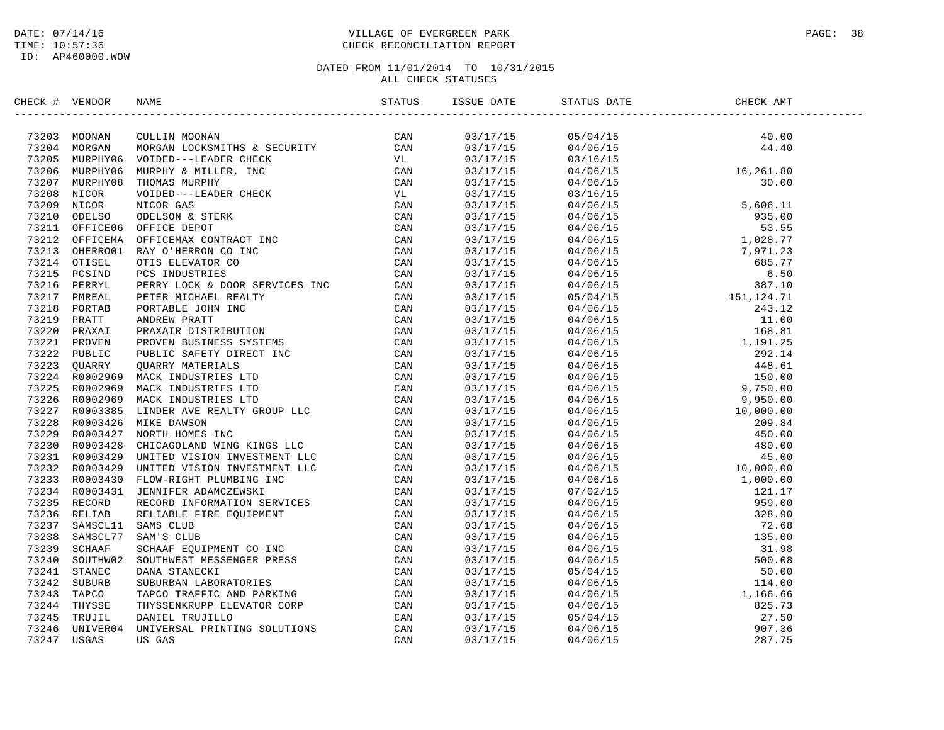### DATE: 07/14/16 PAGE: 38 TIME: 10:57:36 CHECK RECONCILIATION REPORT

| CHECK # VENDOR | NAME                                                                                                                                                                                                                                    | ISSUE DATE | STATUS DATE                                                                                                                                                                                                                                                                                                                                                                           | CHECK AMT |  |
|----------------|-----------------------------------------------------------------------------------------------------------------------------------------------------------------------------------------------------------------------------------------|------------|---------------------------------------------------------------------------------------------------------------------------------------------------------------------------------------------------------------------------------------------------------------------------------------------------------------------------------------------------------------------------------------|-----------|--|
|                | SERCK + VERIODS<br>TRICA 14 WEREN MOREAN CONSULTER A SECURITY CAN<br>71201 MORGAN CLEATING MOREM LOCKSETTER A SECURITY CAN<br>71201 MORGAN MORGAN LOCKSETTER A SECURITY CAN<br>71200 MURENTO NUIDER-I-EADER CHEER, IRC<br>71200 MURENTO |            | $\begin{tabular}{l c c c c} \hline \textbf{151} & \textbf{161} & \textbf{171} & \textbf{181} & \textbf{181} & \textbf{181} & \textbf{181} & \textbf{181} & \textbf{181} & \textbf{181} & \textbf{181} & \textbf{181} & \textbf{181} & \textbf{181} & \textbf{181} & \textbf{181} & \textbf{181} & \textbf{181} & \textbf{181} & \textbf{181} & \textbf{181} & \textbf{181} & \textbf$ |           |  |
|                |                                                                                                                                                                                                                                         |            |                                                                                                                                                                                                                                                                                                                                                                                       |           |  |
|                |                                                                                                                                                                                                                                         |            |                                                                                                                                                                                                                                                                                                                                                                                       |           |  |
|                |                                                                                                                                                                                                                                         |            |                                                                                                                                                                                                                                                                                                                                                                                       |           |  |
|                |                                                                                                                                                                                                                                         |            |                                                                                                                                                                                                                                                                                                                                                                                       |           |  |
|                |                                                                                                                                                                                                                                         |            |                                                                                                                                                                                                                                                                                                                                                                                       |           |  |
|                |                                                                                                                                                                                                                                         |            |                                                                                                                                                                                                                                                                                                                                                                                       |           |  |
|                |                                                                                                                                                                                                                                         |            |                                                                                                                                                                                                                                                                                                                                                                                       |           |  |
|                |                                                                                                                                                                                                                                         |            |                                                                                                                                                                                                                                                                                                                                                                                       |           |  |
|                |                                                                                                                                                                                                                                         |            |                                                                                                                                                                                                                                                                                                                                                                                       |           |  |
|                |                                                                                                                                                                                                                                         |            |                                                                                                                                                                                                                                                                                                                                                                                       |           |  |
|                |                                                                                                                                                                                                                                         |            |                                                                                                                                                                                                                                                                                                                                                                                       |           |  |
|                |                                                                                                                                                                                                                                         |            |                                                                                                                                                                                                                                                                                                                                                                                       |           |  |
|                |                                                                                                                                                                                                                                         |            |                                                                                                                                                                                                                                                                                                                                                                                       |           |  |
|                |                                                                                                                                                                                                                                         |            |                                                                                                                                                                                                                                                                                                                                                                                       |           |  |
|                |                                                                                                                                                                                                                                         |            |                                                                                                                                                                                                                                                                                                                                                                                       |           |  |
|                |                                                                                                                                                                                                                                         |            |                                                                                                                                                                                                                                                                                                                                                                                       |           |  |
|                |                                                                                                                                                                                                                                         |            |                                                                                                                                                                                                                                                                                                                                                                                       |           |  |
|                |                                                                                                                                                                                                                                         |            |                                                                                                                                                                                                                                                                                                                                                                                       |           |  |
|                |                                                                                                                                                                                                                                         |            |                                                                                                                                                                                                                                                                                                                                                                                       |           |  |
|                |                                                                                                                                                                                                                                         |            |                                                                                                                                                                                                                                                                                                                                                                                       |           |  |
|                |                                                                                                                                                                                                                                         |            |                                                                                                                                                                                                                                                                                                                                                                                       |           |  |
|                |                                                                                                                                                                                                                                         |            |                                                                                                                                                                                                                                                                                                                                                                                       |           |  |
|                |                                                                                                                                                                                                                                         |            |                                                                                                                                                                                                                                                                                                                                                                                       |           |  |
|                |                                                                                                                                                                                                                                         |            |                                                                                                                                                                                                                                                                                                                                                                                       |           |  |
|                |                                                                                                                                                                                                                                         |            |                                                                                                                                                                                                                                                                                                                                                                                       |           |  |
|                |                                                                                                                                                                                                                                         |            |                                                                                                                                                                                                                                                                                                                                                                                       |           |  |
|                |                                                                                                                                                                                                                                         |            |                                                                                                                                                                                                                                                                                                                                                                                       |           |  |
|                |                                                                                                                                                                                                                                         |            |                                                                                                                                                                                                                                                                                                                                                                                       |           |  |
|                |                                                                                                                                                                                                                                         |            |                                                                                                                                                                                                                                                                                                                                                                                       |           |  |
|                |                                                                                                                                                                                                                                         |            |                                                                                                                                                                                                                                                                                                                                                                                       |           |  |
|                |                                                                                                                                                                                                                                         |            |                                                                                                                                                                                                                                                                                                                                                                                       |           |  |
|                |                                                                                                                                                                                                                                         |            |                                                                                                                                                                                                                                                                                                                                                                                       |           |  |
|                |                                                                                                                                                                                                                                         |            |                                                                                                                                                                                                                                                                                                                                                                                       |           |  |
|                |                                                                                                                                                                                                                                         |            |                                                                                                                                                                                                                                                                                                                                                                                       |           |  |
|                |                                                                                                                                                                                                                                         |            |                                                                                                                                                                                                                                                                                                                                                                                       |           |  |
|                |                                                                                                                                                                                                                                         |            |                                                                                                                                                                                                                                                                                                                                                                                       |           |  |
|                |                                                                                                                                                                                                                                         |            |                                                                                                                                                                                                                                                                                                                                                                                       |           |  |
|                |                                                                                                                                                                                                                                         |            |                                                                                                                                                                                                                                                                                                                                                                                       |           |  |
|                |                                                                                                                                                                                                                                         |            |                                                                                                                                                                                                                                                                                                                                                                                       |           |  |
|                |                                                                                                                                                                                                                                         |            |                                                                                                                                                                                                                                                                                                                                                                                       |           |  |
|                |                                                                                                                                                                                                                                         |            |                                                                                                                                                                                                                                                                                                                                                                                       |           |  |
|                |                                                                                                                                                                                                                                         |            |                                                                                                                                                                                                                                                                                                                                                                                       |           |  |
|                |                                                                                                                                                                                                                                         |            |                                                                                                                                                                                                                                                                                                                                                                                       |           |  |
|                |                                                                                                                                                                                                                                         |            |                                                                                                                                                                                                                                                                                                                                                                                       |           |  |
|                |                                                                                                                                                                                                                                         |            |                                                                                                                                                                                                                                                                                                                                                                                       |           |  |
|                |                                                                                                                                                                                                                                         |            |                                                                                                                                                                                                                                                                                                                                                                                       |           |  |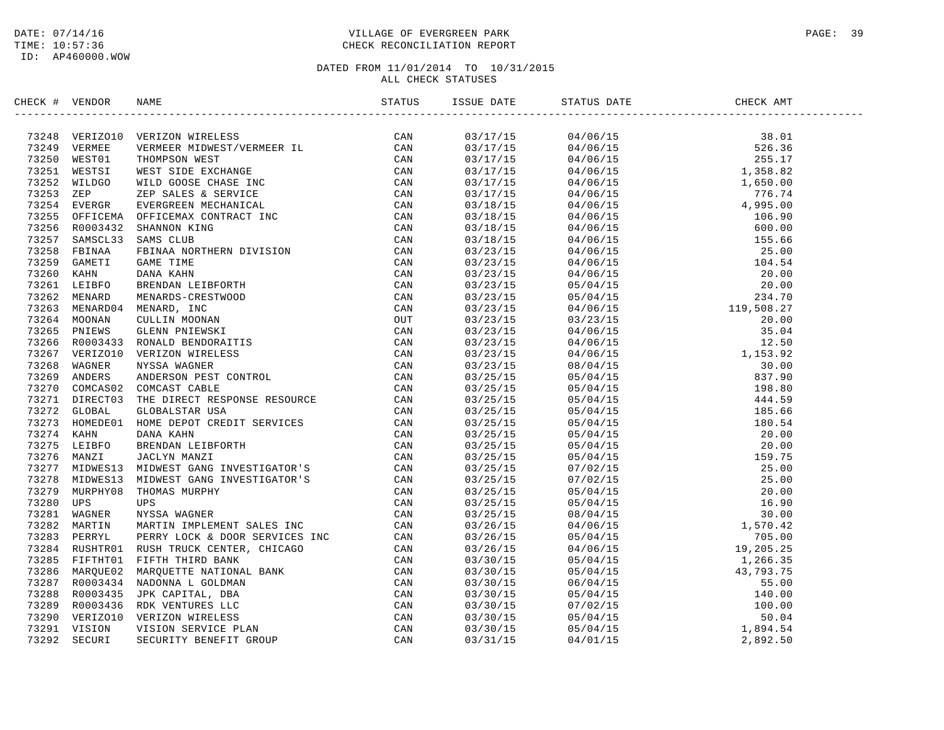### DATE: 07/14/16 PAGE: 39 TIME: 10:57:36 CHECK RECONCILIATION REPORT

| CHECK # VENDOR | NAME                                                                                                                                                                                                                                  |  | ISSUE DATE STATUS DATE | CHECK AMT |  |
|----------------|---------------------------------------------------------------------------------------------------------------------------------------------------------------------------------------------------------------------------------------|--|------------------------|-----------|--|
|                | SECONT VERDOR RANE CONTROL INTERNASS (200 M) (200 M) 1972-243<br>2012-49 VERMISER VERMISES NEUMEROS (200 M) (200 M)<br>20251 WEST COLOR NEWSPAPE RECONNEL CONTROL CAN (200 M)<br>20251 WEST SIDE WALKER MIDINER/VERMIER IT. CAN<br>20 |  |                        |           |  |
|                |                                                                                                                                                                                                                                       |  |                        |           |  |
|                |                                                                                                                                                                                                                                       |  |                        |           |  |
|                |                                                                                                                                                                                                                                       |  |                        |           |  |
|                |                                                                                                                                                                                                                                       |  |                        |           |  |
|                |                                                                                                                                                                                                                                       |  |                        |           |  |
|                |                                                                                                                                                                                                                                       |  |                        |           |  |
|                |                                                                                                                                                                                                                                       |  |                        |           |  |
|                |                                                                                                                                                                                                                                       |  |                        |           |  |
|                |                                                                                                                                                                                                                                       |  |                        |           |  |
|                |                                                                                                                                                                                                                                       |  |                        |           |  |
|                |                                                                                                                                                                                                                                       |  |                        |           |  |
|                |                                                                                                                                                                                                                                       |  |                        |           |  |
|                |                                                                                                                                                                                                                                       |  |                        |           |  |
|                |                                                                                                                                                                                                                                       |  |                        |           |  |
|                |                                                                                                                                                                                                                                       |  |                        |           |  |
|                |                                                                                                                                                                                                                                       |  |                        |           |  |
|                |                                                                                                                                                                                                                                       |  |                        |           |  |
|                |                                                                                                                                                                                                                                       |  |                        |           |  |
|                |                                                                                                                                                                                                                                       |  |                        |           |  |
|                |                                                                                                                                                                                                                                       |  |                        |           |  |
|                |                                                                                                                                                                                                                                       |  |                        |           |  |
|                |                                                                                                                                                                                                                                       |  |                        |           |  |
|                |                                                                                                                                                                                                                                       |  |                        |           |  |
|                |                                                                                                                                                                                                                                       |  |                        |           |  |
|                |                                                                                                                                                                                                                                       |  |                        |           |  |
|                |                                                                                                                                                                                                                                       |  |                        |           |  |
|                |                                                                                                                                                                                                                                       |  |                        |           |  |
|                |                                                                                                                                                                                                                                       |  |                        |           |  |
|                |                                                                                                                                                                                                                                       |  |                        |           |  |
|                |                                                                                                                                                                                                                                       |  |                        |           |  |
|                |                                                                                                                                                                                                                                       |  |                        |           |  |
|                |                                                                                                                                                                                                                                       |  |                        |           |  |
|                |                                                                                                                                                                                                                                       |  |                        |           |  |
|                |                                                                                                                                                                                                                                       |  |                        |           |  |
|                |                                                                                                                                                                                                                                       |  |                        |           |  |
|                |                                                                                                                                                                                                                                       |  |                        |           |  |
|                |                                                                                                                                                                                                                                       |  |                        |           |  |
|                |                                                                                                                                                                                                                                       |  |                        |           |  |
|                |                                                                                                                                                                                                                                       |  |                        |           |  |
|                |                                                                                                                                                                                                                                       |  |                        |           |  |
|                |                                                                                                                                                                                                                                       |  |                        |           |  |
|                |                                                                                                                                                                                                                                       |  |                        |           |  |
|                |                                                                                                                                                                                                                                       |  |                        |           |  |
|                |                                                                                                                                                                                                                                       |  |                        |           |  |
|                |                                                                                                                                                                                                                                       |  |                        |           |  |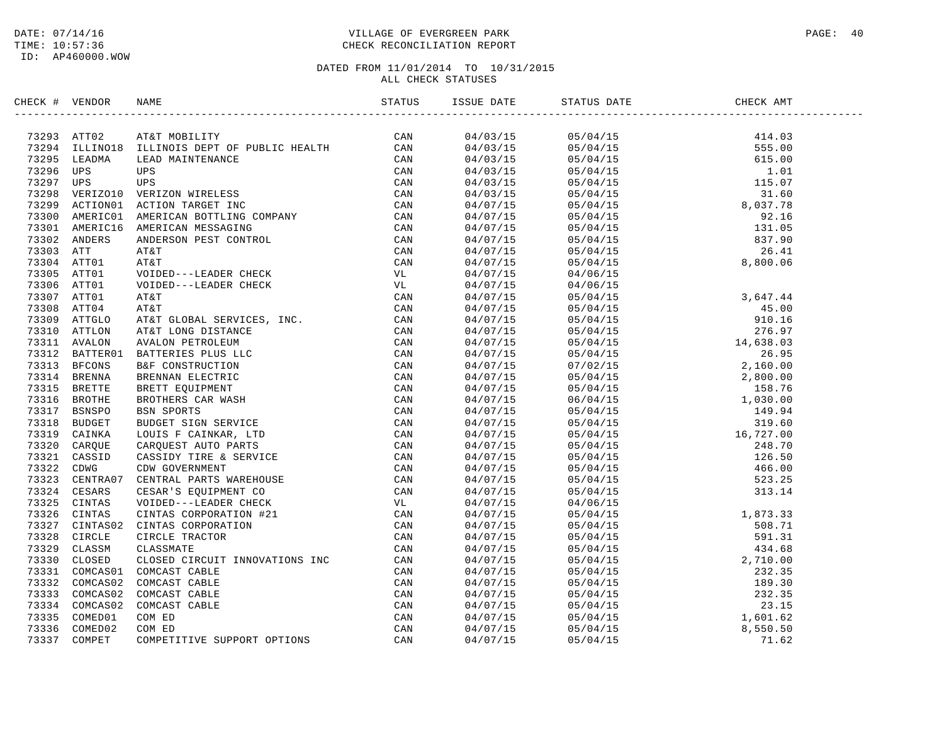ID: AP460000.WOW

### DATE: 07/14/16 PAGE: 40 PAGE: 40 TIME: 10:57:36 CHECK RECONCILIATION REPORT

| CHECK # VENDOR |                                                                                                                                                                                                                                              |                                    |  |  |
|----------------|----------------------------------------------------------------------------------------------------------------------------------------------------------------------------------------------------------------------------------------------|------------------------------------|--|--|
|                | NECK * VENDOR NAME<br>1929 ATTO2 ATET MOBILITY<br>1929 ATTO2 ATEN MOBILITY<br>1929 ATELIED IN MINTENANCS<br>1929 ATELIED IN MINTENANCS<br>1929 USE USA MANTENANCS<br>1929 VER 1201 ON MINTENANCS<br>1929 ATELIED USE USB<br>1929 ATELIED USE |                                    |  |  |
|                |                                                                                                                                                                                                                                              |                                    |  |  |
|                |                                                                                                                                                                                                                                              |                                    |  |  |
|                |                                                                                                                                                                                                                                              |                                    |  |  |
|                |                                                                                                                                                                                                                                              |                                    |  |  |
|                |                                                                                                                                                                                                                                              |                                    |  |  |
|                |                                                                                                                                                                                                                                              |                                    |  |  |
|                |                                                                                                                                                                                                                                              |                                    |  |  |
|                |                                                                                                                                                                                                                                              |                                    |  |  |
|                |                                                                                                                                                                                                                                              |                                    |  |  |
|                |                                                                                                                                                                                                                                              |                                    |  |  |
|                |                                                                                                                                                                                                                                              |                                    |  |  |
|                |                                                                                                                                                                                                                                              |                                    |  |  |
|                |                                                                                                                                                                                                                                              | $04/07/15$<br>04/07/15<br>04/07/15 |  |  |
|                |                                                                                                                                                                                                                                              |                                    |  |  |
|                |                                                                                                                                                                                                                                              |                                    |  |  |
|                |                                                                                                                                                                                                                                              |                                    |  |  |
|                |                                                                                                                                                                                                                                              |                                    |  |  |
|                |                                                                                                                                                                                                                                              |                                    |  |  |
|                |                                                                                                                                                                                                                                              |                                    |  |  |
|                |                                                                                                                                                                                                                                              |                                    |  |  |
|                |                                                                                                                                                                                                                                              |                                    |  |  |
|                |                                                                                                                                                                                                                                              |                                    |  |  |
|                |                                                                                                                                                                                                                                              |                                    |  |  |
|                |                                                                                                                                                                                                                                              |                                    |  |  |
|                |                                                                                                                                                                                                                                              |                                    |  |  |
|                |                                                                                                                                                                                                                                              |                                    |  |  |
|                |                                                                                                                                                                                                                                              |                                    |  |  |
|                |                                                                                                                                                                                                                                              |                                    |  |  |
|                |                                                                                                                                                                                                                                              |                                    |  |  |
|                |                                                                                                                                                                                                                                              |                                    |  |  |
|                |                                                                                                                                                                                                                                              |                                    |  |  |
|                |                                                                                                                                                                                                                                              |                                    |  |  |
|                |                                                                                                                                                                                                                                              |                                    |  |  |
|                |                                                                                                                                                                                                                                              |                                    |  |  |
|                |                                                                                                                                                                                                                                              |                                    |  |  |
|                |                                                                                                                                                                                                                                              |                                    |  |  |
|                |                                                                                                                                                                                                                                              |                                    |  |  |
|                |                                                                                                                                                                                                                                              |                                    |  |  |
|                |                                                                                                                                                                                                                                              |                                    |  |  |
|                |                                                                                                                                                                                                                                              |                                    |  |  |
|                |                                                                                                                                                                                                                                              |                                    |  |  |
|                |                                                                                                                                                                                                                                              |                                    |  |  |
|                |                                                                                                                                                                                                                                              |                                    |  |  |
|                |                                                                                                                                                                                                                                              |                                    |  |  |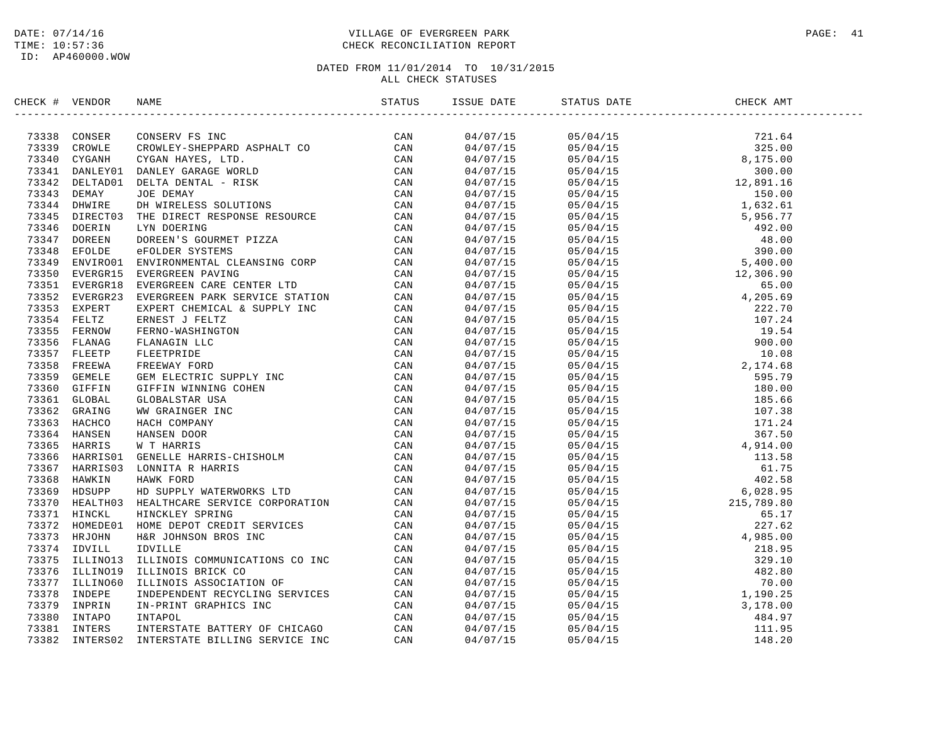### DATE: 07/14/16 PAGE: 41 TIME: 10:57:36 CHECK RECONCILIATION REPORT

| CHECK # VENDOR |                | NAME                                                                                                                                                                                                                                           |  | ISSUE DATE STATUS DATE                                                                                                                                                                                                                                                                                                                                                                                                                                | CHECK AMT |  |
|----------------|----------------|------------------------------------------------------------------------------------------------------------------------------------------------------------------------------------------------------------------------------------------------|--|-------------------------------------------------------------------------------------------------------------------------------------------------------------------------------------------------------------------------------------------------------------------------------------------------------------------------------------------------------------------------------------------------------------------------------------------------------|-----------|--|
|                |                |                                                                                                                                                                                                                                                |  | $\begin{tabular}{l c c c c} \hline \multicolumn{1}{c}{\textbf{0.1}} \hline \multicolumn{1}{c}{\textbf{0.1}} \hline \multicolumn{1}{c}{\textbf{0.1}} \hline \multicolumn{1}{c}{\textbf{0.1}} \hline \multicolumn{1}{c}{\textbf{0.1}} \hline \multicolumn{1}{c}{\textbf{0.1}} \hline \multicolumn{1}{c}{\textbf{0.1}} \hline \multicolumn{1}{c}{\textbf{0.1}} \hline \multicolumn{1}{c}{\textbf{0.1}} \hline \multicolumn{1}{c}{\textbf{0.1}} \hline \$ |           |  |
|                |                |                                                                                                                                                                                                                                                |  |                                                                                                                                                                                                                                                                                                                                                                                                                                                       |           |  |
|                |                |                                                                                                                                                                                                                                                |  |                                                                                                                                                                                                                                                                                                                                                                                                                                                       |           |  |
|                |                |                                                                                                                                                                                                                                                |  |                                                                                                                                                                                                                                                                                                                                                                                                                                                       |           |  |
|                |                |                                                                                                                                                                                                                                                |  |                                                                                                                                                                                                                                                                                                                                                                                                                                                       |           |  |
|                |                |                                                                                                                                                                                                                                                |  |                                                                                                                                                                                                                                                                                                                                                                                                                                                       |           |  |
|                |                |                                                                                                                                                                                                                                                |  |                                                                                                                                                                                                                                                                                                                                                                                                                                                       |           |  |
|                |                |                                                                                                                                                                                                                                                |  |                                                                                                                                                                                                                                                                                                                                                                                                                                                       |           |  |
|                |                |                                                                                                                                                                                                                                                |  |                                                                                                                                                                                                                                                                                                                                                                                                                                                       |           |  |
|                |                |                                                                                                                                                                                                                                                |  |                                                                                                                                                                                                                                                                                                                                                                                                                                                       |           |  |
|                |                |                                                                                                                                                                                                                                                |  |                                                                                                                                                                                                                                                                                                                                                                                                                                                       |           |  |
|                |                |                                                                                                                                                                                                                                                |  |                                                                                                                                                                                                                                                                                                                                                                                                                                                       |           |  |
|                |                |                                                                                                                                                                                                                                                |  |                                                                                                                                                                                                                                                                                                                                                                                                                                                       |           |  |
|                |                |                                                                                                                                                                                                                                                |  |                                                                                                                                                                                                                                                                                                                                                                                                                                                       |           |  |
|                |                |                                                                                                                                                                                                                                                |  |                                                                                                                                                                                                                                                                                                                                                                                                                                                       |           |  |
|                |                |                                                                                                                                                                                                                                                |  |                                                                                                                                                                                                                                                                                                                                                                                                                                                       |           |  |
|                |                |                                                                                                                                                                                                                                                |  |                                                                                                                                                                                                                                                                                                                                                                                                                                                       |           |  |
|                |                |                                                                                                                                                                                                                                                |  |                                                                                                                                                                                                                                                                                                                                                                                                                                                       |           |  |
|                |                |                                                                                                                                                                                                                                                |  |                                                                                                                                                                                                                                                                                                                                                                                                                                                       |           |  |
|                |                |                                                                                                                                                                                                                                                |  |                                                                                                                                                                                                                                                                                                                                                                                                                                                       |           |  |
|                |                |                                                                                                                                                                                                                                                |  |                                                                                                                                                                                                                                                                                                                                                                                                                                                       |           |  |
|                |                |                                                                                                                                                                                                                                                |  |                                                                                                                                                                                                                                                                                                                                                                                                                                                       |           |  |
|                |                |                                                                                                                                                                                                                                                |  |                                                                                                                                                                                                                                                                                                                                                                                                                                                       |           |  |
|                |                |                                                                                                                                                                                                                                                |  |                                                                                                                                                                                                                                                                                                                                                                                                                                                       |           |  |
|                |                |                                                                                                                                                                                                                                                |  |                                                                                                                                                                                                                                                                                                                                                                                                                                                       |           |  |
|                |                |                                                                                                                                                                                                                                                |  |                                                                                                                                                                                                                                                                                                                                                                                                                                                       |           |  |
|                |                |                                                                                                                                                                                                                                                |  |                                                                                                                                                                                                                                                                                                                                                                                                                                                       |           |  |
|                |                |                                                                                                                                                                                                                                                |  |                                                                                                                                                                                                                                                                                                                                                                                                                                                       |           |  |
|                |                |                                                                                                                                                                                                                                                |  |                                                                                                                                                                                                                                                                                                                                                                                                                                                       |           |  |
|                |                |                                                                                                                                                                                                                                                |  |                                                                                                                                                                                                                                                                                                                                                                                                                                                       |           |  |
|                |                |                                                                                                                                                                                                                                                |  |                                                                                                                                                                                                                                                                                                                                                                                                                                                       |           |  |
|                |                |                                                                                                                                                                                                                                                |  |                                                                                                                                                                                                                                                                                                                                                                                                                                                       |           |  |
|                |                |                                                                                                                                                                                                                                                |  |                                                                                                                                                                                                                                                                                                                                                                                                                                                       |           |  |
|                |                |                                                                                                                                                                                                                                                |  |                                                                                                                                                                                                                                                                                                                                                                                                                                                       |           |  |
|                |                |                                                                                                                                                                                                                                                |  |                                                                                                                                                                                                                                                                                                                                                                                                                                                       |           |  |
|                |                |                                                                                                                                                                                                                                                |  |                                                                                                                                                                                                                                                                                                                                                                                                                                                       |           |  |
|                |                |                                                                                                                                                                                                                                                |  |                                                                                                                                                                                                                                                                                                                                                                                                                                                       |           |  |
|                |                |                                                                                                                                                                                                                                                |  |                                                                                                                                                                                                                                                                                                                                                                                                                                                       |           |  |
| 73375          | ILLINO13       |                                                                                                                                                                                                                                                |  |                                                                                                                                                                                                                                                                                                                                                                                                                                                       |           |  |
|                | 73376 ILLINO19 |                                                                                                                                                                                                                                                |  |                                                                                                                                                                                                                                                                                                                                                                                                                                                       |           |  |
|                | 73377 ILLINO60 |                                                                                                                                                                                                                                                |  |                                                                                                                                                                                                                                                                                                                                                                                                                                                       |           |  |
|                | 73378 INDEPE   |                                                                                                                                                                                                                                                |  |                                                                                                                                                                                                                                                                                                                                                                                                                                                       |           |  |
| 73379          | INPRIN         | CAN<br>ILLINOIS COMMUNICATIONS CO INC<br>ILLINOIS BRICK CO CAN<br>ILLINOIS ASSOCIATION OF CAN<br>INDEPENDENT RECYCLING SERVICES CAN<br>IN-PRINT GRAPHICS INC CAN<br>INTAPOL CAN<br>INTERSTATE BATTERY OF CHICAGO CAN<br>INTERSTATE BILLING SER |  |                                                                                                                                                                                                                                                                                                                                                                                                                                                       |           |  |
| 73380          | INTAPO         |                                                                                                                                                                                                                                                |  |                                                                                                                                                                                                                                                                                                                                                                                                                                                       |           |  |
|                | 73381 INTERS   |                                                                                                                                                                                                                                                |  |                                                                                                                                                                                                                                                                                                                                                                                                                                                       |           |  |
| 73382          | INTERS02       |                                                                                                                                                                                                                                                |  |                                                                                                                                                                                                                                                                                                                                                                                                                                                       |           |  |
|                |                |                                                                                                                                                                                                                                                |  |                                                                                                                                                                                                                                                                                                                                                                                                                                                       |           |  |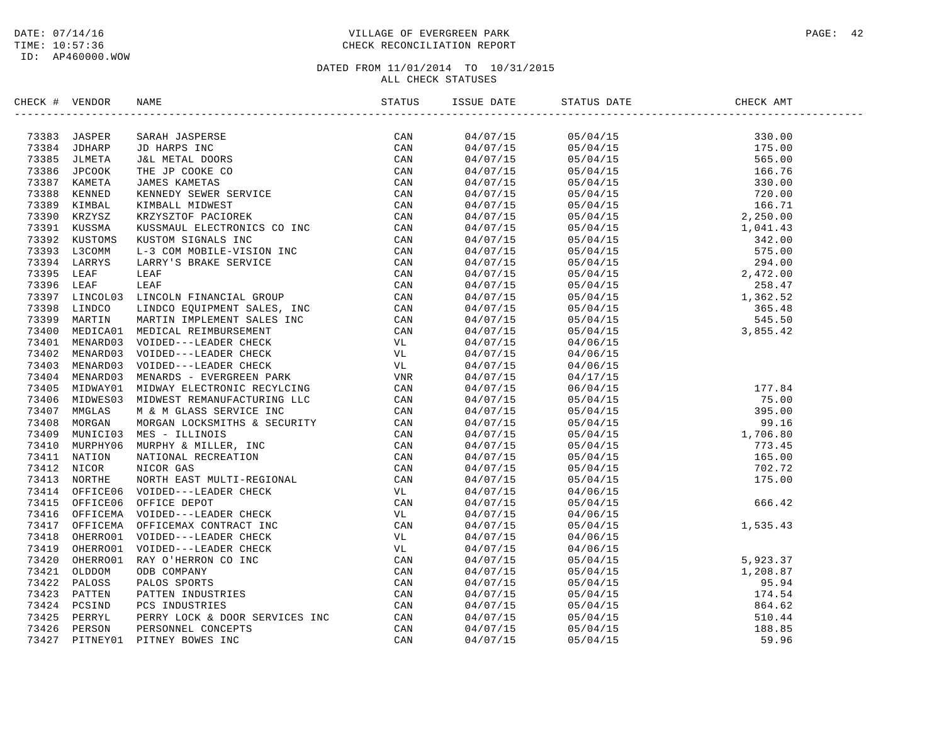### DATE: 07/14/16 PAGE: 42 TIME: 10:57:36 CHECK RECONCILIATION REPORT

| CHECK # VENDOR |                | NAME                                                                                                                                                                                                                                | STATUS | ISSUE DATE | STATUS DATE                                                                                                                                                                                                                                                                  | CHECK AMT                                                                                                                       |  |
|----------------|----------------|-------------------------------------------------------------------------------------------------------------------------------------------------------------------------------------------------------------------------------------|--------|------------|------------------------------------------------------------------------------------------------------------------------------------------------------------------------------------------------------------------------------------------------------------------------------|---------------------------------------------------------------------------------------------------------------------------------|--|
|                |                | 2013131 JABAPER SARAH JABABER 1987<br>1988 JABAR SARAH JABAR INC CAN 1987 JABA SI CAN 1988 JIMBET JEM JABA SI TEMA DOOK COMA<br>1988 JAMBET JEM JABA SI TEMA DOOK COMA 1988 JABA SI TEMA SI TEMA SI TEMA SI TEMA SI TEMA KUSAMUT ER |        | 04/07/15   | $\begin{array}{cccc} 05/04/15 & 330.00 \\ 05/04/15 & 175.00 \\ 05/04/15 & 565.00 \\ 05/04/15 & 166.76 \\ 05/04/15 & 330.00 \\ 05/04/15 & 330.00 \\ 05/04/15 & 720.00 \\ 05/04/15 & 2,250.00 \\ 05/04/15 & 2,250.00 \\ 05/04/15 & 342.00 \\ 05/04/15 & 342.00 \\ 05/04/15 & $ |                                                                                                                                 |  |
|                |                |                                                                                                                                                                                                                                     |        | 04/07/15   |                                                                                                                                                                                                                                                                              |                                                                                                                                 |  |
|                |                |                                                                                                                                                                                                                                     |        | 04/07/15   |                                                                                                                                                                                                                                                                              |                                                                                                                                 |  |
|                |                |                                                                                                                                                                                                                                     |        | 04/07/15   |                                                                                                                                                                                                                                                                              |                                                                                                                                 |  |
|                |                |                                                                                                                                                                                                                                     |        | 04/07/15   |                                                                                                                                                                                                                                                                              |                                                                                                                                 |  |
|                |                |                                                                                                                                                                                                                                     |        | 04/07/15   |                                                                                                                                                                                                                                                                              |                                                                                                                                 |  |
|                |                |                                                                                                                                                                                                                                     |        | 04/07/15   |                                                                                                                                                                                                                                                                              |                                                                                                                                 |  |
|                |                |                                                                                                                                                                                                                                     |        | 04/07/15   |                                                                                                                                                                                                                                                                              |                                                                                                                                 |  |
|                |                |                                                                                                                                                                                                                                     |        |            |                                                                                                                                                                                                                                                                              |                                                                                                                                 |  |
|                |                |                                                                                                                                                                                                                                     |        | 04/07/15   |                                                                                                                                                                                                                                                                              |                                                                                                                                 |  |
|                |                |                                                                                                                                                                                                                                     |        | 04/07/15   |                                                                                                                                                                                                                                                                              |                                                                                                                                 |  |
|                |                |                                                                                                                                                                                                                                     |        | 04/07/15   |                                                                                                                                                                                                                                                                              |                                                                                                                                 |  |
|                |                |                                                                                                                                                                                                                                     |        | 04/07/15   |                                                                                                                                                                                                                                                                              |                                                                                                                                 |  |
|                |                |                                                                                                                                                                                                                                     |        | 04/07/15   |                                                                                                                                                                                                                                                                              |                                                                                                                                 |  |
|                |                |                                                                                                                                                                                                                                     |        | 04/07/15   |                                                                                                                                                                                                                                                                              |                                                                                                                                 |  |
|                |                |                                                                                                                                                                                                                                     |        | 04/07/15   |                                                                                                                                                                                                                                                                              |                                                                                                                                 |  |
|                |                |                                                                                                                                                                                                                                     |        | 04/07/15   |                                                                                                                                                                                                                                                                              |                                                                                                                                 |  |
|                |                |                                                                                                                                                                                                                                     |        | 04/07/15   |                                                                                                                                                                                                                                                                              |                                                                                                                                 |  |
|                |                |                                                                                                                                                                                                                                     |        | 04/07/15   |                                                                                                                                                                                                                                                                              |                                                                                                                                 |  |
|                |                |                                                                                                                                                                                                                                     |        | 04/07/15   | 04/06/15                                                                                                                                                                                                                                                                     |                                                                                                                                 |  |
|                |                |                                                                                                                                                                                                                                     |        | 04/07/15   | 04/06/15                                                                                                                                                                                                                                                                     |                                                                                                                                 |  |
|                |                |                                                                                                                                                                                                                                     |        | 04/07/15   | 04/06/15                                                                                                                                                                                                                                                                     |                                                                                                                                 |  |
|                |                |                                                                                                                                                                                                                                     |        | 04/07/15   | 04/17/15                                                                                                                                                                                                                                                                     |                                                                                                                                 |  |
|                |                |                                                                                                                                                                                                                                     |        | 04/07/15   | 06/04/15                                                                                                                                                                                                                                                                     | $\begin{array}{r} 177.84 \\ 75.00 \\ 395.00 \\ 99.16 \\ 1,706.80 \\ 773.45 \\ 165.00 \\ 702.72 \\ 175.00 \\ 666.42 \end{array}$ |  |
|                |                |                                                                                                                                                                                                                                     |        | 04/07/15   | 05/04/15                                                                                                                                                                                                                                                                     |                                                                                                                                 |  |
|                |                |                                                                                                                                                                                                                                     |        | 04/07/15   | 05/04/15                                                                                                                                                                                                                                                                     |                                                                                                                                 |  |
|                |                |                                                                                                                                                                                                                                     |        | 04/07/15   | 05/04/15                                                                                                                                                                                                                                                                     |                                                                                                                                 |  |
|                |                |                                                                                                                                                                                                                                     |        | 04/07/15   | 05/04/15                                                                                                                                                                                                                                                                     |                                                                                                                                 |  |
|                |                |                                                                                                                                                                                                                                     |        | 04/07/15   | 05/04/15                                                                                                                                                                                                                                                                     |                                                                                                                                 |  |
|                |                |                                                                                                                                                                                                                                     |        | 04/07/15   | 05/04/15                                                                                                                                                                                                                                                                     |                                                                                                                                 |  |
|                |                |                                                                                                                                                                                                                                     |        | 04/07/15   | 05/04/15                                                                                                                                                                                                                                                                     |                                                                                                                                 |  |
|                |                |                                                                                                                                                                                                                                     |        | 04/07/15   | 05/04/15                                                                                                                                                                                                                                                                     |                                                                                                                                 |  |
|                |                |                                                                                                                                                                                                                                     |        | 04/07/15   | 04/06/15                                                                                                                                                                                                                                                                     |                                                                                                                                 |  |
|                |                |                                                                                                                                                                                                                                     |        | 04/07/15   | 05/04/15                                                                                                                                                                                                                                                                     |                                                                                                                                 |  |
|                |                |                                                                                                                                                                                                                                     |        | 04/07/15   | 04/06/15                                                                                                                                                                                                                                                                     | 1, 535.43                                                                                                                       |  |
|                |                |                                                                                                                                                                                                                                     |        | 04/07/15   | 05/04/15                                                                                                                                                                                                                                                                     |                                                                                                                                 |  |
|                |                |                                                                                                                                                                                                                                     |        | 04/07/15   | 04/06/15                                                                                                                                                                                                                                                                     |                                                                                                                                 |  |
|                |                |                                                                                                                                                                                                                                     |        | 04/07/15   | 04/06/15                                                                                                                                                                                                                                                                     |                                                                                                                                 |  |
|                |                |                                                                                                                                                                                                                                     |        | 04/07/15   |                                                                                                                                                                                                                                                                              |                                                                                                                                 |  |
|                |                |                                                                                                                                                                                                                                     |        | 04/07/15   |                                                                                                                                                                                                                                                                              |                                                                                                                                 |  |
|                |                |                                                                                                                                                                                                                                     |        | 04/07/15   |                                                                                                                                                                                                                                                                              |                                                                                                                                 |  |
|                |                |                                                                                                                                                                                                                                     |        | 04/07/15   |                                                                                                                                                                                                                                                                              |                                                                                                                                 |  |
|                |                |                                                                                                                                                                                                                                     |        | 04/07/15   | $\begin{array}{cccc} 04/06/15 & 5\,,923\,.37 \\ 05/04/15 & 5\,,923\,.37 \\ 05/04/15 & 1\,,208\,.87 \\ 05/04/15 & 95\,.94 \\ 05/04/15 & 174\,.54 \\ 05/04/15 & 864\,.62 \\ 05/04/15 & 510\,.44 \\ 05/04/15 & 188\,.85 \\ 05/04/15 & 59\,.96 \\ \end{array}$                   |                                                                                                                                 |  |
|                | 73425 PERRYL   |                                                                                                                                                                                                                                     | CAN    | 04/07/15   |                                                                                                                                                                                                                                                                              |                                                                                                                                 |  |
|                | 73426 PERSON   | PERRY LOCK & DOOR SERVICES INC<br>PERRY LOCK & DOOR SERVICES INC<br>PITNEY BOWES INC                                                                                                                                                | CAN    | 04/07/15   |                                                                                                                                                                                                                                                                              |                                                                                                                                 |  |
|                | 73427 PITNEY01 | PITNEY BOWES INC                                                                                                                                                                                                                    | CAN    | 04/07/15   |                                                                                                                                                                                                                                                                              | 59.96                                                                                                                           |  |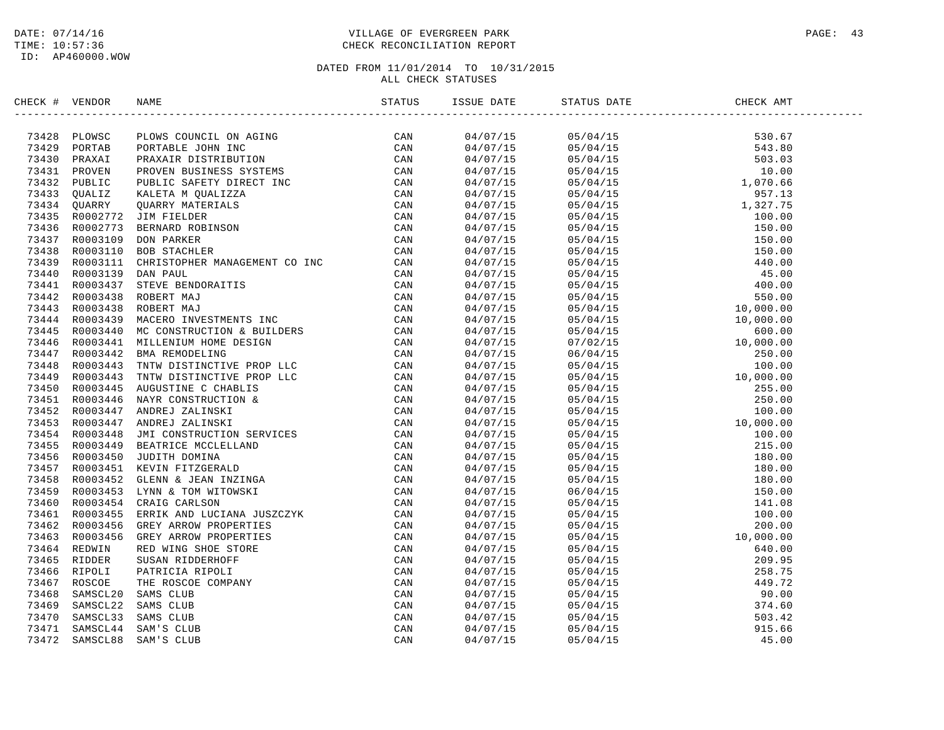### DATE: 07/14/16 PAGE: 43 TIME: 10:57:36 CHECK RECONCILIATION REPORT

| CHECK # VENDOR | NAME                                                                                                                                                                                                                                                                                                                                                                                                                                  |                                  | ISSUE DATE STATUS DATE                                                                                                                                                                                                                                                         | CHECK AMT |  |
|----------------|---------------------------------------------------------------------------------------------------------------------------------------------------------------------------------------------------------------------------------------------------------------------------------------------------------------------------------------------------------------------------------------------------------------------------------------|----------------------------------|--------------------------------------------------------------------------------------------------------------------------------------------------------------------------------------------------------------------------------------------------------------------------------|-----------|--|
|                | $\begin{tabular}{cccc} \textbf{4} & \textbf{WEDD} & \textbf{MMD} & \textbf{MMD} \\ \textbf{5} & \textbf{B} & \textbf{B} & \textbf{B} & \textbf{B} & \textbf{B} & \textbf{B} \\ \textbf{6} & \textbf{B} & \textbf{B} & \textbf{B} & \textbf{B} & \textbf{B} & \textbf{B} \\ \textbf{7} & \textbf{9} & \textbf{B} & \textbf{B} & \textbf{B} & \textbf{B} & \textbf{B} & \textbf{B} \\ \textbf{8} & \textbf{B} & \textbf{B} & \textbf{B$ | 04/07/15                         | $\begin{tabular}{l c c c c} \hline & 5044 & 9448 & 9448 & 9448 & 9448 & 9448 & 9448 & 9448 & 9448 & 9448 & 9448 & 9448 & 9448 & 9448 & 9448 & 9448 & 9448 & 9448 & 9448 & 9448 & 9448 & 9448 & 9448 & 9448 & 9448 & 9448 & 9448 & 9448 & 9448 & 9448 & 9448 & 9448 & 9448 & 9$ |           |  |
|                |                                                                                                                                                                                                                                                                                                                                                                                                                                       |                                  |                                                                                                                                                                                                                                                                                |           |  |
|                |                                                                                                                                                                                                                                                                                                                                                                                                                                       | 04/07/15<br>04/07/15<br>04/07/15 |                                                                                                                                                                                                                                                                                |           |  |
|                |                                                                                                                                                                                                                                                                                                                                                                                                                                       | 04/07/15                         |                                                                                                                                                                                                                                                                                |           |  |
|                |                                                                                                                                                                                                                                                                                                                                                                                                                                       | 04/07/15                         |                                                                                                                                                                                                                                                                                |           |  |
|                |                                                                                                                                                                                                                                                                                                                                                                                                                                       | 04/07/15                         |                                                                                                                                                                                                                                                                                |           |  |
|                |                                                                                                                                                                                                                                                                                                                                                                                                                                       | 04/07/15                         |                                                                                                                                                                                                                                                                                |           |  |
|                |                                                                                                                                                                                                                                                                                                                                                                                                                                       | 04/07/15                         |                                                                                                                                                                                                                                                                                |           |  |
|                |                                                                                                                                                                                                                                                                                                                                                                                                                                       | 04/07/15                         |                                                                                                                                                                                                                                                                                |           |  |
|                |                                                                                                                                                                                                                                                                                                                                                                                                                                       | 04/07/15                         |                                                                                                                                                                                                                                                                                |           |  |
|                |                                                                                                                                                                                                                                                                                                                                                                                                                                       | 04/07/15                         |                                                                                                                                                                                                                                                                                |           |  |
|                |                                                                                                                                                                                                                                                                                                                                                                                                                                       | 04/07/15                         |                                                                                                                                                                                                                                                                                |           |  |
|                |                                                                                                                                                                                                                                                                                                                                                                                                                                       | 04/07/15                         |                                                                                                                                                                                                                                                                                |           |  |
|                |                                                                                                                                                                                                                                                                                                                                                                                                                                       |                                  |                                                                                                                                                                                                                                                                                |           |  |
|                |                                                                                                                                                                                                                                                                                                                                                                                                                                       | 04/07/15                         |                                                                                                                                                                                                                                                                                |           |  |
|                |                                                                                                                                                                                                                                                                                                                                                                                                                                       | 04/07/15                         |                                                                                                                                                                                                                                                                                |           |  |
|                |                                                                                                                                                                                                                                                                                                                                                                                                                                       | 04/07/15                         |                                                                                                                                                                                                                                                                                |           |  |
|                |                                                                                                                                                                                                                                                                                                                                                                                                                                       | 04/07/15                         |                                                                                                                                                                                                                                                                                |           |  |
|                |                                                                                                                                                                                                                                                                                                                                                                                                                                       | 04/07/15                         |                                                                                                                                                                                                                                                                                |           |  |
|                |                                                                                                                                                                                                                                                                                                                                                                                                                                       | 04/07/15                         |                                                                                                                                                                                                                                                                                |           |  |
|                |                                                                                                                                                                                                                                                                                                                                                                                                                                       | 04/07/15                         |                                                                                                                                                                                                                                                                                |           |  |
|                |                                                                                                                                                                                                                                                                                                                                                                                                                                       | 04/07/15                         |                                                                                                                                                                                                                                                                                |           |  |
|                |                                                                                                                                                                                                                                                                                                                                                                                                                                       | 04/07/15                         |                                                                                                                                                                                                                                                                                |           |  |
|                |                                                                                                                                                                                                                                                                                                                                                                                                                                       | 04/07/15                         |                                                                                                                                                                                                                                                                                |           |  |
|                |                                                                                                                                                                                                                                                                                                                                                                                                                                       | 04/07/15                         |                                                                                                                                                                                                                                                                                |           |  |
|                |                                                                                                                                                                                                                                                                                                                                                                                                                                       | 04/07/15                         |                                                                                                                                                                                                                                                                                |           |  |
|                |                                                                                                                                                                                                                                                                                                                                                                                                                                       | 04/07/15                         |                                                                                                                                                                                                                                                                                |           |  |
|                |                                                                                                                                                                                                                                                                                                                                                                                                                                       | 04/07/15                         |                                                                                                                                                                                                                                                                                |           |  |
|                |                                                                                                                                                                                                                                                                                                                                                                                                                                       | 04/07/15                         |                                                                                                                                                                                                                                                                                |           |  |
|                |                                                                                                                                                                                                                                                                                                                                                                                                                                       | 04/07/15                         |                                                                                                                                                                                                                                                                                |           |  |
|                |                                                                                                                                                                                                                                                                                                                                                                                                                                       | 04/07/15                         |                                                                                                                                                                                                                                                                                |           |  |
|                |                                                                                                                                                                                                                                                                                                                                                                                                                                       | 04/07/15                         |                                                                                                                                                                                                                                                                                |           |  |
|                |                                                                                                                                                                                                                                                                                                                                                                                                                                       | 04/07/15                         |                                                                                                                                                                                                                                                                                |           |  |
|                |                                                                                                                                                                                                                                                                                                                                                                                                                                       | 04/07/15                         |                                                                                                                                                                                                                                                                                |           |  |
|                |                                                                                                                                                                                                                                                                                                                                                                                                                                       | 04/07/15                         |                                                                                                                                                                                                                                                                                |           |  |
|                |                                                                                                                                                                                                                                                                                                                                                                                                                                       | 04/07/15                         |                                                                                                                                                                                                                                                                                |           |  |
|                |                                                                                                                                                                                                                                                                                                                                                                                                                                       | 04/07/15                         |                                                                                                                                                                                                                                                                                |           |  |
|                |                                                                                                                                                                                                                                                                                                                                                                                                                                       | 04/07/15                         |                                                                                                                                                                                                                                                                                |           |  |
|                |                                                                                                                                                                                                                                                                                                                                                                                                                                       | 04/07/15                         |                                                                                                                                                                                                                                                                                |           |  |
|                |                                                                                                                                                                                                                                                                                                                                                                                                                                       | 04/07/15                         |                                                                                                                                                                                                                                                                                |           |  |
|                |                                                                                                                                                                                                                                                                                                                                                                                                                                       | 04/07/15                         |                                                                                                                                                                                                                                                                                |           |  |
|                |                                                                                                                                                                                                                                                                                                                                                                                                                                       | 04/07/15                         |                                                                                                                                                                                                                                                                                |           |  |
|                |                                                                                                                                                                                                                                                                                                                                                                                                                                       | 04/07/15                         |                                                                                                                                                                                                                                                                                |           |  |
|                |                                                                                                                                                                                                                                                                                                                                                                                                                                       | 04/07/15                         |                                                                                                                                                                                                                                                                                |           |  |
|                |                                                                                                                                                                                                                                                                                                                                                                                                                                       | 04/07/15                         |                                                                                                                                                                                                                                                                                |           |  |
|                |                                                                                                                                                                                                                                                                                                                                                                                                                                       | 04/07/15                         |                                                                                                                                                                                                                                                                                |           |  |
|                |                                                                                                                                                                                                                                                                                                                                                                                                                                       |                                  |                                                                                                                                                                                                                                                                                |           |  |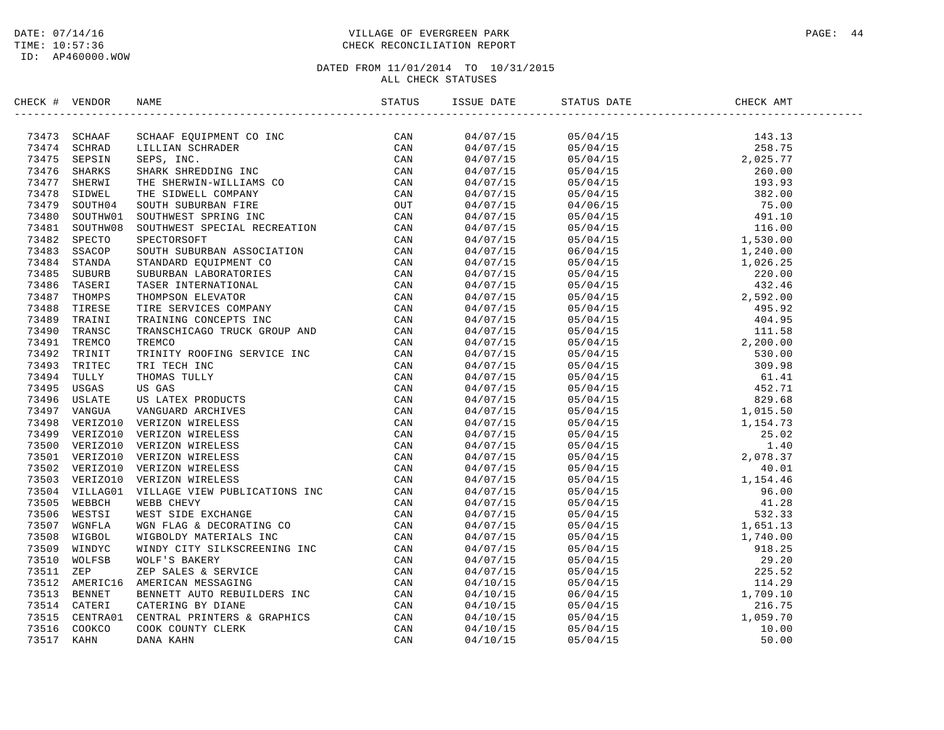### DATE: 07/14/16 PAGE: 44 TIME: 10:57:36 CHECK RECONCILIATION REPORT

| CHECK # VENDOR |                | NAME                            | STATUS | ISSUE DATE STATU | STATUS DATE | CHECK AMT |  |
|----------------|----------------|---------------------------------|--------|------------------|-------------|-----------|--|
|                | 73473 SCHAAF   |                                 |        |                  |             |           |  |
|                | 73474 SCHRAD   |                                 |        |                  |             |           |  |
|                | 73475 SEPSIN   |                                 |        |                  |             |           |  |
|                | 73476 SHARKS   |                                 |        |                  |             |           |  |
|                | 73477 SHERWI   |                                 |        |                  |             |           |  |
|                | 73478 SIDWEL   |                                 |        |                  |             |           |  |
| 73479          | SOUTH04        |                                 |        |                  |             |           |  |
|                | 73480 SOUTHW01 |                                 |        |                  |             |           |  |
|                | 73481 SOUTHW08 |                                 |        |                  |             |           |  |
|                | 73482 SPECTO   |                                 |        |                  |             |           |  |
|                | 73483 SSACOP   |                                 |        |                  |             |           |  |
|                | 73484 STANDA   |                                 |        |                  |             |           |  |
|                | 73485 SUBURB   |                                 |        |                  |             |           |  |
|                | 73486 TASERI   |                                 |        |                  |             |           |  |
|                | 73487 THOMPS   |                                 |        |                  |             |           |  |
|                | 73488 TIRESE   |                                 |        |                  |             |           |  |
|                | 73489 TRAINI   |                                 |        |                  |             |           |  |
| 73490          | TRANSC         |                                 |        |                  |             |           |  |
|                | 73491 TREMCO   |                                 |        |                  |             |           |  |
|                |                |                                 |        |                  |             |           |  |
|                | 73492 TRINIT   |                                 |        |                  |             |           |  |
|                | 73493 TRITEC   |                                 |        |                  |             |           |  |
|                | 73494 TULLY    |                                 |        |                  |             |           |  |
|                | 73495 USGAS    |                                 |        |                  |             |           |  |
|                | 73496 USLATE   |                                 |        |                  |             |           |  |
|                | 73497 VANGUA   |                                 |        |                  |             |           |  |
|                |                | 73498 VERIZO10 VERIZON WIRELESS |        |                  |             |           |  |
|                | 73499 VERIZO10 |                                 |        |                  |             |           |  |
|                |                | 73500 VERIZO10 VERIZON WIRELESS |        |                  |             |           |  |
|                |                | 73501 VERIZO10 VERIZON WIRELESS |        |                  |             |           |  |
|                |                | 73502 VERIZO10 VERIZON WIRELESS |        |                  |             |           |  |
|                | 73503 VERIZO10 |                                 |        |                  |             |           |  |
|                | 73504 VILLAG01 |                                 |        |                  |             |           |  |
|                | 73505 WEBBCH   |                                 |        |                  |             |           |  |
|                | 73506 WESTSI   |                                 |        |                  |             |           |  |
|                | 73507 WGNFLA   |                                 |        |                  |             |           |  |
| 73508          | WIGBOL         |                                 |        |                  |             |           |  |
|                | 73509 WINDYC   |                                 |        |                  |             |           |  |
| 73510          | WOLFSB         |                                 |        |                  |             |           |  |
| 73511 ZEP      |                |                                 |        |                  |             |           |  |
|                | 73512 AMERIC16 |                                 |        |                  |             |           |  |
|                | 73513 BENNET   |                                 |        |                  |             |           |  |
|                | 73514 CATERI   |                                 |        |                  |             |           |  |
| 73515          | CENTRA01       |                                 |        |                  |             |           |  |
| 73516          | COOKCO         |                                 |        |                  |             |           |  |
| 73517          | KAHN           |                                 |        |                  |             |           |  |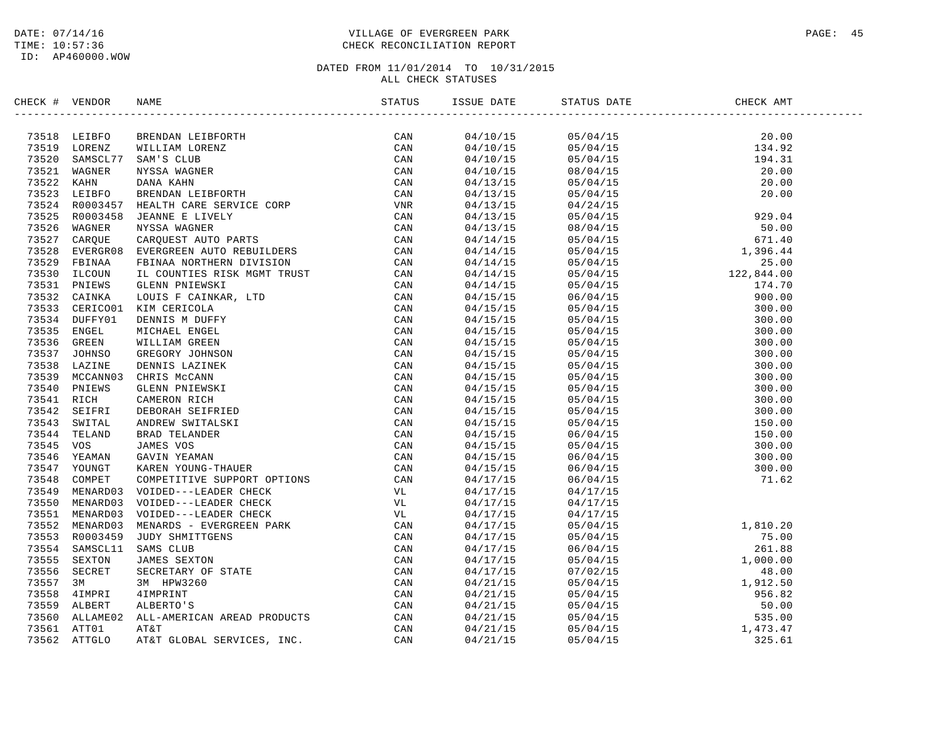### DATE: 07/14/16 PAGE: 45 TIME: 10:57:36 CHECK RECONCILIATION REPORT

| CHECK # VENDOR |                                                                                                                                                                                                                               |                      |          |                                                                                                                                                                                                                                                                            |  |
|----------------|-------------------------------------------------------------------------------------------------------------------------------------------------------------------------------------------------------------------------------|----------------------|----------|----------------------------------------------------------------------------------------------------------------------------------------------------------------------------------------------------------------------------------------------------------------------------|--|
|                | SEARCH PUBLIC CONSIDERATION CONTROL CONTROLS (AN ANNOUNCE AN ANNOUNCE AN ANNOUNCE AN AN AN AN AN AN AN AIR CAN AN AIR CONTROL CONTROLS AN AN AIR CONTROLS AN AIR CONTROLS (AN AIR CONTROLS AN AIR CONTROLS AN AIR CONTROLS AN |                      |          |                                                                                                                                                                                                                                                                            |  |
|                |                                                                                                                                                                                                                               |                      |          |                                                                                                                                                                                                                                                                            |  |
|                |                                                                                                                                                                                                                               |                      |          |                                                                                                                                                                                                                                                                            |  |
|                |                                                                                                                                                                                                                               |                      |          |                                                                                                                                                                                                                                                                            |  |
|                |                                                                                                                                                                                                                               |                      |          |                                                                                                                                                                                                                                                                            |  |
|                |                                                                                                                                                                                                                               |                      |          |                                                                                                                                                                                                                                                                            |  |
|                |                                                                                                                                                                                                                               |                      |          |                                                                                                                                                                                                                                                                            |  |
|                |                                                                                                                                                                                                                               |                      |          |                                                                                                                                                                                                                                                                            |  |
|                |                                                                                                                                                                                                                               |                      |          |                                                                                                                                                                                                                                                                            |  |
|                |                                                                                                                                                                                                                               |                      |          |                                                                                                                                                                                                                                                                            |  |
|                |                                                                                                                                                                                                                               |                      |          |                                                                                                                                                                                                                                                                            |  |
|                |                                                                                                                                                                                                                               |                      |          |                                                                                                                                                                                                                                                                            |  |
|                |                                                                                                                                                                                                                               |                      |          |                                                                                                                                                                                                                                                                            |  |
|                |                                                                                                                                                                                                                               |                      |          |                                                                                                                                                                                                                                                                            |  |
|                |                                                                                                                                                                                                                               |                      |          |                                                                                                                                                                                                                                                                            |  |
|                |                                                                                                                                                                                                                               |                      |          |                                                                                                                                                                                                                                                                            |  |
|                |                                                                                                                                                                                                                               |                      |          |                                                                                                                                                                                                                                                                            |  |
|                |                                                                                                                                                                                                                               |                      |          |                                                                                                                                                                                                                                                                            |  |
|                |                                                                                                                                                                                                                               |                      |          |                                                                                                                                                                                                                                                                            |  |
|                |                                                                                                                                                                                                                               |                      |          |                                                                                                                                                                                                                                                                            |  |
|                |                                                                                                                                                                                                                               |                      |          |                                                                                                                                                                                                                                                                            |  |
|                |                                                                                                                                                                                                                               |                      |          |                                                                                                                                                                                                                                                                            |  |
|                |                                                                                                                                                                                                                               |                      |          |                                                                                                                                                                                                                                                                            |  |
|                |                                                                                                                                                                                                                               |                      |          |                                                                                                                                                                                                                                                                            |  |
|                |                                                                                                                                                                                                                               |                      |          |                                                                                                                                                                                                                                                                            |  |
|                |                                                                                                                                                                                                                               |                      |          |                                                                                                                                                                                                                                                                            |  |
|                |                                                                                                                                                                                                                               |                      |          |                                                                                                                                                                                                                                                                            |  |
|                |                                                                                                                                                                                                                               |                      |          |                                                                                                                                                                                                                                                                            |  |
|                |                                                                                                                                                                                                                               |                      |          |                                                                                                                                                                                                                                                                            |  |
|                |                                                                                                                                                                                                                               |                      |          |                                                                                                                                                                                                                                                                            |  |
|                |                                                                                                                                                                                                                               |                      |          |                                                                                                                                                                                                                                                                            |  |
|                |                                                                                                                                                                                                                               |                      |          |                                                                                                                                                                                                                                                                            |  |
|                |                                                                                                                                                                                                                               |                      |          |                                                                                                                                                                                                                                                                            |  |
|                |                                                                                                                                                                                                                               |                      | 04/17/15 |                                                                                                                                                                                                                                                                            |  |
|                |                                                                                                                                                                                                                               | 04/17/15<br>04/17/15 | 04/17/15 |                                                                                                                                                                                                                                                                            |  |
|                |                                                                                                                                                                                                                               | 04/17/15             |          |                                                                                                                                                                                                                                                                            |  |
|                |                                                                                                                                                                                                                               |                      |          |                                                                                                                                                                                                                                                                            |  |
|                |                                                                                                                                                                                                                               | 04/17/15<br>04/17/15 |          |                                                                                                                                                                                                                                                                            |  |
|                |                                                                                                                                                                                                                               | 04/17/15             |          |                                                                                                                                                                                                                                                                            |  |
|                |                                                                                                                                                                                                                               | 04/17/15             |          |                                                                                                                                                                                                                                                                            |  |
|                |                                                                                                                                                                                                                               |                      |          |                                                                                                                                                                                                                                                                            |  |
|                |                                                                                                                                                                                                                               | 04/21/15<br>04/21/15 |          |                                                                                                                                                                                                                                                                            |  |
|                |                                                                                                                                                                                                                               | 04/21/15             |          |                                                                                                                                                                                                                                                                            |  |
|                |                                                                                                                                                                                                                               |                      |          |                                                                                                                                                                                                                                                                            |  |
|                |                                                                                                                                                                                                                               | 04/21/15<br>04/21/15 |          |                                                                                                                                                                                                                                                                            |  |
|                |                                                                                                                                                                                                                               | 04/21/15             |          | 03/04/15<br>05/04/15<br>06/04/15<br>06/04/15<br>06/04/15<br>06/04/15<br>07/02/15<br>05/04/15<br>05/04/15<br>05/04/15<br>05/04/15<br>05/04/15<br>05/04/15<br>05/04/15<br>05/04/15<br>05/04/15<br>05/04/15<br>05/04/15<br>05/04/15<br>05/04/15<br>05/04/15<br>05/04/15<br>05 |  |
|                |                                                                                                                                                                                                                               |                      |          |                                                                                                                                                                                                                                                                            |  |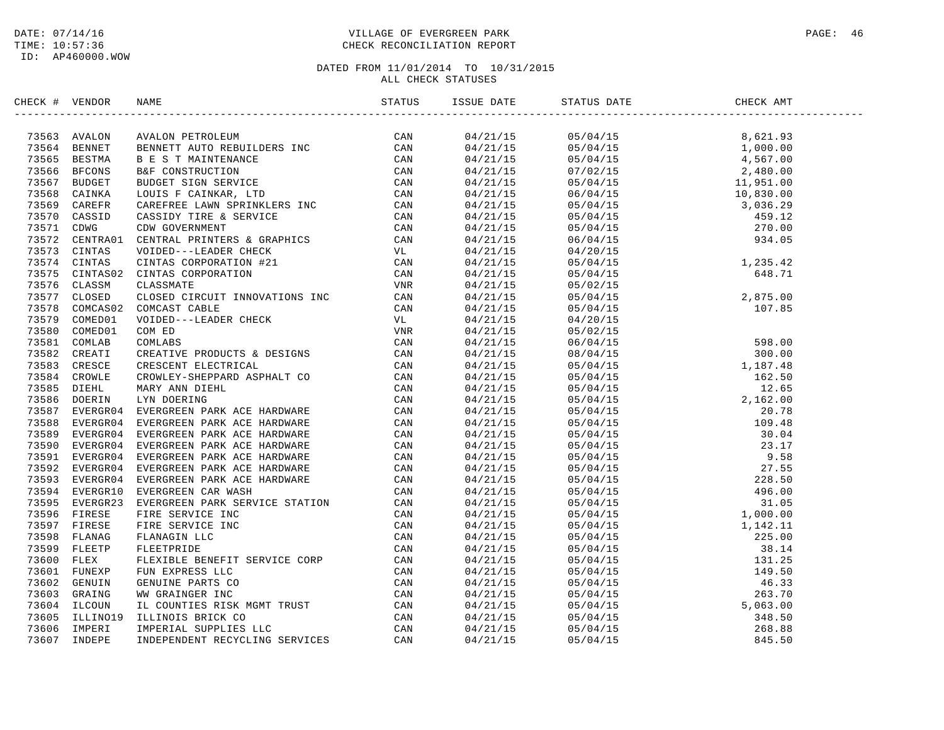### DATE: 07/14/16 PAGE: 46 PAGE: 46 PAGE: 46 PAGE: 46 PAGE: 46 PAGE: 46 PAGE: 46 PAGE: 46 TIME: 10:57:36 CHECK RECONCILIATION REPORT

| CHECK # VENDOR | NAME                                                                                                                                                                                                                                      | ISSUE DATE | STATUS DATE                                                                                                                                                                                                                                                                                                                                                        | CHECK AMT |  |
|----------------|-------------------------------------------------------------------------------------------------------------------------------------------------------------------------------------------------------------------------------------------|------------|--------------------------------------------------------------------------------------------------------------------------------------------------------------------------------------------------------------------------------------------------------------------------------------------------------------------------------------------------------------------|-----------|--|
|                | XRCK + VERDOR NAME<br>XRCK + VERDOR NAME PITROLEUM<br>2008 ANALON PITROLEUM<br>2008 BENNETT AUTOR DEBUTILDEES INC CAN<br>2008 BENNET DERMITT AUTO ERRITENCE CAN<br>2008 BENNET DEBUTY TO SERVICE CON CAN<br>2008 CANNER CONSIDER SIGN SER |            | $\begin{tabular}{l c c c c} \hline $\textbf{0.4/21/15}$ & $\textbf{0.5/04/15}$ & $\textbf{0.5/04/15}$ \\ \hline $\textbf{0.4/21/15}$ & $\textbf{0.5/04/15}$ & $\textbf{0.5/04/15}$ & $\textbf{0.5/04/15}$ \\ \hline $\textbf{0.4/21/15}$ & $\textbf{0.5/04/15}$ & $\textbf{0.5/04/15}$ & $\textbf{0.5/04$ \\ \hline $\textbf{0.4/21/15}$ & $\textbf{0.5/04/15}$ &$ |           |  |
|                |                                                                                                                                                                                                                                           |            |                                                                                                                                                                                                                                                                                                                                                                    |           |  |
|                |                                                                                                                                                                                                                                           |            |                                                                                                                                                                                                                                                                                                                                                                    |           |  |
|                |                                                                                                                                                                                                                                           |            |                                                                                                                                                                                                                                                                                                                                                                    |           |  |
|                |                                                                                                                                                                                                                                           |            |                                                                                                                                                                                                                                                                                                                                                                    |           |  |
|                |                                                                                                                                                                                                                                           |            |                                                                                                                                                                                                                                                                                                                                                                    |           |  |
|                |                                                                                                                                                                                                                                           |            |                                                                                                                                                                                                                                                                                                                                                                    |           |  |
|                |                                                                                                                                                                                                                                           |            |                                                                                                                                                                                                                                                                                                                                                                    |           |  |
|                |                                                                                                                                                                                                                                           |            |                                                                                                                                                                                                                                                                                                                                                                    |           |  |
|                |                                                                                                                                                                                                                                           |            |                                                                                                                                                                                                                                                                                                                                                                    |           |  |
|                |                                                                                                                                                                                                                                           |            |                                                                                                                                                                                                                                                                                                                                                                    |           |  |
|                |                                                                                                                                                                                                                                           |            |                                                                                                                                                                                                                                                                                                                                                                    |           |  |
|                |                                                                                                                                                                                                                                           |            |                                                                                                                                                                                                                                                                                                                                                                    |           |  |
|                |                                                                                                                                                                                                                                           |            |                                                                                                                                                                                                                                                                                                                                                                    |           |  |
|                |                                                                                                                                                                                                                                           |            |                                                                                                                                                                                                                                                                                                                                                                    |           |  |
|                |                                                                                                                                                                                                                                           |            |                                                                                                                                                                                                                                                                                                                                                                    |           |  |
|                |                                                                                                                                                                                                                                           |            |                                                                                                                                                                                                                                                                                                                                                                    |           |  |
|                |                                                                                                                                                                                                                                           |            |                                                                                                                                                                                                                                                                                                                                                                    |           |  |
|                |                                                                                                                                                                                                                                           |            |                                                                                                                                                                                                                                                                                                                                                                    |           |  |
|                |                                                                                                                                                                                                                                           |            |                                                                                                                                                                                                                                                                                                                                                                    |           |  |
|                |                                                                                                                                                                                                                                           |            |                                                                                                                                                                                                                                                                                                                                                                    |           |  |
|                |                                                                                                                                                                                                                                           |            |                                                                                                                                                                                                                                                                                                                                                                    |           |  |
|                |                                                                                                                                                                                                                                           |            |                                                                                                                                                                                                                                                                                                                                                                    |           |  |
|                |                                                                                                                                                                                                                                           |            |                                                                                                                                                                                                                                                                                                                                                                    |           |  |
|                |                                                                                                                                                                                                                                           |            |                                                                                                                                                                                                                                                                                                                                                                    |           |  |
|                |                                                                                                                                                                                                                                           |            |                                                                                                                                                                                                                                                                                                                                                                    |           |  |
|                |                                                                                                                                                                                                                                           |            |                                                                                                                                                                                                                                                                                                                                                                    |           |  |
|                |                                                                                                                                                                                                                                           |            |                                                                                                                                                                                                                                                                                                                                                                    |           |  |
|                |                                                                                                                                                                                                                                           |            |                                                                                                                                                                                                                                                                                                                                                                    |           |  |
|                |                                                                                                                                                                                                                                           |            |                                                                                                                                                                                                                                                                                                                                                                    |           |  |
|                |                                                                                                                                                                                                                                           |            |                                                                                                                                                                                                                                                                                                                                                                    |           |  |
|                |                                                                                                                                                                                                                                           |            |                                                                                                                                                                                                                                                                                                                                                                    |           |  |
|                |                                                                                                                                                                                                                                           |            |                                                                                                                                                                                                                                                                                                                                                                    |           |  |
|                |                                                                                                                                                                                                                                           |            |                                                                                                                                                                                                                                                                                                                                                                    |           |  |
|                |                                                                                                                                                                                                                                           |            |                                                                                                                                                                                                                                                                                                                                                                    |           |  |
|                |                                                                                                                                                                                                                                           |            |                                                                                                                                                                                                                                                                                                                                                                    |           |  |
|                |                                                                                                                                                                                                                                           |            |                                                                                                                                                                                                                                                                                                                                                                    |           |  |
|                |                                                                                                                                                                                                                                           |            |                                                                                                                                                                                                                                                                                                                                                                    |           |  |
|                |                                                                                                                                                                                                                                           |            |                                                                                                                                                                                                                                                                                                                                                                    |           |  |
|                |                                                                                                                                                                                                                                           |            |                                                                                                                                                                                                                                                                                                                                                                    |           |  |
|                |                                                                                                                                                                                                                                           |            |                                                                                                                                                                                                                                                                                                                                                                    |           |  |
|                |                                                                                                                                                                                                                                           |            |                                                                                                                                                                                                                                                                                                                                                                    |           |  |
|                |                                                                                                                                                                                                                                           |            |                                                                                                                                                                                                                                                                                                                                                                    |           |  |
|                |                                                                                                                                                                                                                                           |            |                                                                                                                                                                                                                                                                                                                                                                    |           |  |
|                |                                                                                                                                                                                                                                           |            |                                                                                                                                                                                                                                                                                                                                                                    |           |  |
|                |                                                                                                                                                                                                                                           |            |                                                                                                                                                                                                                                                                                                                                                                    |           |  |
|                |                                                                                                                                                                                                                                           |            |                                                                                                                                                                                                                                                                                                                                                                    |           |  |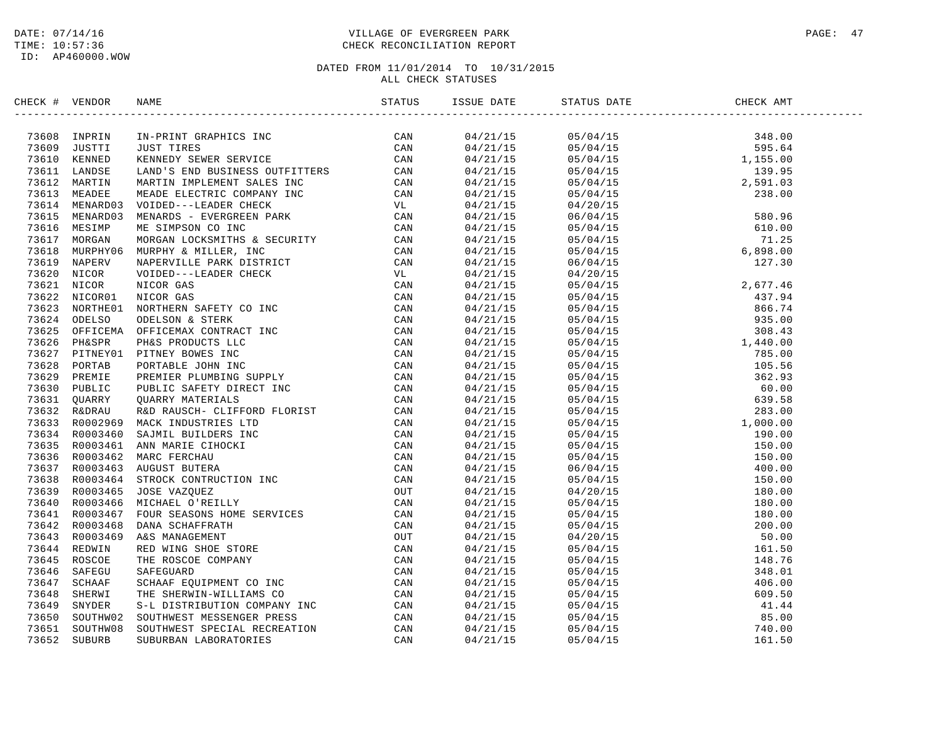### DATE: 07/14/16 PAGE: 47 TIME: 10:57:36 CHECK RECONCILIATION REPORT

| CHECK # VENDOR |                | NAME                                                                                                                                                                                                                           |                                  |  |  |
|----------------|----------------|--------------------------------------------------------------------------------------------------------------------------------------------------------------------------------------------------------------------------------|----------------------------------|--|--|
|                | 73608 INPRIN   | NAME THE SERVIES IN THE SERVIES CAN NARC PERICAL SERVIES CAN ARREST THE SERVICE CONDUIT IN THE SERVIES ON A SAMPLE SERVICE CONDUIT IN THE SERVIES ON A SAMPLE SERVIES ON A SAMPLE SERVIES ON A SAMPLE SAMPLE SAMPLE SAMPLE SAM | 04/21/15                         |  |  |
|                | 73609 JUSTTI   |                                                                                                                                                                                                                                |                                  |  |  |
|                | 73610 KENNED   |                                                                                                                                                                                                                                | 04/21/15<br>04/21/15<br>04/21/15 |  |  |
|                | 73611 LANDSE   |                                                                                                                                                                                                                                | 04/21/15                         |  |  |
|                | 73612 MARTIN   |                                                                                                                                                                                                                                | 04/21/15                         |  |  |
|                | 73613 MEADEE   |                                                                                                                                                                                                                                | 04/21/15                         |  |  |
|                | 73614 MENARD03 |                                                                                                                                                                                                                                | 04/21/15                         |  |  |
|                | 73615 MENARD03 |                                                                                                                                                                                                                                | 04/21/15                         |  |  |
| 73616          | MESIMP         |                                                                                                                                                                                                                                | 04/21/15                         |  |  |
|                | 73617 MORGAN   |                                                                                                                                                                                                                                | 04/21/15                         |  |  |
| 73618          | MURPHY06       |                                                                                                                                                                                                                                | 04/21/15                         |  |  |
|                | 73619 NAPERV   |                                                                                                                                                                                                                                | 04/21/15                         |  |  |
| 73620          | NICOR          |                                                                                                                                                                                                                                | 04/21/15                         |  |  |
|                | 73621 NICOR    |                                                                                                                                                                                                                                | 04/21/15                         |  |  |
|                | 73622 NICOR01  |                                                                                                                                                                                                                                | 04/21/15                         |  |  |
|                | 73623 NORTHE01 |                                                                                                                                                                                                                                | 04/21/15                         |  |  |
|                | 73624 ODELSO   |                                                                                                                                                                                                                                | 04/21/15                         |  |  |
|                | 73625 OFFICEMA |                                                                                                                                                                                                                                | 04/21/15                         |  |  |
|                | 73626 PH&SPR   |                                                                                                                                                                                                                                | 04/21/15                         |  |  |
|                | 73627 PITNEY01 |                                                                                                                                                                                                                                | 04/21/15                         |  |  |
|                | 73628 PORTAB   |                                                                                                                                                                                                                                | 04/21/15                         |  |  |
| 73629          | PREMIE         |                                                                                                                                                                                                                                | 04/21/15                         |  |  |
|                | 73630 PUBLIC   |                                                                                                                                                                                                                                | 04/21/15                         |  |  |
|                | 73631 QUARRY   |                                                                                                                                                                                                                                | 04/21/15                         |  |  |
|                | 73632 R&DRAU   |                                                                                                                                                                                                                                | 04/21/15                         |  |  |
|                | 73633 R0002969 |                                                                                                                                                                                                                                | 04/21/15                         |  |  |
|                | 73634 R0003460 |                                                                                                                                                                                                                                | 04/21/15                         |  |  |
|                | 73635 R0003461 |                                                                                                                                                                                                                                | 04/21/15                         |  |  |
|                | 73636 R0003462 |                                                                                                                                                                                                                                | 04/21/15                         |  |  |
|                |                | 73637 R0003463 AUGUST BUTERA                                                                                                                                                                                                   |                                  |  |  |
|                | 73638 R0003464 |                                                                                                                                                                                                                                | 04/21/15                         |  |  |
|                | 73639 R0003465 |                                                                                                                                                                                                                                | 04/21/15                         |  |  |
|                |                |                                                                                                                                                                                                                                | 04/21/15                         |  |  |
|                | 73640 R0003466 |                                                                                                                                                                                                                                | 04/21/15                         |  |  |
|                | 73641 R0003467 |                                                                                                                                                                                                                                | 04/21/15                         |  |  |
|                | 73642 R0003468 |                                                                                                                                                                                                                                | 04/21/15                         |  |  |
|                | 73643 R0003469 |                                                                                                                                                                                                                                | 04/21/15                         |  |  |
|                | 73644 REDWIN   |                                                                                                                                                                                                                                | 04/21/15                         |  |  |
| 73645          | ROSCOE         |                                                                                                                                                                                                                                | 04/21/15                         |  |  |
|                | 73646 SAFEGU   |                                                                                                                                                                                                                                | 04/21/15                         |  |  |
|                | 73647 SCHAAF   |                                                                                                                                                                                                                                | 04/21/15                         |  |  |
|                | 73648 SHERWI   |                                                                                                                                                                                                                                | 04/21/15                         |  |  |
| 73649          | SNYDER         |                                                                                                                                                                                                                                | 04/21/15                         |  |  |
| 73650          | SOUTHW02       |                                                                                                                                                                                                                                | 04/21/15                         |  |  |
| 73651          | SOUTHW08       |                                                                                                                                                                                                                                | 04/21/15                         |  |  |
| 73652          | <b>SUBURB</b>  |                                                                                                                                                                                                                                | 04/21/15                         |  |  |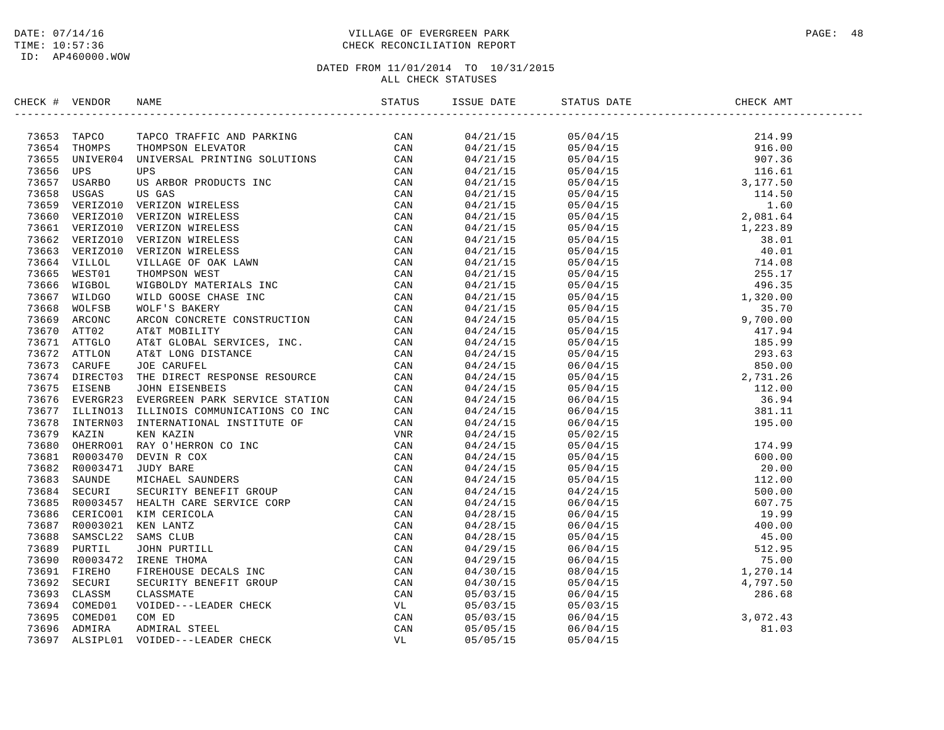### DATE: 07/14/16 PAGE: 48 TIME: 10:57:36 CHECK RECONCILIATION REPORT

| CHECK # VENDOR | NAME                                                                                                                                                                                                                                                                                                        |  | STATUS DATE | CHECK AMT |  |
|----------------|-------------------------------------------------------------------------------------------------------------------------------------------------------------------------------------------------------------------------------------------------------------------------------------------------------------|--|-------------|-----------|--|
|                | $\begin{tabular}{cccccccc} $4$ & $97576 & $97576 & $97576 & $97576 & $97576 & $97576 & $97576 & $97576 & $97576 & $97576 & $97576 & $97576 & $97576 & $97576 & $97576 & $17576 & $17576 & $17576 & $17576 & $17576 & $17576 & $17576 & $17576 & $17576 & $17576 & $17576 & $17576 & $17576 & $17576 & $175$ |  |             |           |  |
|                |                                                                                                                                                                                                                                                                                                             |  |             |           |  |
|                |                                                                                                                                                                                                                                                                                                             |  |             |           |  |
|                |                                                                                                                                                                                                                                                                                                             |  |             |           |  |
|                |                                                                                                                                                                                                                                                                                                             |  |             |           |  |
|                |                                                                                                                                                                                                                                                                                                             |  |             |           |  |
|                |                                                                                                                                                                                                                                                                                                             |  |             |           |  |
|                |                                                                                                                                                                                                                                                                                                             |  |             |           |  |
|                |                                                                                                                                                                                                                                                                                                             |  |             |           |  |
|                |                                                                                                                                                                                                                                                                                                             |  |             |           |  |
|                |                                                                                                                                                                                                                                                                                                             |  |             |           |  |
|                |                                                                                                                                                                                                                                                                                                             |  |             |           |  |
|                |                                                                                                                                                                                                                                                                                                             |  |             |           |  |
|                |                                                                                                                                                                                                                                                                                                             |  |             |           |  |
|                |                                                                                                                                                                                                                                                                                                             |  |             |           |  |
|                |                                                                                                                                                                                                                                                                                                             |  |             |           |  |
|                |                                                                                                                                                                                                                                                                                                             |  |             |           |  |
|                |                                                                                                                                                                                                                                                                                                             |  |             |           |  |
|                |                                                                                                                                                                                                                                                                                                             |  |             |           |  |
|                |                                                                                                                                                                                                                                                                                                             |  |             |           |  |
|                |                                                                                                                                                                                                                                                                                                             |  |             |           |  |
|                |                                                                                                                                                                                                                                                                                                             |  |             |           |  |
|                |                                                                                                                                                                                                                                                                                                             |  |             |           |  |
|                |                                                                                                                                                                                                                                                                                                             |  |             |           |  |
|                |                                                                                                                                                                                                                                                                                                             |  |             |           |  |
|                |                                                                                                                                                                                                                                                                                                             |  |             |           |  |
|                |                                                                                                                                                                                                                                                                                                             |  |             |           |  |
|                |                                                                                                                                                                                                                                                                                                             |  |             |           |  |
|                |                                                                                                                                                                                                                                                                                                             |  |             |           |  |
|                |                                                                                                                                                                                                                                                                                                             |  |             |           |  |
|                |                                                                                                                                                                                                                                                                                                             |  |             |           |  |
|                |                                                                                                                                                                                                                                                                                                             |  |             |           |  |
|                |                                                                                                                                                                                                                                                                                                             |  |             |           |  |
|                |                                                                                                                                                                                                                                                                                                             |  |             |           |  |
|                |                                                                                                                                                                                                                                                                                                             |  |             |           |  |
|                |                                                                                                                                                                                                                                                                                                             |  |             |           |  |
|                |                                                                                                                                                                                                                                                                                                             |  |             |           |  |
|                |                                                                                                                                                                                                                                                                                                             |  |             |           |  |
|                |                                                                                                                                                                                                                                                                                                             |  |             |           |  |
|                |                                                                                                                                                                                                                                                                                                             |  |             |           |  |
|                |                                                                                                                                                                                                                                                                                                             |  |             |           |  |
|                |                                                                                                                                                                                                                                                                                                             |  |             |           |  |
|                |                                                                                                                                                                                                                                                                                                             |  |             |           |  |
|                |                                                                                                                                                                                                                                                                                                             |  |             |           |  |
|                |                                                                                                                                                                                                                                                                                                             |  |             |           |  |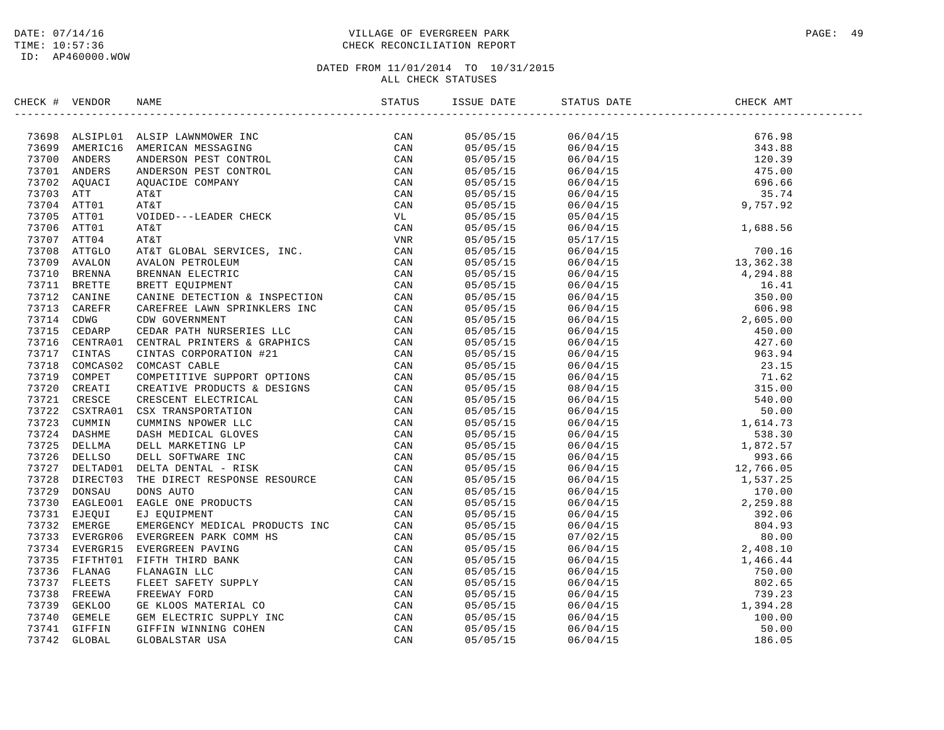### DATE: 07/14/16 PAGE: 49 PAGE: 49 TIME: 10:57:36 CHECK RECONCILIATION REPORT

| CHECK # VENDOR |                                                                                                                                                                                                                                           |                      | ISSUE DATE STATUS DATE                                                                                                                                                                                                                                                   | .<br>CHECK AMT<br>-------------------------- |  |
|----------------|-------------------------------------------------------------------------------------------------------------------------------------------------------------------------------------------------------------------------------------------|----------------------|--------------------------------------------------------------------------------------------------------------------------------------------------------------------------------------------------------------------------------------------------------------------------|----------------------------------------------|--|
|                | XROC + VERDOR NAME<br>XROC + VERDOR NAME<br>XROC + VERDOR MARISICAN MESSAGING<br>27199 MARIFICIS MENEROAN MESSAGING<br>27190 AMBEICIS ANDERISON PEST CONTROL<br>27190 AMBEICIS ANDERSON PEST CONTROL<br>27201 AMBEICIS ANDERSON PEST CONT |                      | $\begin{array}{cccccc} 05/05/15 & 06/04/15 & 676.98 \\ 05/05/15 & 06/04/15 & 343.88 \\ 05/05/15 & 06/04/15 & 120.39 \\ 05/05/15 & 06/04/15 & 475.00 \\ 05/05/15 & 06/04/15 & 696.66 \\ 05/05/15 & 06/04/15 & 35.74 \\ 05/05/15 & 06/04/15 & 9,757.92 \\ 05/05/15 & 05/0$ |                                              |  |
|                |                                                                                                                                                                                                                                           |                      |                                                                                                                                                                                                                                                                          |                                              |  |
|                |                                                                                                                                                                                                                                           |                      |                                                                                                                                                                                                                                                                          |                                              |  |
|                |                                                                                                                                                                                                                                           |                      |                                                                                                                                                                                                                                                                          |                                              |  |
|                |                                                                                                                                                                                                                                           |                      |                                                                                                                                                                                                                                                                          |                                              |  |
|                |                                                                                                                                                                                                                                           |                      |                                                                                                                                                                                                                                                                          |                                              |  |
|                |                                                                                                                                                                                                                                           |                      |                                                                                                                                                                                                                                                                          |                                              |  |
|                |                                                                                                                                                                                                                                           |                      |                                                                                                                                                                                                                                                                          |                                              |  |
|                |                                                                                                                                                                                                                                           | 05/05/15             |                                                                                                                                                                                                                                                                          |                                              |  |
|                |                                                                                                                                                                                                                                           | 05/05/15             |                                                                                                                                                                                                                                                                          |                                              |  |
|                |                                                                                                                                                                                                                                           | 05/05/15             |                                                                                                                                                                                                                                                                          |                                              |  |
|                |                                                                                                                                                                                                                                           | 05/05/15             |                                                                                                                                                                                                                                                                          |                                              |  |
|                |                                                                                                                                                                                                                                           | 05/05/15             |                                                                                                                                                                                                                                                                          |                                              |  |
|                |                                                                                                                                                                                                                                           | 05/05/15             |                                                                                                                                                                                                                                                                          |                                              |  |
|                |                                                                                                                                                                                                                                           | 05/05/15             |                                                                                                                                                                                                                                                                          |                                              |  |
|                |                                                                                                                                                                                                                                           | 05/05/15             |                                                                                                                                                                                                                                                                          |                                              |  |
|                |                                                                                                                                                                                                                                           | 05/05/15             |                                                                                                                                                                                                                                                                          |                                              |  |
|                |                                                                                                                                                                                                                                           | 05/05/15             |                                                                                                                                                                                                                                                                          |                                              |  |
|                |                                                                                                                                                                                                                                           | 05/05/15             |                                                                                                                                                                                                                                                                          |                                              |  |
|                |                                                                                                                                                                                                                                           | 05/05/15             |                                                                                                                                                                                                                                                                          |                                              |  |
|                |                                                                                                                                                                                                                                           | 05/05/15             |                                                                                                                                                                                                                                                                          |                                              |  |
|                |                                                                                                                                                                                                                                           | 05/05/15             |                                                                                                                                                                                                                                                                          |                                              |  |
|                |                                                                                                                                                                                                                                           | 05/05/15             |                                                                                                                                                                                                                                                                          |                                              |  |
|                |                                                                                                                                                                                                                                           | 05/05/15             |                                                                                                                                                                                                                                                                          |                                              |  |
|                |                                                                                                                                                                                                                                           | 05/05/15             |                                                                                                                                                                                                                                                                          |                                              |  |
|                |                                                                                                                                                                                                                                           | 05/05/15             |                                                                                                                                                                                                                                                                          |                                              |  |
|                |                                                                                                                                                                                                                                           |                      |                                                                                                                                                                                                                                                                          |                                              |  |
|                |                                                                                                                                                                                                                                           | 05/05/15<br>05/05/15 |                                                                                                                                                                                                                                                                          |                                              |  |
|                |                                                                                                                                                                                                                                           | 05/05/15             |                                                                                                                                                                                                                                                                          |                                              |  |
|                |                                                                                                                                                                                                                                           | 05/05/15             |                                                                                                                                                                                                                                                                          |                                              |  |
|                |                                                                                                                                                                                                                                           |                      |                                                                                                                                                                                                                                                                          |                                              |  |
|                |                                                                                                                                                                                                                                           | 05/05/15             |                                                                                                                                                                                                                                                                          |                                              |  |
|                |                                                                                                                                                                                                                                           | 05/05/15             |                                                                                                                                                                                                                                                                          |                                              |  |
|                |                                                                                                                                                                                                                                           | 05/05/15             |                                                                                                                                                                                                                                                                          |                                              |  |
|                |                                                                                                                                                                                                                                           | 05/05/15             |                                                                                                                                                                                                                                                                          |                                              |  |
|                |                                                                                                                                                                                                                                           | 05/05/15             |                                                                                                                                                                                                                                                                          |                                              |  |
|                |                                                                                                                                                                                                                                           | 05/05/15             |                                                                                                                                                                                                                                                                          |                                              |  |
|                |                                                                                                                                                                                                                                           | 05/05/15             |                                                                                                                                                                                                                                                                          |                                              |  |
|                |                                                                                                                                                                                                                                           | 05/05/15             |                                                                                                                                                                                                                                                                          |                                              |  |
|                |                                                                                                                                                                                                                                           | 05/05/15             |                                                                                                                                                                                                                                                                          |                                              |  |
|                |                                                                                                                                                                                                                                           | 05/05/15             |                                                                                                                                                                                                                                                                          |                                              |  |
|                |                                                                                                                                                                                                                                           | 05/05/15             |                                                                                                                                                                                                                                                                          |                                              |  |
|                |                                                                                                                                                                                                                                           | 05/05/15             |                                                                                                                                                                                                                                                                          |                                              |  |
|                |                                                                                                                                                                                                                                           | 05/05/15             |                                                                                                                                                                                                                                                                          |                                              |  |
|                |                                                                                                                                                                                                                                           | 05/05/15             |                                                                                                                                                                                                                                                                          |                                              |  |
|                |                                                                                                                                                                                                                                           | 05/05/15             |                                                                                                                                                                                                                                                                          |                                              |  |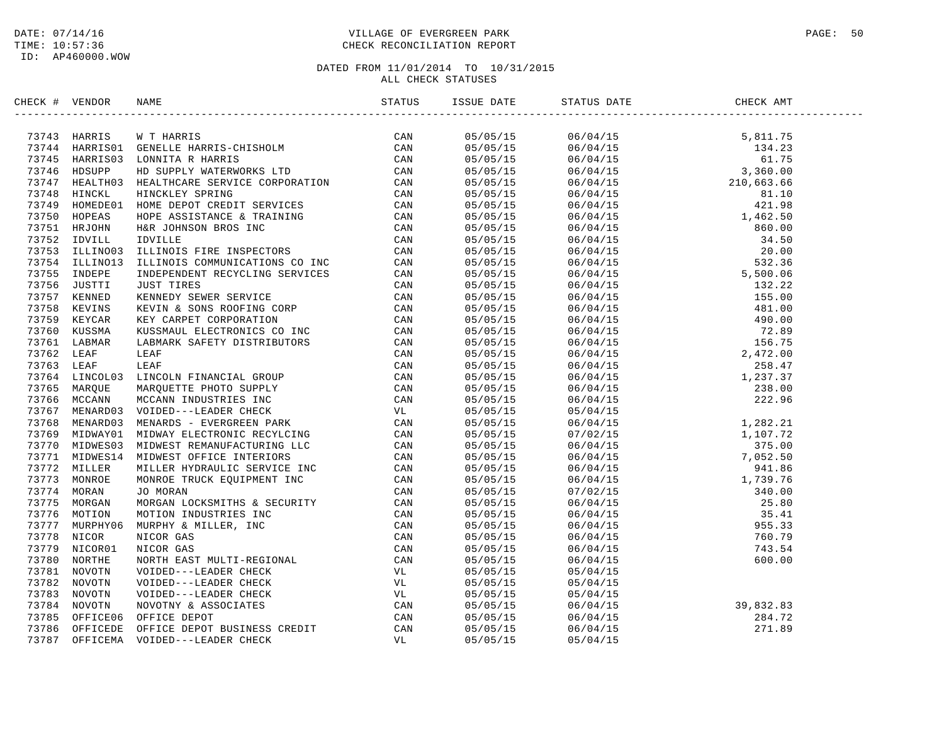### DATE: 07/14/16 PAGE: 50 TIME: 10:57:36 CHECK RECONCILIATION REPORT

| CHECK # VENDOR |                                | NAME                                                                                                                                                                                                                                       | STATUS | ISSUE DATE           | STATUS DATE                                                                                                                                                                                                                                                                                                        | CHECK AMT                      |  |
|----------------|--------------------------------|--------------------------------------------------------------------------------------------------------------------------------------------------------------------------------------------------------------------------------------------|--------|----------------------|--------------------------------------------------------------------------------------------------------------------------------------------------------------------------------------------------------------------------------------------------------------------------------------------------------------------|--------------------------------|--|
|                |                                | 73743 HARRIS WT HARRIS<br>73744 HARRISO1 GENELLE HARRIS-CHISHOLM CAN<br>73745 HARRISO1 GENELLE HARRIS-CHISHOLM CAN<br>73745 HARRISO3 LONNITA R HARRIS<br>73746 HDSUPP HD SUPPLY WATERWORKS LTD CAN<br>73748 HINCKLE HINCKLEY SPRING<br>737 | CAN    | 05/05/15             | $\begin{tabular}{l c c c} \hline \multicolumn{4}{c}{\begin{tabular}{l} $06/04/15$ \\ $06/04/15$ \\ $06/04/15$ \\ $06/04/15$ \\ $06/04/15$ \\ $06/04/15$ \\ $06/04/15$ \\ $06/04/15$ \\ $06/04/15$ \\ $06/04/15$ \\ $06/04/15$ \\ $06/04/15$ \\ $06/04/15$ \\ $06/04/15$ \\ $06/04/15$ \\ $06/04/15$ \\ $06/04/15$$ |                                |  |
|                |                                |                                                                                                                                                                                                                                            |        | 05/05/15             |                                                                                                                                                                                                                                                                                                                    |                                |  |
|                |                                |                                                                                                                                                                                                                                            |        | 05/05/15             |                                                                                                                                                                                                                                                                                                                    |                                |  |
|                |                                |                                                                                                                                                                                                                                            |        | 05/05/15             |                                                                                                                                                                                                                                                                                                                    |                                |  |
|                |                                |                                                                                                                                                                                                                                            |        | 05/05/15             |                                                                                                                                                                                                                                                                                                                    |                                |  |
|                |                                |                                                                                                                                                                                                                                            |        | 05/05/15             |                                                                                                                                                                                                                                                                                                                    |                                |  |
|                |                                |                                                                                                                                                                                                                                            |        | 05/05/15             |                                                                                                                                                                                                                                                                                                                    |                                |  |
|                |                                |                                                                                                                                                                                                                                            |        | 05/05/15             |                                                                                                                                                                                                                                                                                                                    |                                |  |
|                |                                |                                                                                                                                                                                                                                            |        | 05/05/15             |                                                                                                                                                                                                                                                                                                                    |                                |  |
|                |                                |                                                                                                                                                                                                                                            |        | 05/05/15             |                                                                                                                                                                                                                                                                                                                    |                                |  |
|                |                                |                                                                                                                                                                                                                                            |        | 05/05/15             |                                                                                                                                                                                                                                                                                                                    |                                |  |
|                |                                |                                                                                                                                                                                                                                            |        | 05/05/15             |                                                                                                                                                                                                                                                                                                                    |                                |  |
|                | 73755 INDEPE                   | INDEPENDENT RECYCLING SERVICES                                                                                                                                                                                                             | CAN    | 05/05/15             |                                                                                                                                                                                                                                                                                                                    |                                |  |
|                | 73756 JUSTTI                   |                                                                                                                                                                                                                                            |        | 05/05/15             |                                                                                                                                                                                                                                                                                                                    |                                |  |
|                | 73757 KENNED                   |                                                                                                                                                                                                                                            |        | 05/05/15             |                                                                                                                                                                                                                                                                                                                    |                                |  |
|                | 73758 KEVINS                   |                                                                                                                                                                                                                                            |        | 05/05/15             |                                                                                                                                                                                                                                                                                                                    |                                |  |
|                | 73759 KEYCAR                   |                                                                                                                                                                                                                                            |        | 05/05/15             |                                                                                                                                                                                                                                                                                                                    |                                |  |
| 73760          | KUSSMA                         |                                                                                                                                                                                                                                            |        | 05/05/15             |                                                                                                                                                                                                                                                                                                                    |                                |  |
|                | 73761 LABMAR                   |                                                                                                                                                                                                                                            |        | 05/05/15             |                                                                                                                                                                                                                                                                                                                    |                                |  |
| 73762 LEAF     |                                |                                                                                                                                                                                                                                            |        | 05/05/15             |                                                                                                                                                                                                                                                                                                                    |                                |  |
| 73763 LEAF     |                                |                                                                                                                                                                                                                                            |        | 05/05/15             |                                                                                                                                                                                                                                                                                                                    |                                |  |
|                | 73764 LINCOL03                 |                                                                                                                                                                                                                                            |        | 05/05/15             |                                                                                                                                                                                                                                                                                                                    |                                |  |
|                | 73765 MARQUE                   |                                                                                                                                                                                                                                            |        | 05/05/15             |                                                                                                                                                                                                                                                                                                                    |                                |  |
|                | 73766 MCCANN                   |                                                                                                                                                                                                                                            |        | 05/05/15             |                                                                                                                                                                                                                                                                                                                    |                                |  |
|                |                                | 73767 MENARD03 VOIDED---LEADER CHECK                                                                                                                                                                                                       |        | 05/05/15             |                                                                                                                                                                                                                                                                                                                    |                                |  |
|                | 73768 MENARD03                 |                                                                                                                                                                                                                                            |        | 05/05/15             |                                                                                                                                                                                                                                                                                                                    |                                |  |
|                | 73769 MIDWAY01                 |                                                                                                                                                                                                                                            |        | 05/05/15             |                                                                                                                                                                                                                                                                                                                    |                                |  |
|                | 73770 MIDWES03                 |                                                                                                                                                                                                                                            |        | 05/05/15             |                                                                                                                                                                                                                                                                                                                    |                                |  |
|                | 73771 MIDWES14                 |                                                                                                                                                                                                                                            |        | 05/05/15             |                                                                                                                                                                                                                                                                                                                    |                                |  |
|                | 73772 MILLER                   |                                                                                                                                                                                                                                            |        | 05/05/15             |                                                                                                                                                                                                                                                                                                                    |                                |  |
|                | 73773 MONROE                   |                                                                                                                                                                                                                                            |        | 05/05/15             |                                                                                                                                                                                                                                                                                                                    |                                |  |
|                | 73774 MORAN                    |                                                                                                                                                                                                                                            |        | 05/05/15             |                                                                                                                                                                                                                                                                                                                    |                                |  |
|                | 73775 MORGAN                   |                                                                                                                                                                                                                                            |        | 05/05/15             |                                                                                                                                                                                                                                                                                                                    |                                |  |
|                | 73776 MOTION                   |                                                                                                                                                                                                                                            |        | 05/05/15             |                                                                                                                                                                                                                                                                                                                    |                                |  |
|                | 73777 MURPHY06                 |                                                                                                                                                                                                                                            |        | 05/05/15             |                                                                                                                                                                                                                                                                                                                    |                                |  |
| 73778          | NICOR                          |                                                                                                                                                                                                                                            |        | 05/05/15             |                                                                                                                                                                                                                                                                                                                    |                                |  |
|                | 73779 NICOR01                  |                                                                                                                                                                                                                                            |        | 05/05/15             |                                                                                                                                                                                                                                                                                                                    |                                |  |
| 73780          | NORTHE                         |                                                                                                                                                                                                                                            |        | 05/05/15             |                                                                                                                                                                                                                                                                                                                    |                                |  |
|                | 73781 NOVOTN                   |                                                                                                                                                                                                                                            |        | 05/05/15             | 05/04/15                                                                                                                                                                                                                                                                                                           |                                |  |
|                | 73782 NOVOTN                   |                                                                                                                                                                                                                                            |        | 05/05/15             |                                                                                                                                                                                                                                                                                                                    |                                |  |
|                | 73783 NOVOTN                   |                                                                                                                                                                                                                                            |        | 05/05/15             | 05/04/15<br>05/04/15                                                                                                                                                                                                                                                                                               |                                |  |
|                |                                |                                                                                                                                                                                                                                            |        |                      |                                                                                                                                                                                                                                                                                                                    |                                |  |
|                | 73784 NOVOTN<br>73785 OFFICE06 | ILLINOIS COMMUNICATIONS CO<br>INCRETING SERVICES CAN UNDEPENDENT RECYCLING SERVICES CAN KEVIN SONS ROOFING CORP CAN KEVIN & SONS ROOFING CORP CAN NEVIN A SONS ROOFING CORP CAN LABMARK SAFETY DISTRIBUTORS CON CAN LABMARK S              |        | 05/05/15<br>05/05/15 | 06/04/15                                                                                                                                                                                                                                                                                                           | 39, 832.83<br>284.72<br>271.89 |  |
|                |                                |                                                                                                                                                                                                                                            |        |                      | 06/04/15                                                                                                                                                                                                                                                                                                           |                                |  |
|                | 73786 OFFICEDE                 |                                                                                                                                                                                                                                            |        | 05/05/15             | 06/04/15                                                                                                                                                                                                                                                                                                           |                                |  |
| 73787          | OFFICEMA                       |                                                                                                                                                                                                                                            |        | 05/05/15             | 05/04/15                                                                                                                                                                                                                                                                                                           |                                |  |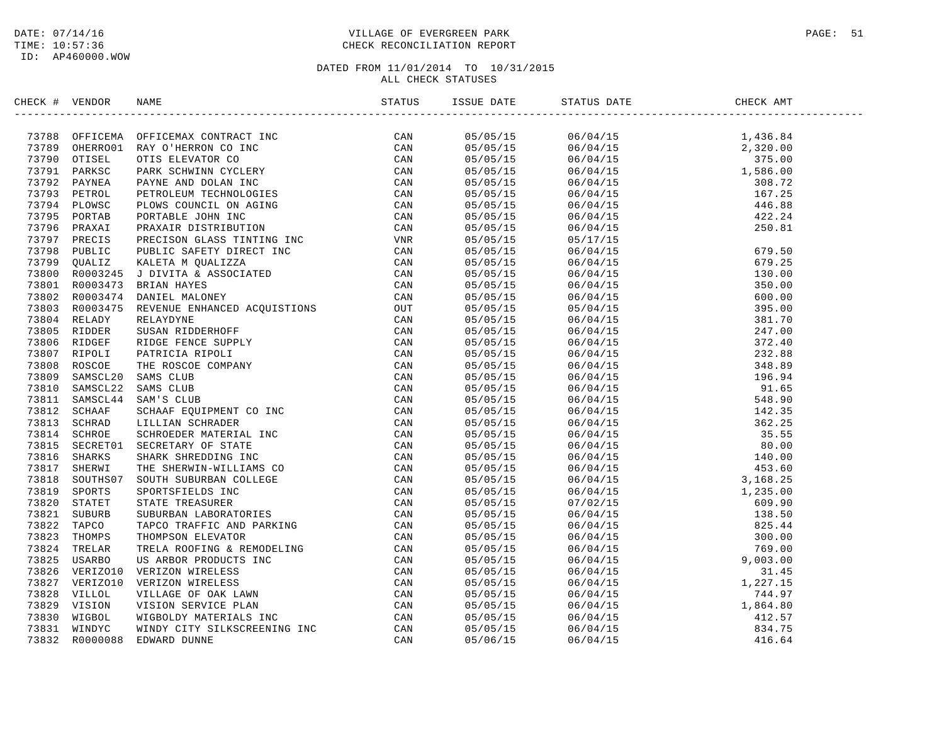### DATE: 07/14/16 PAGE: 51 TIME: 10:57:36 CHECK RECONCILIATION REPORT

| CHECK # VENDOR |                                                                                                                                                                                                                               |  |                                                                                                                                                                                                                                                                                        |  |
|----------------|-------------------------------------------------------------------------------------------------------------------------------------------------------------------------------------------------------------------------------|--|----------------------------------------------------------------------------------------------------------------------------------------------------------------------------------------------------------------------------------------------------------------------------------------|--|
|                | STREET 4 VERICOS NATIONAL CONTENENT DESCRIPTION CONTENENTS (CAN 1993) OPTICINAL CONTENENTS (CAN 1993) 2000 OPTICINAL CONTENENTS (CAN 1993) PARKS CONTENENTS (CAN 1993) PARKS (CAN 1993) DETAILS AND DESCRIPTION OPTICINAL CON |  | $\begin{tabular}{l c c c c} \hline & $0.979519$ & $0.67415$ & $1.436.84$ \\ \hline 0.879515 & $0.674415$ & $1.436.84$ \\ 0.8795715 & $0.674415$ & $1.436.84$ \\ 0.8795715 & $0.674415$ & $1.235.00$ \\ 0.8795715 & $0.674415$ & $1.235.00$ \\ 0.8795715 & $0.674415$ & $1.235.00$ \\ $ |  |
|                |                                                                                                                                                                                                                               |  |                                                                                                                                                                                                                                                                                        |  |
|                |                                                                                                                                                                                                                               |  |                                                                                                                                                                                                                                                                                        |  |
|                |                                                                                                                                                                                                                               |  |                                                                                                                                                                                                                                                                                        |  |
|                |                                                                                                                                                                                                                               |  |                                                                                                                                                                                                                                                                                        |  |
|                |                                                                                                                                                                                                                               |  |                                                                                                                                                                                                                                                                                        |  |
|                |                                                                                                                                                                                                                               |  |                                                                                                                                                                                                                                                                                        |  |
|                |                                                                                                                                                                                                                               |  |                                                                                                                                                                                                                                                                                        |  |
|                |                                                                                                                                                                                                                               |  |                                                                                                                                                                                                                                                                                        |  |
|                |                                                                                                                                                                                                                               |  |                                                                                                                                                                                                                                                                                        |  |
|                |                                                                                                                                                                                                                               |  |                                                                                                                                                                                                                                                                                        |  |
|                |                                                                                                                                                                                                                               |  |                                                                                                                                                                                                                                                                                        |  |
|                |                                                                                                                                                                                                                               |  |                                                                                                                                                                                                                                                                                        |  |
|                |                                                                                                                                                                                                                               |  |                                                                                                                                                                                                                                                                                        |  |
|                |                                                                                                                                                                                                                               |  |                                                                                                                                                                                                                                                                                        |  |
|                |                                                                                                                                                                                                                               |  |                                                                                                                                                                                                                                                                                        |  |
|                |                                                                                                                                                                                                                               |  |                                                                                                                                                                                                                                                                                        |  |
|                |                                                                                                                                                                                                                               |  |                                                                                                                                                                                                                                                                                        |  |
|                |                                                                                                                                                                                                                               |  |                                                                                                                                                                                                                                                                                        |  |
|                |                                                                                                                                                                                                                               |  |                                                                                                                                                                                                                                                                                        |  |
|                |                                                                                                                                                                                                                               |  |                                                                                                                                                                                                                                                                                        |  |
|                |                                                                                                                                                                                                                               |  |                                                                                                                                                                                                                                                                                        |  |
|                |                                                                                                                                                                                                                               |  |                                                                                                                                                                                                                                                                                        |  |
|                |                                                                                                                                                                                                                               |  |                                                                                                                                                                                                                                                                                        |  |
|                |                                                                                                                                                                                                                               |  |                                                                                                                                                                                                                                                                                        |  |
|                |                                                                                                                                                                                                                               |  |                                                                                                                                                                                                                                                                                        |  |
|                |                                                                                                                                                                                                                               |  |                                                                                                                                                                                                                                                                                        |  |
|                |                                                                                                                                                                                                                               |  |                                                                                                                                                                                                                                                                                        |  |
|                |                                                                                                                                                                                                                               |  |                                                                                                                                                                                                                                                                                        |  |
|                |                                                                                                                                                                                                                               |  |                                                                                                                                                                                                                                                                                        |  |
|                |                                                                                                                                                                                                                               |  |                                                                                                                                                                                                                                                                                        |  |
|                |                                                                                                                                                                                                                               |  |                                                                                                                                                                                                                                                                                        |  |
|                |                                                                                                                                                                                                                               |  |                                                                                                                                                                                                                                                                                        |  |
|                |                                                                                                                                                                                                                               |  |                                                                                                                                                                                                                                                                                        |  |
|                |                                                                                                                                                                                                                               |  |                                                                                                                                                                                                                                                                                        |  |
|                |                                                                                                                                                                                                                               |  |                                                                                                                                                                                                                                                                                        |  |
|                |                                                                                                                                                                                                                               |  |                                                                                                                                                                                                                                                                                        |  |
|                |                                                                                                                                                                                                                               |  |                                                                                                                                                                                                                                                                                        |  |
|                |                                                                                                                                                                                                                               |  |                                                                                                                                                                                                                                                                                        |  |
|                |                                                                                                                                                                                                                               |  |                                                                                                                                                                                                                                                                                        |  |
|                |                                                                                                                                                                                                                               |  |                                                                                                                                                                                                                                                                                        |  |
|                |                                                                                                                                                                                                                               |  |                                                                                                                                                                                                                                                                                        |  |
|                |                                                                                                                                                                                                                               |  |                                                                                                                                                                                                                                                                                        |  |
|                |                                                                                                                                                                                                                               |  |                                                                                                                                                                                                                                                                                        |  |
|                |                                                                                                                                                                                                                               |  |                                                                                                                                                                                                                                                                                        |  |
|                |                                                                                                                                                                                                                               |  |                                                                                                                                                                                                                                                                                        |  |
|                |                                                                                                                                                                                                                               |  |                                                                                                                                                                                                                                                                                        |  |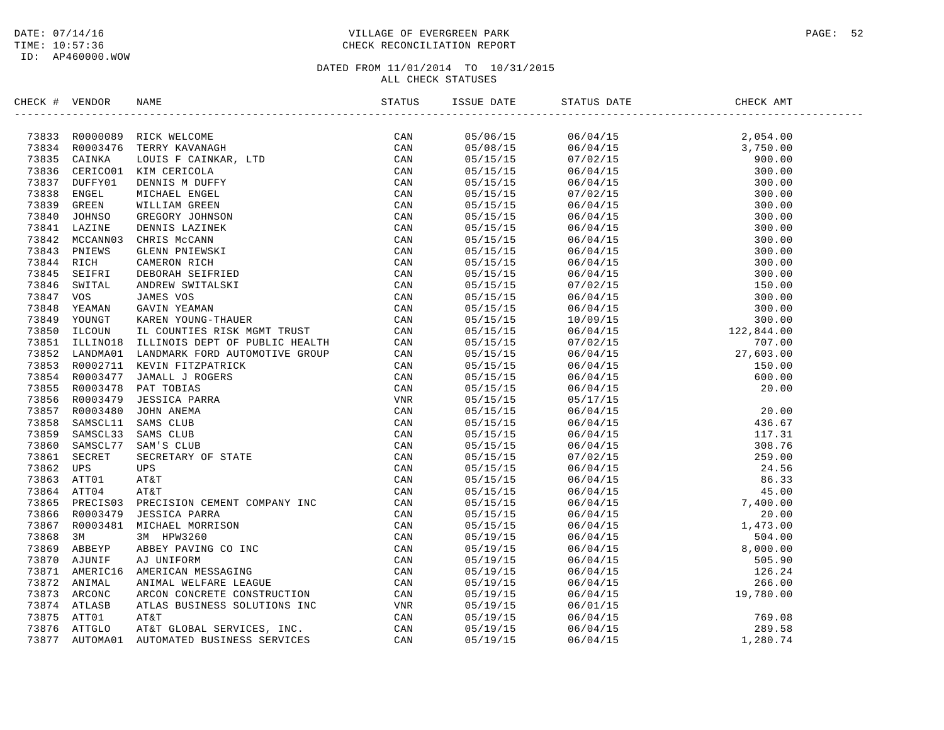### DATE: 07/14/16 PAGE: 52 TIME: 10:57:36 CHECK RECONCILIATION REPORT

| CHECK # VENDOR |                |                                                                                                                                                                                                                                                                                                            | STATUS         | ISSUE DATE           | STATUS DATE | CHECK AMT                                                                                                                                                                                                                                                                                                                                                                    |  |
|----------------|----------------|------------------------------------------------------------------------------------------------------------------------------------------------------------------------------------------------------------------------------------------------------------------------------------------------------------|----------------|----------------------|-------------|------------------------------------------------------------------------------------------------------------------------------------------------------------------------------------------------------------------------------------------------------------------------------------------------------------------------------------------------------------------------------|--|
|                |                | RICK WELCOME<br>TERRY KAVANAGH<br>LOUIS F CAINKAR, LTD<br>KIM CERICOLA<br>DENNIS M DUFFY<br>MICHAEL ENGEL<br>WILLIAM GREEN<br>GREGORY JOHNSON<br>DENNIS LAZINEK<br>CHENS MCCANN<br>CLENN PNIEWSKI<br>CAMERON RICH<br>DEBORAH SEIFRIED<br>ANDREW SWITALSKI<br>JAMES VOS<br>G<br>73833 R0000089 RICK WELCOME | CAN            | 05/06/15             |             | $\begin{tabular}{lcccc} $\text{u}.\text{min.}\, & $\text{out} \, \text{B}$ & $\text{HBEX}$ \\[-2mm] \hline \text{06/04/15}$ & 2,054\, \text{.} & 2,054\, \text{.} \\[-2mm] \hline \text{06/04/15}$ & 2,054\, \text{.} \\[-2mm] \hline \text{06/04/15}$ & 3,750\, \text{.} \\[-2mm] \hline \text{06/04/15}$ & 300\, \text{.} \\[-2mm] \hline \text{06/04/15}$ & 300\, \text{$ |  |
|                | 73834 R0003476 |                                                                                                                                                                                                                                                                                                            | CAN            | 05/08/15             |             |                                                                                                                                                                                                                                                                                                                                                                              |  |
|                | 73835 CAINKA   |                                                                                                                                                                                                                                                                                                            | CAN            | 05/15/15             |             |                                                                                                                                                                                                                                                                                                                                                                              |  |
| 73836          |                | CERICO01 KIM CERICOLA                                                                                                                                                                                                                                                                                      | CAN            | 05/15/15             |             |                                                                                                                                                                                                                                                                                                                                                                              |  |
|                | 73837 DUFFY01  |                                                                                                                                                                                                                                                                                                            | CAN            | 05/15/15             |             |                                                                                                                                                                                                                                                                                                                                                                              |  |
| 73838          | ENGEL          |                                                                                                                                                                                                                                                                                                            | CAN            | 05/15/15             |             |                                                                                                                                                                                                                                                                                                                                                                              |  |
| 73839          | GREEN          |                                                                                                                                                                                                                                                                                                            | CAN            | 05/15/15             |             |                                                                                                                                                                                                                                                                                                                                                                              |  |
| 73840          | JOHNSO         |                                                                                                                                                                                                                                                                                                            | CAN            | 05/15/15             |             |                                                                                                                                                                                                                                                                                                                                                                              |  |
| 73841          | LAZINE         |                                                                                                                                                                                                                                                                                                            | CAN            | 05/15/15             |             |                                                                                                                                                                                                                                                                                                                                                                              |  |
|                | 73842 MCCANN03 |                                                                                                                                                                                                                                                                                                            | CAN            | 05/15/15             |             |                                                                                                                                                                                                                                                                                                                                                                              |  |
| 73843          | PNIEWS         |                                                                                                                                                                                                                                                                                                            | CAN            | 05/15/15             |             |                                                                                                                                                                                                                                                                                                                                                                              |  |
| 73844 RICH     |                |                                                                                                                                                                                                                                                                                                            | CAN            | 05/15/15             |             |                                                                                                                                                                                                                                                                                                                                                                              |  |
| 73845          | SEIFRI         |                                                                                                                                                                                                                                                                                                            | CAN            | 05/15/15             |             |                                                                                                                                                                                                                                                                                                                                                                              |  |
| 73846          | SWITAL         |                                                                                                                                                                                                                                                                                                            | CAN            | 05/15/15             |             |                                                                                                                                                                                                                                                                                                                                                                              |  |
| 73847          | VOS            |                                                                                                                                                                                                                                                                                                            | CAN            | 05/15/15             |             |                                                                                                                                                                                                                                                                                                                                                                              |  |
| 73848          | YEAMAN         |                                                                                                                                                                                                                                                                                                            | CAN            | 05/15/15             |             |                                                                                                                                                                                                                                                                                                                                                                              |  |
| 73849          | YOUNGT         |                                                                                                                                                                                                                                                                                                            | $\mathtt{CAN}$ | 05/15/15             |             |                                                                                                                                                                                                                                                                                                                                                                              |  |
| 73850          | ILCOUN         |                                                                                                                                                                                                                                                                                                            | CAN            | 05/15/15             |             |                                                                                                                                                                                                                                                                                                                                                                              |  |
|                | 73851 ILLINO18 |                                                                                                                                                                                                                                                                                                            | CAN            |                      |             |                                                                                                                                                                                                                                                                                                                                                                              |  |
| 73852          | LANDMA01       |                                                                                                                                                                                                                                                                                                            |                | 05/15/15             |             |                                                                                                                                                                                                                                                                                                                                                                              |  |
|                |                | LANDMARK FORD AUTOMOTIVE GROUP                                                                                                                                                                                                                                                                             | CAN            | 05/15/15<br>05/15/15 |             |                                                                                                                                                                                                                                                                                                                                                                              |  |
|                | 73853 R0002711 |                                                                                                                                                                                                                                                                                                            | CAN            |                      |             |                                                                                                                                                                                                                                                                                                                                                                              |  |
|                | 73854 R0003477 |                                                                                                                                                                                                                                                                                                            | CAN            | 05/15/15             |             |                                                                                                                                                                                                                                                                                                                                                                              |  |
|                | 73855 R0003478 |                                                                                                                                                                                                                                                                                                            | CAN            | 05/15/15             |             |                                                                                                                                                                                                                                                                                                                                                                              |  |
|                | 73856 R0003479 |                                                                                                                                                                                                                                                                                                            | VNR            | 05/15/15             |             |                                                                                                                                                                                                                                                                                                                                                                              |  |
|                | 73857 R0003480 |                                                                                                                                                                                                                                                                                                            | CAN            | 05/15/15             |             |                                                                                                                                                                                                                                                                                                                                                                              |  |
| 73858          | SAMSCL11       |                                                                                                                                                                                                                                                                                                            | CAN            | 05/15/15             |             |                                                                                                                                                                                                                                                                                                                                                                              |  |
| 73859          | SAMSCL33       |                                                                                                                                                                                                                                                                                                            | CAN            | 05/15/15             |             |                                                                                                                                                                                                                                                                                                                                                                              |  |
|                | 73860 SAMSCL77 |                                                                                                                                                                                                                                                                                                            | CAN            | 05/15/15             |             |                                                                                                                                                                                                                                                                                                                                                                              |  |
|                | 73861 SECRET   |                                                                                                                                                                                                                                                                                                            | CAN            | 05/15/15             |             |                                                                                                                                                                                                                                                                                                                                                                              |  |
| 73862 UPS      |                |                                                                                                                                                                                                                                                                                                            | CAN            | 05/15/15             |             |                                                                                                                                                                                                                                                                                                                                                                              |  |
|                | 73863 ATT01    |                                                                                                                                                                                                                                                                                                            | CAN            | 05/15/15             |             |                                                                                                                                                                                                                                                                                                                                                                              |  |
|                | 73864 ATT04    |                                                                                                                                                                                                                                                                                                            | CAN            | 05/15/15             |             |                                                                                                                                                                                                                                                                                                                                                                              |  |
|                | 73865 PRECIS03 |                                                                                                                                                                                                                                                                                                            | CAN            | 05/15/15             |             |                                                                                                                                                                                                                                                                                                                                                                              |  |
| 73866          | R0003479       |                                                                                                                                                                                                                                                                                                            | CAN            | 05/15/15             |             |                                                                                                                                                                                                                                                                                                                                                                              |  |
|                | 73867 R0003481 |                                                                                                                                                                                                                                                                                                            | CAN            | 05/15/15             |             |                                                                                                                                                                                                                                                                                                                                                                              |  |
| 73868          | 3M             |                                                                                                                                                                                                                                                                                                            | CAN            | 05/19/15             |             |                                                                                                                                                                                                                                                                                                                                                                              |  |
|                | 73869 ABBEYP   |                                                                                                                                                                                                                                                                                                            | CAN            | 05/19/15             |             |                                                                                                                                                                                                                                                                                                                                                                              |  |
| 73870          | AJUNIF         |                                                                                                                                                                                                                                                                                                            | CAN            | 05/19/15             |             |                                                                                                                                                                                                                                                                                                                                                                              |  |
|                | 73871 AMERIC16 |                                                                                                                                                                                                                                                                                                            | CAN            | 05/19/15             |             |                                                                                                                                                                                                                                                                                                                                                                              |  |
| 73872          | ANIMAL         |                                                                                                                                                                                                                                                                                                            | CAN            | 05/19/15             |             |                                                                                                                                                                                                                                                                                                                                                                              |  |
| 73873          | ARCONC         | LANDNARK FORD AUTOMOTIVE GROUP<br>KEVIN FITZPATRICK<br>JANDMARK FORD AUTOMOTIVE GROUP<br>KEVIN FITZPATRICK<br>JANALL J ROGERS<br>PAT TOBIAS<br>JESSICA PARRA<br>JESSICA PARRA<br>SAMS CLUB<br>SECRETARY OF STATE<br>UPS<br>AT&T<br>TECT PRECISION CEME                                                     | CAN            | 05/19/15             |             |                                                                                                                                                                                                                                                                                                                                                                              |  |
|                | 73874 ATLASB   |                                                                                                                                                                                                                                                                                                            | VNR            | 05/19/15             |             |                                                                                                                                                                                                                                                                                                                                                                              |  |
| 73875          | ATT01          |                                                                                                                                                                                                                                                                                                            | CAN            | 05/19/15             |             |                                                                                                                                                                                                                                                                                                                                                                              |  |
|                | 73876 ATTGLO   |                                                                                                                                                                                                                                                                                                            | $\mathtt{CAN}$ | 05/19/15             |             |                                                                                                                                                                                                                                                                                                                                                                              |  |
| 73877          | AUTOMA01       |                                                                                                                                                                                                                                                                                                            | CAN            | 05/19/15             |             |                                                                                                                                                                                                                                                                                                                                                                              |  |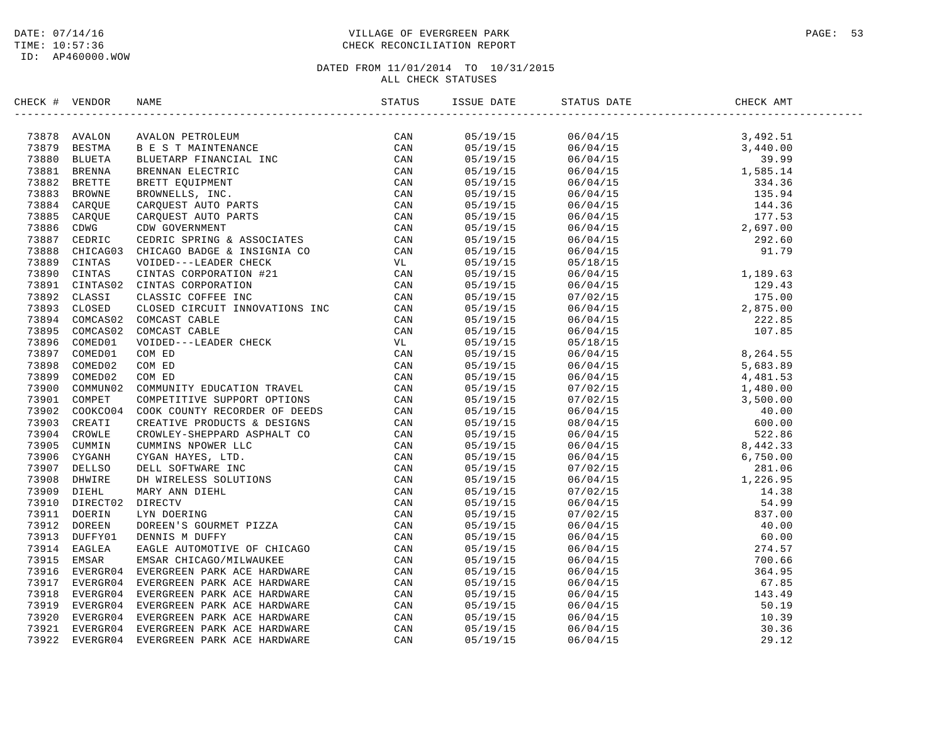ID: AP460000.WOW

### DATE: 07/14/16 PAGE: 53 TIME: 10:57:36 CHECK RECONCILIATION REPORT

| CHECK # VENDOR |  |  | STATUS DATE | CHECK AMT |  |
|----------------|--|--|-------------|-----------|--|
|                |  |  |             |           |  |
|                |  |  |             |           |  |
|                |  |  |             |           |  |
|                |  |  |             |           |  |
|                |  |  |             |           |  |
|                |  |  |             |           |  |
|                |  |  |             |           |  |
|                |  |  |             |           |  |
|                |  |  |             |           |  |
|                |  |  |             |           |  |
|                |  |  |             |           |  |
|                |  |  |             |           |  |
|                |  |  |             |           |  |
|                |  |  |             |           |  |
|                |  |  |             |           |  |
|                |  |  |             |           |  |
|                |  |  |             |           |  |
|                |  |  |             |           |  |
|                |  |  |             |           |  |
|                |  |  |             |           |  |
|                |  |  |             |           |  |
|                |  |  |             |           |  |
|                |  |  |             |           |  |
|                |  |  |             |           |  |
|                |  |  |             |           |  |
|                |  |  |             |           |  |
|                |  |  |             |           |  |
|                |  |  |             |           |  |
|                |  |  |             |           |  |
|                |  |  |             |           |  |
|                |  |  |             |           |  |
|                |  |  |             |           |  |
|                |  |  |             |           |  |
|                |  |  |             |           |  |
|                |  |  |             |           |  |
|                |  |  |             |           |  |
|                |  |  |             |           |  |
|                |  |  |             |           |  |
|                |  |  |             |           |  |
|                |  |  |             |           |  |
|                |  |  |             |           |  |
|                |  |  |             |           |  |
|                |  |  |             |           |  |
|                |  |  |             |           |  |
|                |  |  |             |           |  |
|                |  |  |             |           |  |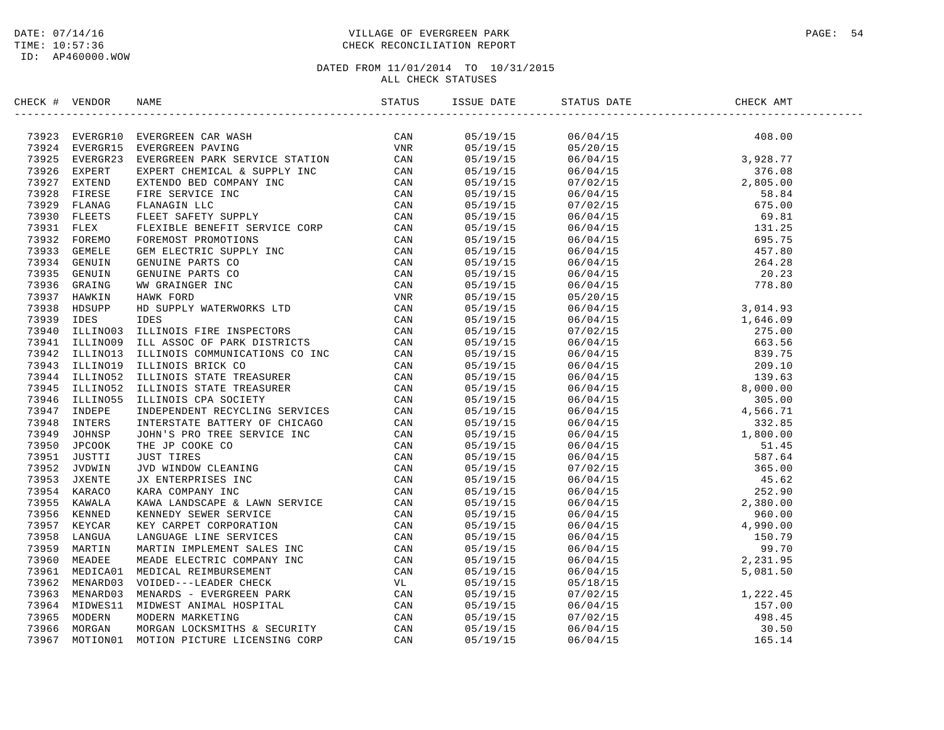### DATE: 07/14/16 PAGE: 54 TIME: 10:57:36 CHECK RECONCILIATION REPORT

| CHECK # VENDOR | NAME                                                                                                                                                                                                                          | ISSUE DATE STATUS DATE |                                                                                                                                                                                                                                                                                  | CHECK AMT |
|----------------|-------------------------------------------------------------------------------------------------------------------------------------------------------------------------------------------------------------------------------|------------------------|----------------------------------------------------------------------------------------------------------------------------------------------------------------------------------------------------------------------------------------------------------------------------------|-----------|
|                | HEAR TWEEN TRANSFORM CAN MAKE THE THE SERVE TO CAN ASSESS TO A MANUS THE SERVE ON A MANUS IN THE SERVE ON A MANUS IN THE SERVE ON A MANUS IN THE SERVE ON A MANUS IN THE SERVE ON A MANUS IN THE SERVE ON A MANUS IN THE SERV |                        | $\begin{tabular}{l cccccc} \hline & 0.5/19/15 & 0.6/04/15 & 40.8 & 0.0 \\ 0.5/19/15 & 0.6/04/15 & 3.28 & 7.7 \\ 0.5/19/15 & 0.6/04/15 & 3.82 & 7.7 \\ 0.5/19/15 & 0.6/04/15 & 3.8 & 2.8 & 7.7 \\ 0.5/19/15 & 0.7/02/15 & 5.2 & 0.8 & 0.0 \\ 0.5/19/15 & 0.7/02/15 & 5.2 & 0.8 &$ |           |
|                |                                                                                                                                                                                                                               |                        |                                                                                                                                                                                                                                                                                  |           |
|                |                                                                                                                                                                                                                               |                        |                                                                                                                                                                                                                                                                                  |           |
|                |                                                                                                                                                                                                                               |                        |                                                                                                                                                                                                                                                                                  |           |
|                |                                                                                                                                                                                                                               |                        |                                                                                                                                                                                                                                                                                  |           |
|                |                                                                                                                                                                                                                               |                        |                                                                                                                                                                                                                                                                                  |           |
|                |                                                                                                                                                                                                                               |                        |                                                                                                                                                                                                                                                                                  |           |
|                |                                                                                                                                                                                                                               |                        |                                                                                                                                                                                                                                                                                  |           |
|                |                                                                                                                                                                                                                               |                        |                                                                                                                                                                                                                                                                                  |           |
|                |                                                                                                                                                                                                                               |                        |                                                                                                                                                                                                                                                                                  |           |
|                |                                                                                                                                                                                                                               |                        |                                                                                                                                                                                                                                                                                  |           |
|                |                                                                                                                                                                                                                               |                        |                                                                                                                                                                                                                                                                                  |           |
|                |                                                                                                                                                                                                                               |                        |                                                                                                                                                                                                                                                                                  |           |
|                |                                                                                                                                                                                                                               |                        |                                                                                                                                                                                                                                                                                  |           |
|                |                                                                                                                                                                                                                               |                        |                                                                                                                                                                                                                                                                                  |           |
|                |                                                                                                                                                                                                                               |                        |                                                                                                                                                                                                                                                                                  |           |
|                |                                                                                                                                                                                                                               |                        |                                                                                                                                                                                                                                                                                  |           |
|                |                                                                                                                                                                                                                               |                        |                                                                                                                                                                                                                                                                                  |           |
|                |                                                                                                                                                                                                                               |                        |                                                                                                                                                                                                                                                                                  |           |
|                |                                                                                                                                                                                                                               |                        |                                                                                                                                                                                                                                                                                  |           |
|                |                                                                                                                                                                                                                               |                        |                                                                                                                                                                                                                                                                                  |           |
|                |                                                                                                                                                                                                                               |                        |                                                                                                                                                                                                                                                                                  |           |
|                |                                                                                                                                                                                                                               |                        |                                                                                                                                                                                                                                                                                  |           |
|                |                                                                                                                                                                                                                               |                        |                                                                                                                                                                                                                                                                                  |           |
|                |                                                                                                                                                                                                                               |                        |                                                                                                                                                                                                                                                                                  |           |
|                |                                                                                                                                                                                                                               |                        |                                                                                                                                                                                                                                                                                  |           |
|                |                                                                                                                                                                                                                               |                        |                                                                                                                                                                                                                                                                                  |           |
|                |                                                                                                                                                                                                                               |                        |                                                                                                                                                                                                                                                                                  |           |
|                |                                                                                                                                                                                                                               |                        |                                                                                                                                                                                                                                                                                  |           |
|                |                                                                                                                                                                                                                               |                        |                                                                                                                                                                                                                                                                                  |           |
|                |                                                                                                                                                                                                                               |                        |                                                                                                                                                                                                                                                                                  |           |
|                |                                                                                                                                                                                                                               |                        |                                                                                                                                                                                                                                                                                  |           |
|                |                                                                                                                                                                                                                               |                        |                                                                                                                                                                                                                                                                                  |           |
|                |                                                                                                                                                                                                                               |                        |                                                                                                                                                                                                                                                                                  |           |
|                |                                                                                                                                                                                                                               |                        |                                                                                                                                                                                                                                                                                  |           |
|                |                                                                                                                                                                                                                               |                        |                                                                                                                                                                                                                                                                                  |           |
|                |                                                                                                                                                                                                                               |                        |                                                                                                                                                                                                                                                                                  |           |
|                |                                                                                                                                                                                                                               |                        |                                                                                                                                                                                                                                                                                  |           |
|                |                                                                                                                                                                                                                               |                        |                                                                                                                                                                                                                                                                                  |           |
|                |                                                                                                                                                                                                                               | 05/19/15               |                                                                                                                                                                                                                                                                                  |           |
|                |                                                                                                                                                                                                                               | 05/19/15               |                                                                                                                                                                                                                                                                                  |           |
|                |                                                                                                                                                                                                                               | 05/19/15               |                                                                                                                                                                                                                                                                                  |           |
|                |                                                                                                                                                                                                                               | 05/19/15               |                                                                                                                                                                                                                                                                                  |           |
|                |                                                                                                                                                                                                                               | 05/19/15               |                                                                                                                                                                                                                                                                                  |           |
|                |                                                                                                                                                                                                                               | 05/19/15               |                                                                                                                                                                                                                                                                                  |           |
|                |                                                                                                                                                                                                                               |                        |                                                                                                                                                                                                                                                                                  |           |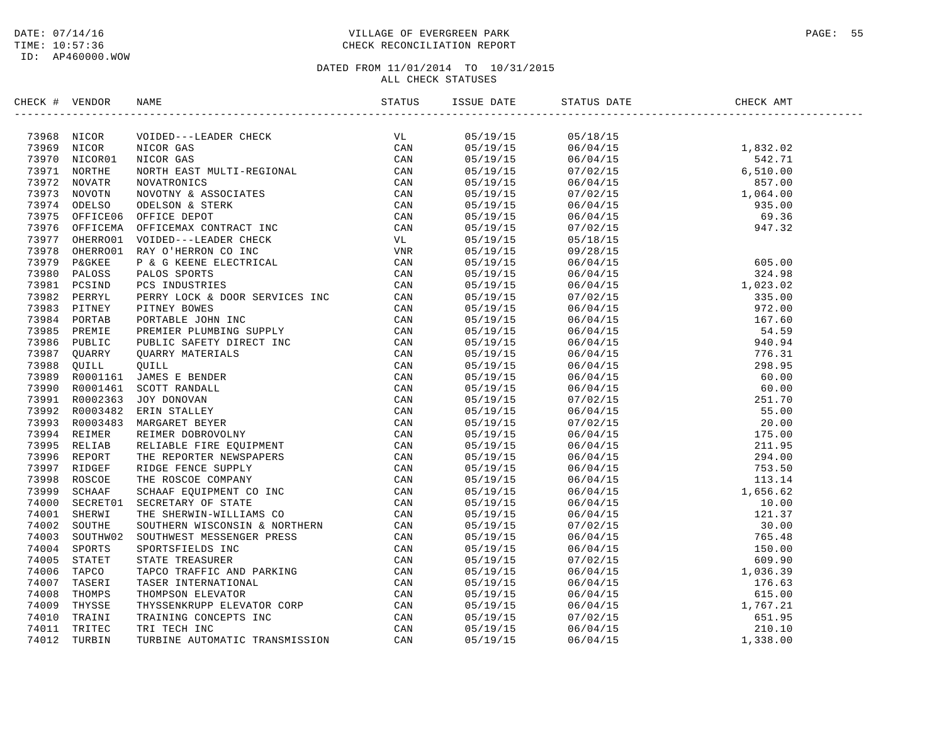### DATE: 07/14/16 PAGE: 55 TIME: 10:57:36 CHECK RECONCILIATION REPORT

| CHECK # VENDOR |                                                                                                                                                                                                                                                                                                                                                           |  |  |  |
|----------------|-----------------------------------------------------------------------------------------------------------------------------------------------------------------------------------------------------------------------------------------------------------------------------------------------------------------------------------------------------------|--|--|--|
|                | $\begin{tabular}{cccccccc} \textbf{0.0069} & \textbf{0.0078} & \textbf{0.0089} & \textbf{0.0089} & \textbf{0.0089} & \textbf{0.0089} & \textbf{0.0089} & \textbf{0.0089} & \textbf{0.0089} & \textbf{0.0089} & \textbf{0.0089} & \textbf{0.0089} & \textbf{0.0089} & \textbf{0.0089} & \textbf{0.0089} & \textbf{0.0089} & \textbf{0.0089} & \textbf{0.0$ |  |  |  |
|                |                                                                                                                                                                                                                                                                                                                                                           |  |  |  |
|                |                                                                                                                                                                                                                                                                                                                                                           |  |  |  |
|                |                                                                                                                                                                                                                                                                                                                                                           |  |  |  |
|                |                                                                                                                                                                                                                                                                                                                                                           |  |  |  |
|                |                                                                                                                                                                                                                                                                                                                                                           |  |  |  |
|                |                                                                                                                                                                                                                                                                                                                                                           |  |  |  |
|                |                                                                                                                                                                                                                                                                                                                                                           |  |  |  |
|                |                                                                                                                                                                                                                                                                                                                                                           |  |  |  |
|                |                                                                                                                                                                                                                                                                                                                                                           |  |  |  |
|                |                                                                                                                                                                                                                                                                                                                                                           |  |  |  |
|                |                                                                                                                                                                                                                                                                                                                                                           |  |  |  |
|                |                                                                                                                                                                                                                                                                                                                                                           |  |  |  |
|                |                                                                                                                                                                                                                                                                                                                                                           |  |  |  |
|                |                                                                                                                                                                                                                                                                                                                                                           |  |  |  |
|                |                                                                                                                                                                                                                                                                                                                                                           |  |  |  |
|                |                                                                                                                                                                                                                                                                                                                                                           |  |  |  |
|                |                                                                                                                                                                                                                                                                                                                                                           |  |  |  |
|                |                                                                                                                                                                                                                                                                                                                                                           |  |  |  |
|                |                                                                                                                                                                                                                                                                                                                                                           |  |  |  |
|                |                                                                                                                                                                                                                                                                                                                                                           |  |  |  |
|                |                                                                                                                                                                                                                                                                                                                                                           |  |  |  |
|                |                                                                                                                                                                                                                                                                                                                                                           |  |  |  |
|                |                                                                                                                                                                                                                                                                                                                                                           |  |  |  |
|                |                                                                                                                                                                                                                                                                                                                                                           |  |  |  |
|                |                                                                                                                                                                                                                                                                                                                                                           |  |  |  |
|                |                                                                                                                                                                                                                                                                                                                                                           |  |  |  |
|                |                                                                                                                                                                                                                                                                                                                                                           |  |  |  |
|                |                                                                                                                                                                                                                                                                                                                                                           |  |  |  |
|                |                                                                                                                                                                                                                                                                                                                                                           |  |  |  |
|                |                                                                                                                                                                                                                                                                                                                                                           |  |  |  |
|                |                                                                                                                                                                                                                                                                                                                                                           |  |  |  |
|                |                                                                                                                                                                                                                                                                                                                                                           |  |  |  |
|                |                                                                                                                                                                                                                                                                                                                                                           |  |  |  |
|                |                                                                                                                                                                                                                                                                                                                                                           |  |  |  |
|                |                                                                                                                                                                                                                                                                                                                                                           |  |  |  |
|                |                                                                                                                                                                                                                                                                                                                                                           |  |  |  |
|                |                                                                                                                                                                                                                                                                                                                                                           |  |  |  |
|                |                                                                                                                                                                                                                                                                                                                                                           |  |  |  |
|                |                                                                                                                                                                                                                                                                                                                                                           |  |  |  |
|                |                                                                                                                                                                                                                                                                                                                                                           |  |  |  |
|                |                                                                                                                                                                                                                                                                                                                                                           |  |  |  |
|                |                                                                                                                                                                                                                                                                                                                                                           |  |  |  |
|                |                                                                                                                                                                                                                                                                                                                                                           |  |  |  |
|                |                                                                                                                                                                                                                                                                                                                                                           |  |  |  |
|                |                                                                                                                                                                                                                                                                                                                                                           |  |  |  |
|                |                                                                                                                                                                                                                                                                                                                                                           |  |  |  |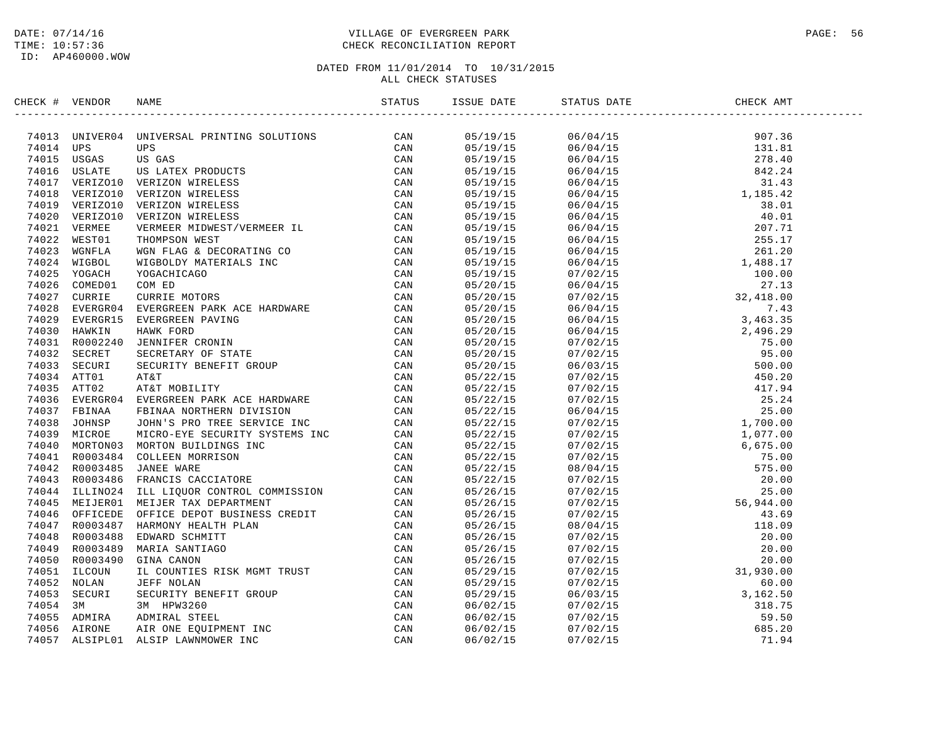### DATE: 07/14/16 PAGE: 56 PAGE: 56 PAGE: 56 PAGE: 56 PAGE: 56 PAGE: 56 PAGE: 56 PAGE: 56 TIME: 10:57:36 CHECK RECONCILIATION REPORT

| CHECK # VENDOR | NAME                                                                                                                                                                                                                                                                                                                                                                                                          |  | STATUS DATE | CHECK AMT |  |
|----------------|---------------------------------------------------------------------------------------------------------------------------------------------------------------------------------------------------------------------------------------------------------------------------------------------------------------------------------------------------------------------------------------------------------------|--|-------------|-----------|--|
|                | $\begin{smallmatrix} \text{CGLG} & \text{WilGCS} & \text{MMSG} & \text{MMSG} & \text{MMSG} & \text{MMSG} & \text{MMSG} & \text{MMSG} & \text{MMSG} & \text{MMSG} & \text{MMSG} & \text{MMSG} & \text{MMSG} & \text{MMSG} & \text{MMSG} & \text{MMSG} & \text{MMSG} & \text{MMSG} & \text{MMSG} & \text{MMSG} & \text{MMSG} & \text{MMSG} & \text{MMSG} & \text{MMSG} & \text{MMSG} & \text{MMSG} & \text{MMS$ |  |             |           |  |
|                |                                                                                                                                                                                                                                                                                                                                                                                                               |  |             |           |  |
|                |                                                                                                                                                                                                                                                                                                                                                                                                               |  |             |           |  |
|                |                                                                                                                                                                                                                                                                                                                                                                                                               |  |             |           |  |
|                |                                                                                                                                                                                                                                                                                                                                                                                                               |  |             |           |  |
|                |                                                                                                                                                                                                                                                                                                                                                                                                               |  |             |           |  |
|                |                                                                                                                                                                                                                                                                                                                                                                                                               |  |             |           |  |
|                |                                                                                                                                                                                                                                                                                                                                                                                                               |  |             |           |  |
|                |                                                                                                                                                                                                                                                                                                                                                                                                               |  |             |           |  |
|                |                                                                                                                                                                                                                                                                                                                                                                                                               |  |             |           |  |
|                |                                                                                                                                                                                                                                                                                                                                                                                                               |  |             |           |  |
|                |                                                                                                                                                                                                                                                                                                                                                                                                               |  |             |           |  |
|                |                                                                                                                                                                                                                                                                                                                                                                                                               |  |             |           |  |
|                |                                                                                                                                                                                                                                                                                                                                                                                                               |  |             |           |  |
|                |                                                                                                                                                                                                                                                                                                                                                                                                               |  |             |           |  |
|                |                                                                                                                                                                                                                                                                                                                                                                                                               |  |             |           |  |
|                |                                                                                                                                                                                                                                                                                                                                                                                                               |  |             |           |  |
|                |                                                                                                                                                                                                                                                                                                                                                                                                               |  |             |           |  |
|                |                                                                                                                                                                                                                                                                                                                                                                                                               |  |             |           |  |
|                |                                                                                                                                                                                                                                                                                                                                                                                                               |  |             |           |  |
|                |                                                                                                                                                                                                                                                                                                                                                                                                               |  |             |           |  |
|                |                                                                                                                                                                                                                                                                                                                                                                                                               |  |             |           |  |
|                |                                                                                                                                                                                                                                                                                                                                                                                                               |  |             |           |  |
|                |                                                                                                                                                                                                                                                                                                                                                                                                               |  |             |           |  |
|                |                                                                                                                                                                                                                                                                                                                                                                                                               |  |             |           |  |
|                |                                                                                                                                                                                                                                                                                                                                                                                                               |  |             |           |  |
|                |                                                                                                                                                                                                                                                                                                                                                                                                               |  |             |           |  |
|                |                                                                                                                                                                                                                                                                                                                                                                                                               |  |             |           |  |
|                |                                                                                                                                                                                                                                                                                                                                                                                                               |  |             |           |  |
|                |                                                                                                                                                                                                                                                                                                                                                                                                               |  |             |           |  |
|                |                                                                                                                                                                                                                                                                                                                                                                                                               |  |             |           |  |
|                |                                                                                                                                                                                                                                                                                                                                                                                                               |  |             |           |  |
|                |                                                                                                                                                                                                                                                                                                                                                                                                               |  |             |           |  |
|                |                                                                                                                                                                                                                                                                                                                                                                                                               |  |             |           |  |
|                |                                                                                                                                                                                                                                                                                                                                                                                                               |  |             |           |  |
|                |                                                                                                                                                                                                                                                                                                                                                                                                               |  |             |           |  |
|                |                                                                                                                                                                                                                                                                                                                                                                                                               |  |             |           |  |
|                |                                                                                                                                                                                                                                                                                                                                                                                                               |  |             |           |  |
|                |                                                                                                                                                                                                                                                                                                                                                                                                               |  |             |           |  |
|                |                                                                                                                                                                                                                                                                                                                                                                                                               |  |             |           |  |
|                |                                                                                                                                                                                                                                                                                                                                                                                                               |  |             |           |  |
|                |                                                                                                                                                                                                                                                                                                                                                                                                               |  |             |           |  |
|                |                                                                                                                                                                                                                                                                                                                                                                                                               |  |             |           |  |
|                |                                                                                                                                                                                                                                                                                                                                                                                                               |  |             |           |  |
|                |                                                                                                                                                                                                                                                                                                                                                                                                               |  |             |           |  |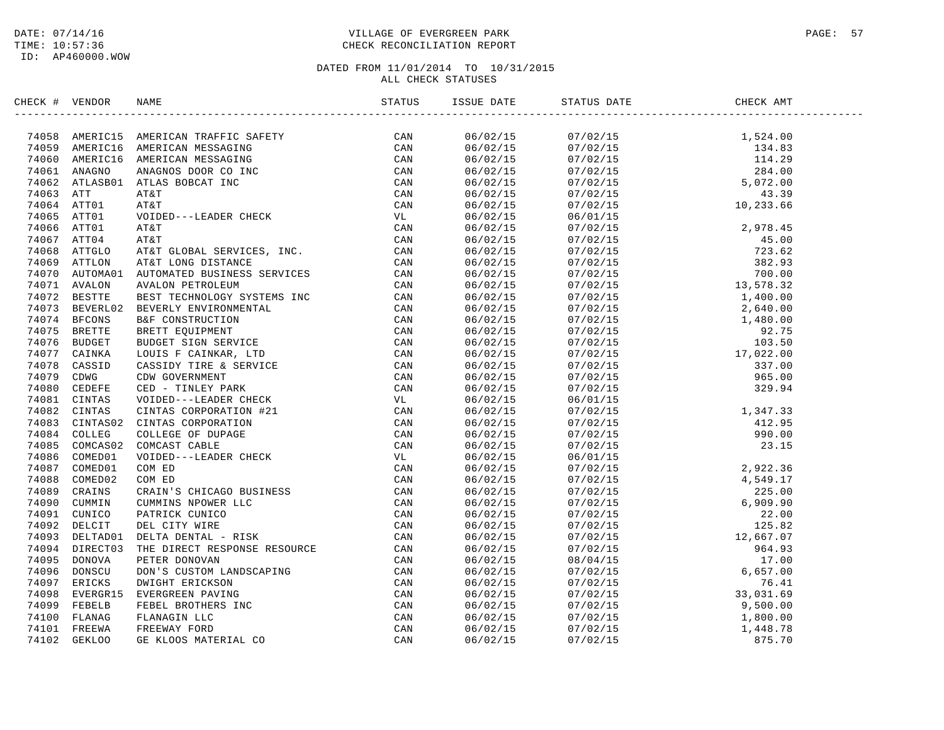### DATE: 07/14/16 PAGE: 57 PAGE: 57 TIME: 10:57:36 CHECK RECONCILIATION REPORT

| CHECK # VENDOR |                                                                                                                                                                                                                                               |          |                                                                                                                                                                                                                                                                                     |  |
|----------------|-----------------------------------------------------------------------------------------------------------------------------------------------------------------------------------------------------------------------------------------------|----------|-------------------------------------------------------------------------------------------------------------------------------------------------------------------------------------------------------------------------------------------------------------------------------------|--|
|                | SERICK # VERION NAME<br>STATUS 38<br>2008 AMERICAN WERELOM WERGAINS<br>2008 AMERICAN WERGAINS<br>2008 AMERICAN WERGAINS<br>2008 AMERICAN WERGAINS<br>2008 AMERICAN WERGAINS<br>2008 ATTLE AMERICAN WERGAINS<br>2008 ATTLE 2008 ATTLE SPORT IN |          |                                                                                                                                                                                                                                                                                     |  |
|                |                                                                                                                                                                                                                                               |          |                                                                                                                                                                                                                                                                                     |  |
|                |                                                                                                                                                                                                                                               |          |                                                                                                                                                                                                                                                                                     |  |
|                |                                                                                                                                                                                                                                               |          |                                                                                                                                                                                                                                                                                     |  |
|                |                                                                                                                                                                                                                                               |          |                                                                                                                                                                                                                                                                                     |  |
|                |                                                                                                                                                                                                                                               |          |                                                                                                                                                                                                                                                                                     |  |
|                |                                                                                                                                                                                                                                               |          |                                                                                                                                                                                                                                                                                     |  |
|                |                                                                                                                                                                                                                                               |          |                                                                                                                                                                                                                                                                                     |  |
|                |                                                                                                                                                                                                                                               | 06/02/15 |                                                                                                                                                                                                                                                                                     |  |
|                |                                                                                                                                                                                                                                               | 06/02/15 |                                                                                                                                                                                                                                                                                     |  |
|                |                                                                                                                                                                                                                                               | 06/02/15 |                                                                                                                                                                                                                                                                                     |  |
|                |                                                                                                                                                                                                                                               | 06/02/15 |                                                                                                                                                                                                                                                                                     |  |
|                |                                                                                                                                                                                                                                               | 06/02/15 |                                                                                                                                                                                                                                                                                     |  |
|                |                                                                                                                                                                                                                                               | 06/02/15 |                                                                                                                                                                                                                                                                                     |  |
|                |                                                                                                                                                                                                                                               | 06/02/15 |                                                                                                                                                                                                                                                                                     |  |
|                |                                                                                                                                                                                                                                               | 06/02/15 |                                                                                                                                                                                                                                                                                     |  |
|                |                                                                                                                                                                                                                                               | 06/02/15 |                                                                                                                                                                                                                                                                                     |  |
|                |                                                                                                                                                                                                                                               | 06/02/15 |                                                                                                                                                                                                                                                                                     |  |
|                |                                                                                                                                                                                                                                               | 06/02/15 |                                                                                                                                                                                                                                                                                     |  |
|                |                                                                                                                                                                                                                                               | 06/02/15 |                                                                                                                                                                                                                                                                                     |  |
|                |                                                                                                                                                                                                                                               | 06/02/15 |                                                                                                                                                                                                                                                                                     |  |
|                |                                                                                                                                                                                                                                               | 06/02/15 |                                                                                                                                                                                                                                                                                     |  |
|                |                                                                                                                                                                                                                                               | 06/02/15 | $\begin{array}{cccc} 07/02/15 & 10\, , 233\, .66 \\ 06/01/15 & 2\, , 978\, .45 \\ 07/02/15 & 2\, , 978\, .45 \\ 07/02/15 & 723\, .62 \\ 07/02/15 & 382\, .93 \\ 07/02/15 & 382\, .93 \\ 07/02/15 & 13\, , 578\, .32 \\ 07/02/15 & 1, 400\, .00 \\ 07/02/15 & 2\, , 640\, .00 \\ 07$ |  |
|                |                                                                                                                                                                                                                                               | 06/02/15 |                                                                                                                                                                                                                                                                                     |  |
|                |                                                                                                                                                                                                                                               | 06/02/15 |                                                                                                                                                                                                                                                                                     |  |
|                |                                                                                                                                                                                                                                               | 06/02/15 |                                                                                                                                                                                                                                                                                     |  |
|                |                                                                                                                                                                                                                                               | 06/02/15 |                                                                                                                                                                                                                                                                                     |  |
|                |                                                                                                                                                                                                                                               | 06/02/15 |                                                                                                                                                                                                                                                                                     |  |
|                |                                                                                                                                                                                                                                               | 06/02/15 |                                                                                                                                                                                                                                                                                     |  |
|                |                                                                                                                                                                                                                                               | 06/02/15 |                                                                                                                                                                                                                                                                                     |  |
|                |                                                                                                                                                                                                                                               | 06/02/15 |                                                                                                                                                                                                                                                                                     |  |
|                |                                                                                                                                                                                                                                               | 06/02/15 |                                                                                                                                                                                                                                                                                     |  |
|                |                                                                                                                                                                                                                                               | 06/02/15 |                                                                                                                                                                                                                                                                                     |  |
|                |                                                                                                                                                                                                                                               | 06/02/15 |                                                                                                                                                                                                                                                                                     |  |
|                |                                                                                                                                                                                                                                               | 06/02/15 |                                                                                                                                                                                                                                                                                     |  |
|                |                                                                                                                                                                                                                                               | 06/02/15 |                                                                                                                                                                                                                                                                                     |  |
|                |                                                                                                                                                                                                                                               | 06/02/15 |                                                                                                                                                                                                                                                                                     |  |
|                |                                                                                                                                                                                                                                               | 06/02/15 |                                                                                                                                                                                                                                                                                     |  |
|                |                                                                                                                                                                                                                                               | 06/02/15 |                                                                                                                                                                                                                                                                                     |  |
|                |                                                                                                                                                                                                                                               | 06/02/15 |                                                                                                                                                                                                                                                                                     |  |
|                |                                                                                                                                                                                                                                               | 06/02/15 |                                                                                                                                                                                                                                                                                     |  |
|                |                                                                                                                                                                                                                                               | 06/02/15 |                                                                                                                                                                                                                                                                                     |  |
|                |                                                                                                                                                                                                                                               | 06/02/15 |                                                                                                                                                                                                                                                                                     |  |
|                |                                                                                                                                                                                                                                               | 06/02/15 |                                                                                                                                                                                                                                                                                     |  |
|                |                                                                                                                                                                                                                                               | 06/02/15 |                                                                                                                                                                                                                                                                                     |  |
|                |                                                                                                                                                                                                                                               | 06/02/15 | $\begin{array}{cccccc} 07/02/15 & 329.94 \\ 06/01/15 & 329.94 \\ 06/01/15 & 329.94 \\ 07/02/15 & 1,347.33 \\ 07/02/15 & 412.95 \\ 07/02/15 & 990.00 \\ 07/02/15 & 2,922.36 \\ 07/02/15 & 2,922.36 \\ 07/02/15 & 4,549.17 \\ 07/02/15 & 225.00 \\ 07/02/15 & 225.00 \\ 07/02$        |  |
|                |                                                                                                                                                                                                                                               |          |                                                                                                                                                                                                                                                                                     |  |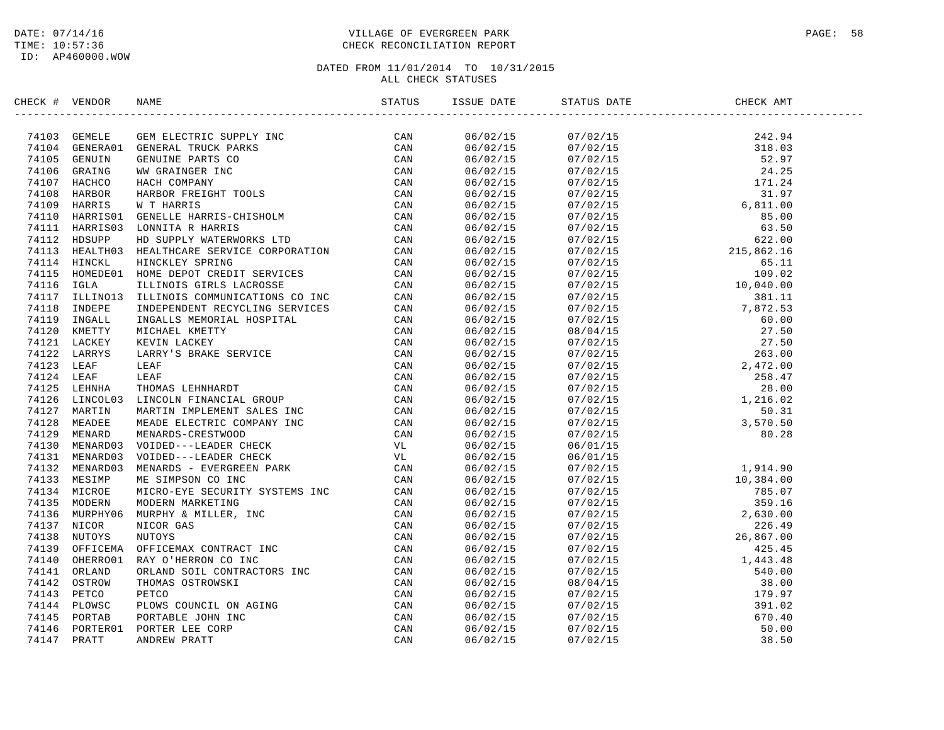# DATE: 07/14/16 PAGE: 58 PAGE: 58 TIME: 10:57:36 CHECK RECONCILIATION REPORT

| CHECK # VENDOR | NAME                                                                                                                                                                                                                                         | ISSUE DATE           | STATUS DATE | CHECK AMT                                                                                                                                                                                                                                                                                                                                                                                                                                              |  |
|----------------|----------------------------------------------------------------------------------------------------------------------------------------------------------------------------------------------------------------------------------------------|----------------------|-------------|--------------------------------------------------------------------------------------------------------------------------------------------------------------------------------------------------------------------------------------------------------------------------------------------------------------------------------------------------------------------------------------------------------------------------------------------------------|--|
|                | 74103 GEMELE GEMELECTRIC SUPPLY INC<br>74104 GENERAO1 GENERAL TRUCK PARKS<br>74105 GENUIN GENUINE PARTS CO<br>74106 GRAING WW GRAINGER INC<br>74107 HACHCO HACH COMPANY CAN<br>74107 HACHCO HACH COMPANY CAN<br>74109 HARRIS W THARRIS<br>74 | 06/02/15             |             | $\begin{tabular}{@{}c c c c} \hline \multicolumn{4}{c }{\multicolumn{4}{c }{\multicolumn{4}{c }{\multicolumn{4}{c }{\multicolumn{4}{c }{\multicolumn{4}{c }{\multicolumn{4}{c }{\multicolumn{4}{c }{\multicolumn{4}{c }{\multicolumn{4}{c }{\multicolumn{4}{c }{\multicolumn{4}{c }{\multicolumn{4}{c }{\multicolumn{4}{c }{\multicolumn{4}{c }{\multicolumn{4}{c }{\multicolumn{4}{c }{\multicolumn{4}{c }{\multicolumn{4}{c }{\multicolumn{4}{c }{\$ |  |
|                |                                                                                                                                                                                                                                              | 06/02/15             |             |                                                                                                                                                                                                                                                                                                                                                                                                                                                        |  |
|                |                                                                                                                                                                                                                                              | 06/02/15             |             |                                                                                                                                                                                                                                                                                                                                                                                                                                                        |  |
|                |                                                                                                                                                                                                                                              | 06/02/15             |             |                                                                                                                                                                                                                                                                                                                                                                                                                                                        |  |
|                |                                                                                                                                                                                                                                              | 06/02/15             |             |                                                                                                                                                                                                                                                                                                                                                                                                                                                        |  |
|                |                                                                                                                                                                                                                                              | 06/02/15             |             |                                                                                                                                                                                                                                                                                                                                                                                                                                                        |  |
|                |                                                                                                                                                                                                                                              | 06/02/15             |             |                                                                                                                                                                                                                                                                                                                                                                                                                                                        |  |
|                |                                                                                                                                                                                                                                              | 06/02/15             |             |                                                                                                                                                                                                                                                                                                                                                                                                                                                        |  |
|                |                                                                                                                                                                                                                                              | 06/02/15             |             |                                                                                                                                                                                                                                                                                                                                                                                                                                                        |  |
|                |                                                                                                                                                                                                                                              | 06/02/15             |             |                                                                                                                                                                                                                                                                                                                                                                                                                                                        |  |
|                |                                                                                                                                                                                                                                              | 06/02/15             |             |                                                                                                                                                                                                                                                                                                                                                                                                                                                        |  |
|                |                                                                                                                                                                                                                                              | 06/02/15             |             |                                                                                                                                                                                                                                                                                                                                                                                                                                                        |  |
|                |                                                                                                                                                                                                                                              | 06/02/15             |             |                                                                                                                                                                                                                                                                                                                                                                                                                                                        |  |
|                |                                                                                                                                                                                                                                              |                      |             |                                                                                                                                                                                                                                                                                                                                                                                                                                                        |  |
|                |                                                                                                                                                                                                                                              | 06/02/15             |             |                                                                                                                                                                                                                                                                                                                                                                                                                                                        |  |
|                |                                                                                                                                                                                                                                              | 06/02/15             |             |                                                                                                                                                                                                                                                                                                                                                                                                                                                        |  |
|                |                                                                                                                                                                                                                                              | 06/02/15<br>06/02/15 |             |                                                                                                                                                                                                                                                                                                                                                                                                                                                        |  |
|                |                                                                                                                                                                                                                                              |                      |             |                                                                                                                                                                                                                                                                                                                                                                                                                                                        |  |
|                |                                                                                                                                                                                                                                              | 06/02/15             |             |                                                                                                                                                                                                                                                                                                                                                                                                                                                        |  |
|                |                                                                                                                                                                                                                                              | 06/02/15             |             |                                                                                                                                                                                                                                                                                                                                                                                                                                                        |  |
|                |                                                                                                                                                                                                                                              | 06/02/15             |             |                                                                                                                                                                                                                                                                                                                                                                                                                                                        |  |
|                |                                                                                                                                                                                                                                              | 06/02/15             |             |                                                                                                                                                                                                                                                                                                                                                                                                                                                        |  |
|                |                                                                                                                                                                                                                                              | 06/02/15             |             |                                                                                                                                                                                                                                                                                                                                                                                                                                                        |  |
|                |                                                                                                                                                                                                                                              | 06/02/15             |             |                                                                                                                                                                                                                                                                                                                                                                                                                                                        |  |
|                |                                                                                                                                                                                                                                              | 06/02/15             |             |                                                                                                                                                                                                                                                                                                                                                                                                                                                        |  |
|                |                                                                                                                                                                                                                                              | 06/02/15             |             |                                                                                                                                                                                                                                                                                                                                                                                                                                                        |  |
|                |                                                                                                                                                                                                                                              | 06/02/15             |             |                                                                                                                                                                                                                                                                                                                                                                                                                                                        |  |
|                |                                                                                                                                                                                                                                              | 06/02/15             |             |                                                                                                                                                                                                                                                                                                                                                                                                                                                        |  |
|                |                                                                                                                                                                                                                                              | 06/02/15             |             |                                                                                                                                                                                                                                                                                                                                                                                                                                                        |  |
|                |                                                                                                                                                                                                                                              | 06/02/15             | 06/01/15    | 1,914.90                                                                                                                                                                                                                                                                                                                                                                                                                                               |  |
|                |                                                                                                                                                                                                                                              | 06/02/15             |             |                                                                                                                                                                                                                                                                                                                                                                                                                                                        |  |
|                |                                                                                                                                                                                                                                              | 06/02/15             |             |                                                                                                                                                                                                                                                                                                                                                                                                                                                        |  |
|                |                                                                                                                                                                                                                                              | 06/02/15             |             |                                                                                                                                                                                                                                                                                                                                                                                                                                                        |  |
|                |                                                                                                                                                                                                                                              | 06/02/15             |             |                                                                                                                                                                                                                                                                                                                                                                                                                                                        |  |
|                |                                                                                                                                                                                                                                              | 06/02/15             |             |                                                                                                                                                                                                                                                                                                                                                                                                                                                        |  |
|                |                                                                                                                                                                                                                                              | 06/02/15             |             |                                                                                                                                                                                                                                                                                                                                                                                                                                                        |  |
|                |                                                                                                                                                                                                                                              | 06/02/15             |             |                                                                                                                                                                                                                                                                                                                                                                                                                                                        |  |
|                |                                                                                                                                                                                                                                              | 06/02/15             |             |                                                                                                                                                                                                                                                                                                                                                                                                                                                        |  |
|                |                                                                                                                                                                                                                                              | 06/02/15             |             |                                                                                                                                                                                                                                                                                                                                                                                                                                                        |  |
|                |                                                                                                                                                                                                                                              | 06/02/15             |             |                                                                                                                                                                                                                                                                                                                                                                                                                                                        |  |
|                |                                                                                                                                                                                                                                              | 06/02/15             |             |                                                                                                                                                                                                                                                                                                                                                                                                                                                        |  |
|                |                                                                                                                                                                                                                                              | 06/02/15             |             |                                                                                                                                                                                                                                                                                                                                                                                                                                                        |  |
|                | 741111 HARRISSI LONNITA RARETS ESERVICE CORPORATION (AN ANTIFANORIS DEPAIRMORES EPSPICE CORPORATION CAN TALLS HOMEONIC SERVICE CORPORATION CAN TALLS HOMEON FOR THE SERVICES CORPORATION (AN AMALE IN THE CAN TALL IN THE COR                | 06/02/15             |             | $\begin{array}{cccc} 06/01/15 \\ 07/02/15 \\ 07/02/15 \\ 07/02/15 \\ 07/02/15 \\ 07/02/15 \\ 07/02/15 \\ 07/02/15 \\ 07/02/15 \\ 07/02/15 \\ 07/02/15 \\ 07/02/15 \\ 07/02/15 \\ 07/02/15 \\ 07/02/15 \\ 07/02/15 \\ 07/02/15 \\ 07/02/15 \\ 07/02/15 \\ 07/02/15 \\ 07/02/15 \\ 07$                                                                                                                                                                   |  |
|                |                                                                                                                                                                                                                                              | 06/02/15             |             |                                                                                                                                                                                                                                                                                                                                                                                                                                                        |  |
|                |                                                                                                                                                                                                                                              | 06/02/15             |             |                                                                                                                                                                                                                                                                                                                                                                                                                                                        |  |
|                |                                                                                                                                                                                                                                              | 06/02/15             |             |                                                                                                                                                                                                                                                                                                                                                                                                                                                        |  |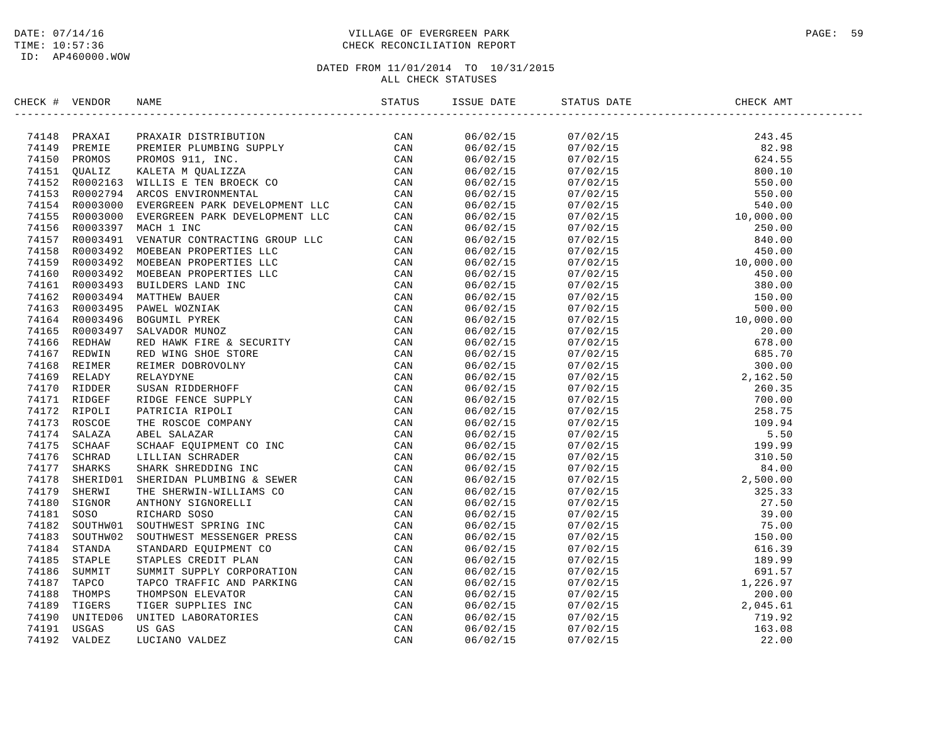### DATE: 07/14/16 PAGE: 59 PAGE: 59 TIME: 10:57:36 CHECK RECONCILIATION REPORT

| CHECK # VENDOR | NAME                                                                                                                                                                                                                                |          | ISSUE DATE STATUS DATE                                                                                                                                                                                                                                                                                                                                                                                                                 |  |
|----------------|-------------------------------------------------------------------------------------------------------------------------------------------------------------------------------------------------------------------------------------|----------|----------------------------------------------------------------------------------------------------------------------------------------------------------------------------------------------------------------------------------------------------------------------------------------------------------------------------------------------------------------------------------------------------------------------------------------|--|
|                | <b>ECR 4 VEHICLE MANUEL DES SERVICES (FOR AN ANTIFICATION CAN ALSO CONSUMERED AND A 1145 DES SERVICES (FOR AN ANTIFICATION CAN ALSO CONSUMERED AND A 150 DES SERVICE ON A 150 DES SERVICE ON A 150 DES SERVICE ON A 150 DES SER</b> | 06/02/15 | $\begin{tabular}{l c c c} \multicolumn{4}{c}{\textbf{55.5--}} \multicolumn{4}{c}{\textbf{69.5--}} \multicolumn{4}{c}{\textbf{69.5--}} \end{tabular} \begin{tabular}{l c c} \multicolumn{4}{c}{\textbf{69.5--}} \multicolumn{4}{c}{\textbf{69.5--}} \multicolumn{4}{c}{\textbf{69.5--}} \end{tabular} \begin{tabular}{l c c} \multicolumn{4}{c}{\textbf{69.5--}} \multicolumn{4}{c}{\textbf{69.5--}} \multicolumn{4}{c}{\textbf{69.5--$ |  |
|                |                                                                                                                                                                                                                                     | 06/02/15 |                                                                                                                                                                                                                                                                                                                                                                                                                                        |  |
|                |                                                                                                                                                                                                                                     | 06/02/15 |                                                                                                                                                                                                                                                                                                                                                                                                                                        |  |
|                |                                                                                                                                                                                                                                     | 06/02/15 |                                                                                                                                                                                                                                                                                                                                                                                                                                        |  |
|                |                                                                                                                                                                                                                                     | 06/02/15 |                                                                                                                                                                                                                                                                                                                                                                                                                                        |  |
|                |                                                                                                                                                                                                                                     | 06/02/15 |                                                                                                                                                                                                                                                                                                                                                                                                                                        |  |
|                |                                                                                                                                                                                                                                     |          |                                                                                                                                                                                                                                                                                                                                                                                                                                        |  |
|                |                                                                                                                                                                                                                                     | 06/02/15 |                                                                                                                                                                                                                                                                                                                                                                                                                                        |  |
|                |                                                                                                                                                                                                                                     | 06/02/15 |                                                                                                                                                                                                                                                                                                                                                                                                                                        |  |
|                |                                                                                                                                                                                                                                     | 06/02/15 |                                                                                                                                                                                                                                                                                                                                                                                                                                        |  |
|                |                                                                                                                                                                                                                                     | 06/02/15 |                                                                                                                                                                                                                                                                                                                                                                                                                                        |  |
|                |                                                                                                                                                                                                                                     | 06/02/15 |                                                                                                                                                                                                                                                                                                                                                                                                                                        |  |
|                |                                                                                                                                                                                                                                     | 06/02/15 |                                                                                                                                                                                                                                                                                                                                                                                                                                        |  |
|                |                                                                                                                                                                                                                                     | 06/02/15 |                                                                                                                                                                                                                                                                                                                                                                                                                                        |  |
|                |                                                                                                                                                                                                                                     | 06/02/15 |                                                                                                                                                                                                                                                                                                                                                                                                                                        |  |
|                |                                                                                                                                                                                                                                     | 06/02/15 |                                                                                                                                                                                                                                                                                                                                                                                                                                        |  |
|                |                                                                                                                                                                                                                                     | 06/02/15 |                                                                                                                                                                                                                                                                                                                                                                                                                                        |  |
|                |                                                                                                                                                                                                                                     | 06/02/15 |                                                                                                                                                                                                                                                                                                                                                                                                                                        |  |
|                |                                                                                                                                                                                                                                     | 06/02/15 |                                                                                                                                                                                                                                                                                                                                                                                                                                        |  |
|                |                                                                                                                                                                                                                                     | 06/02/15 |                                                                                                                                                                                                                                                                                                                                                                                                                                        |  |
|                |                                                                                                                                                                                                                                     | 06/02/15 |                                                                                                                                                                                                                                                                                                                                                                                                                                        |  |
|                |                                                                                                                                                                                                                                     | 06/02/15 |                                                                                                                                                                                                                                                                                                                                                                                                                                        |  |
|                |                                                                                                                                                                                                                                     | 06/02/15 |                                                                                                                                                                                                                                                                                                                                                                                                                                        |  |
|                |                                                                                                                                                                                                                                     | 06/02/15 |                                                                                                                                                                                                                                                                                                                                                                                                                                        |  |
|                |                                                                                                                                                                                                                                     | 06/02/15 |                                                                                                                                                                                                                                                                                                                                                                                                                                        |  |
|                |                                                                                                                                                                                                                                     | 06/02/15 |                                                                                                                                                                                                                                                                                                                                                                                                                                        |  |
|                |                                                                                                                                                                                                                                     | 06/02/15 |                                                                                                                                                                                                                                                                                                                                                                                                                                        |  |
|                |                                                                                                                                                                                                                                     | 06/02/15 |                                                                                                                                                                                                                                                                                                                                                                                                                                        |  |
|                |                                                                                                                                                                                                                                     | 06/02/15 |                                                                                                                                                                                                                                                                                                                                                                                                                                        |  |
|                |                                                                                                                                                                                                                                     | 06/02/15 |                                                                                                                                                                                                                                                                                                                                                                                                                                        |  |
|                |                                                                                                                                                                                                                                     | 06/02/15 |                                                                                                                                                                                                                                                                                                                                                                                                                                        |  |
|                |                                                                                                                                                                                                                                     | 06/02/15 |                                                                                                                                                                                                                                                                                                                                                                                                                                        |  |
|                |                                                                                                                                                                                                                                     | 06/02/15 |                                                                                                                                                                                                                                                                                                                                                                                                                                        |  |
|                |                                                                                                                                                                                                                                     | 06/02/15 |                                                                                                                                                                                                                                                                                                                                                                                                                                        |  |
|                |                                                                                                                                                                                                                                     | 06/02/15 |                                                                                                                                                                                                                                                                                                                                                                                                                                        |  |
|                |                                                                                                                                                                                                                                     | 06/02/15 |                                                                                                                                                                                                                                                                                                                                                                                                                                        |  |
|                |                                                                                                                                                                                                                                     | 06/02/15 |                                                                                                                                                                                                                                                                                                                                                                                                                                        |  |
|                |                                                                                                                                                                                                                                     | 06/02/15 |                                                                                                                                                                                                                                                                                                                                                                                                                                        |  |
|                |                                                                                                                                                                                                                                     | 06/02/15 |                                                                                                                                                                                                                                                                                                                                                                                                                                        |  |
|                |                                                                                                                                                                                                                                     | 06/02/15 |                                                                                                                                                                                                                                                                                                                                                                                                                                        |  |
|                |                                                                                                                                                                                                                                     |          |                                                                                                                                                                                                                                                                                                                                                                                                                                        |  |
|                |                                                                                                                                                                                                                                     | 06/02/15 |                                                                                                                                                                                                                                                                                                                                                                                                                                        |  |
|                |                                                                                                                                                                                                                                     | 06/02/15 |                                                                                                                                                                                                                                                                                                                                                                                                                                        |  |
|                |                                                                                                                                                                                                                                     | 06/02/15 |                                                                                                                                                                                                                                                                                                                                                                                                                                        |  |
|                |                                                                                                                                                                                                                                     | 06/02/15 |                                                                                                                                                                                                                                                                                                                                                                                                                                        |  |
|                |                                                                                                                                                                                                                                     | 06/02/15 |                                                                                                                                                                                                                                                                                                                                                                                                                                        |  |
|                |                                                                                                                                                                                                                                     | 06/02/15 |                                                                                                                                                                                                                                                                                                                                                                                                                                        |  |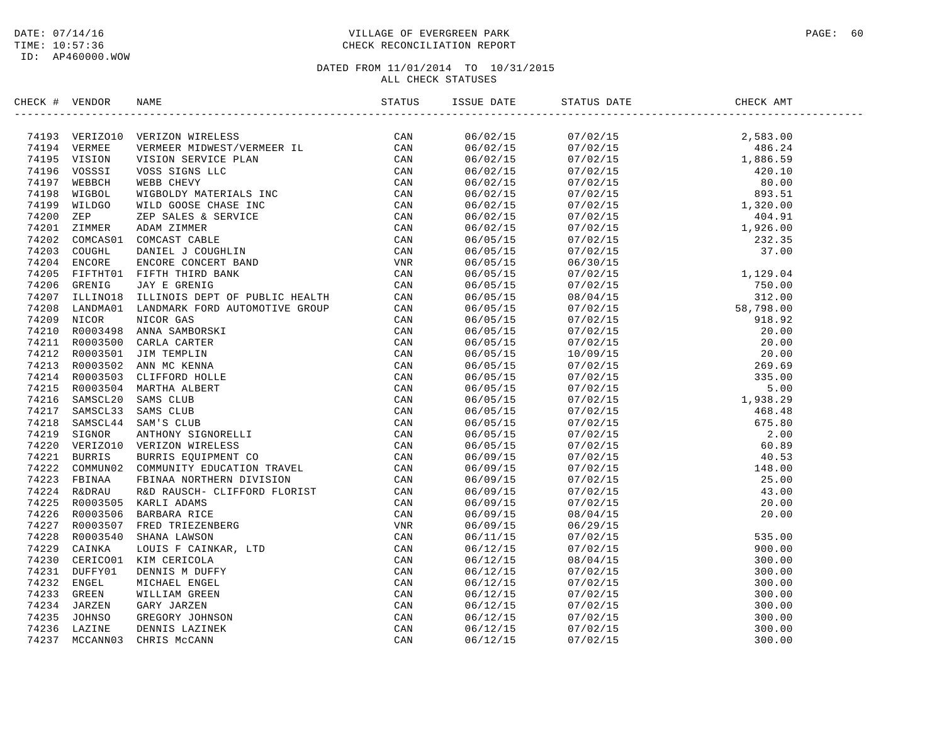### DATE: 07/14/16 PAGE: 60 PAGE: 60 PAGE: 60 PAGE: 60 PAGE: 60 PAGE: 60 PAGE: 60 PAGE: 60 PAGE: 60 PAGE: 60 PAGE: 60 TIME: 10:57:36 CHECK RECONCILIATION REPORT

| CHECK # VENDOR |                                                                                                                                                                                                                                   |  |  |
|----------------|-----------------------------------------------------------------------------------------------------------------------------------------------------------------------------------------------------------------------------------|--|--|
|                | NECK + VERDOR NAME<br>TA194 VERMICR VERTICON TERENES (STATUS - STATUS 1987)<br>74194 VERMICR VERTICON TERENES TRESPACING ERR (CAN 74195 VERSIC VERTICAL CAN 74196 VERSICA VERSICAL CAN 7419 NEGRO ON NATIONAL TRESPACING CAN 7419 |  |  |
|                |                                                                                                                                                                                                                                   |  |  |
|                |                                                                                                                                                                                                                                   |  |  |
|                |                                                                                                                                                                                                                                   |  |  |
|                |                                                                                                                                                                                                                                   |  |  |
|                |                                                                                                                                                                                                                                   |  |  |
|                |                                                                                                                                                                                                                                   |  |  |
|                |                                                                                                                                                                                                                                   |  |  |
|                |                                                                                                                                                                                                                                   |  |  |
|                |                                                                                                                                                                                                                                   |  |  |
|                |                                                                                                                                                                                                                                   |  |  |
|                |                                                                                                                                                                                                                                   |  |  |
|                |                                                                                                                                                                                                                                   |  |  |
|                |                                                                                                                                                                                                                                   |  |  |
|                |                                                                                                                                                                                                                                   |  |  |
|                |                                                                                                                                                                                                                                   |  |  |
|                |                                                                                                                                                                                                                                   |  |  |
|                |                                                                                                                                                                                                                                   |  |  |
|                |                                                                                                                                                                                                                                   |  |  |
|                |                                                                                                                                                                                                                                   |  |  |
|                |                                                                                                                                                                                                                                   |  |  |
|                |                                                                                                                                                                                                                                   |  |  |
|                |                                                                                                                                                                                                                                   |  |  |
|                |                                                                                                                                                                                                                                   |  |  |
|                |                                                                                                                                                                                                                                   |  |  |
|                |                                                                                                                                                                                                                                   |  |  |
|                |                                                                                                                                                                                                                                   |  |  |
|                |                                                                                                                                                                                                                                   |  |  |
|                |                                                                                                                                                                                                                                   |  |  |
|                |                                                                                                                                                                                                                                   |  |  |
|                |                                                                                                                                                                                                                                   |  |  |
|                |                                                                                                                                                                                                                                   |  |  |
|                |                                                                                                                                                                                                                                   |  |  |
|                |                                                                                                                                                                                                                                   |  |  |
|                |                                                                                                                                                                                                                                   |  |  |
|                |                                                                                                                                                                                                                                   |  |  |
|                |                                                                                                                                                                                                                                   |  |  |
|                |                                                                                                                                                                                                                                   |  |  |
|                |                                                                                                                                                                                                                                   |  |  |
|                |                                                                                                                                                                                                                                   |  |  |
|                |                                                                                                                                                                                                                                   |  |  |
|                |                                                                                                                                                                                                                                   |  |  |
|                |                                                                                                                                                                                                                                   |  |  |
|                |                                                                                                                                                                                                                                   |  |  |
|                |                                                                                                                                                                                                                                   |  |  |
|                |                                                                                                                                                                                                                                   |  |  |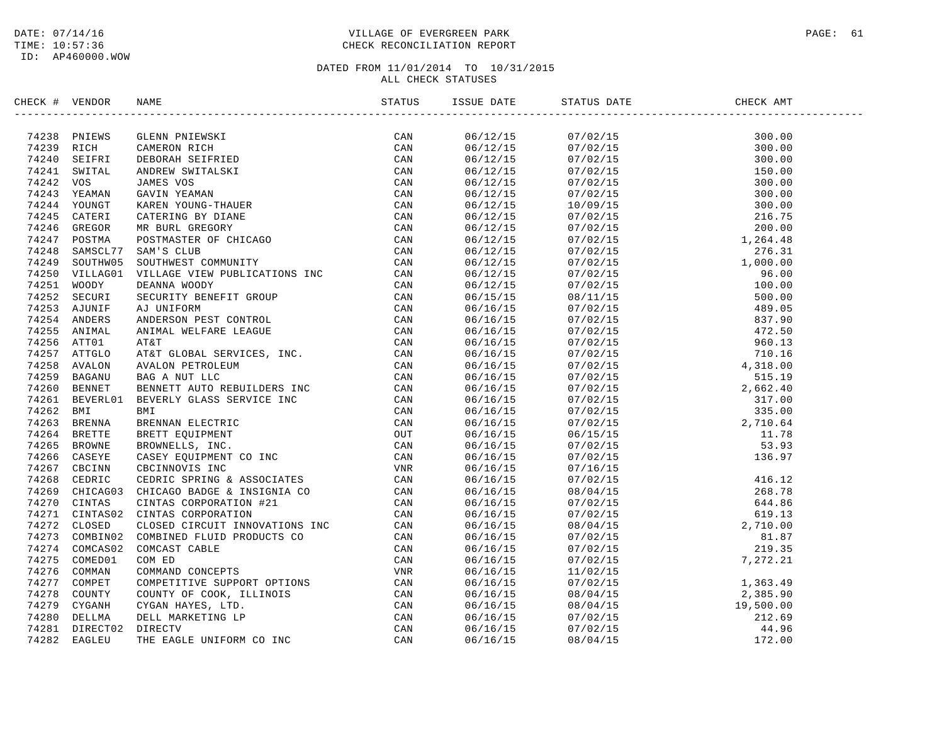### DATE: 07/14/16 PAGE: 61 PAGE: 61 TIME: 10:57:36 CHECK RECONCILIATION REPORT

|           |                        | $\begin{tabular}{l c c c} \multicolumn{1}{c}{\multicolumn{1}{c}{\multicolumn{1}{c}{\multicolumn{1}{c}{\multicolumn{1}{c}{\multicolumn{1}{c}{\multicolumn{1}{c}{\multicolumn{1}{c}{\multicolumn{1}{c}{\multicolumn{1}{c}{\multicolumn{1}{c}{\multicolumn{1}{c}{\multicolumn{1}{c}{\multicolumn{1}{c}{\multicolumn{1}{c}{\multicolumn{1}{c}{\multicolumn{1}{c}{\multicolumn{1}{c}{\multicolumn{1}{c}{\multicolumn{1}{c}{\multicolumn{1}{c}{\multicolumn{1}{c}{\multicolumn{1}{c$ |     |                      | $\begin{tabular}{l c c c} \multicolumn{1}{c}{\textbf{55.63}} \multicolumn{1}{c}{\textbf{56.64}} \multicolumn{1}{c}{\textbf{6944}} \multicolumn{1}{c}{\textbf{6944}} \multicolumn{1}{c}{\textbf{707}} \multicolumn{1}{c}{\textbf{80.00}} \multicolumn{1}{c}{\textbf{80.00}} \multicolumn{1}{c}{\textbf{80.00}} \multicolumn{1}{c}{\textbf{80.00}} \multicolumn{1}{c}{\textbf{80.00}} \multicolumn{1}{c}{\textbf{80.00}} \$ |  |
|-----------|------------------------|--------------------------------------------------------------------------------------------------------------------------------------------------------------------------------------------------------------------------------------------------------------------------------------------------------------------------------------------------------------------------------------------------------------------------------------------------------------------------------|-----|----------------------|---------------------------------------------------------------------------------------------------------------------------------------------------------------------------------------------------------------------------------------------------------------------------------------------------------------------------------------------------------------------------------------------------------------------------|--|
|           | 74238 PNIEWS           |                                                                                                                                                                                                                                                                                                                                                                                                                                                                                | CAN | 06/12/15<br>06/12/15 |                                                                                                                                                                                                                                                                                                                                                                                                                           |  |
|           | 74239 RICH             |                                                                                                                                                                                                                                                                                                                                                                                                                                                                                |     | 06/12/15             |                                                                                                                                                                                                                                                                                                                                                                                                                           |  |
|           | 74240 SEIFRI           |                                                                                                                                                                                                                                                                                                                                                                                                                                                                                |     | 06/12/15             |                                                                                                                                                                                                                                                                                                                                                                                                                           |  |
|           | 74241 SWITAL           |                                                                                                                                                                                                                                                                                                                                                                                                                                                                                |     | 06/12/15             |                                                                                                                                                                                                                                                                                                                                                                                                                           |  |
| 74242 VOS |                        |                                                                                                                                                                                                                                                                                                                                                                                                                                                                                |     | 06/12/15             |                                                                                                                                                                                                                                                                                                                                                                                                                           |  |
|           | 74243 YEAMAN           |                                                                                                                                                                                                                                                                                                                                                                                                                                                                                |     | 06/12/15             |                                                                                                                                                                                                                                                                                                                                                                                                                           |  |
|           | 74244 YOUNGT           |                                                                                                                                                                                                                                                                                                                                                                                                                                                                                |     | 06/12/15             |                                                                                                                                                                                                                                                                                                                                                                                                                           |  |
|           | 74245 CATERI           |                                                                                                                                                                                                                                                                                                                                                                                                                                                                                |     | 06/12/15             |                                                                                                                                                                                                                                                                                                                                                                                                                           |  |
|           | 74246 GREGOR           |                                                                                                                                                                                                                                                                                                                                                                                                                                                                                |     | 06/12/15             |                                                                                                                                                                                                                                                                                                                                                                                                                           |  |
|           | 74247 POSTMA           |                                                                                                                                                                                                                                                                                                                                                                                                                                                                                |     | 06/12/15             |                                                                                                                                                                                                                                                                                                                                                                                                                           |  |
|           | 74248 SAMSCL77         |                                                                                                                                                                                                                                                                                                                                                                                                                                                                                |     | 06/12/15             |                                                                                                                                                                                                                                                                                                                                                                                                                           |  |
|           | 74249 SOUTHW05         |                                                                                                                                                                                                                                                                                                                                                                                                                                                                                |     | 06/12/15             |                                                                                                                                                                                                                                                                                                                                                                                                                           |  |
|           | 74250 VILLAG01         |                                                                                                                                                                                                                                                                                                                                                                                                                                                                                |     | 06/12/15             |                                                                                                                                                                                                                                                                                                                                                                                                                           |  |
|           | 74251 WOODY            |                                                                                                                                                                                                                                                                                                                                                                                                                                                                                |     | 06/12/15             |                                                                                                                                                                                                                                                                                                                                                                                                                           |  |
|           | 74252 SECURI           |                                                                                                                                                                                                                                                                                                                                                                                                                                                                                |     | 06/15/15             |                                                                                                                                                                                                                                                                                                                                                                                                                           |  |
|           | 74253 AJUNIF           |                                                                                                                                                                                                                                                                                                                                                                                                                                                                                |     | 06/16/15             |                                                                                                                                                                                                                                                                                                                                                                                                                           |  |
|           | 74254 ANDERS           |                                                                                                                                                                                                                                                                                                                                                                                                                                                                                |     | 06/16/15             |                                                                                                                                                                                                                                                                                                                                                                                                                           |  |
|           | 74255 ANIMAL           |                                                                                                                                                                                                                                                                                                                                                                                                                                                                                |     | 06/16/15             |                                                                                                                                                                                                                                                                                                                                                                                                                           |  |
|           | 74256 ATT01            |                                                                                                                                                                                                                                                                                                                                                                                                                                                                                |     | 06/16/15             |                                                                                                                                                                                                                                                                                                                                                                                                                           |  |
|           | 74257 ATTGLO           |                                                                                                                                                                                                                                                                                                                                                                                                                                                                                |     | 06/16/15             |                                                                                                                                                                                                                                                                                                                                                                                                                           |  |
|           | 74258 AVALON           |                                                                                                                                                                                                                                                                                                                                                                                                                                                                                |     | 06/16/15             |                                                                                                                                                                                                                                                                                                                                                                                                                           |  |
|           | 74259 BAGANU           |                                                                                                                                                                                                                                                                                                                                                                                                                                                                                |     | 06/16/15             |                                                                                                                                                                                                                                                                                                                                                                                                                           |  |
|           | 74260 BENNET           |                                                                                                                                                                                                                                                                                                                                                                                                                                                                                |     | 06/16/15             |                                                                                                                                                                                                                                                                                                                                                                                                                           |  |
|           | 74261 BEVERL01         |                                                                                                                                                                                                                                                                                                                                                                                                                                                                                |     | 06/16/15             |                                                                                                                                                                                                                                                                                                                                                                                                                           |  |
| 74262 BMI |                        |                                                                                                                                                                                                                                                                                                                                                                                                                                                                                |     | 06/16/15             |                                                                                                                                                                                                                                                                                                                                                                                                                           |  |
|           | 74263 BRENNA           |                                                                                                                                                                                                                                                                                                                                                                                                                                                                                |     | 06/16/15             |                                                                                                                                                                                                                                                                                                                                                                                                                           |  |
|           | 74264 BRETTE           |                                                                                                                                                                                                                                                                                                                                                                                                                                                                                |     | 06/16/15             |                                                                                                                                                                                                                                                                                                                                                                                                                           |  |
|           | 74265 BROWNE           |                                                                                                                                                                                                                                                                                                                                                                                                                                                                                |     | 06/16/15             |                                                                                                                                                                                                                                                                                                                                                                                                                           |  |
|           | 74266 CASEYE           |                                                                                                                                                                                                                                                                                                                                                                                                                                                                                |     | 06/16/15             |                                                                                                                                                                                                                                                                                                                                                                                                                           |  |
|           | 74267 CBCINN           |                                                                                                                                                                                                                                                                                                                                                                                                                                                                                |     | 06/16/15             |                                                                                                                                                                                                                                                                                                                                                                                                                           |  |
|           | 74268 CEDRIC           |                                                                                                                                                                                                                                                                                                                                                                                                                                                                                |     | 06/16/15             |                                                                                                                                                                                                                                                                                                                                                                                                                           |  |
|           | 74269 CHICAG03         |                                                                                                                                                                                                                                                                                                                                                                                                                                                                                |     | 06/16/15             |                                                                                                                                                                                                                                                                                                                                                                                                                           |  |
|           | 74270 CINTAS           |                                                                                                                                                                                                                                                                                                                                                                                                                                                                                |     | 06/16/15             |                                                                                                                                                                                                                                                                                                                                                                                                                           |  |
|           |                        | 74271 CINTAS02 CINTAS CORPORATION                                                                                                                                                                                                                                                                                                                                                                                                                                              |     | 06/16/15             |                                                                                                                                                                                                                                                                                                                                                                                                                           |  |
|           | 74272 CLOSED           |                                                                                                                                                                                                                                                                                                                                                                                                                                                                                |     | 06/16/15             |                                                                                                                                                                                                                                                                                                                                                                                                                           |  |
|           | 74273 COMBIN02         |                                                                                                                                                                                                                                                                                                                                                                                                                                                                                |     | 06/16/15             |                                                                                                                                                                                                                                                                                                                                                                                                                           |  |
|           | 74274 COMCAS02         |                                                                                                                                                                                                                                                                                                                                                                                                                                                                                |     | 06/16/15             |                                                                                                                                                                                                                                                                                                                                                                                                                           |  |
|           | 74275 COMED01          |                                                                                                                                                                                                                                                                                                                                                                                                                                                                                |     | 06/16/15             |                                                                                                                                                                                                                                                                                                                                                                                                                           |  |
|           | 74276 COMMAN           |                                                                                                                                                                                                                                                                                                                                                                                                                                                                                |     | 06/16/15             |                                                                                                                                                                                                                                                                                                                                                                                                                           |  |
|           | 74277 COMPET           |                                                                                                                                                                                                                                                                                                                                                                                                                                                                                |     | 06/16/15             |                                                                                                                                                                                                                                                                                                                                                                                                                           |  |
|           | 74278 COUNTY           |                                                                                                                                                                                                                                                                                                                                                                                                                                                                                |     | 06/16/15             |                                                                                                                                                                                                                                                                                                                                                                                                                           |  |
|           | 74279 CYGANH           |                                                                                                                                                                                                                                                                                                                                                                                                                                                                                |     | 06/16/15             |                                                                                                                                                                                                                                                                                                                                                                                                                           |  |
|           | 74280 DELLMA           |                                                                                                                                                                                                                                                                                                                                                                                                                                                                                |     | 06/16/15             |                                                                                                                                                                                                                                                                                                                                                                                                                           |  |
|           | 74281 DIRECT02 DIRECTV |                                                                                                                                                                                                                                                                                                                                                                                                                                                                                |     | 06/16/15             |                                                                                                                                                                                                                                                                                                                                                                                                                           |  |
|           | 74282 EAGLEU           |                                                                                                                                                                                                                                                                                                                                                                                                                                                                                |     | 06/16/15             |                                                                                                                                                                                                                                                                                                                                                                                                                           |  |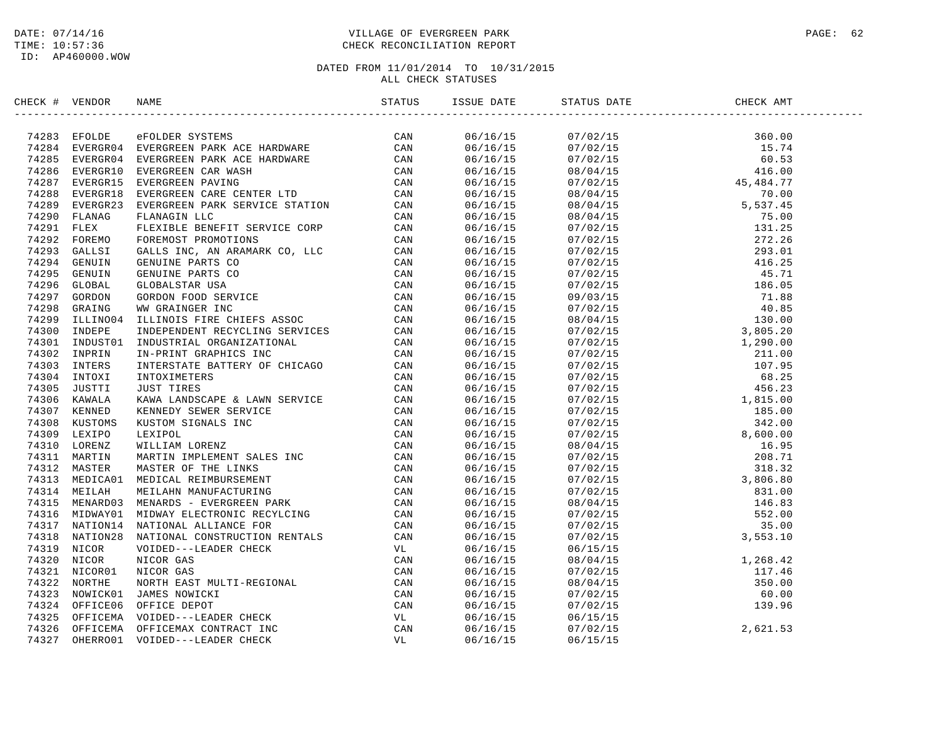### DATE: 07/14/16 PAGE: 62 PAGE: 62 TIME: 10:57:36 CHECK RECONCILIATION REPORT

| CHECK # VENDOR |                                                                                                                                                                                                                               |  |                                                                                                                                                                                                                                                                                                                                                                                                     |  |
|----------------|-------------------------------------------------------------------------------------------------------------------------------------------------------------------------------------------------------------------------------|--|-----------------------------------------------------------------------------------------------------------------------------------------------------------------------------------------------------------------------------------------------------------------------------------------------------------------------------------------------------------------------------------------------------|--|
|                | INCRE (FROM STROM STRONG THE LIGENCY CAN ARREST AND THE STRONG CAN ALSO SERVE CAN ALSO SERVER CHANGES IN THE STRONG THE STRONG THE STRONG THE STRONG THE STRONG THE STRONG CAN ARREST THAN THE STRONG THE STRONG THE STRONG T |  | $\begin{tabular}{l c c c c} \hline \textbf{18} & \textbf{51} & \textbf{51} & \textbf{51} & \textbf{51} & \textbf{51} & \textbf{51} & \textbf{51} & \textbf{51} & \textbf{51} & \textbf{51} & \textbf{51} & \textbf{51} & \textbf{51} & \textbf{51} & \textbf{51} & \textbf{51} & \textbf{51} & \textbf{51} & \textbf{51} & \textbf{51} & \textbf{51} & \textbf{51} & \textbf{51} & \textbf{51} & \$ |  |
|                |                                                                                                                                                                                                                               |  |                                                                                                                                                                                                                                                                                                                                                                                                     |  |
|                |                                                                                                                                                                                                                               |  |                                                                                                                                                                                                                                                                                                                                                                                                     |  |
|                |                                                                                                                                                                                                                               |  |                                                                                                                                                                                                                                                                                                                                                                                                     |  |
|                |                                                                                                                                                                                                                               |  |                                                                                                                                                                                                                                                                                                                                                                                                     |  |
|                |                                                                                                                                                                                                                               |  |                                                                                                                                                                                                                                                                                                                                                                                                     |  |
|                |                                                                                                                                                                                                                               |  |                                                                                                                                                                                                                                                                                                                                                                                                     |  |
|                |                                                                                                                                                                                                                               |  |                                                                                                                                                                                                                                                                                                                                                                                                     |  |
|                |                                                                                                                                                                                                                               |  |                                                                                                                                                                                                                                                                                                                                                                                                     |  |
|                |                                                                                                                                                                                                                               |  |                                                                                                                                                                                                                                                                                                                                                                                                     |  |
|                |                                                                                                                                                                                                                               |  |                                                                                                                                                                                                                                                                                                                                                                                                     |  |
|                |                                                                                                                                                                                                                               |  |                                                                                                                                                                                                                                                                                                                                                                                                     |  |
|                |                                                                                                                                                                                                                               |  |                                                                                                                                                                                                                                                                                                                                                                                                     |  |
|                |                                                                                                                                                                                                                               |  |                                                                                                                                                                                                                                                                                                                                                                                                     |  |
|                |                                                                                                                                                                                                                               |  |                                                                                                                                                                                                                                                                                                                                                                                                     |  |
|                |                                                                                                                                                                                                                               |  |                                                                                                                                                                                                                                                                                                                                                                                                     |  |
|                |                                                                                                                                                                                                                               |  |                                                                                                                                                                                                                                                                                                                                                                                                     |  |
|                |                                                                                                                                                                                                                               |  |                                                                                                                                                                                                                                                                                                                                                                                                     |  |
|                |                                                                                                                                                                                                                               |  |                                                                                                                                                                                                                                                                                                                                                                                                     |  |
|                |                                                                                                                                                                                                                               |  |                                                                                                                                                                                                                                                                                                                                                                                                     |  |
|                |                                                                                                                                                                                                                               |  |                                                                                                                                                                                                                                                                                                                                                                                                     |  |
|                |                                                                                                                                                                                                                               |  |                                                                                                                                                                                                                                                                                                                                                                                                     |  |
|                |                                                                                                                                                                                                                               |  |                                                                                                                                                                                                                                                                                                                                                                                                     |  |
|                |                                                                                                                                                                                                                               |  |                                                                                                                                                                                                                                                                                                                                                                                                     |  |
|                |                                                                                                                                                                                                                               |  |                                                                                                                                                                                                                                                                                                                                                                                                     |  |
|                |                                                                                                                                                                                                                               |  |                                                                                                                                                                                                                                                                                                                                                                                                     |  |
|                |                                                                                                                                                                                                                               |  |                                                                                                                                                                                                                                                                                                                                                                                                     |  |
|                |                                                                                                                                                                                                                               |  |                                                                                                                                                                                                                                                                                                                                                                                                     |  |
|                |                                                                                                                                                                                                                               |  |                                                                                                                                                                                                                                                                                                                                                                                                     |  |
|                |                                                                                                                                                                                                                               |  |                                                                                                                                                                                                                                                                                                                                                                                                     |  |
|                |                                                                                                                                                                                                                               |  |                                                                                                                                                                                                                                                                                                                                                                                                     |  |
|                |                                                                                                                                                                                                                               |  |                                                                                                                                                                                                                                                                                                                                                                                                     |  |
|                |                                                                                                                                                                                                                               |  |                                                                                                                                                                                                                                                                                                                                                                                                     |  |
|                |                                                                                                                                                                                                                               |  |                                                                                                                                                                                                                                                                                                                                                                                                     |  |
|                |                                                                                                                                                                                                                               |  |                                                                                                                                                                                                                                                                                                                                                                                                     |  |
|                |                                                                                                                                                                                                                               |  |                                                                                                                                                                                                                                                                                                                                                                                                     |  |
|                |                                                                                                                                                                                                                               |  |                                                                                                                                                                                                                                                                                                                                                                                                     |  |
|                |                                                                                                                                                                                                                               |  |                                                                                                                                                                                                                                                                                                                                                                                                     |  |
|                |                                                                                                                                                                                                                               |  |                                                                                                                                                                                                                                                                                                                                                                                                     |  |
|                |                                                                                                                                                                                                                               |  |                                                                                                                                                                                                                                                                                                                                                                                                     |  |
|                |                                                                                                                                                                                                                               |  |                                                                                                                                                                                                                                                                                                                                                                                                     |  |
|                |                                                                                                                                                                                                                               |  |                                                                                                                                                                                                                                                                                                                                                                                                     |  |
|                |                                                                                                                                                                                                                               |  |                                                                                                                                                                                                                                                                                                                                                                                                     |  |
|                |                                                                                                                                                                                                                               |  |                                                                                                                                                                                                                                                                                                                                                                                                     |  |
|                |                                                                                                                                                                                                                               |  |                                                                                                                                                                                                                                                                                                                                                                                                     |  |
|                |                                                                                                                                                                                                                               |  |                                                                                                                                                                                                                                                                                                                                                                                                     |  |
|                |                                                                                                                                                                                                                               |  |                                                                                                                                                                                                                                                                                                                                                                                                     |  |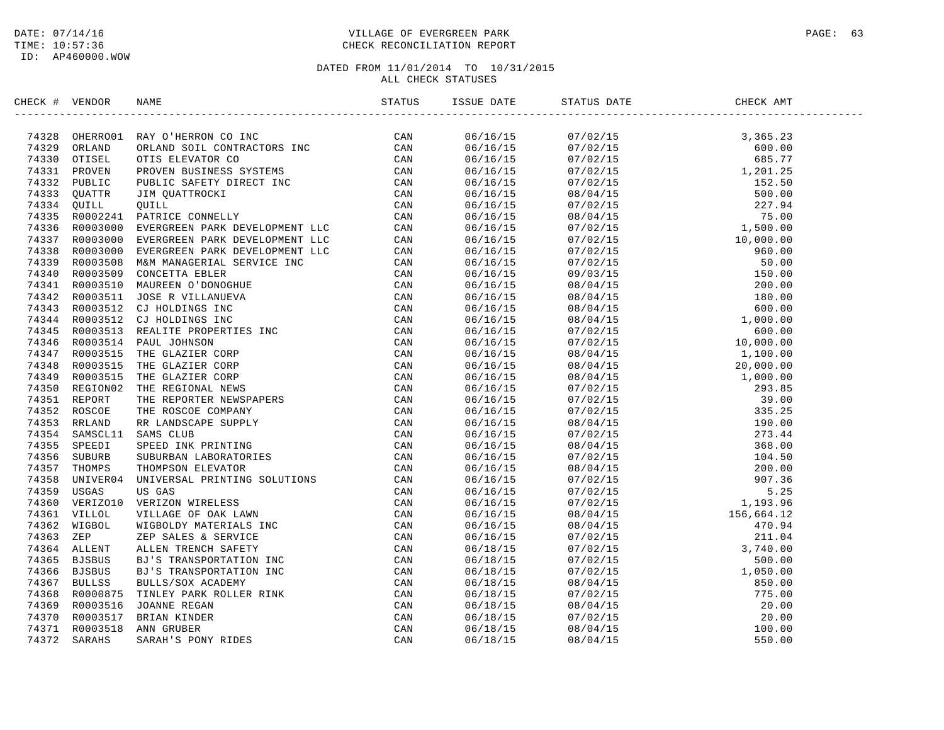### DATE: 07/14/16 PAGE: 63 TIME: 10:57:36 CHECK RECONCILIATION REPORT

| CHECK # VENDOR |                                  | NAME                                                                                                                                                                                                                                           | ISSUE DATE           | STATUS DATE                                                                                                                                                                                                                                                                 | CHECK AMT |  |
|----------------|----------------------------------|------------------------------------------------------------------------------------------------------------------------------------------------------------------------------------------------------------------------------------------------|----------------------|-----------------------------------------------------------------------------------------------------------------------------------------------------------------------------------------------------------------------------------------------------------------------------|-----------|--|
|                |                                  | 74328 OHERROO1 RAY O'HERRON CO INC<br>74329 ORLAND ORLAND SOIL CONTRACTORS INC<br>74330 OTISEL OTIS ELEVATOR CO<br>74331 PROVEN PROVEN BUSINESS SYSTEMS<br>74332 PUBLIC PUBLIC SAFETY DIRECT INC<br>74333 QUATTR JIM QUATTROCKI CAN<br>743     | 06/16/15             |                                                                                                                                                                                                                                                                             |           |  |
|                |                                  |                                                                                                                                                                                                                                                | 06/16/15             |                                                                                                                                                                                                                                                                             |           |  |
|                |                                  |                                                                                                                                                                                                                                                | 06/16/15             |                                                                                                                                                                                                                                                                             |           |  |
|                |                                  |                                                                                                                                                                                                                                                | 06/16/15             |                                                                                                                                                                                                                                                                             |           |  |
|                |                                  |                                                                                                                                                                                                                                                | 06/16/15             |                                                                                                                                                                                                                                                                             |           |  |
|                |                                  |                                                                                                                                                                                                                                                | 06/16/15             |                                                                                                                                                                                                                                                                             |           |  |
|                |                                  |                                                                                                                                                                                                                                                | 06/16/15             |                                                                                                                                                                                                                                                                             |           |  |
|                |                                  |                                                                                                                                                                                                                                                | 06/16/15             |                                                                                                                                                                                                                                                                             |           |  |
|                |                                  |                                                                                                                                                                                                                                                | 06/16/15             |                                                                                                                                                                                                                                                                             |           |  |
|                |                                  |                                                                                                                                                                                                                                                | 06/16/15             |                                                                                                                                                                                                                                                                             |           |  |
| 74338          | R0003000                         |                                                                                                                                                                                                                                                | 06/16/15             |                                                                                                                                                                                                                                                                             |           |  |
|                | 74339 R0003508                   |                                                                                                                                                                                                                                                | 06/16/15             |                                                                                                                                                                                                                                                                             |           |  |
| 74340          | R0003509                         |                                                                                                                                                                                                                                                | 06/16/15             |                                                                                                                                                                                                                                                                             |           |  |
|                | 74341 R0003510                   |                                                                                                                                                                                                                                                | 06/16/15             |                                                                                                                                                                                                                                                                             |           |  |
|                | 74342 R0003511                   |                                                                                                                                                                                                                                                | 06/16/15             |                                                                                                                                                                                                                                                                             |           |  |
|                | 74343 R0003512                   |                                                                                                                                                                                                                                                | 06/16/15             |                                                                                                                                                                                                                                                                             |           |  |
|                |                                  | 74344 R0003512 CJ HOLDINGS INC                                                                                                                                                                                                                 | 06/16/15             |                                                                                                                                                                                                                                                                             |           |  |
|                | 74345 R0003513                   |                                                                                                                                                                                                                                                | 06/16/15             |                                                                                                                                                                                                                                                                             |           |  |
|                |                                  | 74346 R0003514 PAUL JOHNSON                                                                                                                                                                                                                    | 06/16/15             |                                                                                                                                                                                                                                                                             |           |  |
|                |                                  |                                                                                                                                                                                                                                                |                      |                                                                                                                                                                                                                                                                             |           |  |
|                | 74347 R0003515<br>74348 R0003515 |                                                                                                                                                                                                                                                | 06/16/15<br>06/16/15 | $\begin{array}{cccc} 08/04/15 & 1,100.00 \\ 08/04/15 & 20,000.00 \\ 07/02/15 & 1,000.00 \\ 07/02/15 & 335.25 \\ 08/04/15 & 39.00 \\ 07/02/15 & 335.25 \\ 08/04/15 & 273.44 \\ 07/02/15 & 273.44 \\ 07/02/15 & 273.44 \\ 07/02/15 & 200.00 \\ 07/02/15 & 200.00 \\ 07/02/15$ |           |  |
|                |                                  |                                                                                                                                                                                                                                                |                      |                                                                                                                                                                                                                                                                             |           |  |
| 74349          | R0003515<br>74350 REGION02       |                                                                                                                                                                                                                                                | 06/16/15             |                                                                                                                                                                                                                                                                             |           |  |
|                |                                  |                                                                                                                                                                                                                                                | 06/16/15             |                                                                                                                                                                                                                                                                             |           |  |
|                | 74351 REPORT                     |                                                                                                                                                                                                                                                | 06/16/15             |                                                                                                                                                                                                                                                                             |           |  |
|                | 74352 ROSCOE                     |                                                                                                                                                                                                                                                | 06/16/15             |                                                                                                                                                                                                                                                                             |           |  |
|                | 74353 RRLAND                     |                                                                                                                                                                                                                                                | 06/16/15             |                                                                                                                                                                                                                                                                             |           |  |
|                | 74354 SAMSCL11                   |                                                                                                                                                                                                                                                | 06/16/15             |                                                                                                                                                                                                                                                                             |           |  |
|                | 74355 SPEEDI                     |                                                                                                                                                                                                                                                | 06/16/15             |                                                                                                                                                                                                                                                                             |           |  |
|                | 74356 SUBURB                     |                                                                                                                                                                                                                                                | 06/16/15             |                                                                                                                                                                                                                                                                             |           |  |
|                | 74357 THOMPS                     |                                                                                                                                                                                                                                                | 06/16/15             |                                                                                                                                                                                                                                                                             |           |  |
| 74358          | UNIVER04                         |                                                                                                                                                                                                                                                | 06/16/15             |                                                                                                                                                                                                                                                                             |           |  |
| 74359          | USGAS                            |                                                                                                                                                                                                                                                | 06/16/15             |                                                                                                                                                                                                                                                                             |           |  |
| 74360          | VERIZO10                         |                                                                                                                                                                                                                                                | 06/16/15             |                                                                                                                                                                                                                                                                             |           |  |
|                | 74361 VILLOL                     |                                                                                                                                                                                                                                                | 06/16/15             |                                                                                                                                                                                                                                                                             |           |  |
| 74362          | WIGBOL                           |                                                                                                                                                                                                                                                | 06/16/15             |                                                                                                                                                                                                                                                                             |           |  |
| 74363          | ZEP                              |                                                                                                                                                                                                                                                | 06/16/15             |                                                                                                                                                                                                                                                                             |           |  |
|                | 74364 ALLENT                     |                                                                                                                                                                                                                                                | 06/18/15             |                                                                                                                                                                                                                                                                             |           |  |
| 74365          | BJSBUS                           |                                                                                                                                                                                                                                                | 06/18/15             |                                                                                                                                                                                                                                                                             |           |  |
|                | 74366 BJSBUS                     |                                                                                                                                                                                                                                                | 06/18/15             |                                                                                                                                                                                                                                                                             |           |  |
| 74367          | <b>BULLSS</b>                    |                                                                                                                                                                                                                                                | 06/18/15             |                                                                                                                                                                                                                                                                             |           |  |
|                | 74368 R0000875                   | EVERGREEN PARK DEVELOPMENT LLC CAN<br>EVERGREEN PARK DEVELOPMENT LLC CAN<br>MEM MANAGERIAL SERVICE INC CAN<br>MANAGERIAL SERVICE INC CAN<br>MANREEN O'DONOGHUE CAN<br>CONCETTA EBLER<br>MANREEN O'DONOGHUE CAN<br>CONCETTA EBLER<br>MANREEN O' | 06/18/15             | $\begin{array}{cccc} 07/02/15 & 1,193.96 \\ 08/04/15 & 156,664.12 \\ 07/02/15 & 211.04 \\ 07/02/15 & 3,740.00 \\ 07/02/15 & 500.00 \\ 07/02/15 & 500.00 \\ 07/02/15 & 500.00 \\ 07/02/15 & 500.00 \\ 07/02/15 & 775.00 \\ 08/04/15 & 20.00 \\ 08/04/15 & 20.00 \\ 08/04/15$ |           |  |
| 74369          | R0003516                         |                                                                                                                                                                                                                                                | 06/18/15             |                                                                                                                                                                                                                                                                             |           |  |
| 74370          | R0003517                         |                                                                                                                                                                                                                                                | 06/18/15             |                                                                                                                                                                                                                                                                             |           |  |
|                | 74371 R0003518                   |                                                                                                                                                                                                                                                | 06/18/15             |                                                                                                                                                                                                                                                                             |           |  |
| 74372          | <b>SARAHS</b>                    |                                                                                                                                                                                                                                                | 06/18/15             |                                                                                                                                                                                                                                                                             |           |  |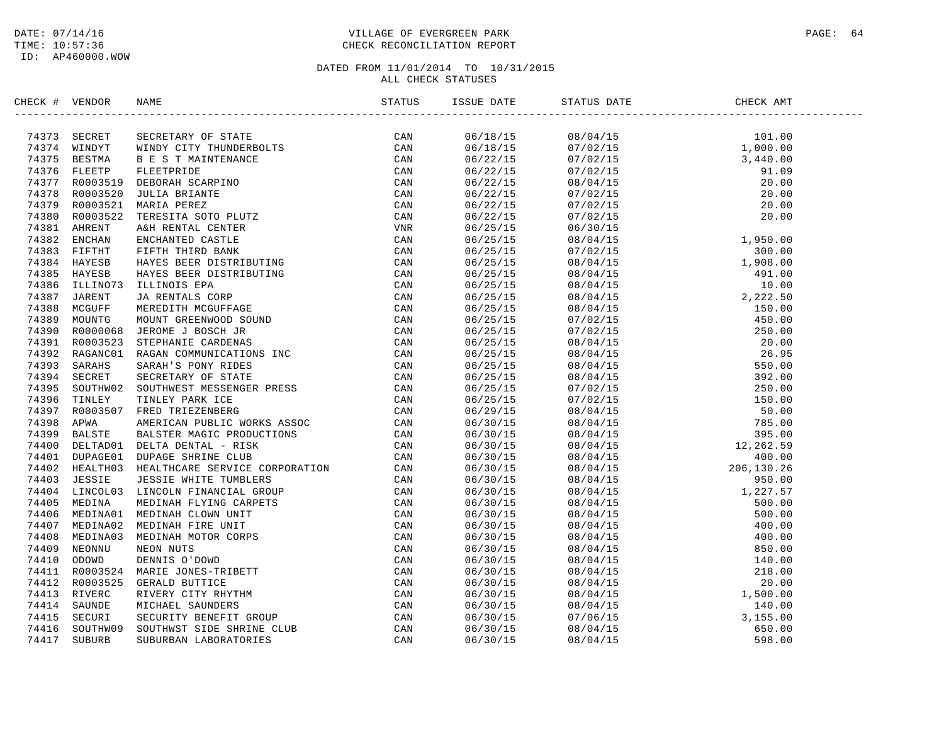### DATE: 07/14/16 PAGE: 64 PAGE: 64 TIME: 10:57:36 CHECK RECONCILIATION REPORT

| CHECK # | VENDOR | NAME                                                                                                                                                                                                                                    | ISSUE DATE | STATUS DATE | CHECK AMT |  |
|---------|--------|-----------------------------------------------------------------------------------------------------------------------------------------------------------------------------------------------------------------------------------------|------------|-------------|-----------|--|
|         |        | HEAD SECRET SECRETAIN OF THE MANUFOLD CAN VALUE (AN VIRTE 1997)<br>14374 SERONA BAST AND CITY THUNDERS CAN<br>14374 SERONA BAST AND CAN INTERNATION CAN<br>14374 SERONA BAST TREETINGS CAN<br>14376 PERFIT DE FRANCISCO DE CAN<br>14376 |            |             |           |  |
|         |        |                                                                                                                                                                                                                                         |            |             |           |  |
|         |        |                                                                                                                                                                                                                                         |            |             |           |  |
|         |        |                                                                                                                                                                                                                                         |            |             |           |  |
|         |        |                                                                                                                                                                                                                                         |            |             |           |  |
|         |        |                                                                                                                                                                                                                                         |            |             |           |  |
|         |        |                                                                                                                                                                                                                                         |            |             |           |  |
|         |        |                                                                                                                                                                                                                                         |            |             |           |  |
|         |        |                                                                                                                                                                                                                                         |            |             |           |  |
|         |        |                                                                                                                                                                                                                                         |            |             |           |  |
|         |        |                                                                                                                                                                                                                                         |            |             |           |  |
|         |        |                                                                                                                                                                                                                                         |            |             |           |  |
|         |        |                                                                                                                                                                                                                                         |            |             |           |  |
|         |        |                                                                                                                                                                                                                                         |            |             |           |  |
|         |        |                                                                                                                                                                                                                                         |            |             |           |  |
|         |        |                                                                                                                                                                                                                                         |            |             |           |  |
|         |        |                                                                                                                                                                                                                                         |            |             |           |  |
|         |        |                                                                                                                                                                                                                                         |            |             |           |  |
|         |        |                                                                                                                                                                                                                                         |            |             |           |  |
|         |        |                                                                                                                                                                                                                                         |            |             |           |  |
|         |        |                                                                                                                                                                                                                                         |            |             |           |  |
|         |        |                                                                                                                                                                                                                                         |            |             |           |  |
|         |        |                                                                                                                                                                                                                                         |            |             |           |  |
|         |        |                                                                                                                                                                                                                                         |            |             |           |  |
|         |        |                                                                                                                                                                                                                                         |            |             |           |  |
|         |        |                                                                                                                                                                                                                                         |            |             |           |  |
|         |        |                                                                                                                                                                                                                                         |            |             |           |  |
|         |        |                                                                                                                                                                                                                                         |            |             |           |  |
|         |        |                                                                                                                                                                                                                                         |            |             |           |  |
|         |        |                                                                                                                                                                                                                                         |            |             |           |  |
|         |        |                                                                                                                                                                                                                                         |            |             |           |  |
|         |        |                                                                                                                                                                                                                                         |            |             |           |  |
|         |        |                                                                                                                                                                                                                                         |            |             |           |  |
|         |        |                                                                                                                                                                                                                                         |            |             |           |  |
|         |        |                                                                                                                                                                                                                                         |            |             |           |  |
|         |        |                                                                                                                                                                                                                                         |            |             |           |  |
|         |        |                                                                                                                                                                                                                                         |            |             |           |  |
|         |        |                                                                                                                                                                                                                                         |            |             |           |  |
|         |        |                                                                                                                                                                                                                                         |            |             |           |  |
|         |        |                                                                                                                                                                                                                                         |            |             |           |  |
|         |        |                                                                                                                                                                                                                                         |            |             |           |  |
|         |        |                                                                                                                                                                                                                                         |            |             |           |  |
|         |        |                                                                                                                                                                                                                                         |            |             |           |  |
|         |        |                                                                                                                                                                                                                                         |            |             |           |  |
|         |        |                                                                                                                                                                                                                                         |            |             |           |  |
|         |        |                                                                                                                                                                                                                                         |            |             |           |  |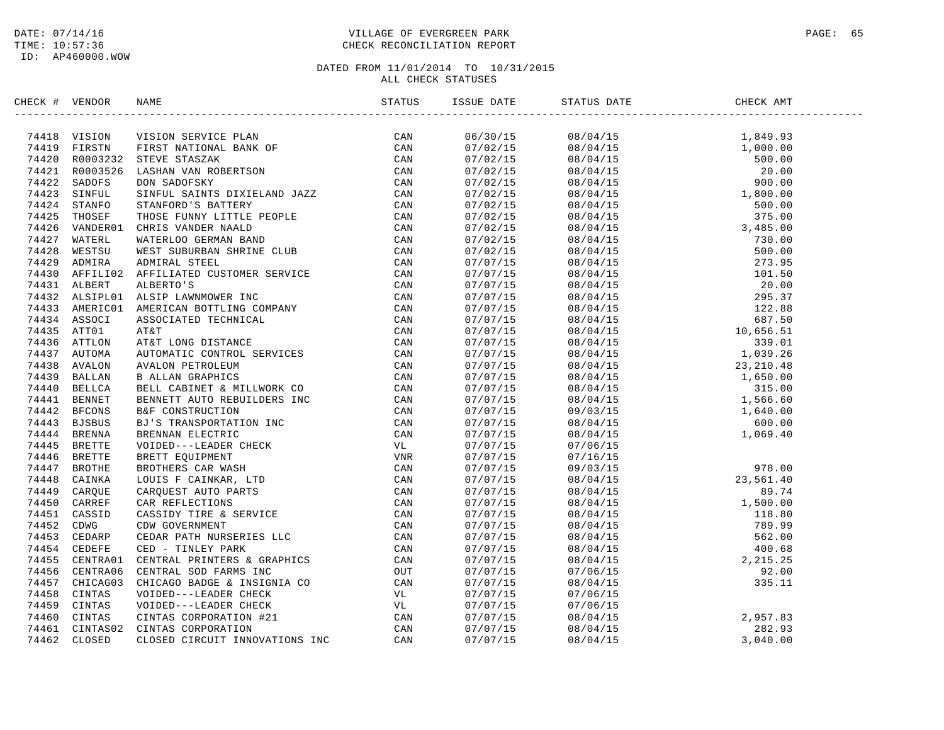### DATE: 07/14/16 PAGE: 65 TIME: 10:57:36 CHECK RECONCILIATION REPORT

| CHECK # VENDOR | NAME                                                                                                                                                                                                                                | ISSUE DATE           | STATUS DATE                                                                                                                                                                                                                                                              | CHECK AMT |  |
|----------------|-------------------------------------------------------------------------------------------------------------------------------------------------------------------------------------------------------------------------------------|----------------------|--------------------------------------------------------------------------------------------------------------------------------------------------------------------------------------------------------------------------------------------------------------------------|-----------|--|
|                | ERECK + VERIODS NAME CONSTRUES DE CAN STATOS - STATOS - STATOS - 197414<br>74419 VERSCH VERIONS SERVICE PLAN CONSTRUES CONN (2001)<br>74421 REVISER BATIONAL BANK OF CAN CAN THE CAN CONSTRUE CONN (2001)<br>74421 SERVICE DE STATI |                      |                                                                                                                                                                                                                                                                          |           |  |
|                |                                                                                                                                                                                                                                     |                      |                                                                                                                                                                                                                                                                          |           |  |
|                |                                                                                                                                                                                                                                     |                      |                                                                                                                                                                                                                                                                          |           |  |
|                |                                                                                                                                                                                                                                     |                      |                                                                                                                                                                                                                                                                          |           |  |
|                |                                                                                                                                                                                                                                     |                      |                                                                                                                                                                                                                                                                          |           |  |
|                |                                                                                                                                                                                                                                     |                      |                                                                                                                                                                                                                                                                          |           |  |
|                |                                                                                                                                                                                                                                     |                      |                                                                                                                                                                                                                                                                          |           |  |
|                |                                                                                                                                                                                                                                     |                      |                                                                                                                                                                                                                                                                          |           |  |
|                |                                                                                                                                                                                                                                     |                      |                                                                                                                                                                                                                                                                          |           |  |
|                |                                                                                                                                                                                                                                     |                      |                                                                                                                                                                                                                                                                          |           |  |
|                |                                                                                                                                                                                                                                     |                      |                                                                                                                                                                                                                                                                          |           |  |
|                |                                                                                                                                                                                                                                     |                      |                                                                                                                                                                                                                                                                          |           |  |
|                |                                                                                                                                                                                                                                     |                      |                                                                                                                                                                                                                                                                          |           |  |
|                |                                                                                                                                                                                                                                     |                      |                                                                                                                                                                                                                                                                          |           |  |
|                |                                                                                                                                                                                                                                     |                      |                                                                                                                                                                                                                                                                          |           |  |
|                |                                                                                                                                                                                                                                     |                      |                                                                                                                                                                                                                                                                          |           |  |
|                |                                                                                                                                                                                                                                     |                      |                                                                                                                                                                                                                                                                          |           |  |
|                |                                                                                                                                                                                                                                     |                      |                                                                                                                                                                                                                                                                          |           |  |
|                |                                                                                                                                                                                                                                     |                      |                                                                                                                                                                                                                                                                          |           |  |
|                |                                                                                                                                                                                                                                     |                      |                                                                                                                                                                                                                                                                          |           |  |
|                |                                                                                                                                                                                                                                     |                      |                                                                                                                                                                                                                                                                          |           |  |
|                |                                                                                                                                                                                                                                     |                      |                                                                                                                                                                                                                                                                          |           |  |
|                |                                                                                                                                                                                                                                     |                      |                                                                                                                                                                                                                                                                          |           |  |
|                |                                                                                                                                                                                                                                     |                      |                                                                                                                                                                                                                                                                          |           |  |
|                |                                                                                                                                                                                                                                     |                      |                                                                                                                                                                                                                                                                          |           |  |
|                |                                                                                                                                                                                                                                     |                      |                                                                                                                                                                                                                                                                          |           |  |
|                |                                                                                                                                                                                                                                     |                      |                                                                                                                                                                                                                                                                          |           |  |
|                |                                                                                                                                                                                                                                     |                      |                                                                                                                                                                                                                                                                          |           |  |
|                |                                                                                                                                                                                                                                     | 07/07/15<br>07/07/15 | 07/06/15                                                                                                                                                                                                                                                                 |           |  |
|                |                                                                                                                                                                                                                                     |                      | $\begin{array}{cccc} 07/07/15 & 07/06/15 \\ 07/07/15 & 07/16/15 \\ 07/07/15 & 08/04/15 & 23,561.40 \\ 07/07/15 & 08/04/15 & 89.74 \\ 07/07/15 & 08/04/15 & 1,500.00 \\ 07/07/15 & 08/04/15 & 118.80 \\ 07/07/15 & 08/04/15 & 118.80 \\ 07/07/15 & 08/04/15 & 562.00 \\ $ |           |  |
|                |                                                                                                                                                                                                                                     |                      |                                                                                                                                                                                                                                                                          |           |  |
|                |                                                                                                                                                                                                                                     |                      |                                                                                                                                                                                                                                                                          |           |  |
|                |                                                                                                                                                                                                                                     |                      |                                                                                                                                                                                                                                                                          |           |  |
|                |                                                                                                                                                                                                                                     |                      |                                                                                                                                                                                                                                                                          |           |  |
|                |                                                                                                                                                                                                                                     |                      |                                                                                                                                                                                                                                                                          |           |  |
|                |                                                                                                                                                                                                                                     |                      |                                                                                                                                                                                                                                                                          |           |  |
|                |                                                                                                                                                                                                                                     |                      |                                                                                                                                                                                                                                                                          |           |  |
|                |                                                                                                                                                                                                                                     |                      |                                                                                                                                                                                                                                                                          |           |  |
|                |                                                                                                                                                                                                                                     |                      |                                                                                                                                                                                                                                                                          |           |  |
|                |                                                                                                                                                                                                                                     |                      |                                                                                                                                                                                                                                                                          |           |  |
|                |                                                                                                                                                                                                                                     | 07/07/15<br>07/07/15 |                                                                                                                                                                                                                                                                          |           |  |
|                |                                                                                                                                                                                                                                     |                      | 07/06/15                                                                                                                                                                                                                                                                 |           |  |
|                |                                                                                                                                                                                                                                     |                      | $\begin{array}{lllllll} 07/07/15 && 07/06/15 &&& \\ 07/07/15 && 08/04/15 && 2,957.83 & \\ 07/07/15 && 08/04/15 && 282.93 & \\ 07/07/15 && 08/04/15 && 3,040.00 & \\ \end{array}$                                                                                         |           |  |
|                |                                                                                                                                                                                                                                     |                      |                                                                                                                                                                                                                                                                          |           |  |
|                |                                                                                                                                                                                                                                     |                      |                                                                                                                                                                                                                                                                          |           |  |
|                |                                                                                                                                                                                                                                     |                      |                                                                                                                                                                                                                                                                          |           |  |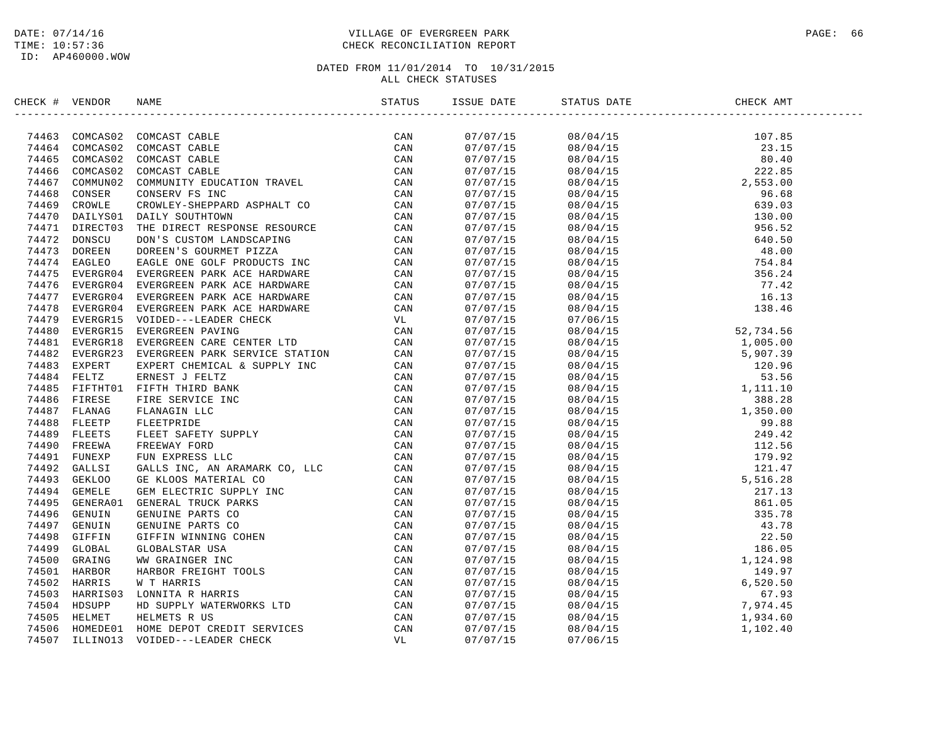### DATE: 07/14/16 PAGE: 66 PAGE: 66 PAGE: 66 PAGE: 66 PAGE: 920 PAGE: 920 PAGE: 920 PAGE: 94 PAGE: 96 TIME: 10:57:36 CHECK RECONCILIATION REPORT

| CHECK # VENDOR |                                                                                                                                                                                                                                             | ISSUE DATE | STATUS DATE                                                                                                                                                                                                                                                                                                                                                                                                                                           | CHECK AMT |  |
|----------------|---------------------------------------------------------------------------------------------------------------------------------------------------------------------------------------------------------------------------------------------|------------|-------------------------------------------------------------------------------------------------------------------------------------------------------------------------------------------------------------------------------------------------------------------------------------------------------------------------------------------------------------------------------------------------------------------------------------------------------|-----------|--|
|                | XROC + VENDOR NAKE<br>27A464 COMCASIO COMORST CARLE<br>74464 COMCASIO COMCAST CARLE<br>74464 COMCASIO COMCAST CARLE<br>74466 COMCASIO COMCAST CARLE<br>74466 COMCASIO COMCAST CARLE<br>74466 COMCASIO COMCAST CARLE<br>74466 COMCASIO COMCA |            | $\begin{tabular}{l c c c c} \hline \multicolumn{1}{c}{\textbf{0.1}} \hline \multicolumn{1}{c}{\textbf{0.1}} \hline \multicolumn{1}{c}{\textbf{0.1}} \hline \multicolumn{1}{c}{\textbf{0.1}} \hline \multicolumn{1}{c}{\textbf{0.1}} \hline \multicolumn{1}{c}{\textbf{0.1}} \hline \multicolumn{1}{c}{\textbf{0.1}} \hline \multicolumn{1}{c}{\textbf{0.1}} \hline \multicolumn{1}{c}{\textbf{0.1}} \hline \multicolumn{1}{c}{\textbf{0.1}} \hline \$ |           |  |
|                |                                                                                                                                                                                                                                             |            |                                                                                                                                                                                                                                                                                                                                                                                                                                                       |           |  |
|                |                                                                                                                                                                                                                                             |            |                                                                                                                                                                                                                                                                                                                                                                                                                                                       |           |  |
|                |                                                                                                                                                                                                                                             |            |                                                                                                                                                                                                                                                                                                                                                                                                                                                       |           |  |
|                |                                                                                                                                                                                                                                             |            |                                                                                                                                                                                                                                                                                                                                                                                                                                                       |           |  |
|                |                                                                                                                                                                                                                                             |            |                                                                                                                                                                                                                                                                                                                                                                                                                                                       |           |  |
|                |                                                                                                                                                                                                                                             |            |                                                                                                                                                                                                                                                                                                                                                                                                                                                       |           |  |
|                |                                                                                                                                                                                                                                             |            |                                                                                                                                                                                                                                                                                                                                                                                                                                                       |           |  |
|                |                                                                                                                                                                                                                                             |            |                                                                                                                                                                                                                                                                                                                                                                                                                                                       |           |  |
|                |                                                                                                                                                                                                                                             |            |                                                                                                                                                                                                                                                                                                                                                                                                                                                       |           |  |
|                |                                                                                                                                                                                                                                             |            |                                                                                                                                                                                                                                                                                                                                                                                                                                                       |           |  |
|                |                                                                                                                                                                                                                                             |            |                                                                                                                                                                                                                                                                                                                                                                                                                                                       |           |  |
|                |                                                                                                                                                                                                                                             |            |                                                                                                                                                                                                                                                                                                                                                                                                                                                       |           |  |
|                |                                                                                                                                                                                                                                             |            |                                                                                                                                                                                                                                                                                                                                                                                                                                                       |           |  |
|                |                                                                                                                                                                                                                                             |            |                                                                                                                                                                                                                                                                                                                                                                                                                                                       |           |  |
|                |                                                                                                                                                                                                                                             |            |                                                                                                                                                                                                                                                                                                                                                                                                                                                       |           |  |
|                |                                                                                                                                                                                                                                             |            |                                                                                                                                                                                                                                                                                                                                                                                                                                                       |           |  |
|                |                                                                                                                                                                                                                                             |            |                                                                                                                                                                                                                                                                                                                                                                                                                                                       |           |  |
|                |                                                                                                                                                                                                                                             |            |                                                                                                                                                                                                                                                                                                                                                                                                                                                       |           |  |
|                |                                                                                                                                                                                                                                             |            |                                                                                                                                                                                                                                                                                                                                                                                                                                                       |           |  |
|                |                                                                                                                                                                                                                                             |            |                                                                                                                                                                                                                                                                                                                                                                                                                                                       |           |  |
|                |                                                                                                                                                                                                                                             |            |                                                                                                                                                                                                                                                                                                                                                                                                                                                       |           |  |
|                |                                                                                                                                                                                                                                             |            |                                                                                                                                                                                                                                                                                                                                                                                                                                                       |           |  |
|                |                                                                                                                                                                                                                                             |            |                                                                                                                                                                                                                                                                                                                                                                                                                                                       |           |  |
|                |                                                                                                                                                                                                                                             |            |                                                                                                                                                                                                                                                                                                                                                                                                                                                       |           |  |
|                |                                                                                                                                                                                                                                             |            |                                                                                                                                                                                                                                                                                                                                                                                                                                                       |           |  |
|                |                                                                                                                                                                                                                                             |            |                                                                                                                                                                                                                                                                                                                                                                                                                                                       |           |  |
|                |                                                                                                                                                                                                                                             |            |                                                                                                                                                                                                                                                                                                                                                                                                                                                       |           |  |
|                |                                                                                                                                                                                                                                             |            |                                                                                                                                                                                                                                                                                                                                                                                                                                                       |           |  |
|                |                                                                                                                                                                                                                                             |            |                                                                                                                                                                                                                                                                                                                                                                                                                                                       |           |  |
|                |                                                                                                                                                                                                                                             |            |                                                                                                                                                                                                                                                                                                                                                                                                                                                       |           |  |
|                |                                                                                                                                                                                                                                             |            |                                                                                                                                                                                                                                                                                                                                                                                                                                                       |           |  |
|                |                                                                                                                                                                                                                                             |            |                                                                                                                                                                                                                                                                                                                                                                                                                                                       |           |  |
|                |                                                                                                                                                                                                                                             |            |                                                                                                                                                                                                                                                                                                                                                                                                                                                       |           |  |
|                |                                                                                                                                                                                                                                             |            |                                                                                                                                                                                                                                                                                                                                                                                                                                                       |           |  |
|                |                                                                                                                                                                                                                                             |            |                                                                                                                                                                                                                                                                                                                                                                                                                                                       |           |  |
|                |                                                                                                                                                                                                                                             |            |                                                                                                                                                                                                                                                                                                                                                                                                                                                       |           |  |
|                |                                                                                                                                                                                                                                             |            |                                                                                                                                                                                                                                                                                                                                                                                                                                                       |           |  |
|                |                                                                                                                                                                                                                                             |            |                                                                                                                                                                                                                                                                                                                                                                                                                                                       |           |  |
|                |                                                                                                                                                                                                                                             |            |                                                                                                                                                                                                                                                                                                                                                                                                                                                       |           |  |
|                |                                                                                                                                                                                                                                             |            |                                                                                                                                                                                                                                                                                                                                                                                                                                                       |           |  |
|                |                                                                                                                                                                                                                                             |            |                                                                                                                                                                                                                                                                                                                                                                                                                                                       |           |  |
|                |                                                                                                                                                                                                                                             |            |                                                                                                                                                                                                                                                                                                                                                                                                                                                       |           |  |
|                |                                                                                                                                                                                                                                             |            |                                                                                                                                                                                                                                                                                                                                                                                                                                                       |           |  |
|                |                                                                                                                                                                                                                                             |            |                                                                                                                                                                                                                                                                                                                                                                                                                                                       |           |  |
|                |                                                                                                                                                                                                                                             |            |                                                                                                                                                                                                                                                                                                                                                                                                                                                       |           |  |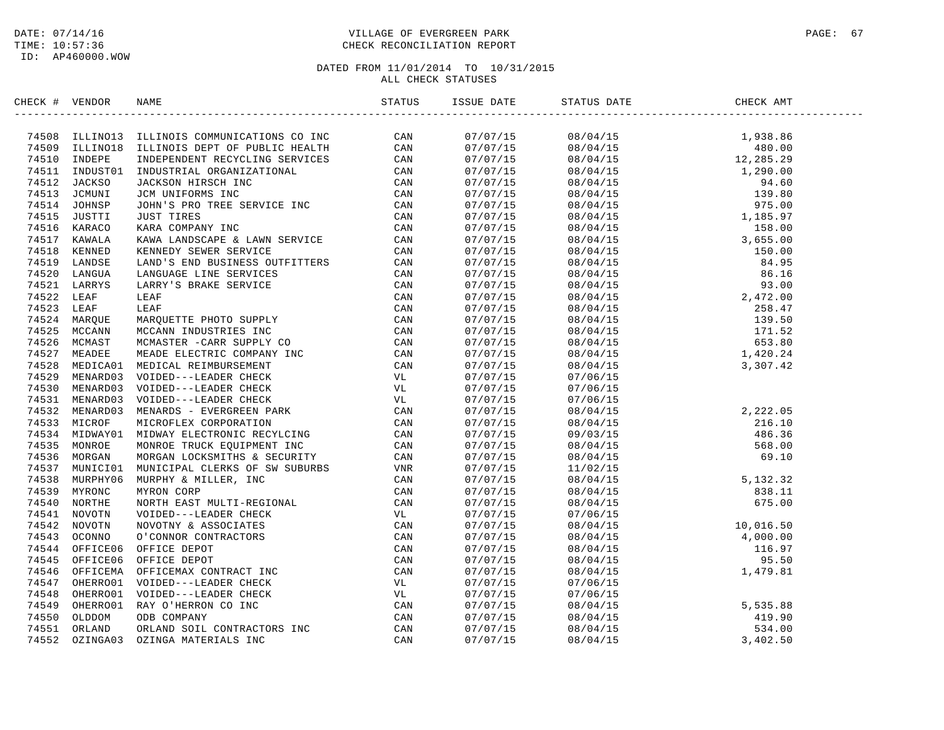ID: AP460000.WOW

### DATE: 07/14/16 PAGE: 67 PAGE: 67 TIME: 10:57:36 CHECK RECONCILIATION REPORT

| CHECK # VENDOR | NAME                                                                                                                                                                                                                                  |                                 |                                                                                                                                                                                                                                                                                                                 |        |  |
|----------------|---------------------------------------------------------------------------------------------------------------------------------------------------------------------------------------------------------------------------------------|---------------------------------|-----------------------------------------------------------------------------------------------------------------------------------------------------------------------------------------------------------------------------------------------------------------------------------------------------------------|--------|--|
|                | EINERE A VERDE TRANSFORM (FIG. 1970)<br>1971-1883 ELEMPOIS COMMITGATIONS CONNECTION (FIG. 2013)<br>1985: THE STAR CONNECTION CONNECTION (FIG. 2013)<br>1987: THE STAR CONNECTION (FIG. 2013)<br>1987: THE STAR CONNECTION (FIG. 2013) |                                 |                                                                                                                                                                                                                                                                                                                 |        |  |
|                |                                                                                                                                                                                                                                       | 07/07/15<br><sup>07/07/15</sup> |                                                                                                                                                                                                                                                                                                                 |        |  |
|                |                                                                                                                                                                                                                                       | 07/07/15                        |                                                                                                                                                                                                                                                                                                                 |        |  |
|                |                                                                                                                                                                                                                                       | 07/07/15                        |                                                                                                                                                                                                                                                                                                                 |        |  |
|                |                                                                                                                                                                                                                                       | 07/07/15                        |                                                                                                                                                                                                                                                                                                                 |        |  |
|                |                                                                                                                                                                                                                                       | 07/07/15                        |                                                                                                                                                                                                                                                                                                                 |        |  |
|                |                                                                                                                                                                                                                                       | 07/07/15                        |                                                                                                                                                                                                                                                                                                                 |        |  |
|                |                                                                                                                                                                                                                                       | 07/07/15                        |                                                                                                                                                                                                                                                                                                                 |        |  |
|                |                                                                                                                                                                                                                                       | 07/07/15                        |                                                                                                                                                                                                                                                                                                                 |        |  |
|                |                                                                                                                                                                                                                                       | 07/07/15                        |                                                                                                                                                                                                                                                                                                                 |        |  |
|                |                                                                                                                                                                                                                                       | 07/07/15                        |                                                                                                                                                                                                                                                                                                                 |        |  |
|                |                                                                                                                                                                                                                                       | 07/07/15                        |                                                                                                                                                                                                                                                                                                                 |        |  |
|                |                                                                                                                                                                                                                                       | 07/07/15                        |                                                                                                                                                                                                                                                                                                                 |        |  |
|                |                                                                                                                                                                                                                                       | 07/07/15                        |                                                                                                                                                                                                                                                                                                                 |        |  |
|                |                                                                                                                                                                                                                                       | 07/07/15                        |                                                                                                                                                                                                                                                                                                                 |        |  |
|                |                                                                                                                                                                                                                                       | 07/07/15                        |                                                                                                                                                                                                                                                                                                                 |        |  |
|                |                                                                                                                                                                                                                                       | 07/07/15                        |                                                                                                                                                                                                                                                                                                                 |        |  |
|                |                                                                                                                                                                                                                                       | 07/07/15                        |                                                                                                                                                                                                                                                                                                                 |        |  |
|                |                                                                                                                                                                                                                                       | 07/07/15                        |                                                                                                                                                                                                                                                                                                                 |        |  |
|                |                                                                                                                                                                                                                                       | 07/07/15                        |                                                                                                                                                                                                                                                                                                                 |        |  |
|                |                                                                                                                                                                                                                                       | 07/07/15                        | $08/04/15$<br>08/04/15<br>08/04/15<br>3,307.42                                                                                                                                                                                                                                                                  |        |  |
|                |                                                                                                                                                                                                                                       | 07/07/15                        |                                                                                                                                                                                                                                                                                                                 |        |  |
|                |                                                                                                                                                                                                                                       | 07/07/15                        | 07/06/15                                                                                                                                                                                                                                                                                                        |        |  |
|                |                                                                                                                                                                                                                                       | 07/07/15                        | 07/06/15                                                                                                                                                                                                                                                                                                        |        |  |
|                |                                                                                                                                                                                                                                       | 07/07/15                        | 07/06/15                                                                                                                                                                                                                                                                                                        |        |  |
|                |                                                                                                                                                                                                                                       | 07/07/15                        |                                                                                                                                                                                                                                                                                                                 |        |  |
|                |                                                                                                                                                                                                                                       | 07/07/15                        |                                                                                                                                                                                                                                                                                                                 |        |  |
|                |                                                                                                                                                                                                                                       | 07/07/15                        |                                                                                                                                                                                                                                                                                                                 |        |  |
|                |                                                                                                                                                                                                                                       | 07/07/15                        |                                                                                                                                                                                                                                                                                                                 |        |  |
|                |                                                                                                                                                                                                                                       | 07/07/15                        |                                                                                                                                                                                                                                                                                                                 |        |  |
|                |                                                                                                                                                                                                                                       | 07/07/15                        |                                                                                                                                                                                                                                                                                                                 |        |  |
|                |                                                                                                                                                                                                                                       | 07/07/15                        |                                                                                                                                                                                                                                                                                                                 |        |  |
|                |                                                                                                                                                                                                                                       | 07/07/15                        |                                                                                                                                                                                                                                                                                                                 |        |  |
|                |                                                                                                                                                                                                                                       | 07/07/15                        | $\begin{array}{cccc} 07/06/15 \\ 08/04/15 \\ 08/04/15 \\ 09/03/15 \\ 08/04/15 \\ 08/04/15 \\ 11/02/15 \\ 08/04/15 \\ 08/04/15 \\ 07/06/15 \\ \end{array} \hspace{.5in} \begin{array}{cccc} 2\, ,222\, .\,05 \\ 216\, .\,10 \\ 486\, .\,36 \\ 568\, .\,00 \\ 69\, .\,10 \\ 5\, ,132\, .\,32 \\ 838\, .\,11 \\ 6$ |        |  |
|                |                                                                                                                                                                                                                                       | 07/07/15                        | $\begin{array}{cccc} 07/06/15 & & & & & 10,016.50 \\ 08/04/15 & & & & 10,016.50 \\ 08/04/15 & & & 4,000.00 \\ 08/04/15 & & & 116.97 \\ 08/04/15 & & & 95.50 \\ 08/04/15 & & & 95.50 \\ 08/04/15 & & & 1,479.81 \end{array}$                                                                                     |        |  |
|                |                                                                                                                                                                                                                                       | 07/07/15                        |                                                                                                                                                                                                                                                                                                                 |        |  |
|                |                                                                                                                                                                                                                                       | 07/07/15                        |                                                                                                                                                                                                                                                                                                                 |        |  |
|                |                                                                                                                                                                                                                                       | 07/07/15                        |                                                                                                                                                                                                                                                                                                                 |        |  |
|                |                                                                                                                                                                                                                                       | 07/07/15                        |                                                                                                                                                                                                                                                                                                                 |        |  |
|                |                                                                                                                                                                                                                                       | 07/07/15                        |                                                                                                                                                                                                                                                                                                                 |        |  |
|                |                                                                                                                                                                                                                                       | 07/07/15                        |                                                                                                                                                                                                                                                                                                                 |        |  |
|                |                                                                                                                                                                                                                                       | 07/07/15                        |                                                                                                                                                                                                                                                                                                                 |        |  |
|                |                                                                                                                                                                                                                                       | 07/07/15                        |                                                                                                                                                                                                                                                                                                                 |        |  |
|                |                                                                                                                                                                                                                                       | 07/07/15                        |                                                                                                                                                                                                                                                                                                                 | 419.90 |  |
|                |                                                                                                                                                                                                                                       | 07/07/15                        |                                                                                                                                                                                                                                                                                                                 |        |  |
|                |                                                                                                                                                                                                                                       | 07/07/15                        | $08/04/15$<br>$07/06/15$<br>$08/04/15$<br>$08/04/15$<br>$08/04/15$<br>$08/04/15$<br>$08/04/15$<br>$08/04/15$<br>$08/04/15$<br>$08/04/15$<br>$08/04/15$<br>$3,402.50$                                                                                                                                            |        |  |
|                |                                                                                                                                                                                                                                       |                                 |                                                                                                                                                                                                                                                                                                                 |        |  |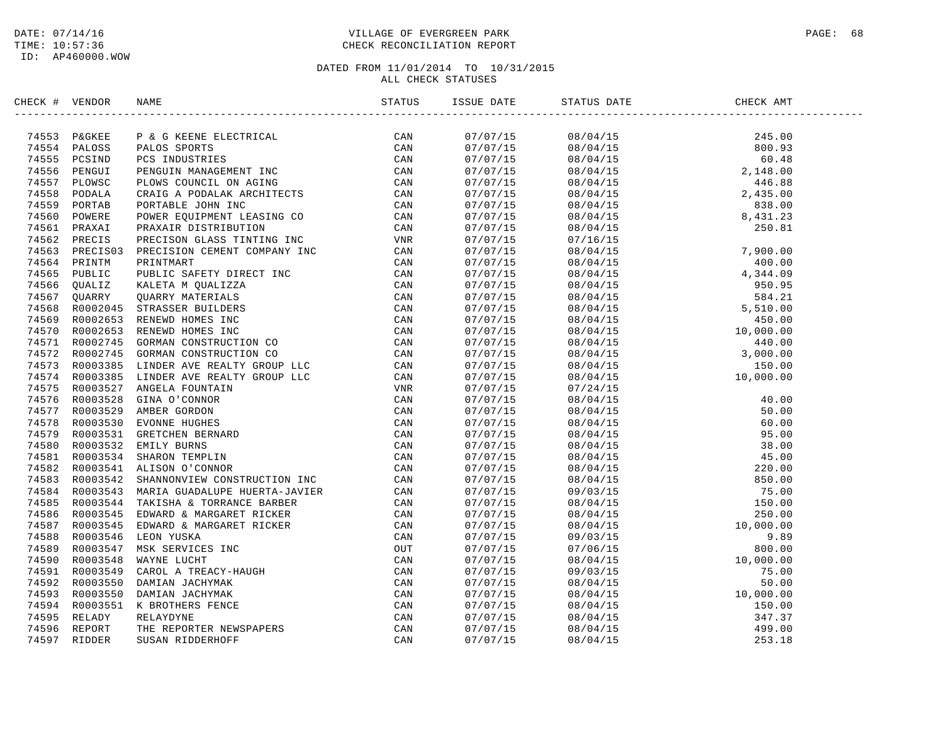### DATE: 07/14/16 PAGE: 68 PAGE: 68 PAGE: 68 PAGE: 68 PAGE: 68 PAGE: 68 PAGE: 68 PAGE: 68 PAGE: 68 TIME: 10:57:36 CHECK RECONCILIATION REPORT

| CHECK # VENDOR |                | NAME                           | STATUS | ISSUE DATE | STATUS DATE                                                                                                                                                                                                                                                                              | CHECK AMT |  |
|----------------|----------------|--------------------------------|--------|------------|------------------------------------------------------------------------------------------------------------------------------------------------------------------------------------------------------------------------------------------------------------------------------------------|-----------|--|
|                | 74553 P&GKEE   |                                |        | 07/07/15   |                                                                                                                                                                                                                                                                                          |           |  |
|                | 74554 PALOSS   |                                |        | 07/07/15   |                                                                                                                                                                                                                                                                                          |           |  |
|                | 74555 PCSIND   |                                |        | 07/07/15   |                                                                                                                                                                                                                                                                                          |           |  |
|                | 74556 PENGUI   |                                |        | 07/07/15   |                                                                                                                                                                                                                                                                                          |           |  |
|                | 74557 PLOWSC   |                                |        | 07/07/15   |                                                                                                                                                                                                                                                                                          |           |  |
|                | 74558 PODALA   |                                |        | 07/07/15   |                                                                                                                                                                                                                                                                                          |           |  |
| 74559          | PORTAB         |                                |        | 07/07/15   |                                                                                                                                                                                                                                                                                          |           |  |
|                | 74560 POWERE   |                                |        | 07/07/15   |                                                                                                                                                                                                                                                                                          |           |  |
| 74561          | PRAXAI         |                                |        | 07/07/15   |                                                                                                                                                                                                                                                                                          |           |  |
|                | 74562 PRECIS   |                                |        | 07/07/15   |                                                                                                                                                                                                                                                                                          |           |  |
|                | 74563 PRECIS03 |                                |        | 07/07/15   |                                                                                                                                                                                                                                                                                          |           |  |
|                | 74564 PRINTM   |                                |        | 07/07/15   |                                                                                                                                                                                                                                                                                          |           |  |
|                | 74565 PUBLIC   |                                |        | 07/07/15   |                                                                                                                                                                                                                                                                                          |           |  |
|                | 74566 OUALIZ   |                                |        | 07/07/15   |                                                                                                                                                                                                                                                                                          |           |  |
|                | 74567 OUARRY   |                                |        | 07/07/15   |                                                                                                                                                                                                                                                                                          |           |  |
|                | 74568 R0002045 |                                |        | 07/07/15   |                                                                                                                                                                                                                                                                                          |           |  |
|                | 74569 R0002653 |                                |        | 07/07/15   |                                                                                                                                                                                                                                                                                          |           |  |
| 74570          | R0002653       |                                |        | 07/07/15   |                                                                                                                                                                                                                                                                                          |           |  |
|                | 74571 R0002745 |                                |        | 07/07/15   |                                                                                                                                                                                                                                                                                          |           |  |
|                | 74572 R0002745 |                                |        | 07/07/15   |                                                                                                                                                                                                                                                                                          |           |  |
|                | 74573 R0003385 |                                |        | 07/07/15   |                                                                                                                                                                                                                                                                                          |           |  |
|                | 74574 R0003385 |                                |        | 07/07/15   |                                                                                                                                                                                                                                                                                          |           |  |
|                | 74575 R0003527 |                                |        | 07/07/15   |                                                                                                                                                                                                                                                                                          |           |  |
|                | 74576 R0003528 |                                |        |            |                                                                                                                                                                                                                                                                                          |           |  |
|                |                |                                |        | 07/07/15   |                                                                                                                                                                                                                                                                                          |           |  |
|                | 74577 R0003529 |                                |        | 07/07/15   |                                                                                                                                                                                                                                                                                          |           |  |
|                | 74578 R0003530 |                                |        | 07/07/15   |                                                                                                                                                                                                                                                                                          |           |  |
| 74579          | R0003531       |                                |        | 07/07/15   |                                                                                                                                                                                                                                                                                          |           |  |
|                | 74580 R0003532 |                                |        | 07/07/15   |                                                                                                                                                                                                                                                                                          |           |  |
|                | 74581 R0003534 |                                |        | 07/07/15   |                                                                                                                                                                                                                                                                                          |           |  |
|                |                | 74582 R0003541 ALISON O'CONNOR |        | 07/07/15   |                                                                                                                                                                                                                                                                                          |           |  |
|                | 74583 R0003542 |                                |        | 07/07/15   |                                                                                                                                                                                                                                                                                          |           |  |
|                | 74584 R0003543 |                                |        | 07/07/15   |                                                                                                                                                                                                                                                                                          |           |  |
|                | 74585 R0003544 |                                |        | 07/07/15   |                                                                                                                                                                                                                                                                                          |           |  |
|                | 74586 R0003545 |                                |        | 07/07/15   |                                                                                                                                                                                                                                                                                          |           |  |
|                | 74587 R0003545 |                                |        | 07/07/15   |                                                                                                                                                                                                                                                                                          |           |  |
| 74588          | R0003546       |                                |        | 07/07/15   |                                                                                                                                                                                                                                                                                          |           |  |
|                | 74589 R0003547 |                                |        | 07/07/15   |                                                                                                                                                                                                                                                                                          |           |  |
| 74590          | R0003548       |                                |        | 07/07/15   |                                                                                                                                                                                                                                                                                          |           |  |
|                | 74591 R0003549 |                                |        | 07/07/15   |                                                                                                                                                                                                                                                                                          |           |  |
|                | 74592 R0003550 |                                |        | 07/07/15   |                                                                                                                                                                                                                                                                                          |           |  |
|                | 74593 R0003550 |                                |        | 07/07/15   | $\begin{array}{cccc} 08/04/15 & 10\, , 000\, . \, 00 \\ 07/24/15 & 40\, . \, 00 \\ 08/04/15 & 50\, . \, 00 \\ 08/04/15 & 50\, . \, 00 \\ 08/04/15 & 55\, . \, 00 \\ 08/04/15 & 38\, . \, 00 \\ 08/04/15 & 45\, . \, 00 \\ 08/04/15 & 45\, . \, 00 \\ 08/04/15 & 55\, . \, 00 \\ 08/04/1$ |           |  |
|                | 74594 R0003551 |                                |        | 07/07/15   |                                                                                                                                                                                                                                                                                          |           |  |
| 74595          | RELADY         |                                |        | 07/07/15   |                                                                                                                                                                                                                                                                                          |           |  |
| 74596          | REPORT         |                                |        | 07/07/15   |                                                                                                                                                                                                                                                                                          |           |  |
| 74597          | <b>RIDDER</b>  |                                |        | 07/07/15   |                                                                                                                                                                                                                                                                                          |           |  |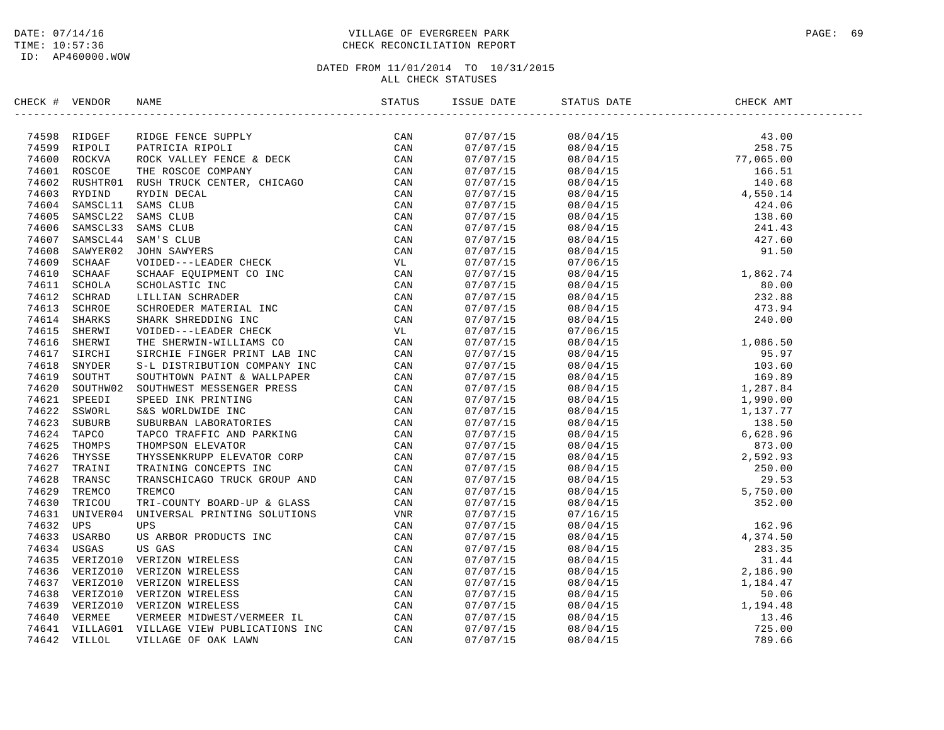### DATE: 07/14/16 PAGE: 69 PAGE: 69 PAGE: 69 PAGE: 69 PAGE: 69 PAGE: 69 PAGE: 69 PAGE: 69 TIME: 10:57:36 CHECK RECONCILIATION REPORT

| CHECK # VENDOR |                                                                                                                                                                                                                                       |  | STATUS DATE                                                                                                                                                                                                                                                                                                                                                                                                                                                               | CHECK AMT |  |
|----------------|---------------------------------------------------------------------------------------------------------------------------------------------------------------------------------------------------------------------------------------|--|---------------------------------------------------------------------------------------------------------------------------------------------------------------------------------------------------------------------------------------------------------------------------------------------------------------------------------------------------------------------------------------------------------------------------------------------------------------------------|-----------|--|
|                | ERECK + VERION RANE FINDER PROTECTION (FROM 1978)<br>74598 RTPORT PINDER PROTECTION (FROM 2002)<br>74599 RTPORT PINDER PROTECTION (FROM 2002)<br>74599 RTPORT PINDER PROTECTION (FROM 2002)<br>74601 ROSCOP THE ROSCOP CONFERENCE A D |  | $\begin{tabular}{l cccccc} \hline \textbf{3.5--01} \end{tabular} \hline \textbf{4.5--01} \end{tabular} \begin{tabular}{ll cccccc} \multicolumn{1}{c}{\textbf{0.5--01}} \end{tabular} \hline \textbf{5.5--01} \end{tabular} \begin{tabular}{ll cccccc} \multicolumn{1}{c}{\textbf{0.5--01}} \end{tabular} \begin{tabular}{ll cccccc} \multicolumn{1}{c}{\textbf{0.5--01}} \end{tabular} \hline \textbf{6.5--01} \end{tabular} \begin{tabular}{ll cccccc} \multicolumn{1}{$ |           |  |
|                |                                                                                                                                                                                                                                       |  |                                                                                                                                                                                                                                                                                                                                                                                                                                                                           |           |  |
|                |                                                                                                                                                                                                                                       |  |                                                                                                                                                                                                                                                                                                                                                                                                                                                                           |           |  |
|                |                                                                                                                                                                                                                                       |  |                                                                                                                                                                                                                                                                                                                                                                                                                                                                           |           |  |
|                |                                                                                                                                                                                                                                       |  |                                                                                                                                                                                                                                                                                                                                                                                                                                                                           |           |  |
|                |                                                                                                                                                                                                                                       |  |                                                                                                                                                                                                                                                                                                                                                                                                                                                                           |           |  |
|                |                                                                                                                                                                                                                                       |  |                                                                                                                                                                                                                                                                                                                                                                                                                                                                           |           |  |
|                |                                                                                                                                                                                                                                       |  |                                                                                                                                                                                                                                                                                                                                                                                                                                                                           |           |  |
|                |                                                                                                                                                                                                                                       |  |                                                                                                                                                                                                                                                                                                                                                                                                                                                                           |           |  |
|                |                                                                                                                                                                                                                                       |  |                                                                                                                                                                                                                                                                                                                                                                                                                                                                           |           |  |
|                |                                                                                                                                                                                                                                       |  |                                                                                                                                                                                                                                                                                                                                                                                                                                                                           |           |  |
|                |                                                                                                                                                                                                                                       |  |                                                                                                                                                                                                                                                                                                                                                                                                                                                                           |           |  |
|                |                                                                                                                                                                                                                                       |  |                                                                                                                                                                                                                                                                                                                                                                                                                                                                           |           |  |
|                |                                                                                                                                                                                                                                       |  |                                                                                                                                                                                                                                                                                                                                                                                                                                                                           |           |  |
|                |                                                                                                                                                                                                                                       |  |                                                                                                                                                                                                                                                                                                                                                                                                                                                                           |           |  |
|                |                                                                                                                                                                                                                                       |  |                                                                                                                                                                                                                                                                                                                                                                                                                                                                           |           |  |
|                |                                                                                                                                                                                                                                       |  |                                                                                                                                                                                                                                                                                                                                                                                                                                                                           |           |  |
|                |                                                                                                                                                                                                                                       |  |                                                                                                                                                                                                                                                                                                                                                                                                                                                                           |           |  |
|                |                                                                                                                                                                                                                                       |  |                                                                                                                                                                                                                                                                                                                                                                                                                                                                           |           |  |
|                |                                                                                                                                                                                                                                       |  |                                                                                                                                                                                                                                                                                                                                                                                                                                                                           |           |  |
|                |                                                                                                                                                                                                                                       |  |                                                                                                                                                                                                                                                                                                                                                                                                                                                                           |           |  |
|                |                                                                                                                                                                                                                                       |  |                                                                                                                                                                                                                                                                                                                                                                                                                                                                           |           |  |
|                |                                                                                                                                                                                                                                       |  |                                                                                                                                                                                                                                                                                                                                                                                                                                                                           |           |  |
|                |                                                                                                                                                                                                                                       |  |                                                                                                                                                                                                                                                                                                                                                                                                                                                                           |           |  |
|                |                                                                                                                                                                                                                                       |  |                                                                                                                                                                                                                                                                                                                                                                                                                                                                           |           |  |
|                |                                                                                                                                                                                                                                       |  |                                                                                                                                                                                                                                                                                                                                                                                                                                                                           |           |  |
|                |                                                                                                                                                                                                                                       |  |                                                                                                                                                                                                                                                                                                                                                                                                                                                                           |           |  |
|                |                                                                                                                                                                                                                                       |  |                                                                                                                                                                                                                                                                                                                                                                                                                                                                           |           |  |
|                |                                                                                                                                                                                                                                       |  |                                                                                                                                                                                                                                                                                                                                                                                                                                                                           |           |  |
|                |                                                                                                                                                                                                                                       |  |                                                                                                                                                                                                                                                                                                                                                                                                                                                                           |           |  |
|                |                                                                                                                                                                                                                                       |  |                                                                                                                                                                                                                                                                                                                                                                                                                                                                           |           |  |
|                |                                                                                                                                                                                                                                       |  |                                                                                                                                                                                                                                                                                                                                                                                                                                                                           |           |  |
|                |                                                                                                                                                                                                                                       |  |                                                                                                                                                                                                                                                                                                                                                                                                                                                                           |           |  |
|                |                                                                                                                                                                                                                                       |  |                                                                                                                                                                                                                                                                                                                                                                                                                                                                           |           |  |
|                |                                                                                                                                                                                                                                       |  |                                                                                                                                                                                                                                                                                                                                                                                                                                                                           |           |  |
|                |                                                                                                                                                                                                                                       |  |                                                                                                                                                                                                                                                                                                                                                                                                                                                                           |           |  |
|                |                                                                                                                                                                                                                                       |  |                                                                                                                                                                                                                                                                                                                                                                                                                                                                           |           |  |
|                |                                                                                                                                                                                                                                       |  |                                                                                                                                                                                                                                                                                                                                                                                                                                                                           |           |  |
|                |                                                                                                                                                                                                                                       |  |                                                                                                                                                                                                                                                                                                                                                                                                                                                                           |           |  |
|                |                                                                                                                                                                                                                                       |  |                                                                                                                                                                                                                                                                                                                                                                                                                                                                           |           |  |
|                |                                                                                                                                                                                                                                       |  |                                                                                                                                                                                                                                                                                                                                                                                                                                                                           |           |  |
|                |                                                                                                                                                                                                                                       |  |                                                                                                                                                                                                                                                                                                                                                                                                                                                                           |           |  |
|                |                                                                                                                                                                                                                                       |  |                                                                                                                                                                                                                                                                                                                                                                                                                                                                           |           |  |
|                |                                                                                                                                                                                                                                       |  |                                                                                                                                                                                                                                                                                                                                                                                                                                                                           |           |  |
|                |                                                                                                                                                                                                                                       |  |                                                                                                                                                                                                                                                                                                                                                                                                                                                                           |           |  |
|                |                                                                                                                                                                                                                                       |  |                                                                                                                                                                                                                                                                                                                                                                                                                                                                           |           |  |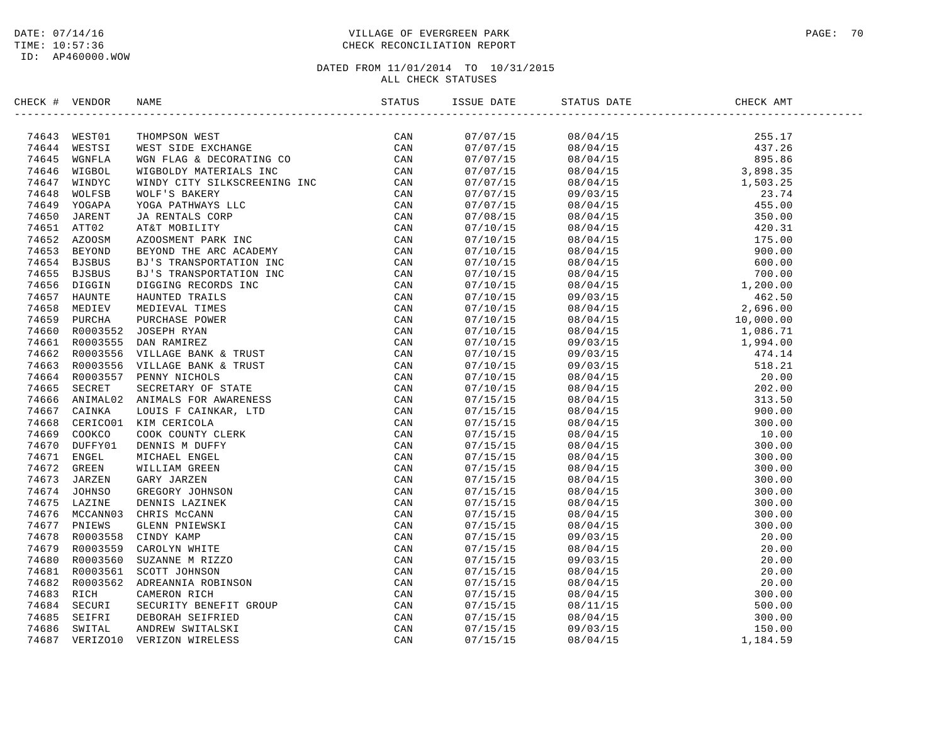ID: AP460000.WOW

### DATE: 07/14/16 PAGE: 70 PAGE: 70 VILLAGE OF EVERGREEN PARK TIME: 10:57:36 CHECK RECONCILIATION REPORT

| CHECK # VENDOR |                | NAME                                                                                                                                                                                                                          | ISSUE DATE | STATUS DATE                                                                                                                                                                                                                                                                                                                                                                                             | CHECK AMT |
|----------------|----------------|-------------------------------------------------------------------------------------------------------------------------------------------------------------------------------------------------------------------------------|------------|---------------------------------------------------------------------------------------------------------------------------------------------------------------------------------------------------------------------------------------------------------------------------------------------------------------------------------------------------------------------------------------------------------|-----------|
|                | 74643 WEST01   | INDEX RANE RESERVE THE RECEIVED ON A STANDARD CHARACTERY (SAN ACCORDUNATION CONTROLL SERVER IN A SUBMISSION CONTROLL AND CONTROLL AND CONTROLL SERVER CONTROLL STATE AND DESCRIPTION CONTROLL STATES ON A SUBMISSION CONTROLL | 07/07/15   | $\begin{tabular}{l c c c c} \hline \multicolumn{4}{c}{\textbf{0.8/04/15}} \hline \multicolumn{4}{c}{\textbf{0.8/04/15}} \hline \multicolumn{4}{c}{\textbf{0.8/04/15}} \hline \multicolumn{4}{c}{\textbf{0.8/04/15}} \hline \multicolumn{4}{c}{\textbf{0.8/04/15}} \hline \multicolumn{4}{c}{\textbf{0.8/04/15}} \hline \multicolumn{4}{c}{\textbf{0.8/04/15}} \hline \multicolumn{4}{c}{\textbf{0.8/04$ |           |
|                | 74644 WESTSI   |                                                                                                                                                                                                                               | 07/07/15   |                                                                                                                                                                                                                                                                                                                                                                                                         |           |
| 74645          |                |                                                                                                                                                                                                                               | 07/07/15   |                                                                                                                                                                                                                                                                                                                                                                                                         |           |
| 74646          |                |                                                                                                                                                                                                                               | 07/07/15   |                                                                                                                                                                                                                                                                                                                                                                                                         |           |
| 74647          |                |                                                                                                                                                                                                                               | 07/07/15   |                                                                                                                                                                                                                                                                                                                                                                                                         |           |
| 74648          |                |                                                                                                                                                                                                                               | 07/07/15   |                                                                                                                                                                                                                                                                                                                                                                                                         |           |
|                | 74649 YOGAPA   |                                                                                                                                                                                                                               | 07/07/15   |                                                                                                                                                                                                                                                                                                                                                                                                         |           |
| 74650          |                |                                                                                                                                                                                                                               | 07/08/15   |                                                                                                                                                                                                                                                                                                                                                                                                         |           |
|                | 74651 ATT02    |                                                                                                                                                                                                                               | 07/10/15   |                                                                                                                                                                                                                                                                                                                                                                                                         |           |
|                | 74652 AZOOSM   |                                                                                                                                                                                                                               | 07/10/15   |                                                                                                                                                                                                                                                                                                                                                                                                         |           |
| 74653          |                |                                                                                                                                                                                                                               | 07/10/15   |                                                                                                                                                                                                                                                                                                                                                                                                         |           |
|                | 74654 BJSBUS   |                                                                                                                                                                                                                               | 07/10/15   |                                                                                                                                                                                                                                                                                                                                                                                                         |           |
| 74655          |                |                                                                                                                                                                                                                               | 07/10/15   |                                                                                                                                                                                                                                                                                                                                                                                                         |           |
|                | 74656 DIGGIN   |                                                                                                                                                                                                                               | 07/10/15   |                                                                                                                                                                                                                                                                                                                                                                                                         |           |
| 74657          |                |                                                                                                                                                                                                                               | 07/10/15   |                                                                                                                                                                                                                                                                                                                                                                                                         |           |
| 74658          |                |                                                                                                                                                                                                                               | 07/10/15   |                                                                                                                                                                                                                                                                                                                                                                                                         |           |
| 74659          |                |                                                                                                                                                                                                                               | 07/10/15   |                                                                                                                                                                                                                                                                                                                                                                                                         |           |
| 74660          |                |                                                                                                                                                                                                                               | 07/10/15   |                                                                                                                                                                                                                                                                                                                                                                                                         |           |
|                | 74661 R0003555 |                                                                                                                                                                                                                               | 07/10/15   |                                                                                                                                                                                                                                                                                                                                                                                                         |           |
| 74662          |                |                                                                                                                                                                                                                               | 07/10/15   |                                                                                                                                                                                                                                                                                                                                                                                                         |           |
|                |                | 74663 R0003556 VILLAGE BANK & TRUST                                                                                                                                                                                           | 07/10/15   |                                                                                                                                                                                                                                                                                                                                                                                                         |           |
| 74664          |                |                                                                                                                                                                                                                               | 07/10/15   |                                                                                                                                                                                                                                                                                                                                                                                                         |           |
| 74665          |                |                                                                                                                                                                                                                               | 07/10/15   |                                                                                                                                                                                                                                                                                                                                                                                                         |           |
| 74666          |                |                                                                                                                                                                                                                               | 07/15/15   |                                                                                                                                                                                                                                                                                                                                                                                                         |           |
| 74667          |                |                                                                                                                                                                                                                               | 07/15/15   |                                                                                                                                                                                                                                                                                                                                                                                                         |           |
| 74668          |                |                                                                                                                                                                                                                               | 07/15/15   |                                                                                                                                                                                                                                                                                                                                                                                                         |           |
| 74669          |                |                                                                                                                                                                                                                               | 07/15/15   |                                                                                                                                                                                                                                                                                                                                                                                                         |           |
| 74670          |                |                                                                                                                                                                                                                               | 07/15/15   |                                                                                                                                                                                                                                                                                                                                                                                                         |           |
|                | 74671 ENGEL    |                                                                                                                                                                                                                               | 07/15/15   |                                                                                                                                                                                                                                                                                                                                                                                                         |           |
| 74672          |                |                                                                                                                                                                                                                               | 07/15/15   |                                                                                                                                                                                                                                                                                                                                                                                                         |           |
| 74673          |                |                                                                                                                                                                                                                               | 07/15/15   |                                                                                                                                                                                                                                                                                                                                                                                                         |           |
|                | 74674 JOHNSO   |                                                                                                                                                                                                                               | 07/15/15   |                                                                                                                                                                                                                                                                                                                                                                                                         |           |
|                | 74675 LAZINE   |                                                                                                                                                                                                                               | 07/15/15   |                                                                                                                                                                                                                                                                                                                                                                                                         |           |
|                | 74676 MCCANN03 |                                                                                                                                                                                                                               | 07/15/15   |                                                                                                                                                                                                                                                                                                                                                                                                         |           |
| 74677          |                |                                                                                                                                                                                                                               | 07/15/15   |                                                                                                                                                                                                                                                                                                                                                                                                         |           |
| 74678          |                |                                                                                                                                                                                                                               |            |                                                                                                                                                                                                                                                                                                                                                                                                         |           |
| 74679          |                |                                                                                                                                                                                                                               | 07/15/15   |                                                                                                                                                                                                                                                                                                                                                                                                         |           |
|                |                |                                                                                                                                                                                                                               | 07/15/15   |                                                                                                                                                                                                                                                                                                                                                                                                         |           |
| 74680          |                |                                                                                                                                                                                                                               | 07/15/15   |                                                                                                                                                                                                                                                                                                                                                                                                         |           |
|                |                | 74681 R0003561 SCOTT JOHNSON                                                                                                                                                                                                  | 07/15/15   |                                                                                                                                                                                                                                                                                                                                                                                                         |           |
| 74682          |                |                                                                                                                                                                                                                               | 07/15/15   |                                                                                                                                                                                                                                                                                                                                                                                                         |           |
| 74683          |                |                                                                                                                                                                                                                               | 07/15/15   |                                                                                                                                                                                                                                                                                                                                                                                                         |           |
| 74684          |                |                                                                                                                                                                                                                               | 07/15/15   |                                                                                                                                                                                                                                                                                                                                                                                                         |           |
| 74685          |                |                                                                                                                                                                                                                               | 07/15/15   |                                                                                                                                                                                                                                                                                                                                                                                                         |           |
| 74686          |                |                                                                                                                                                                                                                               | 07/15/15   |                                                                                                                                                                                                                                                                                                                                                                                                         |           |
| 74687          |                |                                                                                                                                                                                                                               | 07/15/15   |                                                                                                                                                                                                                                                                                                                                                                                                         |           |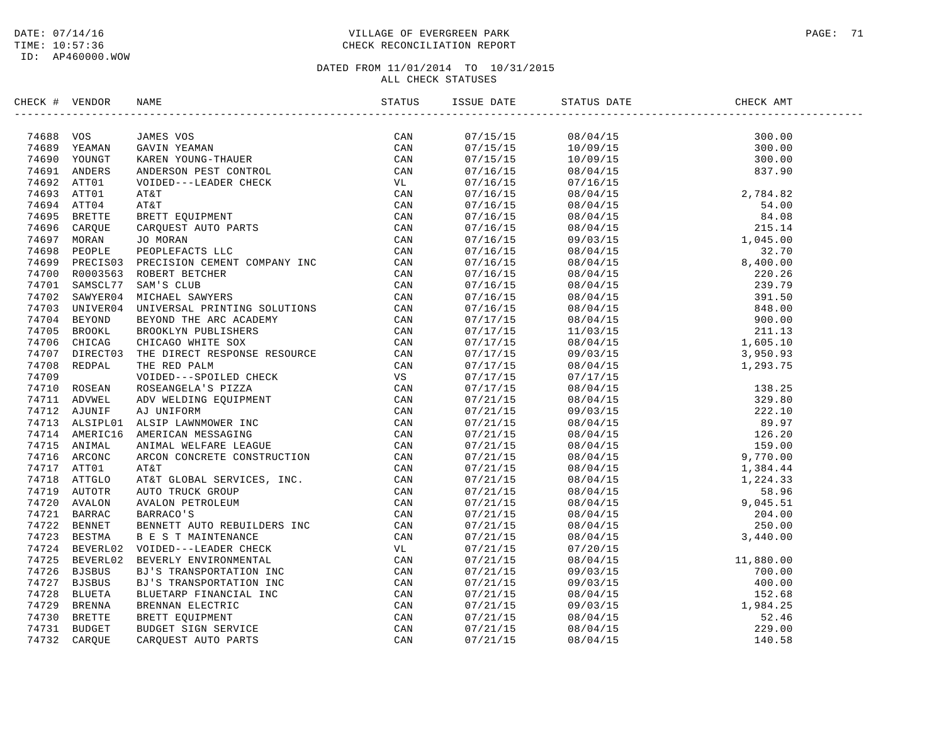### DATE: 07/14/16 PAGE: 71 PAGE: 71 TIME: 10:57:36 CHECK RECONCILIATION REPORT

| CHECK # VENDOR | NAME                                                                                                                                                                                                                                     | ISSUE DATE                         | STATUS DATE                                                                                                                                                                                                                                                                    | CHECK AMT |  |
|----------------|------------------------------------------------------------------------------------------------------------------------------------------------------------------------------------------------------------------------------------------|------------------------------------|--------------------------------------------------------------------------------------------------------------------------------------------------------------------------------------------------------------------------------------------------------------------------------|-----------|--|
|                | EXAMPLE AND MANUS VOLTEGIS (2000)<br>2000 - JAMES VOLTEGIS (2000)<br>2000 - ANDERSON PEST CONTROL<br>2000 - AND MANUS VOLTEGIS (2000)<br>2000 - AND MANUS VOLTEGIS (2000)<br>2000 - AND MANUS VOLTEGIS (2000)<br>2000 - AND MANUS CONTRO |                                    |                                                                                                                                                                                                                                                                                |           |  |
|                |                                                                                                                                                                                                                                          |                                    | $\begin{array}{cccc} 07/15/15 & 08/04/15 & 300.00 \\ 07/15/15 & 10/09/15 & 300.00 \\ 07/15/15 & 10/09/15 & 300.00 \\ 07/16/15 & 08/04/15 & 837.90 \end{array}$                                                                                                                 |           |  |
|                |                                                                                                                                                                                                                                          |                                    |                                                                                                                                                                                                                                                                                |           |  |
|                |                                                                                                                                                                                                                                          |                                    |                                                                                                                                                                                                                                                                                |           |  |
|                |                                                                                                                                                                                                                                          | 07/16/15                           |                                                                                                                                                                                                                                                                                |           |  |
|                |                                                                                                                                                                                                                                          | 07/16/15                           |                                                                                                                                                                                                                                                                                |           |  |
|                |                                                                                                                                                                                                                                          | 07/16/15                           |                                                                                                                                                                                                                                                                                |           |  |
|                |                                                                                                                                                                                                                                          | 07/16/15                           |                                                                                                                                                                                                                                                                                |           |  |
|                |                                                                                                                                                                                                                                          | 07/16/15                           |                                                                                                                                                                                                                                                                                |           |  |
|                |                                                                                                                                                                                                                                          | 07/16/15                           |                                                                                                                                                                                                                                                                                |           |  |
|                |                                                                                                                                                                                                                                          | 07/16/15                           |                                                                                                                                                                                                                                                                                |           |  |
|                |                                                                                                                                                                                                                                          |                                    |                                                                                                                                                                                                                                                                                |           |  |
|                |                                                                                                                                                                                                                                          | $07/16/15$<br>07/16/15<br>07/16/15 |                                                                                                                                                                                                                                                                                |           |  |
|                |                                                                                                                                                                                                                                          |                                    |                                                                                                                                                                                                                                                                                |           |  |
|                |                                                                                                                                                                                                                                          | 07/16/15                           |                                                                                                                                                                                                                                                                                |           |  |
|                |                                                                                                                                                                                                                                          | 07/16/15                           |                                                                                                                                                                                                                                                                                |           |  |
|                |                                                                                                                                                                                                                                          |                                    |                                                                                                                                                                                                                                                                                |           |  |
|                |                                                                                                                                                                                                                                          | 07/17/15<br>07/17/15               |                                                                                                                                                                                                                                                                                |           |  |
|                |                                                                                                                                                                                                                                          |                                    |                                                                                                                                                                                                                                                                                |           |  |
|                |                                                                                                                                                                                                                                          |                                    |                                                                                                                                                                                                                                                                                |           |  |
|                |                                                                                                                                                                                                                                          | 07/17/15<br>07/17/15<br>07/17/15   |                                                                                                                                                                                                                                                                                |           |  |
|                |                                                                                                                                                                                                                                          | 07/17/15                           |                                                                                                                                                                                                                                                                                |           |  |
|                |                                                                                                                                                                                                                                          | 07/17/15                           |                                                                                                                                                                                                                                                                                |           |  |
|                |                                                                                                                                                                                                                                          | 07/21/15                           |                                                                                                                                                                                                                                                                                |           |  |
|                |                                                                                                                                                                                                                                          | 07/21/15                           |                                                                                                                                                                                                                                                                                |           |  |
|                |                                                                                                                                                                                                                                          | 07/21/15                           |                                                                                                                                                                                                                                                                                |           |  |
|                |                                                                                                                                                                                                                                          |                                    |                                                                                                                                                                                                                                                                                |           |  |
|                |                                                                                                                                                                                                                                          | 07/21/15<br>07/21/15               |                                                                                                                                                                                                                                                                                |           |  |
|                |                                                                                                                                                                                                                                          | 07/21/15                           |                                                                                                                                                                                                                                                                                |           |  |
|                |                                                                                                                                                                                                                                          | 07/21/15                           |                                                                                                                                                                                                                                                                                |           |  |
|                |                                                                                                                                                                                                                                          | 07/21/15                           |                                                                                                                                                                                                                                                                                |           |  |
|                |                                                                                                                                                                                                                                          | 07/21/15                           |                                                                                                                                                                                                                                                                                |           |  |
|                |                                                                                                                                                                                                                                          | 07/21/15                           |                                                                                                                                                                                                                                                                                |           |  |
|                |                                                                                                                                                                                                                                          | 07/21/15                           |                                                                                                                                                                                                                                                                                |           |  |
|                |                                                                                                                                                                                                                                          | 07/21/15                           |                                                                                                                                                                                                                                                                                |           |  |
|                |                                                                                                                                                                                                                                          | 07/21/15                           |                                                                                                                                                                                                                                                                                |           |  |
|                |                                                                                                                                                                                                                                          | 07/21/15                           |                                                                                                                                                                                                                                                                                |           |  |
|                |                                                                                                                                                                                                                                          | 07/21/15                           |                                                                                                                                                                                                                                                                                |           |  |
|                |                                                                                                                                                                                                                                          | 07/21/15                           |                                                                                                                                                                                                                                                                                |           |  |
|                |                                                                                                                                                                                                                                          |                                    |                                                                                                                                                                                                                                                                                |           |  |
|                |                                                                                                                                                                                                                                          |                                    |                                                                                                                                                                                                                                                                                |           |  |
|                |                                                                                                                                                                                                                                          | 07/21/15<br>07/21/15<br>07/21/15   |                                                                                                                                                                                                                                                                                |           |  |
|                |                                                                                                                                                                                                                                          | 07/21/15                           |                                                                                                                                                                                                                                                                                |           |  |
|                |                                                                                                                                                                                                                                          | 07/21/15                           |                                                                                                                                                                                                                                                                                |           |  |
|                |                                                                                                                                                                                                                                          | 07/21/15                           | $\begin{array}{cccc} 07/20/15 & 11\,, 880\, . \, 00 \\ 09/03/15 & 700\, . \, 00 \\ 09/03/15 & 400\, . \, 00 \\ 08/04/15 & 400\, . \, 0 \\ 08/04/15 & 1\, . \, 984\, . \, 25 \\ 08/04/15 & 52\, . \, 46 \\ 08/04/15 & 140\, . \, 58 \\ 08/04/15 & 140\, . \, 58 \\ \end{array}$ |           |  |
|                |                                                                                                                                                                                                                                          |                                    |                                                                                                                                                                                                                                                                                |           |  |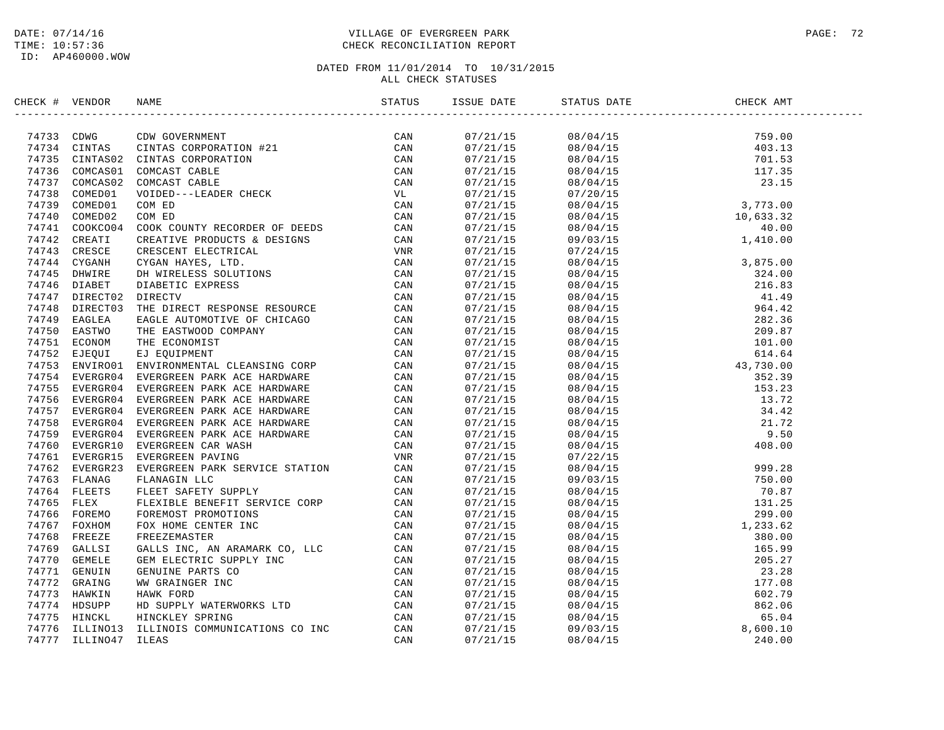### DATE: 07/14/16 PAGE: 72 TIME: 10:57:36 CHECK RECONCILIATION REPORT

| CHECK # VENDOR | NAME                                                                                                                                                                                                                                                  | ISSUE DATE | STATUS DATE                                                                                                                                                                                                                                                                                                                                                                                                 | CHECK AMT |  |
|----------------|-------------------------------------------------------------------------------------------------------------------------------------------------------------------------------------------------------------------------------------------------------|------------|-------------------------------------------------------------------------------------------------------------------------------------------------------------------------------------------------------------------------------------------------------------------------------------------------------------------------------------------------------------------------------------------------------------|-----------|--|
|                | SERICK # VENDOR NAME STATUS 5781119<br>27373 CDM<br>274734 CDM<br>274734 CDM<br>274734 CDM<br>274736 CDM<br>274736 CDM<br>274736 CDM<br>274736 CDM<br>274736 CDM<br>274736 COMENTION COMENTION<br>27473 COMENTO COMENT CRILES<br>274736 COMENDI VO(DE |            | $\begin{tabular}{l c c c c} \hline \textbf{13} & \textbf{14} & \textbf{15} & \textbf{16} & \textbf{17} & \textbf{18} & \textbf{18} & \textbf{19} \\ \hline \textbf{17} & \textbf{17} & \textbf{18} & \textbf{18} & \textbf{19} & \textbf{19} & \textbf{19} \\ \hline \textbf{17} & \textbf{17} & \textbf{18} & \textbf{19} & \textbf{19} & \textbf{19} & \textbf{19} \\ \hline \textbf{18} & \textbf{19} &$ |           |  |
|                |                                                                                                                                                                                                                                                       |            |                                                                                                                                                                                                                                                                                                                                                                                                             |           |  |
|                |                                                                                                                                                                                                                                                       |            |                                                                                                                                                                                                                                                                                                                                                                                                             |           |  |
|                |                                                                                                                                                                                                                                                       |            |                                                                                                                                                                                                                                                                                                                                                                                                             |           |  |
|                |                                                                                                                                                                                                                                                       |            |                                                                                                                                                                                                                                                                                                                                                                                                             |           |  |
|                |                                                                                                                                                                                                                                                       |            |                                                                                                                                                                                                                                                                                                                                                                                                             |           |  |
|                |                                                                                                                                                                                                                                                       |            |                                                                                                                                                                                                                                                                                                                                                                                                             |           |  |
|                |                                                                                                                                                                                                                                                       |            |                                                                                                                                                                                                                                                                                                                                                                                                             |           |  |
|                |                                                                                                                                                                                                                                                       |            |                                                                                                                                                                                                                                                                                                                                                                                                             |           |  |
|                |                                                                                                                                                                                                                                                       |            |                                                                                                                                                                                                                                                                                                                                                                                                             |           |  |
|                |                                                                                                                                                                                                                                                       |            |                                                                                                                                                                                                                                                                                                                                                                                                             |           |  |
|                |                                                                                                                                                                                                                                                       |            |                                                                                                                                                                                                                                                                                                                                                                                                             |           |  |
|                |                                                                                                                                                                                                                                                       |            |                                                                                                                                                                                                                                                                                                                                                                                                             |           |  |
|                |                                                                                                                                                                                                                                                       |            |                                                                                                                                                                                                                                                                                                                                                                                                             |           |  |
|                |                                                                                                                                                                                                                                                       |            |                                                                                                                                                                                                                                                                                                                                                                                                             |           |  |
|                |                                                                                                                                                                                                                                                       |            |                                                                                                                                                                                                                                                                                                                                                                                                             |           |  |
|                |                                                                                                                                                                                                                                                       |            |                                                                                                                                                                                                                                                                                                                                                                                                             |           |  |
|                |                                                                                                                                                                                                                                                       |            |                                                                                                                                                                                                                                                                                                                                                                                                             |           |  |
|                |                                                                                                                                                                                                                                                       |            |                                                                                                                                                                                                                                                                                                                                                                                                             |           |  |
|                |                                                                                                                                                                                                                                                       |            |                                                                                                                                                                                                                                                                                                                                                                                                             |           |  |
|                |                                                                                                                                                                                                                                                       |            |                                                                                                                                                                                                                                                                                                                                                                                                             |           |  |
|                |                                                                                                                                                                                                                                                       |            |                                                                                                                                                                                                                                                                                                                                                                                                             |           |  |
|                |                                                                                                                                                                                                                                                       |            |                                                                                                                                                                                                                                                                                                                                                                                                             |           |  |
|                |                                                                                                                                                                                                                                                       |            |                                                                                                                                                                                                                                                                                                                                                                                                             |           |  |
|                |                                                                                                                                                                                                                                                       |            |                                                                                                                                                                                                                                                                                                                                                                                                             |           |  |
|                |                                                                                                                                                                                                                                                       |            |                                                                                                                                                                                                                                                                                                                                                                                                             |           |  |
|                |                                                                                                                                                                                                                                                       |            |                                                                                                                                                                                                                                                                                                                                                                                                             |           |  |
|                |                                                                                                                                                                                                                                                       |            |                                                                                                                                                                                                                                                                                                                                                                                                             |           |  |
|                |                                                                                                                                                                                                                                                       |            |                                                                                                                                                                                                                                                                                                                                                                                                             |           |  |
|                |                                                                                                                                                                                                                                                       |            |                                                                                                                                                                                                                                                                                                                                                                                                             |           |  |
|                |                                                                                                                                                                                                                                                       |            |                                                                                                                                                                                                                                                                                                                                                                                                             |           |  |
|                |                                                                                                                                                                                                                                                       |            |                                                                                                                                                                                                                                                                                                                                                                                                             |           |  |
|                |                                                                                                                                                                                                                                                       |            |                                                                                                                                                                                                                                                                                                                                                                                                             |           |  |
|                |                                                                                                                                                                                                                                                       |            |                                                                                                                                                                                                                                                                                                                                                                                                             |           |  |
|                |                                                                                                                                                                                                                                                       |            |                                                                                                                                                                                                                                                                                                                                                                                                             |           |  |
|                |                                                                                                                                                                                                                                                       |            |                                                                                                                                                                                                                                                                                                                                                                                                             |           |  |
|                |                                                                                                                                                                                                                                                       |            |                                                                                                                                                                                                                                                                                                                                                                                                             |           |  |
|                |                                                                                                                                                                                                                                                       |            |                                                                                                                                                                                                                                                                                                                                                                                                             |           |  |
|                |                                                                                                                                                                                                                                                       |            |                                                                                                                                                                                                                                                                                                                                                                                                             |           |  |
|                |                                                                                                                                                                                                                                                       |            |                                                                                                                                                                                                                                                                                                                                                                                                             |           |  |
|                |                                                                                                                                                                                                                                                       |            |                                                                                                                                                                                                                                                                                                                                                                                                             |           |  |
|                |                                                                                                                                                                                                                                                       |            |                                                                                                                                                                                                                                                                                                                                                                                                             |           |  |
|                |                                                                                                                                                                                                                                                       |            |                                                                                                                                                                                                                                                                                                                                                                                                             |           |  |
|                |                                                                                                                                                                                                                                                       |            |                                                                                                                                                                                                                                                                                                                                                                                                             |           |  |
|                |                                                                                                                                                                                                                                                       |            |                                                                                                                                                                                                                                                                                                                                                                                                             |           |  |
|                |                                                                                                                                                                                                                                                       |            |                                                                                                                                                                                                                                                                                                                                                                                                             |           |  |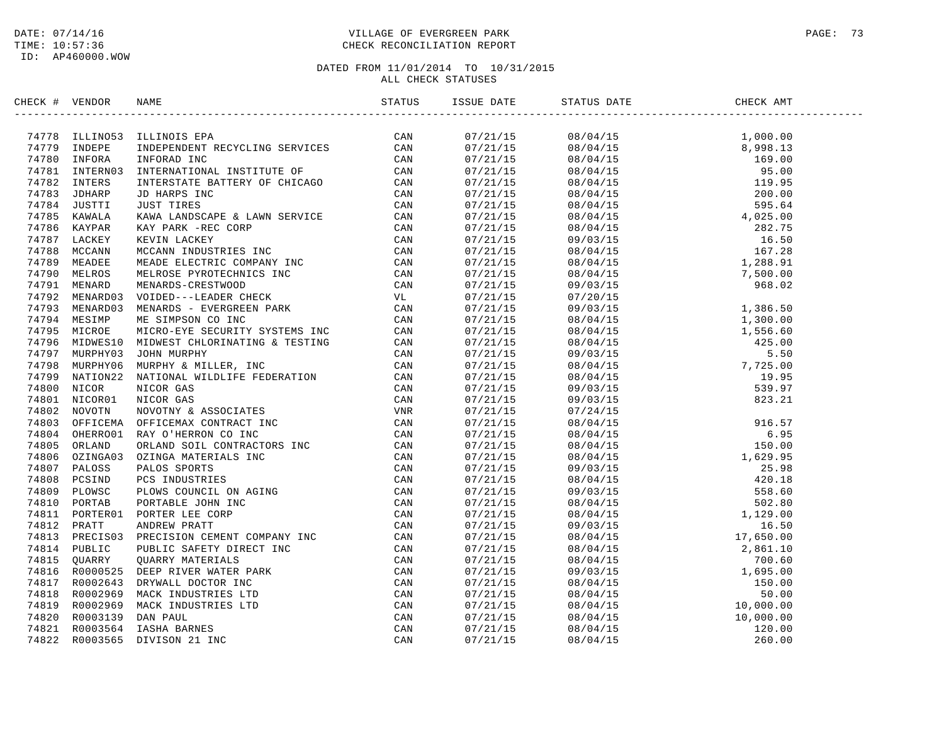## DATE: 07/14/16 PAGE: 73 TIME: 10:57:36 CHECK RECONCILIATION REPORT

| CHECK # VENDOR |                                                                                                                                                                                                                                |  | STATUS DATE | CHECK AMT |  |
|----------------|--------------------------------------------------------------------------------------------------------------------------------------------------------------------------------------------------------------------------------|--|-------------|-----------|--|
|                | 19979 INNEROS MELROS PERSON CONNEL CAN TAPS INTERNAL CAN TAPS INTERNATIONAL INSTITUTE OF CAN THE INFORMATIONAL INSTITUTE OF CAN THE INTERNATIONAL INSTITUTE OF CAN THE INTERNATIONAL INSTITUTE OF CAN THE INTERNATIONAL INSTIT |  |             |           |  |
|                |                                                                                                                                                                                                                                |  |             |           |  |
|                |                                                                                                                                                                                                                                |  |             |           |  |
|                |                                                                                                                                                                                                                                |  |             |           |  |
|                |                                                                                                                                                                                                                                |  |             |           |  |
|                |                                                                                                                                                                                                                                |  |             |           |  |
|                |                                                                                                                                                                                                                                |  |             |           |  |
|                |                                                                                                                                                                                                                                |  |             |           |  |
|                |                                                                                                                                                                                                                                |  |             |           |  |
|                |                                                                                                                                                                                                                                |  |             |           |  |
|                |                                                                                                                                                                                                                                |  |             |           |  |
|                |                                                                                                                                                                                                                                |  |             |           |  |
|                |                                                                                                                                                                                                                                |  |             |           |  |
|                |                                                                                                                                                                                                                                |  |             |           |  |
|                |                                                                                                                                                                                                                                |  |             |           |  |
|                |                                                                                                                                                                                                                                |  |             |           |  |
|                |                                                                                                                                                                                                                                |  |             |           |  |
|                |                                                                                                                                                                                                                                |  |             |           |  |
|                |                                                                                                                                                                                                                                |  |             |           |  |
|                |                                                                                                                                                                                                                                |  |             |           |  |
|                |                                                                                                                                                                                                                                |  |             |           |  |
|                |                                                                                                                                                                                                                                |  |             |           |  |
|                |                                                                                                                                                                                                                                |  |             |           |  |
|                |                                                                                                                                                                                                                                |  |             |           |  |
|                |                                                                                                                                                                                                                                |  |             |           |  |
|                |                                                                                                                                                                                                                                |  |             |           |  |
|                |                                                                                                                                                                                                                                |  |             |           |  |
|                |                                                                                                                                                                                                                                |  |             |           |  |
|                |                                                                                                                                                                                                                                |  |             |           |  |
|                |                                                                                                                                                                                                                                |  |             |           |  |
|                |                                                                                                                                                                                                                                |  |             |           |  |
|                |                                                                                                                                                                                                                                |  |             |           |  |
|                |                                                                                                                                                                                                                                |  |             |           |  |
|                |                                                                                                                                                                                                                                |  |             |           |  |
|                |                                                                                                                                                                                                                                |  |             |           |  |
|                |                                                                                                                                                                                                                                |  |             |           |  |
|                |                                                                                                                                                                                                                                |  |             |           |  |
|                |                                                                                                                                                                                                                                |  |             |           |  |
|                |                                                                                                                                                                                                                                |  |             |           |  |
|                |                                                                                                                                                                                                                                |  |             |           |  |
|                |                                                                                                                                                                                                                                |  |             |           |  |
|                |                                                                                                                                                                                                                                |  |             |           |  |
|                |                                                                                                                                                                                                                                |  |             |           |  |
|                |                                                                                                                                                                                                                                |  |             |           |  |
|                |                                                                                                                                                                                                                                |  |             |           |  |
|                | 74794 MESINP ME SIMPSON CONCIDENT SETTING CAN THE SIMPSON CONCIDENT SETTING CAN A THE SIMPLE ON MINORITY CONTRACT CONTRACT CONTRACT CONTRACT CONTRACT CONTRACT CONTRACT CONTRACT CONTRACT CONTRACT CONTRACT CONTRACT CONTRACT  |  |             |           |  |
|                |                                                                                                                                                                                                                                |  |             |           |  |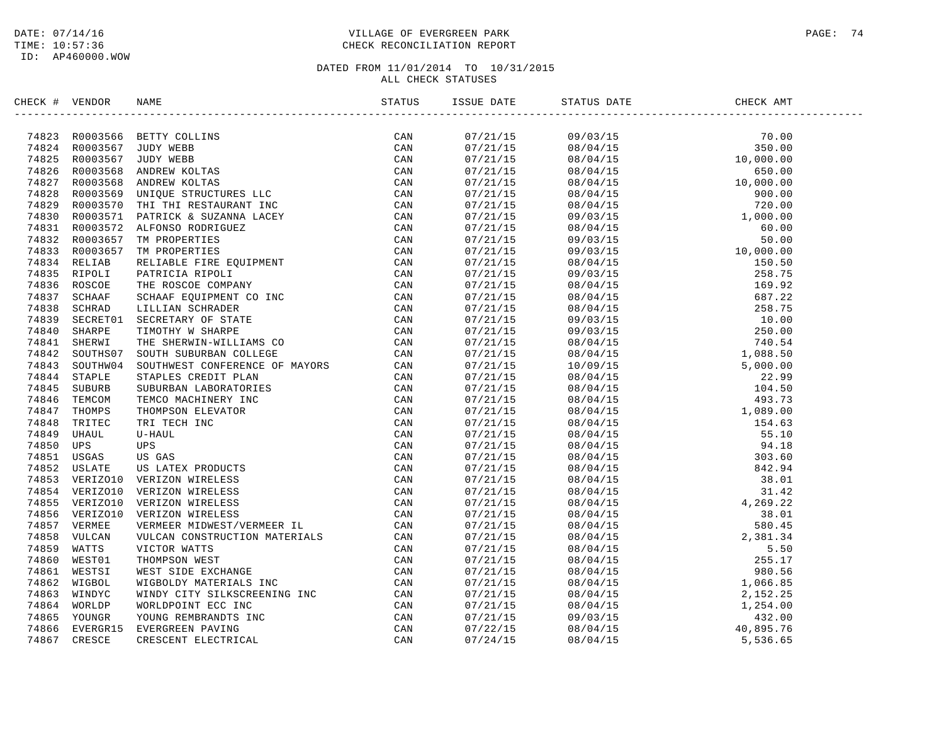## DATE: 07/14/16 PAGE: 74 TIME: 10:57:36 CHECK RECONCILIATION REPORT

| CHECK # VENDOR |                                                                                                                                                                                                                               | ISSUE DATE | STATUS DATE | CHECK AMT |  |
|----------------|-------------------------------------------------------------------------------------------------------------------------------------------------------------------------------------------------------------------------------|------------|-------------|-----------|--|
|                | AHAL FERIDA SAMO SAMO THE INCOLLER CAN ARREST CAN ASSESS A STRUCTURE COMPARED THE SERVI COLLER AND THE SERVICE CONTRACT CONTRACT AND SAMON CONTRACT CONTRACT CONTRACT CONTRACT CONTRACT CONTRACT CONTRACT CONTRACT CONTRACT C |            |             |           |  |
|                |                                                                                                                                                                                                                               | 07/21/15   |             |           |  |
|                |                                                                                                                                                                                                                               | 07/21/15   |             |           |  |
|                |                                                                                                                                                                                                                               | 07/21/15   |             |           |  |
|                |                                                                                                                                                                                                                               | 07/21/15   |             |           |  |
|                |                                                                                                                                                                                                                               | 07/21/15   |             |           |  |
|                |                                                                                                                                                                                                                               | 07/21/15   |             |           |  |
|                |                                                                                                                                                                                                                               | 07/21/15   |             |           |  |
|                |                                                                                                                                                                                                                               | 07/21/15   |             |           |  |
|                |                                                                                                                                                                                                                               | 07/21/15   |             |           |  |
|                |                                                                                                                                                                                                                               | 07/21/15   |             |           |  |
|                |                                                                                                                                                                                                                               | 07/21/15   |             |           |  |
|                |                                                                                                                                                                                                                               | 07/21/15   |             |           |  |
|                |                                                                                                                                                                                                                               | 07/21/15   |             |           |  |
|                |                                                                                                                                                                                                                               | 07/21/15   |             |           |  |
|                |                                                                                                                                                                                                                               | 07/21/15   |             |           |  |
|                |                                                                                                                                                                                                                               | 07/21/15   |             |           |  |
|                |                                                                                                                                                                                                                               | 07/21/15   |             |           |  |
|                |                                                                                                                                                                                                                               | 07/21/15   |             |           |  |
|                |                                                                                                                                                                                                                               | 07/21/15   |             |           |  |
|                |                                                                                                                                                                                                                               | 07/21/15   |             |           |  |
|                |                                                                                                                                                                                                                               | 07/21/15   |             |           |  |
|                |                                                                                                                                                                                                                               | 07/21/15   |             |           |  |
|                |                                                                                                                                                                                                                               | 07/21/15   |             |           |  |
|                |                                                                                                                                                                                                                               | 07/21/15   |             |           |  |
|                |                                                                                                                                                                                                                               | 07/21/15   |             |           |  |
|                |                                                                                                                                                                                                                               | 07/21/15   |             |           |  |
|                |                                                                                                                                                                                                                               | 07/21/15   |             |           |  |
|                |                                                                                                                                                                                                                               | 07/21/15   |             |           |  |
|                |                                                                                                                                                                                                                               | 07/21/15   |             |           |  |
|                |                                                                                                                                                                                                                               | 07/21/15   |             |           |  |
|                |                                                                                                                                                                                                                               | 07/21/15   |             |           |  |
|                |                                                                                                                                                                                                                               | 07/21/15   |             |           |  |
|                |                                                                                                                                                                                                                               | 07/21/15   |             |           |  |
|                |                                                                                                                                                                                                                               | 07/21/15   |             |           |  |
|                |                                                                                                                                                                                                                               | 07/21/15   |             |           |  |
|                |                                                                                                                                                                                                                               |            |             |           |  |
|                |                                                                                                                                                                                                                               | 07/21/15   |             |           |  |
|                |                                                                                                                                                                                                                               | 07/21/15   |             |           |  |
|                |                                                                                                                                                                                                                               | 07/21/15   |             |           |  |
|                |                                                                                                                                                                                                                               | 07/21/15   |             |           |  |
|                |                                                                                                                                                                                                                               | 07/21/15   |             |           |  |
|                |                                                                                                                                                                                                                               | 07/21/15   |             |           |  |
|                |                                                                                                                                                                                                                               | 07/21/15   |             |           |  |
|                |                                                                                                                                                                                                                               | 07/21/15   |             |           |  |
|                |                                                                                                                                                                                                                               | 07/22/15   |             |           |  |
|                |                                                                                                                                                                                                                               | 07/24/15   |             |           |  |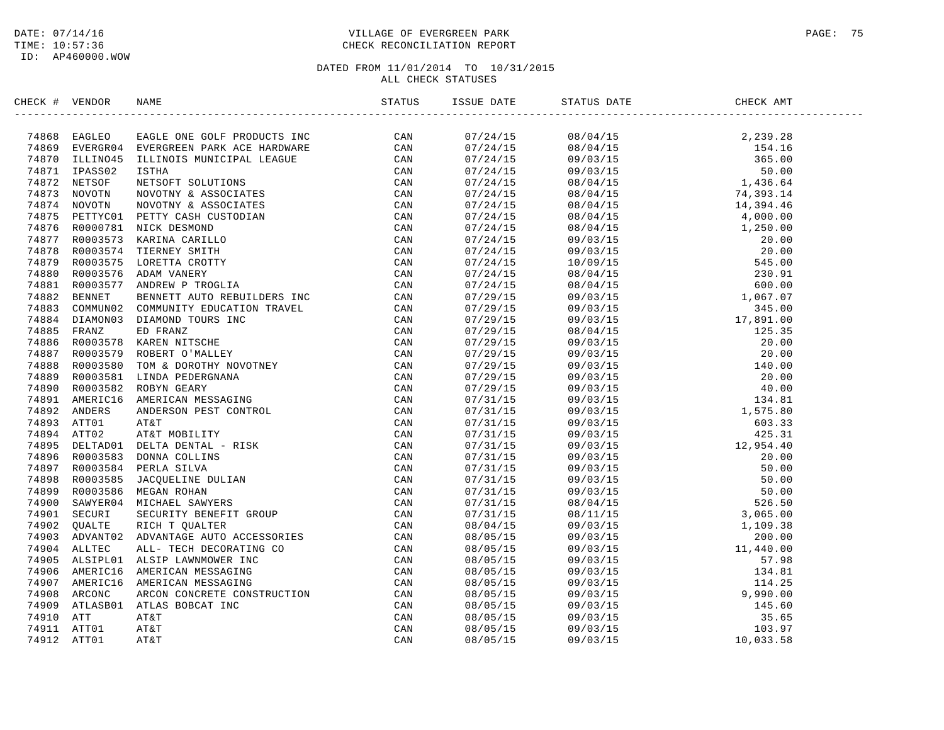ID: AP460000.WOW

## DATE: 07/14/16 PAGE: 75 TIME: 10:57:36 CHECK RECONCILIATION REPORT

| CHECK # VENDOR |  |  |  |  |
|----------------|--|--|--|--|
|                |  |  |  |  |
|                |  |  |  |  |
|                |  |  |  |  |
|                |  |  |  |  |
|                |  |  |  |  |
|                |  |  |  |  |
|                |  |  |  |  |
|                |  |  |  |  |
|                |  |  |  |  |
|                |  |  |  |  |
|                |  |  |  |  |
|                |  |  |  |  |
|                |  |  |  |  |
|                |  |  |  |  |
|                |  |  |  |  |
|                |  |  |  |  |
|                |  |  |  |  |
|                |  |  |  |  |
|                |  |  |  |  |
|                |  |  |  |  |
|                |  |  |  |  |
|                |  |  |  |  |
|                |  |  |  |  |
|                |  |  |  |  |
|                |  |  |  |  |
|                |  |  |  |  |
|                |  |  |  |  |
|                |  |  |  |  |
|                |  |  |  |  |
|                |  |  |  |  |
|                |  |  |  |  |
|                |  |  |  |  |
|                |  |  |  |  |
|                |  |  |  |  |
|                |  |  |  |  |
|                |  |  |  |  |
|                |  |  |  |  |
|                |  |  |  |  |
|                |  |  |  |  |
|                |  |  |  |  |
|                |  |  |  |  |
|                |  |  |  |  |
|                |  |  |  |  |
|                |  |  |  |  |
|                |  |  |  |  |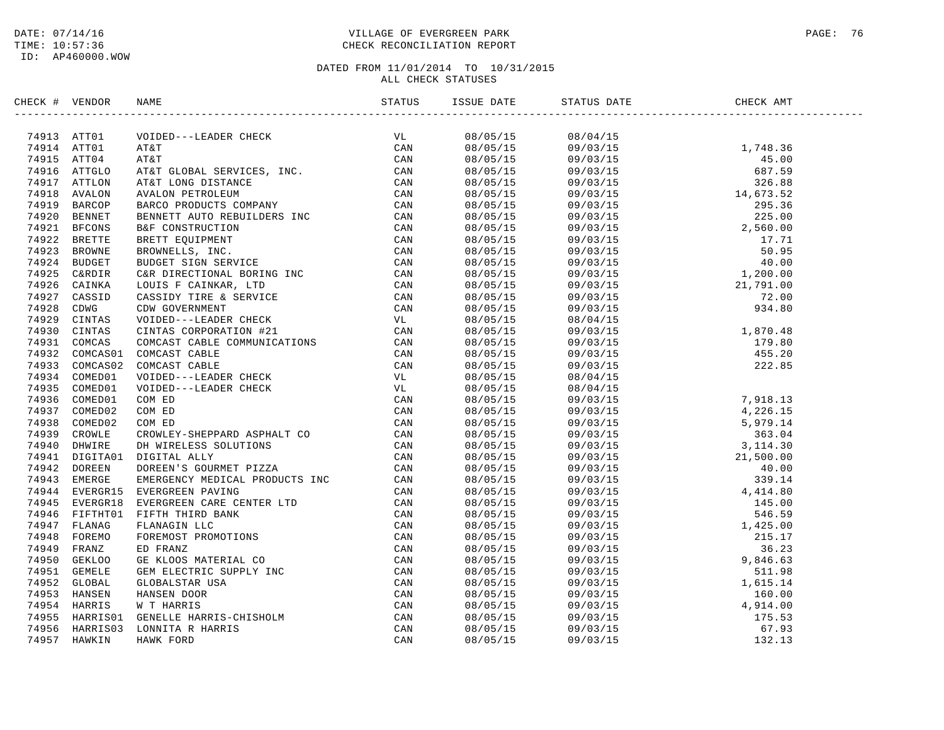## DATE: 07/14/16 PAGE: 76 TIME: 10:57:36 CHECK RECONCILIATION REPORT

| CHECK # VENDOR |  |                      |                                        |  |
|----------------|--|----------------------|----------------------------------------|--|
|                |  |                      |                                        |  |
|                |  |                      | 08/05/15 08/04/15<br>08/05/15 09/03/15 |  |
|                |  |                      |                                        |  |
|                |  | 08/05/15<br>08/05/15 |                                        |  |
|                |  |                      |                                        |  |
|                |  | 08/05/15             |                                        |  |
|                |  | 08/05/15             |                                        |  |
|                |  | 08/05/15             |                                        |  |
|                |  | 08/05/15             |                                        |  |
|                |  | 08/05/15             |                                        |  |
|                |  | 08/05/15             |                                        |  |
|                |  | 08/05/15             |                                        |  |
|                |  | 08/05/15             |                                        |  |
|                |  | 08/05/15<br>08/05/15 |                                        |  |
|                |  |                      |                                        |  |
|                |  | 08/05/15             |                                        |  |
|                |  | 08/05/15             |                                        |  |
|                |  | 08/05/15<br>08/05/15 |                                        |  |
|                |  |                      |                                        |  |
|                |  | 08/05/15             |                                        |  |
|                |  | 08/05/15             |                                        |  |
|                |  | 08/05/15<br>08/05/15 |                                        |  |
|                |  |                      |                                        |  |
|                |  | 08/05/15<br>08/05/15 |                                        |  |
|                |  | 08/05/15             |                                        |  |
|                |  | 08/05/15             |                                        |  |
|                |  | 08/05/15             |                                        |  |
|                |  |                      |                                        |  |
|                |  | 08/05/15<br>08/05/15 |                                        |  |
|                |  | 08/05/15             |                                        |  |
|                |  | 08/05/15             |                                        |  |
|                |  |                      |                                        |  |
|                |  | 08/05/15<br>08/05/15 |                                        |  |
|                |  | 08/05/15             |                                        |  |
|                |  | 08/05/15             |                                        |  |
|                |  | 08/05/15             |                                        |  |
|                |  | 08/05/15             |                                        |  |
|                |  | 08/05/15             |                                        |  |
|                |  | 08/05/15             |                                        |  |
|                |  | 08/05/15             |                                        |  |
|                |  | 08/05/15             |                                        |  |
|                |  |                      |                                        |  |
|                |  | 08/05/15<br>08/05/15 |                                        |  |
|                |  | 08/05/15             |                                        |  |
|                |  | 08/05/15             |                                        |  |
|                |  | 08/05/15             |                                        |  |
|                |  |                      |                                        |  |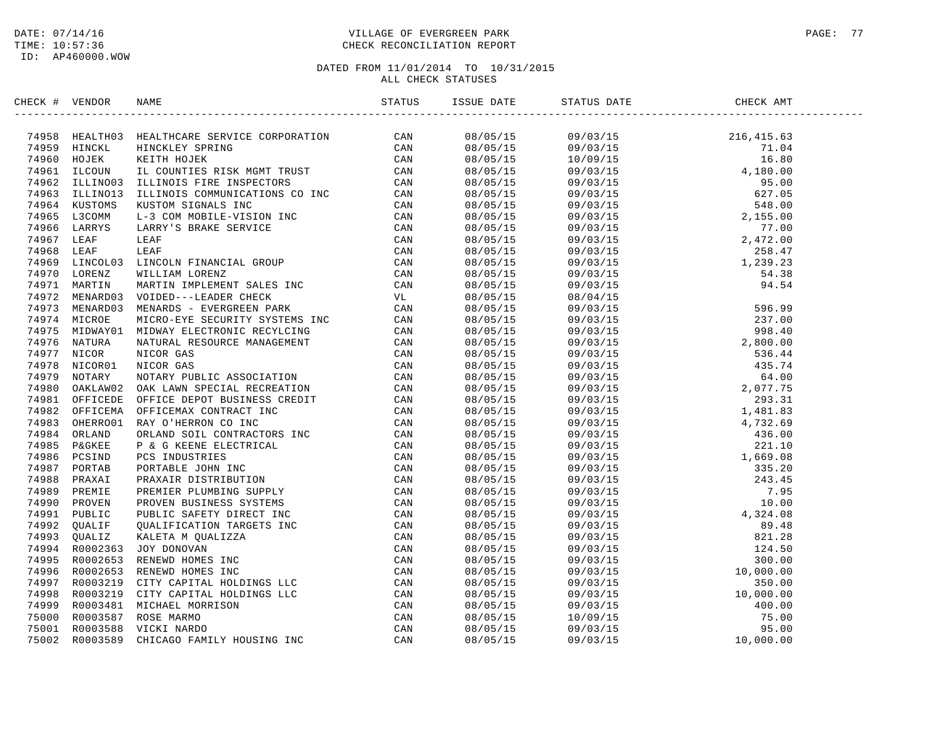## DATE: 07/14/16 PAGE: 77 PAGE: 77 TIME: 10:57:36 CHECK RECONCILIATION REPORT

| CHECK # VENDOR | NAME                                                                                                                                                                                                                          | ISSUE DATE | STATUS DATE | CHECK AMT |
|----------------|-------------------------------------------------------------------------------------------------------------------------------------------------------------------------------------------------------------------------------|------------|-------------|-----------|
|                | NEAR TWEEN TRANSFORM RANGE SERVICE CREDIT TO CAN ASSEMBATED AND A CONTRACTOR CORPORATION CONTRACTOR CONTRACTOR (CAN 1995 HOLD IN THE HOUSE SERVICE ON CAN 1995 HOLD IN THE RANGE THE CAN CONTRACT CONTRACTOR CONTRACTOR CONTR |            |             |           |
|                |                                                                                                                                                                                                                               |            |             |           |
|                |                                                                                                                                                                                                                               |            |             |           |
|                |                                                                                                                                                                                                                               |            |             |           |
|                |                                                                                                                                                                                                                               |            |             |           |
|                |                                                                                                                                                                                                                               |            |             |           |
|                |                                                                                                                                                                                                                               |            |             |           |
|                |                                                                                                                                                                                                                               |            |             |           |
|                |                                                                                                                                                                                                                               |            |             |           |
|                |                                                                                                                                                                                                                               |            |             |           |
|                |                                                                                                                                                                                                                               |            |             |           |
|                |                                                                                                                                                                                                                               |            |             |           |
|                |                                                                                                                                                                                                                               |            |             |           |
|                |                                                                                                                                                                                                                               |            |             |           |
|                |                                                                                                                                                                                                                               |            |             |           |
|                |                                                                                                                                                                                                                               |            |             |           |
|                |                                                                                                                                                                                                                               |            |             |           |
|                |                                                                                                                                                                                                                               |            |             |           |
|                |                                                                                                                                                                                                                               |            |             |           |
|                |                                                                                                                                                                                                                               |            |             |           |
|                |                                                                                                                                                                                                                               |            |             |           |
|                |                                                                                                                                                                                                                               |            |             |           |
|                |                                                                                                                                                                                                                               |            |             |           |
|                |                                                                                                                                                                                                                               |            |             |           |
|                |                                                                                                                                                                                                                               |            |             |           |
|                |                                                                                                                                                                                                                               |            |             |           |
|                |                                                                                                                                                                                                                               |            |             |           |
|                |                                                                                                                                                                                                                               |            |             |           |
|                |                                                                                                                                                                                                                               |            |             |           |
|                |                                                                                                                                                                                                                               |            |             |           |
|                |                                                                                                                                                                                                                               |            |             |           |
|                |                                                                                                                                                                                                                               |            |             |           |
|                |                                                                                                                                                                                                                               |            |             |           |
|                |                                                                                                                                                                                                                               |            |             |           |
|                |                                                                                                                                                                                                                               |            |             |           |
|                |                                                                                                                                                                                                                               |            |             |           |
|                |                                                                                                                                                                                                                               |            |             |           |
|                |                                                                                                                                                                                                                               |            |             |           |
|                |                                                                                                                                                                                                                               |            |             |           |
|                |                                                                                                                                                                                                                               |            |             |           |
|                |                                                                                                                                                                                                                               |            |             |           |
|                |                                                                                                                                                                                                                               |            |             |           |
|                |                                                                                                                                                                                                                               |            |             |           |
|                |                                                                                                                                                                                                                               |            |             |           |
|                |                                                                                                                                                                                                                               |            |             |           |
|                |                                                                                                                                                                                                                               |            |             |           |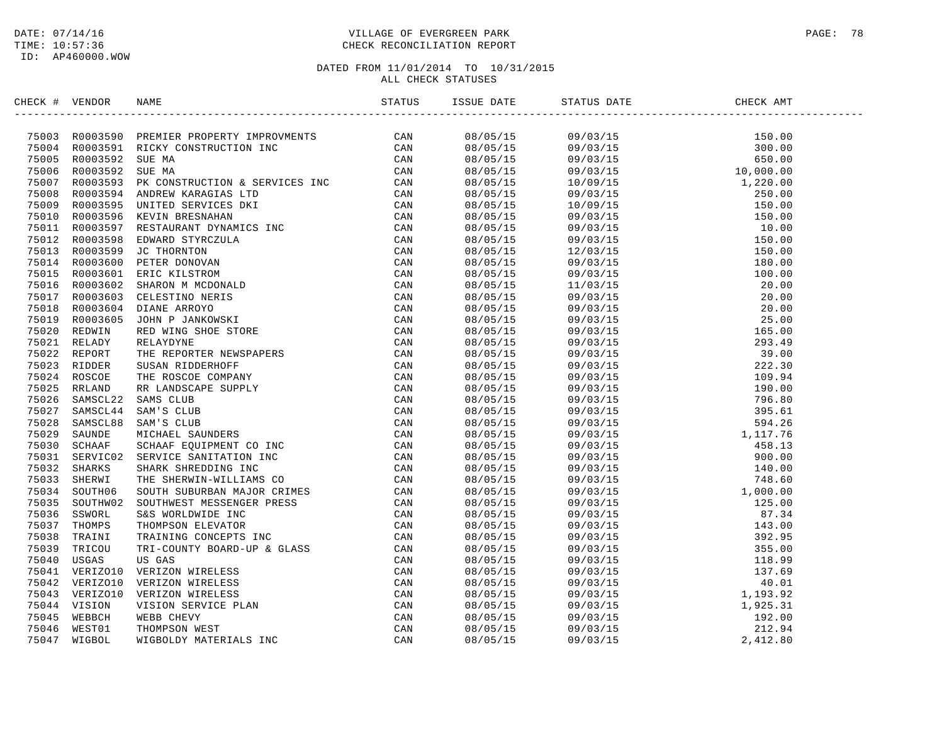## DATE: 07/14/16 PAGE: 78 TIME: 10:57:36 CHECK RECONCILIATION REPORT

| CHECK # VENDOR |                                                                                                                                                                                                                                                                                                                                                                                                                            |  |  |
|----------------|----------------------------------------------------------------------------------------------------------------------------------------------------------------------------------------------------------------------------------------------------------------------------------------------------------------------------------------------------------------------------------------------------------------------------|--|--|
|                | $\begin{tabular}{cccccccc} $\text{trig}(\text{C},\text{F},\text{WBCB})$ & $\text{RBCB}^{\text{G}}$ & $\text{RBCB}^{\text{G}}$ & $\text{RBCB}^{\text{G}}$ & $\text{RBCB}^{\text{G}}$ & $\text{RBCB}^{\text{G}}$ & $\text{RBCB}^{\text{G}}$ & $\text{RBCB}^{\text{G}}$ & $\text{RBCB}^{\text{G}}$ & $\text{RBCB}^{\text{G}}$ & $\text{RBCB}^{\text{G}}$ & $\text{RBCB}^{\text{G}}$ & $\text{RBCB}^{\text{G}}$ & $\text{RBCB$ |  |  |
|                |                                                                                                                                                                                                                                                                                                                                                                                                                            |  |  |
|                |                                                                                                                                                                                                                                                                                                                                                                                                                            |  |  |
|                |                                                                                                                                                                                                                                                                                                                                                                                                                            |  |  |
|                |                                                                                                                                                                                                                                                                                                                                                                                                                            |  |  |
|                |                                                                                                                                                                                                                                                                                                                                                                                                                            |  |  |
|                |                                                                                                                                                                                                                                                                                                                                                                                                                            |  |  |
|                |                                                                                                                                                                                                                                                                                                                                                                                                                            |  |  |
|                |                                                                                                                                                                                                                                                                                                                                                                                                                            |  |  |
|                |                                                                                                                                                                                                                                                                                                                                                                                                                            |  |  |
|                |                                                                                                                                                                                                                                                                                                                                                                                                                            |  |  |
|                |                                                                                                                                                                                                                                                                                                                                                                                                                            |  |  |
|                |                                                                                                                                                                                                                                                                                                                                                                                                                            |  |  |
|                |                                                                                                                                                                                                                                                                                                                                                                                                                            |  |  |
|                |                                                                                                                                                                                                                                                                                                                                                                                                                            |  |  |
|                |                                                                                                                                                                                                                                                                                                                                                                                                                            |  |  |
|                |                                                                                                                                                                                                                                                                                                                                                                                                                            |  |  |
|                |                                                                                                                                                                                                                                                                                                                                                                                                                            |  |  |
|                |                                                                                                                                                                                                                                                                                                                                                                                                                            |  |  |
|                |                                                                                                                                                                                                                                                                                                                                                                                                                            |  |  |
|                |                                                                                                                                                                                                                                                                                                                                                                                                                            |  |  |
|                |                                                                                                                                                                                                                                                                                                                                                                                                                            |  |  |
|                |                                                                                                                                                                                                                                                                                                                                                                                                                            |  |  |
|                |                                                                                                                                                                                                                                                                                                                                                                                                                            |  |  |
|                |                                                                                                                                                                                                                                                                                                                                                                                                                            |  |  |
|                |                                                                                                                                                                                                                                                                                                                                                                                                                            |  |  |
|                |                                                                                                                                                                                                                                                                                                                                                                                                                            |  |  |
|                |                                                                                                                                                                                                                                                                                                                                                                                                                            |  |  |
|                |                                                                                                                                                                                                                                                                                                                                                                                                                            |  |  |
|                |                                                                                                                                                                                                                                                                                                                                                                                                                            |  |  |
|                |                                                                                                                                                                                                                                                                                                                                                                                                                            |  |  |
|                |                                                                                                                                                                                                                                                                                                                                                                                                                            |  |  |
|                |                                                                                                                                                                                                                                                                                                                                                                                                                            |  |  |
|                |                                                                                                                                                                                                                                                                                                                                                                                                                            |  |  |
|                |                                                                                                                                                                                                                                                                                                                                                                                                                            |  |  |
|                |                                                                                                                                                                                                                                                                                                                                                                                                                            |  |  |
|                |                                                                                                                                                                                                                                                                                                                                                                                                                            |  |  |
|                |                                                                                                                                                                                                                                                                                                                                                                                                                            |  |  |
|                |                                                                                                                                                                                                                                                                                                                                                                                                                            |  |  |
|                |                                                                                                                                                                                                                                                                                                                                                                                                                            |  |  |
|                |                                                                                                                                                                                                                                                                                                                                                                                                                            |  |  |
|                |                                                                                                                                                                                                                                                                                                                                                                                                                            |  |  |
|                |                                                                                                                                                                                                                                                                                                                                                                                                                            |  |  |
|                |                                                                                                                                                                                                                                                                                                                                                                                                                            |  |  |
|                |                                                                                                                                                                                                                                                                                                                                                                                                                            |  |  |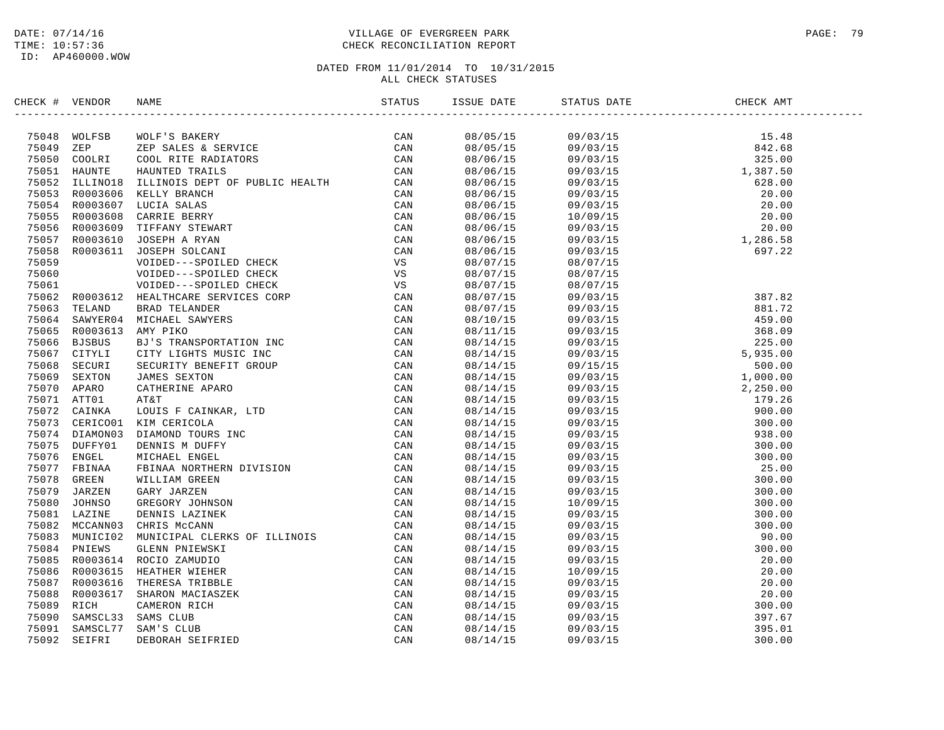## DATE: 07/14/16 PAGE: 79 TIME: 10:57:36 CHECK RECONCILIATION REPORT

| CHECK # VENDOR | NAME                                                                                                                                                                                                                                                                                                                                                                                                                                | ISSUE DATE | STATUS DATE | CHECK AMT |
|----------------|-------------------------------------------------------------------------------------------------------------------------------------------------------------------------------------------------------------------------------------------------------------------------------------------------------------------------------------------------------------------------------------------------------------------------------------|------------|-------------|-----------|
|                | $\begin{tabular}{cccccccc} \textbf{F} & \textbf{0} & \textbf{0} & \textbf{0} & \textbf{0} & \textbf{0} & \textbf{0} & \textbf{0} & \textbf{0} & \textbf{0} & \textbf{0} & \textbf{0} & \textbf{0} & \textbf{0} & \textbf{0} & \textbf{0} & \textbf{0} & \textbf{0} & \textbf{0} & \textbf{0} & \textbf{0} & \textbf{0} & \textbf{0} & \textbf{0} & \textbf{0} & \textbf{0} & \textbf{0} & \textbf{0} & \textbf{0} & \textbf{0} & \$ |            |             |           |
|                |                                                                                                                                                                                                                                                                                                                                                                                                                                     | 08/05/15   |             |           |
|                |                                                                                                                                                                                                                                                                                                                                                                                                                                     | 08/05/15   |             |           |
|                |                                                                                                                                                                                                                                                                                                                                                                                                                                     | 08/06/15   |             |           |
|                |                                                                                                                                                                                                                                                                                                                                                                                                                                     | 08/06/15   |             |           |
|                |                                                                                                                                                                                                                                                                                                                                                                                                                                     | 08/06/15   |             |           |
|                |                                                                                                                                                                                                                                                                                                                                                                                                                                     | 08/06/15   |             |           |
|                |                                                                                                                                                                                                                                                                                                                                                                                                                                     | 08/06/15   |             |           |
|                |                                                                                                                                                                                                                                                                                                                                                                                                                                     | 08/06/15   |             |           |
|                |                                                                                                                                                                                                                                                                                                                                                                                                                                     | 08/06/15   |             |           |
|                |                                                                                                                                                                                                                                                                                                                                                                                                                                     | 08/06/15   |             |           |
|                |                                                                                                                                                                                                                                                                                                                                                                                                                                     | 08/06/15   |             |           |
|                |                                                                                                                                                                                                                                                                                                                                                                                                                                     | 08/07/15   | 08/07/15    |           |
|                |                                                                                                                                                                                                                                                                                                                                                                                                                                     | 08/07/15   | 08/07/15    |           |
|                |                                                                                                                                                                                                                                                                                                                                                                                                                                     | 08/07/15   |             |           |
|                |                                                                                                                                                                                                                                                                                                                                                                                                                                     | 08/07/15   |             |           |
|                |                                                                                                                                                                                                                                                                                                                                                                                                                                     | 08/07/15   |             |           |
|                |                                                                                                                                                                                                                                                                                                                                                                                                                                     | 08/10/15   |             |           |
|                |                                                                                                                                                                                                                                                                                                                                                                                                                                     | 08/11/15   |             |           |
|                |                                                                                                                                                                                                                                                                                                                                                                                                                                     | 08/14/15   |             |           |
|                |                                                                                                                                                                                                                                                                                                                                                                                                                                     | 08/14/15   |             |           |
|                |                                                                                                                                                                                                                                                                                                                                                                                                                                     | 08/14/15   |             |           |
|                |                                                                                                                                                                                                                                                                                                                                                                                                                                     | 08/14/15   |             |           |
|                |                                                                                                                                                                                                                                                                                                                                                                                                                                     | 08/14/15   |             |           |
|                |                                                                                                                                                                                                                                                                                                                                                                                                                                     | 08/14/15   |             |           |
|                |                                                                                                                                                                                                                                                                                                                                                                                                                                     | 08/14/15   |             |           |
|                |                                                                                                                                                                                                                                                                                                                                                                                                                                     | 08/14/15   |             |           |
|                |                                                                                                                                                                                                                                                                                                                                                                                                                                     | 08/14/15   |             |           |
|                |                                                                                                                                                                                                                                                                                                                                                                                                                                     | 08/14/15   |             |           |
|                |                                                                                                                                                                                                                                                                                                                                                                                                                                     | 08/14/15   |             |           |
|                |                                                                                                                                                                                                                                                                                                                                                                                                                                     | 08/14/15   |             |           |
|                |                                                                                                                                                                                                                                                                                                                                                                                                                                     | 08/14/15   |             |           |
|                |                                                                                                                                                                                                                                                                                                                                                                                                                                     | 08/14/15   |             |           |
|                |                                                                                                                                                                                                                                                                                                                                                                                                                                     | 08/14/15   |             |           |
|                |                                                                                                                                                                                                                                                                                                                                                                                                                                     | 08/14/15   |             |           |
|                |                                                                                                                                                                                                                                                                                                                                                                                                                                     | 08/14/15   |             |           |
|                |                                                                                                                                                                                                                                                                                                                                                                                                                                     | 08/14/15   |             |           |
|                |                                                                                                                                                                                                                                                                                                                                                                                                                                     | 08/14/15   |             |           |
|                |                                                                                                                                                                                                                                                                                                                                                                                                                                     | 08/14/15   |             |           |
|                |                                                                                                                                                                                                                                                                                                                                                                                                                                     | 08/14/15   |             |           |
|                |                                                                                                                                                                                                                                                                                                                                                                                                                                     | 08/14/15   |             |           |
|                |                                                                                                                                                                                                                                                                                                                                                                                                                                     | 08/14/15   |             |           |
|                |                                                                                                                                                                                                                                                                                                                                                                                                                                     | 08/14/15   |             |           |
|                |                                                                                                                                                                                                                                                                                                                                                                                                                                     | 08/14/15   |             |           |
|                |                                                                                                                                                                                                                                                                                                                                                                                                                                     | 08/14/15   |             |           |
|                |                                                                                                                                                                                                                                                                                                                                                                                                                                     | 08/14/15   |             |           |
|                |                                                                                                                                                                                                                                                                                                                                                                                                                                     |            |             |           |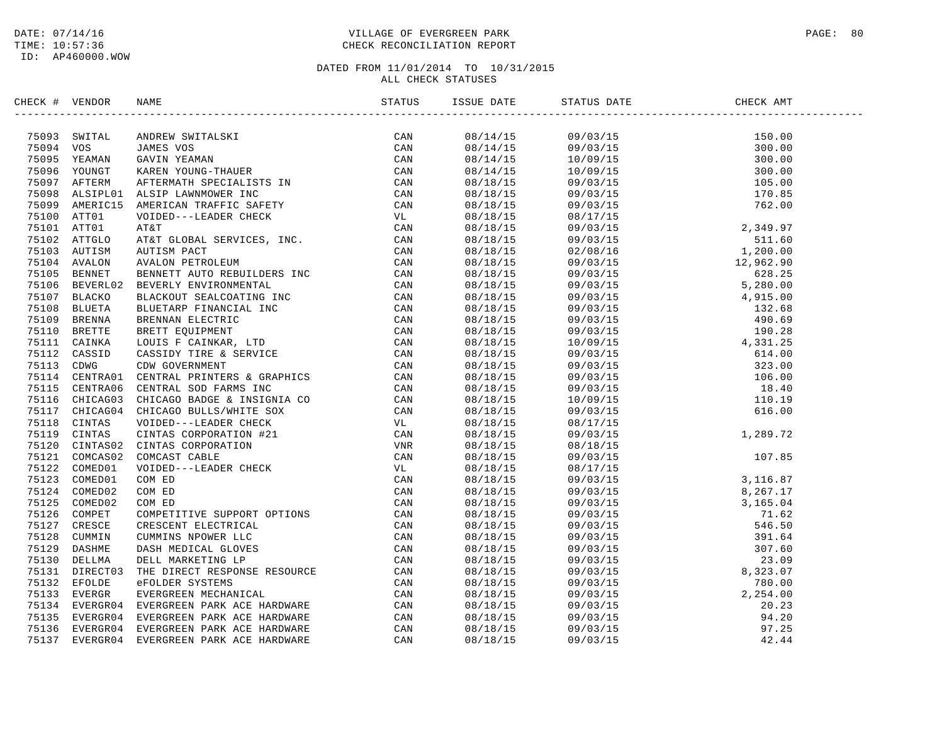## DATE: 07/14/16 PAGE: 80 PAGE: 80 TIME: 10:57:36 CHECK RECONCILIATION REPORT

| CHECK # VENDOR |                                                                                                                                                                                                                               |  |  |  |
|----------------|-------------------------------------------------------------------------------------------------------------------------------------------------------------------------------------------------------------------------------|--|--|--|
|                | SECONT FUERIOR NAME STATISTICS. THE SECOND MANUS STATES CAN ASSEMBLY TO A MANUS CONFIRM CAN CAN CAN USE THE CAN ASSEMBLY THE SECOND MANUS CONFIRM CONFIRM CONFIRM (AND THE CAN ASSEMBLY TO A MANUS CONFIRM TO A MANUS AND A S |  |  |  |
|                |                                                                                                                                                                                                                               |  |  |  |
|                |                                                                                                                                                                                                                               |  |  |  |
|                |                                                                                                                                                                                                                               |  |  |  |
|                |                                                                                                                                                                                                                               |  |  |  |
|                |                                                                                                                                                                                                                               |  |  |  |
|                |                                                                                                                                                                                                                               |  |  |  |
|                |                                                                                                                                                                                                                               |  |  |  |
|                |                                                                                                                                                                                                                               |  |  |  |
|                |                                                                                                                                                                                                                               |  |  |  |
|                |                                                                                                                                                                                                                               |  |  |  |
|                |                                                                                                                                                                                                                               |  |  |  |
|                |                                                                                                                                                                                                                               |  |  |  |
|                |                                                                                                                                                                                                                               |  |  |  |
|                |                                                                                                                                                                                                                               |  |  |  |
|                |                                                                                                                                                                                                                               |  |  |  |
|                |                                                                                                                                                                                                                               |  |  |  |
|                |                                                                                                                                                                                                                               |  |  |  |
|                |                                                                                                                                                                                                                               |  |  |  |
|                |                                                                                                                                                                                                                               |  |  |  |
|                |                                                                                                                                                                                                                               |  |  |  |
|                |                                                                                                                                                                                                                               |  |  |  |
|                |                                                                                                                                                                                                                               |  |  |  |
|                |                                                                                                                                                                                                                               |  |  |  |
|                |                                                                                                                                                                                                                               |  |  |  |
|                |                                                                                                                                                                                                                               |  |  |  |
|                |                                                                                                                                                                                                                               |  |  |  |
|                |                                                                                                                                                                                                                               |  |  |  |
|                |                                                                                                                                                                                                                               |  |  |  |
|                |                                                                                                                                                                                                                               |  |  |  |
|                |                                                                                                                                                                                                                               |  |  |  |
|                |                                                                                                                                                                                                                               |  |  |  |
|                |                                                                                                                                                                                                                               |  |  |  |
|                |                                                                                                                                                                                                                               |  |  |  |
|                |                                                                                                                                                                                                                               |  |  |  |
|                |                                                                                                                                                                                                                               |  |  |  |
|                |                                                                                                                                                                                                                               |  |  |  |
|                |                                                                                                                                                                                                                               |  |  |  |
|                |                                                                                                                                                                                                                               |  |  |  |
|                |                                                                                                                                                                                                                               |  |  |  |
|                |                                                                                                                                                                                                                               |  |  |  |
|                |                                                                                                                                                                                                                               |  |  |  |
|                |                                                                                                                                                                                                                               |  |  |  |
|                |                                                                                                                                                                                                                               |  |  |  |
|                |                                                                                                                                                                                                                               |  |  |  |
|                |                                                                                                                                                                                                                               |  |  |  |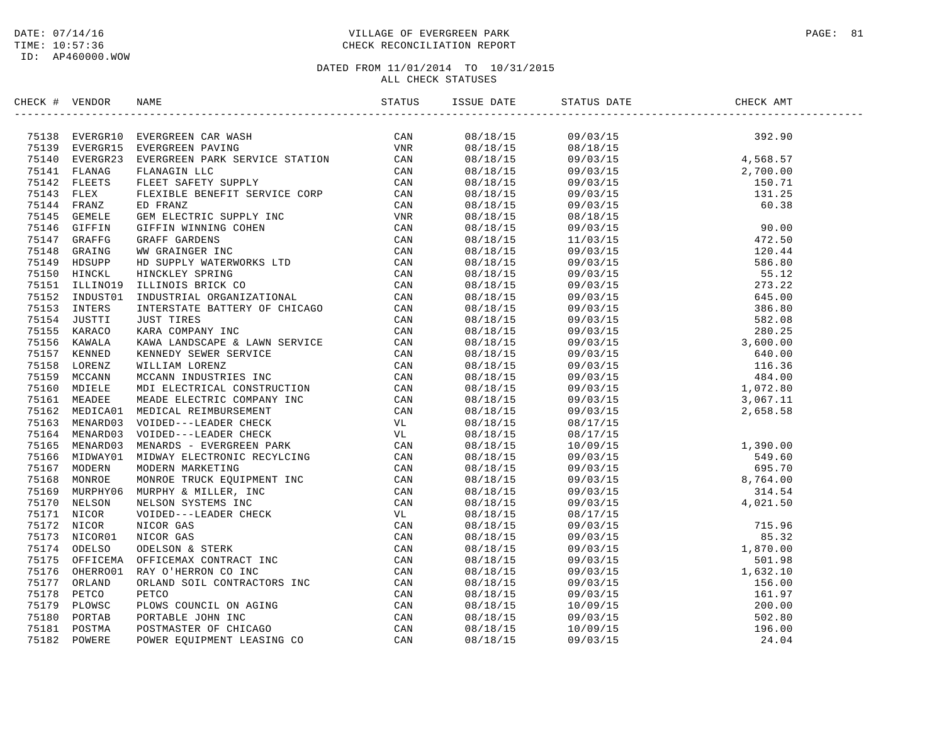## DATE: 07/14/16 PAGE: 81 TIME: 10:57:36 CHECK RECONCILIATION REPORT

| CHECK # VENDOR |                                                                                                                                                                                                                               |          |                                                                                                                                                                                                                                                                                        |  |
|----------------|-------------------------------------------------------------------------------------------------------------------------------------------------------------------------------------------------------------------------------|----------|----------------------------------------------------------------------------------------------------------------------------------------------------------------------------------------------------------------------------------------------------------------------------------------|--|
|                | THE VERIFIES ENERGY CAR WAS TRINING THE CAN THE STATE OF A 1913 EVERY SERIES AND THE STATE ON THE STATE OF A 1914 THE STATE OF A 1914 THE STATE STATE OF A 1914 THE STATE OF A 1914 THE STATE OF A 1914 THE STATE OF A 1914 T |          |                                                                                                                                                                                                                                                                                        |  |
|                |                                                                                                                                                                                                                               |          |                                                                                                                                                                                                                                                                                        |  |
|                |                                                                                                                                                                                                                               |          |                                                                                                                                                                                                                                                                                        |  |
|                |                                                                                                                                                                                                                               |          |                                                                                                                                                                                                                                                                                        |  |
|                |                                                                                                                                                                                                                               |          |                                                                                                                                                                                                                                                                                        |  |
|                |                                                                                                                                                                                                                               |          |                                                                                                                                                                                                                                                                                        |  |
|                |                                                                                                                                                                                                                               |          |                                                                                                                                                                                                                                                                                        |  |
|                |                                                                                                                                                                                                                               |          |                                                                                                                                                                                                                                                                                        |  |
|                |                                                                                                                                                                                                                               |          |                                                                                                                                                                                                                                                                                        |  |
|                |                                                                                                                                                                                                                               |          |                                                                                                                                                                                                                                                                                        |  |
|                |                                                                                                                                                                                                                               |          |                                                                                                                                                                                                                                                                                        |  |
|                |                                                                                                                                                                                                                               |          |                                                                                                                                                                                                                                                                                        |  |
|                |                                                                                                                                                                                                                               |          |                                                                                                                                                                                                                                                                                        |  |
|                |                                                                                                                                                                                                                               |          |                                                                                                                                                                                                                                                                                        |  |
|                |                                                                                                                                                                                                                               |          |                                                                                                                                                                                                                                                                                        |  |
|                |                                                                                                                                                                                                                               |          |                                                                                                                                                                                                                                                                                        |  |
|                |                                                                                                                                                                                                                               |          |                                                                                                                                                                                                                                                                                        |  |
|                |                                                                                                                                                                                                                               |          |                                                                                                                                                                                                                                                                                        |  |
|                |                                                                                                                                                                                                                               |          |                                                                                                                                                                                                                                                                                        |  |
|                |                                                                                                                                                                                                                               |          |                                                                                                                                                                                                                                                                                        |  |
|                |                                                                                                                                                                                                                               |          |                                                                                                                                                                                                                                                                                        |  |
|                |                                                                                                                                                                                                                               |          |                                                                                                                                                                                                                                                                                        |  |
|                |                                                                                                                                                                                                                               |          |                                                                                                                                                                                                                                                                                        |  |
|                |                                                                                                                                                                                                                               |          |                                                                                                                                                                                                                                                                                        |  |
|                |                                                                                                                                                                                                                               |          |                                                                                                                                                                                                                                                                                        |  |
|                |                                                                                                                                                                                                                               |          |                                                                                                                                                                                                                                                                                        |  |
|                |                                                                                                                                                                                                                               |          |                                                                                                                                                                                                                                                                                        |  |
|                |                                                                                                                                                                                                                               |          |                                                                                                                                                                                                                                                                                        |  |
|                |                                                                                                                                                                                                                               |          |                                                                                                                                                                                                                                                                                        |  |
|                |                                                                                                                                                                                                                               |          |                                                                                                                                                                                                                                                                                        |  |
|                |                                                                                                                                                                                                                               |          |                                                                                                                                                                                                                                                                                        |  |
|                |                                                                                                                                                                                                                               |          |                                                                                                                                                                                                                                                                                        |  |
|                |                                                                                                                                                                                                                               |          |                                                                                                                                                                                                                                                                                        |  |
|                |                                                                                                                                                                                                                               |          |                                                                                                                                                                                                                                                                                        |  |
|                |                                                                                                                                                                                                                               | 08/18/15 |                                                                                                                                                                                                                                                                                        |  |
|                |                                                                                                                                                                                                                               | 08/18/15 |                                                                                                                                                                                                                                                                                        |  |
|                |                                                                                                                                                                                                                               | 08/18/15 |                                                                                                                                                                                                                                                                                        |  |
|                |                                                                                                                                                                                                                               | 08/18/15 |                                                                                                                                                                                                                                                                                        |  |
|                |                                                                                                                                                                                                                               | 08/18/15 |                                                                                                                                                                                                                                                                                        |  |
|                |                                                                                                                                                                                                                               | 08/18/15 |                                                                                                                                                                                                                                                                                        |  |
|                |                                                                                                                                                                                                                               | 08/18/15 |                                                                                                                                                                                                                                                                                        |  |
|                |                                                                                                                                                                                                                               | 08/18/15 |                                                                                                                                                                                                                                                                                        |  |
|                |                                                                                                                                                                                                                               | 08/18/15 | $\begin{array}{cccc} 09/03/15 & 4\,,021\,.50 \\ 08/17/15 & 715\,.96 \\ 09/03/15 & 715\,.96 \\ 09/03/15 & 1\,,870\,.00 \\ 09/03/15 & 1\,,632\,.10 \\ 09/03/15 & 161\,.97 \\ 09/03/15 & 161\,.97 \\ 10/09/15 & 200\,.00 \\ 09/03/15 & 502\,.80 \\ 10/09/03/15 & 196\,.00 \\ 09/03/15 & $ |  |
|                |                                                                                                                                                                                                                               | 08/18/15 |                                                                                                                                                                                                                                                                                        |  |
|                |                                                                                                                                                                                                                               | 08/18/15 |                                                                                                                                                                                                                                                                                        |  |
|                |                                                                                                                                                                                                                               | 08/18/15 |                                                                                                                                                                                                                                                                                        |  |
|                |                                                                                                                                                                                                                               |          |                                                                                                                                                                                                                                                                                        |  |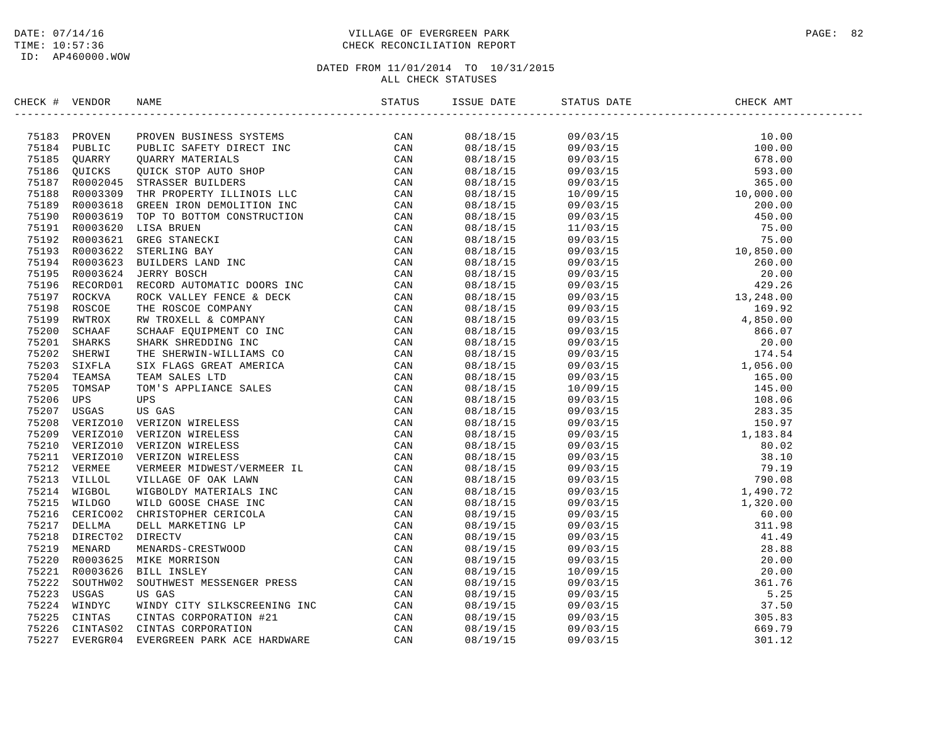## DATE: 07/14/16 PAGE: 82 TIME: 10:57:36 CHECK RECONCILIATION REPORT

| CHECK # VENDOR |                | NAME                                                                                                                                                                                                                                   | ISSUE DATE           | STATUS DATE                                                                                                                                                                                                                                                                       | CHECK AMT |  |
|----------------|----------------|----------------------------------------------------------------------------------------------------------------------------------------------------------------------------------------------------------------------------------------|----------------------|-----------------------------------------------------------------------------------------------------------------------------------------------------------------------------------------------------------------------------------------------------------------------------------|-----------|--|
|                | 75183 PROVEN   | NAME MORE TRIPLINES SOURCES<br>THE SCRIP DESCRIPED TRIP (CAN MARKET INC. THE SCRIP DESCRIPED TRIPS)<br>THE SCRIP DESCRIPED TRIPS ON THE SCRIP CAN STRASSES BUILDERS<br>THE SPONSITY ILLINES I.E. CAN STRASSES BUILDERS<br>THE SPONSITY | 08/18/15             | $\begin{tabular}{cccccccc} 1 & 0.00 & 0.00 & 0.00 & 0.00 & 0.00 & 0.00 & 0.00 & 0.00 & 0.00 & 0.00 & 0.00 & 0.00 & 0.00 & 0.00 & 0.00 & 0.00 & 0.00 & 0.00 & 0.00 & 0.00 & 0.00 & 0.00 & 0.00 & 0.00 & 0.00 & 0.00 & 0.00 & 0.00 & 0.00 & 0.00 & 0.00 & 0.00 & 0.00 & 0.00 & 0.0$ |           |  |
|                | 75184 PUBLIC   |                                                                                                                                                                                                                                        | 08/18/15             |                                                                                                                                                                                                                                                                                   |           |  |
|                | 75185 QUARRY   |                                                                                                                                                                                                                                        | 08/18/15             |                                                                                                                                                                                                                                                                                   |           |  |
|                | 75186 QUICKS   |                                                                                                                                                                                                                                        | 08/18/15             |                                                                                                                                                                                                                                                                                   |           |  |
|                | 75187 R0002045 |                                                                                                                                                                                                                                        | 08/18/15             |                                                                                                                                                                                                                                                                                   |           |  |
|                | 75188 R0003309 |                                                                                                                                                                                                                                        | 08/18/15             |                                                                                                                                                                                                                                                                                   |           |  |
|                | 75189 R0003618 |                                                                                                                                                                                                                                        | 08/18/15             |                                                                                                                                                                                                                                                                                   |           |  |
|                | 75190 R0003619 |                                                                                                                                                                                                                                        | 08/18/15             |                                                                                                                                                                                                                                                                                   |           |  |
|                | 75191 R0003620 |                                                                                                                                                                                                                                        | 08/18/15             |                                                                                                                                                                                                                                                                                   |           |  |
|                | 75192 R0003621 |                                                                                                                                                                                                                                        | 08/18/15             |                                                                                                                                                                                                                                                                                   |           |  |
|                | 75193 R0003622 |                                                                                                                                                                                                                                        | 08/18/15             |                                                                                                                                                                                                                                                                                   |           |  |
|                | 75194 R0003623 |                                                                                                                                                                                                                                        | 08/18/15             |                                                                                                                                                                                                                                                                                   |           |  |
|                | 75195 R0003624 |                                                                                                                                                                                                                                        | 08/18/15             |                                                                                                                                                                                                                                                                                   |           |  |
|                | 75196 RECORD01 |                                                                                                                                                                                                                                        | 08/18/15             |                                                                                                                                                                                                                                                                                   |           |  |
|                | 75197 ROCKVA   |                                                                                                                                                                                                                                        | 08/18/15             |                                                                                                                                                                                                                                                                                   |           |  |
|                | 75198 ROSCOE   |                                                                                                                                                                                                                                        | 08/18/15             |                                                                                                                                                                                                                                                                                   |           |  |
|                | 75199 RWTROX   |                                                                                                                                                                                                                                        | 08/18/15             |                                                                                                                                                                                                                                                                                   |           |  |
| 75200          | SCHAAF         |                                                                                                                                                                                                                                        | 08/18/15             |                                                                                                                                                                                                                                                                                   |           |  |
|                | 75201 SHARKS   |                                                                                                                                                                                                                                        | 08/18/15             |                                                                                                                                                                                                                                                                                   |           |  |
|                | 75202 SHERWI   |                                                                                                                                                                                                                                        | 08/18/15             |                                                                                                                                                                                                                                                                                   |           |  |
|                | 75203 SIXFLA   |                                                                                                                                                                                                                                        | 08/18/15             |                                                                                                                                                                                                                                                                                   |           |  |
| 75204          | TEAMSA         |                                                                                                                                                                                                                                        |                      |                                                                                                                                                                                                                                                                                   |           |  |
| 75205          | TOMSAP         |                                                                                                                                                                                                                                        | 08/18/15<br>08/18/15 |                                                                                                                                                                                                                                                                                   |           |  |
| 75206          | UPS            |                                                                                                                                                                                                                                        |                      |                                                                                                                                                                                                                                                                                   |           |  |
|                |                |                                                                                                                                                                                                                                        | 08/18/15             |                                                                                                                                                                                                                                                                                   |           |  |
| 75207<br>75208 | USGAS          |                                                                                                                                                                                                                                        | 08/18/15             |                                                                                                                                                                                                                                                                                   |           |  |
|                | VERIZO10       |                                                                                                                                                                                                                                        | 08/18/15             |                                                                                                                                                                                                                                                                                   |           |  |
|                | 75209 VERIZO10 |                                                                                                                                                                                                                                        | 08/18/15             |                                                                                                                                                                                                                                                                                   |           |  |
|                | 75210 VERIZO10 |                                                                                                                                                                                                                                        | 08/18/15             |                                                                                                                                                                                                                                                                                   |           |  |
|                | 75211 VERIZO10 |                                                                                                                                                                                                                                        | 08/18/15             |                                                                                                                                                                                                                                                                                   |           |  |
|                | 75212 VERMEE   |                                                                                                                                                                                                                                        | 08/18/15             |                                                                                                                                                                                                                                                                                   |           |  |
|                | 75213 VILLOL   |                                                                                                                                                                                                                                        | 08/18/15             |                                                                                                                                                                                                                                                                                   |           |  |
|                | 75214 WIGBOL   |                                                                                                                                                                                                                                        | 08/18/15             |                                                                                                                                                                                                                                                                                   |           |  |
|                | 75215 WILDGO   |                                                                                                                                                                                                                                        | 08/18/15             |                                                                                                                                                                                                                                                                                   |           |  |
|                | 75216 CERICO02 |                                                                                                                                                                                                                                        | 08/19/15             |                                                                                                                                                                                                                                                                                   |           |  |
|                | 75217 DELLMA   |                                                                                                                                                                                                                                        | 08/19/15             |                                                                                                                                                                                                                                                                                   |           |  |
| 75218          | DIRECT02       |                                                                                                                                                                                                                                        | 08/19/15             |                                                                                                                                                                                                                                                                                   |           |  |
|                | 75219 MENARD   |                                                                                                                                                                                                                                        | 08/19/15             |                                                                                                                                                                                                                                                                                   |           |  |
| 75220          | R0003625       |                                                                                                                                                                                                                                        | 08/19/15             |                                                                                                                                                                                                                                                                                   |           |  |
|                | 75221 R0003626 |                                                                                                                                                                                                                                        | 08/19/15             |                                                                                                                                                                                                                                                                                   |           |  |
| 75222          | SOUTHW02       |                                                                                                                                                                                                                                        | 08/19/15             |                                                                                                                                                                                                                                                                                   |           |  |
|                | 75223 USGAS    |                                                                                                                                                                                                                                        | 08/19/15             |                                                                                                                                                                                                                                                                                   |           |  |
| 75224          | WINDYC         |                                                                                                                                                                                                                                        | 08/19/15             |                                                                                                                                                                                                                                                                                   |           |  |
| 75225          | CINTAS         |                                                                                                                                                                                                                                        | 08/19/15             |                                                                                                                                                                                                                                                                                   |           |  |
| 75226          | CINTAS02       |                                                                                                                                                                                                                                        | 08/19/15             |                                                                                                                                                                                                                                                                                   |           |  |
| 75227          | EVERGR04       |                                                                                                                                                                                                                                        | 08/19/15             |                                                                                                                                                                                                                                                                                   |           |  |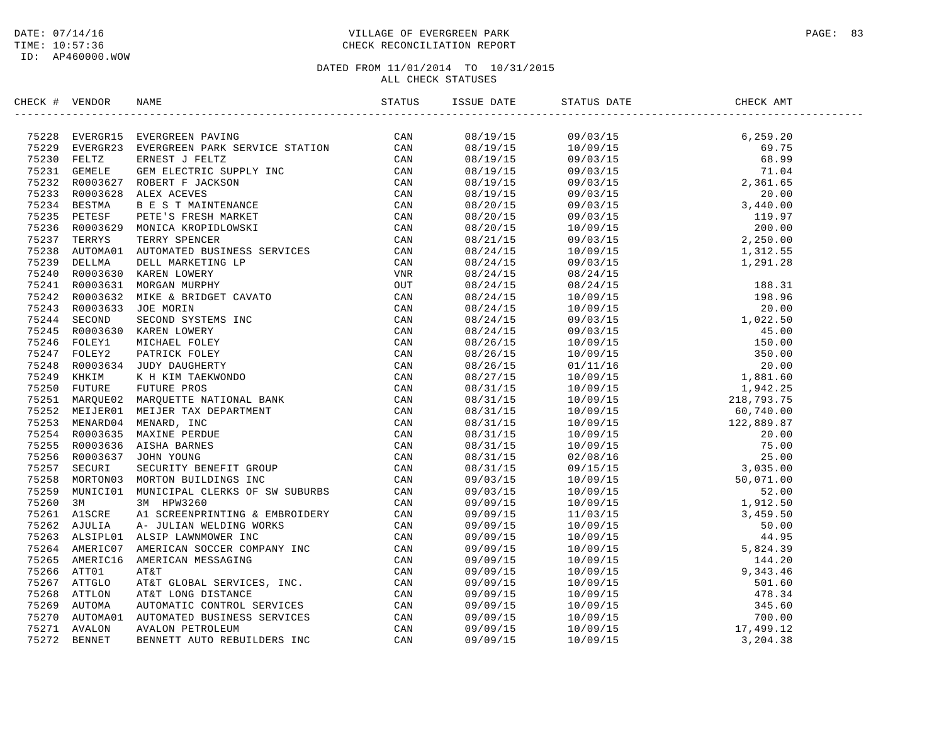## DATE: 07/14/16 PAGE: 83 TIME: 10:57:36 CHECK RECONCILIATION REPORT

| CHECK # VENDOR |  |  | STATUS DATE | CHECK AMT |  |
|----------------|--|--|-------------|-----------|--|
|                |  |  |             |           |  |
|                |  |  |             |           |  |
|                |  |  |             |           |  |
|                |  |  |             |           |  |
|                |  |  |             |           |  |
|                |  |  |             |           |  |
|                |  |  |             |           |  |
|                |  |  |             |           |  |
|                |  |  |             |           |  |
|                |  |  |             |           |  |
|                |  |  |             |           |  |
|                |  |  |             |           |  |
|                |  |  |             |           |  |
|                |  |  |             |           |  |
|                |  |  |             |           |  |
|                |  |  |             |           |  |
|                |  |  |             |           |  |
|                |  |  |             |           |  |
|                |  |  |             |           |  |
|                |  |  |             |           |  |
|                |  |  |             |           |  |
|                |  |  |             |           |  |
|                |  |  |             |           |  |
|                |  |  |             |           |  |
|                |  |  |             |           |  |
|                |  |  |             |           |  |
|                |  |  |             |           |  |
|                |  |  |             |           |  |
|                |  |  |             |           |  |
|                |  |  |             |           |  |
|                |  |  |             |           |  |
|                |  |  |             |           |  |
|                |  |  |             |           |  |
|                |  |  |             |           |  |
|                |  |  |             |           |  |
|                |  |  |             |           |  |
|                |  |  |             |           |  |
|                |  |  |             |           |  |
|                |  |  |             |           |  |
|                |  |  |             |           |  |
|                |  |  |             |           |  |
|                |  |  |             |           |  |
|                |  |  |             |           |  |
|                |  |  |             |           |  |
|                |  |  |             |           |  |
|                |  |  |             |           |  |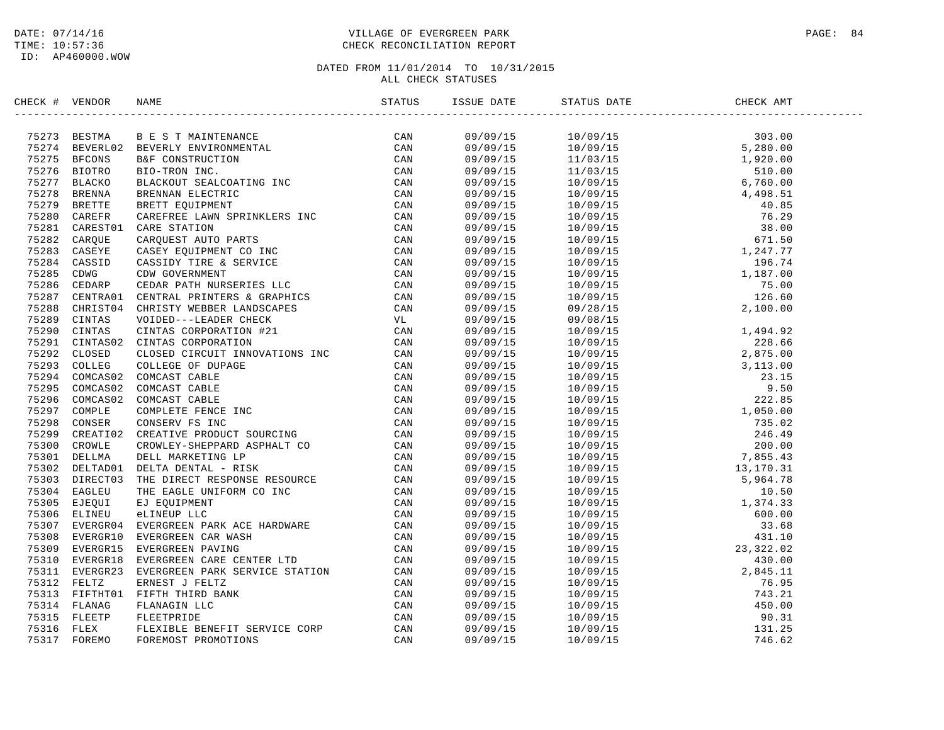## DATE: 07/14/16 PAGE: 84 TIME: 10:57:36 CHECK RECONCILIATION REPORT

| CHECK # VENDOR | NDOR NAME STATUS ISSU                                                                                                                                                                                                         |  | ISSUE DATE STATUS DATE | CHECK AMT |  |
|----------------|-------------------------------------------------------------------------------------------------------------------------------------------------------------------------------------------------------------------------------|--|------------------------|-----------|--|
|                | SECONT FUERIOR NAME STATES (SAMPLER) IS A SUBARUM CAN ARREST THE CAN ASSESS BECOND BACK AND MANUSCONDUCTION (CAN ASSESS BE CONSULTED THE CAN ASSESS IN THE CAN ASSESS IN THE CAN ASSESS IN THE CAN ASSESS IN THE CAN ASSESS I |  |                        |           |  |
|                |                                                                                                                                                                                                                               |  |                        |           |  |
|                |                                                                                                                                                                                                                               |  |                        |           |  |
|                |                                                                                                                                                                                                                               |  |                        |           |  |
|                |                                                                                                                                                                                                                               |  |                        |           |  |
|                |                                                                                                                                                                                                                               |  |                        |           |  |
|                |                                                                                                                                                                                                                               |  |                        |           |  |
|                |                                                                                                                                                                                                                               |  |                        |           |  |
|                |                                                                                                                                                                                                                               |  |                        |           |  |
|                |                                                                                                                                                                                                                               |  |                        |           |  |
|                |                                                                                                                                                                                                                               |  |                        |           |  |
|                |                                                                                                                                                                                                                               |  |                        |           |  |
|                |                                                                                                                                                                                                                               |  |                        |           |  |
|                |                                                                                                                                                                                                                               |  |                        |           |  |
|                |                                                                                                                                                                                                                               |  |                        |           |  |
|                |                                                                                                                                                                                                                               |  |                        |           |  |
|                |                                                                                                                                                                                                                               |  |                        |           |  |
|                |                                                                                                                                                                                                                               |  |                        |           |  |
|                |                                                                                                                                                                                                                               |  |                        |           |  |
|                |                                                                                                                                                                                                                               |  |                        |           |  |
|                |                                                                                                                                                                                                                               |  |                        |           |  |
|                |                                                                                                                                                                                                                               |  |                        |           |  |
|                |                                                                                                                                                                                                                               |  |                        |           |  |
|                |                                                                                                                                                                                                                               |  |                        |           |  |
|                |                                                                                                                                                                                                                               |  |                        |           |  |
|                |                                                                                                                                                                                                                               |  |                        |           |  |
|                |                                                                                                                                                                                                                               |  |                        |           |  |
|                |                                                                                                                                                                                                                               |  |                        |           |  |
|                |                                                                                                                                                                                                                               |  |                        |           |  |
|                |                                                                                                                                                                                                                               |  |                        |           |  |
|                |                                                                                                                                                                                                                               |  |                        |           |  |
|                |                                                                                                                                                                                                                               |  |                        |           |  |
|                |                                                                                                                                                                                                                               |  |                        |           |  |
|                |                                                                                                                                                                                                                               |  |                        |           |  |
|                |                                                                                                                                                                                                                               |  |                        |           |  |
|                |                                                                                                                                                                                                                               |  |                        |           |  |
|                |                                                                                                                                                                                                                               |  |                        |           |  |
|                |                                                                                                                                                                                                                               |  |                        |           |  |
|                |                                                                                                                                                                                                                               |  |                        |           |  |
|                |                                                                                                                                                                                                                               |  |                        |           |  |
|                |                                                                                                                                                                                                                               |  |                        |           |  |
|                |                                                                                                                                                                                                                               |  |                        |           |  |
|                |                                                                                                                                                                                                                               |  |                        |           |  |
|                |                                                                                                                                                                                                                               |  |                        |           |  |
|                |                                                                                                                                                                                                                               |  |                        |           |  |
|                |                                                                                                                                                                                                                               |  |                        |           |  |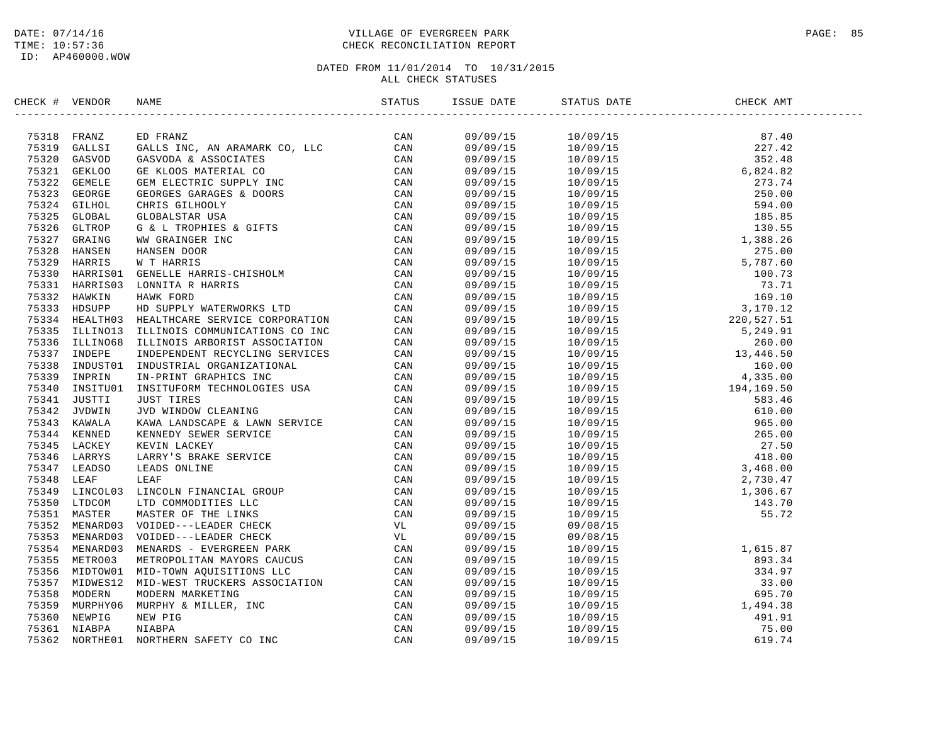ID: AP460000.WOW

## DATE: 07/14/16 PAGE: 85 TIME: 10:57:36 CHECK RECONCILIATION REPORT

| CHECK # VENDOR | NAME |  | STATUS DATE | CHECK AMT |  |
|----------------|------|--|-------------|-----------|--|
|                |      |  |             |           |  |
|                |      |  |             |           |  |
|                |      |  |             |           |  |
|                |      |  |             |           |  |
|                |      |  |             |           |  |
|                |      |  |             |           |  |
|                |      |  |             |           |  |
|                |      |  |             |           |  |
|                |      |  |             |           |  |
|                |      |  |             |           |  |
|                |      |  |             |           |  |
|                |      |  |             |           |  |
|                |      |  |             |           |  |
|                |      |  |             |           |  |
|                |      |  |             |           |  |
|                |      |  |             |           |  |
|                |      |  |             |           |  |
|                |      |  |             |           |  |
|                |      |  |             |           |  |
|                |      |  |             |           |  |
|                |      |  |             |           |  |
|                |      |  |             |           |  |
|                |      |  |             |           |  |
|                |      |  |             |           |  |
|                |      |  |             |           |  |
|                |      |  |             |           |  |
|                |      |  |             |           |  |
|                |      |  |             |           |  |
|                |      |  |             |           |  |
|                |      |  |             |           |  |
|                |      |  |             |           |  |
|                |      |  |             |           |  |
|                |      |  |             |           |  |
|                |      |  |             |           |  |
|                |      |  |             |           |  |
|                |      |  |             |           |  |
|                |      |  |             |           |  |
|                |      |  |             |           |  |
|                |      |  |             |           |  |
|                |      |  |             |           |  |
|                |      |  |             |           |  |
|                |      |  |             |           |  |
|                |      |  |             |           |  |
|                |      |  |             |           |  |
|                |      |  |             |           |  |
|                |      |  |             |           |  |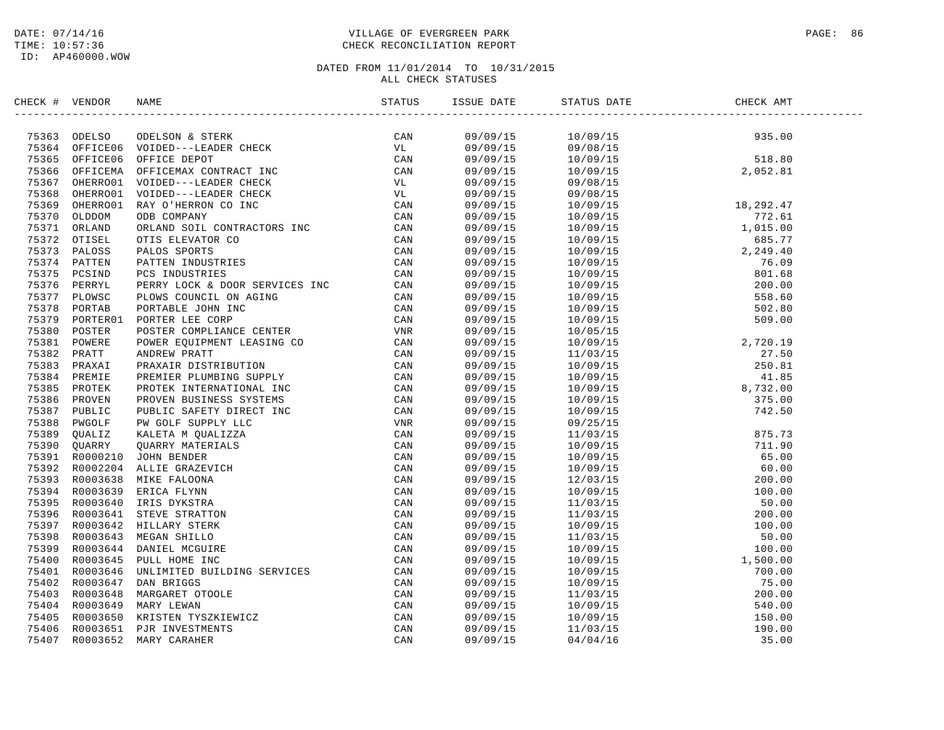## DATE: 07/14/16 PAGE: 86 PAGE: 86 PAGE: 86 PAGE: 86 PAGE: 86 PAGE: 86 PAGE: 86 PAGE: 86 TIME: 10:57:36 CHECK RECONCILIATION REPORT

| CHECK # VENDOR | NAME                                                                                                                                                                                                                                    |     | ISSUE DATE | STATUS DATE                                                                                                          | CHECK AMT |  |
|----------------|-----------------------------------------------------------------------------------------------------------------------------------------------------------------------------------------------------------------------------------------|-----|------------|----------------------------------------------------------------------------------------------------------------------|-----------|--|
|                | ERECK # VENDOR<br>TRESS ODELSO COELEAN & STERE<br>TRESS OPERATION COERE FIGURE CAN ANDER CORRESO COERE (2001)<br>201566 OPERATION VOIDED---LEADER GIRECK CAN<br>75166 OPERATION VOIDED---LEADER GIRECK VL<br>75166 OPERATION VOIDED---L | CAN | 09/09/15   |                                                                                                                      |           |  |
|                |                                                                                                                                                                                                                                         |     | 09/09/15   | $\begin{array}{cccc} 10/09/15 & 935.00 \\ 09/08/15 & 518.80 \\ 10/09/15 & 518.80 \\ 10/09/15 & 2,052.81 \end{array}$ |           |  |
|                |                                                                                                                                                                                                                                         |     | 09/09/15   |                                                                                                                      |           |  |
|                |                                                                                                                                                                                                                                         |     | 09/09/15   |                                                                                                                      |           |  |
|                |                                                                                                                                                                                                                                         |     | 09/09/15   | 09/08/15                                                                                                             |           |  |
|                |                                                                                                                                                                                                                                         |     |            |                                                                                                                      |           |  |
|                |                                                                                                                                                                                                                                         |     | 09/09/15   | 09/08/15                                                                                                             |           |  |
|                |                                                                                                                                                                                                                                         |     | 09/09/15   |                                                                                                                      |           |  |
|                |                                                                                                                                                                                                                                         |     | 09/09/15   |                                                                                                                      |           |  |
|                |                                                                                                                                                                                                                                         |     | 09/09/15   |                                                                                                                      |           |  |
|                |                                                                                                                                                                                                                                         |     | 09/09/15   |                                                                                                                      |           |  |
|                |                                                                                                                                                                                                                                         |     | 09/09/15   |                                                                                                                      |           |  |
|                |                                                                                                                                                                                                                                         |     | 09/09/15   |                                                                                                                      |           |  |
|                |                                                                                                                                                                                                                                         |     | 09/09/15   |                                                                                                                      |           |  |
|                |                                                                                                                                                                                                                                         |     | 09/09/15   |                                                                                                                      |           |  |
|                |                                                                                                                                                                                                                                         |     | 09/09/15   |                                                                                                                      |           |  |
|                |                                                                                                                                                                                                                                         |     | 09/09/15   |                                                                                                                      |           |  |
|                |                                                                                                                                                                                                                                         |     | 09/09/15   |                                                                                                                      |           |  |
|                |                                                                                                                                                                                                                                         |     | 09/09/15   |                                                                                                                      |           |  |
|                |                                                                                                                                                                                                                                         |     | 09/09/15   |                                                                                                                      |           |  |
|                |                                                                                                                                                                                                                                         |     | 09/09/15   |                                                                                                                      |           |  |
|                |                                                                                                                                                                                                                                         |     | 09/09/15   |                                                                                                                      |           |  |
|                |                                                                                                                                                                                                                                         |     | 09/09/15   |                                                                                                                      |           |  |
|                |                                                                                                                                                                                                                                         |     | 09/09/15   |                                                                                                                      |           |  |
|                |                                                                                                                                                                                                                                         |     | 09/09/15   |                                                                                                                      |           |  |
|                |                                                                                                                                                                                                                                         |     | 09/09/15   |                                                                                                                      |           |  |
|                |                                                                                                                                                                                                                                         |     | 09/09/15   |                                                                                                                      |           |  |
|                |                                                                                                                                                                                                                                         |     | 09/09/15   |                                                                                                                      |           |  |
|                |                                                                                                                                                                                                                                         |     | 09/09/15   |                                                                                                                      |           |  |
|                |                                                                                                                                                                                                                                         |     | 09/09/15   |                                                                                                                      |           |  |
|                |                                                                                                                                                                                                                                         |     | 09/09/15   |                                                                                                                      |           |  |
|                |                                                                                                                                                                                                                                         |     | 09/09/15   |                                                                                                                      |           |  |
|                |                                                                                                                                                                                                                                         |     | 09/09/15   |                                                                                                                      |           |  |
|                |                                                                                                                                                                                                                                         |     | 09/09/15   |                                                                                                                      |           |  |
|                |                                                                                                                                                                                                                                         |     | 09/09/15   |                                                                                                                      |           |  |
|                |                                                                                                                                                                                                                                         |     | 09/09/15   |                                                                                                                      |           |  |
|                |                                                                                                                                                                                                                                         |     | 09/09/15   |                                                                                                                      |           |  |
|                |                                                                                                                                                                                                                                         |     | 09/09/15   |                                                                                                                      |           |  |
|                |                                                                                                                                                                                                                                         |     | 09/09/15   |                                                                                                                      |           |  |
|                |                                                                                                                                                                                                                                         |     | 09/09/15   |                                                                                                                      |           |  |
|                |                                                                                                                                                                                                                                         |     | 09/09/15   |                                                                                                                      |           |  |
|                |                                                                                                                                                                                                                                         |     | 09/09/15   |                                                                                                                      |           |  |
|                |                                                                                                                                                                                                                                         |     | 09/09/15   |                                                                                                                      |           |  |
|                |                                                                                                                                                                                                                                         |     | 09/09/15   |                                                                                                                      |           |  |
|                |                                                                                                                                                                                                                                         |     | 09/09/15   |                                                                                                                      |           |  |
|                |                                                                                                                                                                                                                                         |     | 09/09/15   |                                                                                                                      |           |  |
|                |                                                                                                                                                                                                                                         |     |            |                                                                                                                      |           |  |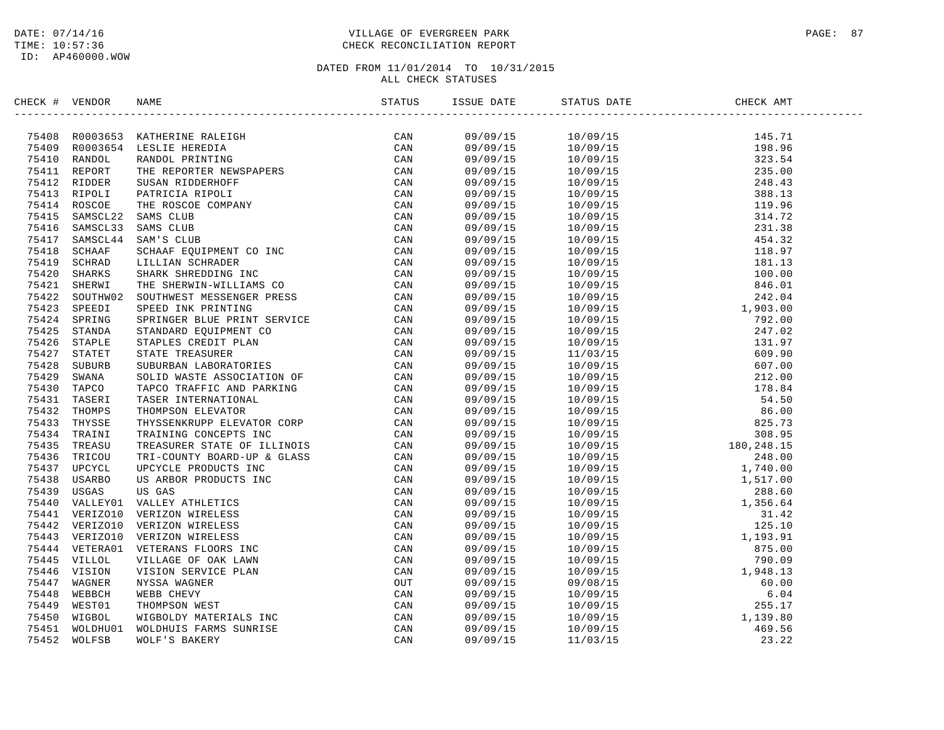## DATE: 07/14/16 PAGE: 87 PAGE: 87 TIME: 10:57:36 CHECK RECONCILIATION REPORT

| CHECK # VENDOR |                                                                                                                                                                                                                                         |  |       |
|----------------|-----------------------------------------------------------------------------------------------------------------------------------------------------------------------------------------------------------------------------------------|--|-------|
|                | SECK # VERDOR NAME STATUS 15<br>197410 ROODRESS NATIVERIME BALEITED (2000)<br>75409 ROODRESS LESTLIE SEREDITA<br>75409 ROODRESS LESTLIE SEREDITA<br>75410 RADIOL RANDOL PATRICIA RIPOLIT<br>75411 REPORT SUSAN RIDDENTIR GENERE SAME CA |  |       |
|                |                                                                                                                                                                                                                                         |  |       |
|                |                                                                                                                                                                                                                                         |  |       |
|                |                                                                                                                                                                                                                                         |  |       |
|                |                                                                                                                                                                                                                                         |  |       |
|                |                                                                                                                                                                                                                                         |  |       |
|                |                                                                                                                                                                                                                                         |  |       |
|                |                                                                                                                                                                                                                                         |  |       |
|                |                                                                                                                                                                                                                                         |  |       |
|                |                                                                                                                                                                                                                                         |  |       |
|                |                                                                                                                                                                                                                                         |  |       |
|                |                                                                                                                                                                                                                                         |  |       |
|                |                                                                                                                                                                                                                                         |  |       |
|                |                                                                                                                                                                                                                                         |  |       |
|                |                                                                                                                                                                                                                                         |  |       |
|                |                                                                                                                                                                                                                                         |  |       |
|                |                                                                                                                                                                                                                                         |  |       |
|                |                                                                                                                                                                                                                                         |  |       |
|                |                                                                                                                                                                                                                                         |  |       |
|                |                                                                                                                                                                                                                                         |  |       |
|                |                                                                                                                                                                                                                                         |  |       |
|                |                                                                                                                                                                                                                                         |  |       |
|                |                                                                                                                                                                                                                                         |  |       |
|                |                                                                                                                                                                                                                                         |  |       |
|                |                                                                                                                                                                                                                                         |  |       |
|                |                                                                                                                                                                                                                                         |  |       |
|                |                                                                                                                                                                                                                                         |  |       |
|                |                                                                                                                                                                                                                                         |  |       |
|                |                                                                                                                                                                                                                                         |  |       |
|                |                                                                                                                                                                                                                                         |  |       |
|                |                                                                                                                                                                                                                                         |  |       |
|                |                                                                                                                                                                                                                                         |  |       |
|                |                                                                                                                                                                                                                                         |  |       |
|                |                                                                                                                                                                                                                                         |  |       |
|                |                                                                                                                                                                                                                                         |  |       |
|                |                                                                                                                                                                                                                                         |  |       |
|                |                                                                                                                                                                                                                                         |  |       |
|                |                                                                                                                                                                                                                                         |  |       |
|                |                                                                                                                                                                                                                                         |  |       |
|                |                                                                                                                                                                                                                                         |  |       |
|                |                                                                                                                                                                                                                                         |  |       |
|                |                                                                                                                                                                                                                                         |  |       |
|                |                                                                                                                                                                                                                                         |  |       |
|                |                                                                                                                                                                                                                                         |  |       |
|                |                                                                                                                                                                                                                                         |  |       |
|                |                                                                                                                                                                                                                                         |  |       |
|                |                                                                                                                                                                                                                                         |  | 23.22 |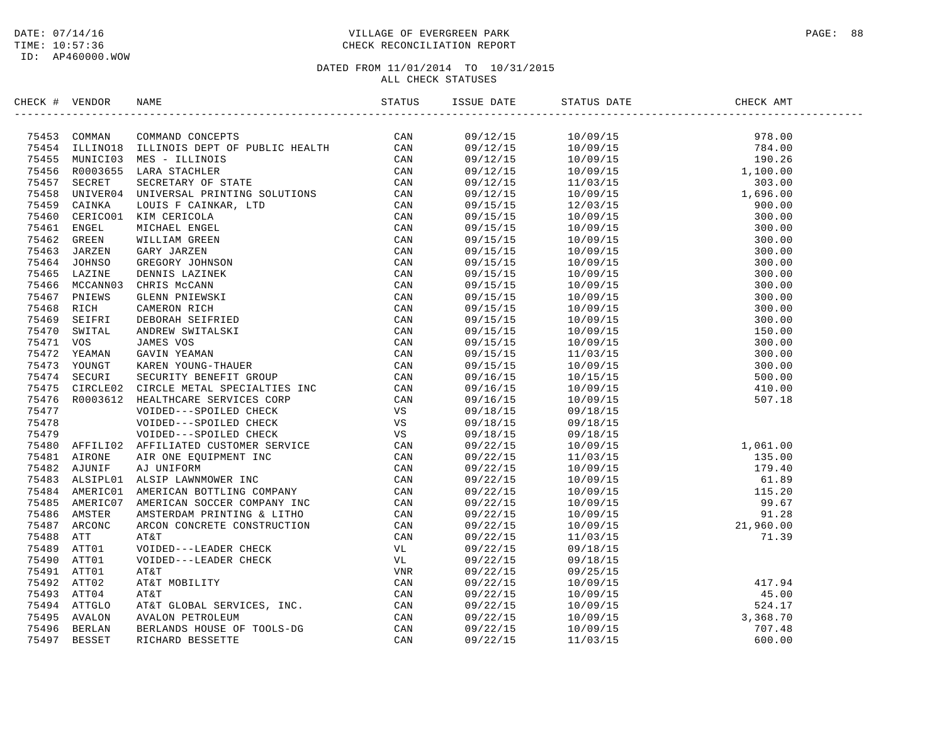## DATE: 07/14/16 PAGE: 88 TIME: 10:57:36 CHECK RECONCILIATION REPORT

| CHECK # VENDOR |                                                                                                                                                                                                                                            |                      |                                                                                                                                                                                                                                                                         |  |
|----------------|--------------------------------------------------------------------------------------------------------------------------------------------------------------------------------------------------------------------------------------------|----------------------|-------------------------------------------------------------------------------------------------------------------------------------------------------------------------------------------------------------------------------------------------------------------------|--|
|                | XROC + VERDOR NAME<br>XROC + VERDOR NAME COMPITED CONTROLS IN CAN<br>TASSA COMONIS COMPITED AND CONTROLS IN CAN<br>TASSA ULLINOIS REF. OF THE CAN CAN<br>TASSA ULLINOIS REF. OF THE CAN<br>TASSA ULLINOIS REF. THE SCRIPTING SOLUTIONS<br> |                      |                                                                                                                                                                                                                                                                         |  |
|                |                                                                                                                                                                                                                                            |                      |                                                                                                                                                                                                                                                                         |  |
|                |                                                                                                                                                                                                                                            |                      |                                                                                                                                                                                                                                                                         |  |
|                |                                                                                                                                                                                                                                            |                      |                                                                                                                                                                                                                                                                         |  |
|                |                                                                                                                                                                                                                                            |                      |                                                                                                                                                                                                                                                                         |  |
|                |                                                                                                                                                                                                                                            |                      |                                                                                                                                                                                                                                                                         |  |
|                |                                                                                                                                                                                                                                            |                      |                                                                                                                                                                                                                                                                         |  |
|                |                                                                                                                                                                                                                                            |                      |                                                                                                                                                                                                                                                                         |  |
|                |                                                                                                                                                                                                                                            |                      |                                                                                                                                                                                                                                                                         |  |
|                |                                                                                                                                                                                                                                            |                      |                                                                                                                                                                                                                                                                         |  |
|                |                                                                                                                                                                                                                                            |                      |                                                                                                                                                                                                                                                                         |  |
|                |                                                                                                                                                                                                                                            |                      |                                                                                                                                                                                                                                                                         |  |
|                |                                                                                                                                                                                                                                            |                      |                                                                                                                                                                                                                                                                         |  |
|                |                                                                                                                                                                                                                                            |                      |                                                                                                                                                                                                                                                                         |  |
|                |                                                                                                                                                                                                                                            |                      |                                                                                                                                                                                                                                                                         |  |
|                |                                                                                                                                                                                                                                            |                      |                                                                                                                                                                                                                                                                         |  |
|                |                                                                                                                                                                                                                                            |                      |                                                                                                                                                                                                                                                                         |  |
|                |                                                                                                                                                                                                                                            |                      |                                                                                                                                                                                                                                                                         |  |
|                |                                                                                                                                                                                                                                            |                      |                                                                                                                                                                                                                                                                         |  |
|                |                                                                                                                                                                                                                                            |                      |                                                                                                                                                                                                                                                                         |  |
|                |                                                                                                                                                                                                                                            |                      |                                                                                                                                                                                                                                                                         |  |
|                |                                                                                                                                                                                                                                            |                      |                                                                                                                                                                                                                                                                         |  |
|                |                                                                                                                                                                                                                                            |                      |                                                                                                                                                                                                                                                                         |  |
|                |                                                                                                                                                                                                                                            |                      |                                                                                                                                                                                                                                                                         |  |
|                |                                                                                                                                                                                                                                            |                      |                                                                                                                                                                                                                                                                         |  |
|                |                                                                                                                                                                                                                                            |                      |                                                                                                                                                                                                                                                                         |  |
|                |                                                                                                                                                                                                                                            |                      | 09/18/15  09/18/15<br>09/18/15  09/18/15                                                                                                                                                                                                                                |  |
|                |                                                                                                                                                                                                                                            |                      |                                                                                                                                                                                                                                                                         |  |
|                |                                                                                                                                                                                                                                            | 09/22/15             |                                                                                                                                                                                                                                                                         |  |
|                |                                                                                                                                                                                                                                            | 09/22/15<br>09/22/15 |                                                                                                                                                                                                                                                                         |  |
|                |                                                                                                                                                                                                                                            |                      |                                                                                                                                                                                                                                                                         |  |
|                |                                                                                                                                                                                                                                            | 09/22/15             |                                                                                                                                                                                                                                                                         |  |
|                |                                                                                                                                                                                                                                            | 09/22/15             |                                                                                                                                                                                                                                                                         |  |
|                |                                                                                                                                                                                                                                            | 09/22/15             | $\begin{array}{cccc} 09/18/15 \\ 09/18/15 \\ 11/03/15 \\ 11/03/15 \\ 10/09/15 \\ 10/09/15 \\ 10/09/15 \\ 10/09/15 \\ 10/09/15 \\ 10/09/15 \\ 11/03/15 \\ 11/03/15 \\ 11/03/15 \\ 9/18/15 \\ 9/18/15 \\ 9/18/15 \\ 9/18/15 \\ 9/18/15 \\ \end{array}$                    |  |
|                |                                                                                                                                                                                                                                            | 09/22/15<br>09/22/15 |                                                                                                                                                                                                                                                                         |  |
|                |                                                                                                                                                                                                                                            |                      |                                                                                                                                                                                                                                                                         |  |
|                |                                                                                                                                                                                                                                            | 09/22/15             |                                                                                                                                                                                                                                                                         |  |
|                |                                                                                                                                                                                                                                            | 09/22/15             |                                                                                                                                                                                                                                                                         |  |
|                |                                                                                                                                                                                                                                            | 09/22/15             | 09/18/15                                                                                                                                                                                                                                                                |  |
|                |                                                                                                                                                                                                                                            |                      |                                                                                                                                                                                                                                                                         |  |
|                |                                                                                                                                                                                                                                            |                      |                                                                                                                                                                                                                                                                         |  |
|                |                                                                                                                                                                                                                                            |                      |                                                                                                                                                                                                                                                                         |  |
|                |                                                                                                                                                                                                                                            |                      | $\begin{array}{cccc} 09/22/15 & 09/25/15 \\ 09/22/15 & 10/09/15 & 417.94 \\ 09/22/15 & 10/09/15 & 45.00 \\ 09/22/15 & 10/09/15 & 524.17 \\ 09/22/15 & 10/09/15 & 524.17 \\ 09/22/15 & 10/09/15 & 3,368.70 \\ 09/22/15 & 10/09/15 & 707.48 \\ 09/22/15 & 11/03/15 & 600$ |  |
|                |                                                                                                                                                                                                                                            |                      |                                                                                                                                                                                                                                                                         |  |
|                |                                                                                                                                                                                                                                            |                      |                                                                                                                                                                                                                                                                         |  |
|                |                                                                                                                                                                                                                                            |                      |                                                                                                                                                                                                                                                                         |  |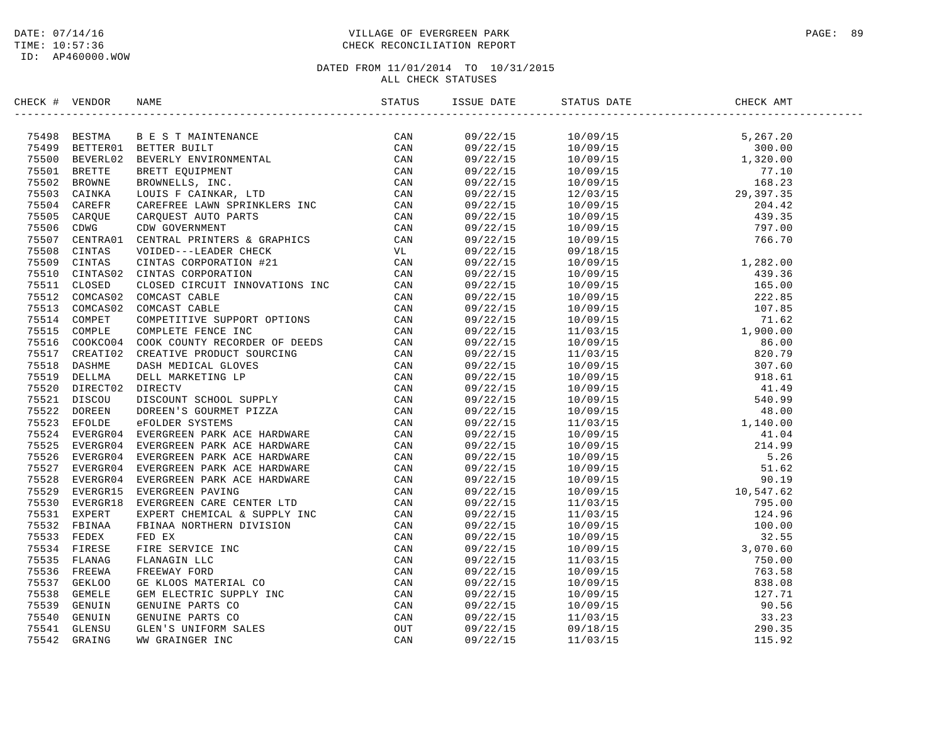## DATE: 07/14/16 PAGE: 89 PAGE: 89 TIME: 10:57:36 CHECK RECONCILIATION REPORT

| CHECK # VENDOR | NAME                                                                                                                                                                                                                                         |  | STATUS DATE | CHECK AMT |  |
|----------------|----------------------------------------------------------------------------------------------------------------------------------------------------------------------------------------------------------------------------------------------|--|-------------|-----------|--|
|                | SERIEN (* 1980)<br>1984 - DERIVA II. IS STRAINTENNAIRE (* 1987)<br>1984 - BERTAM II. BERT EINERTRANCH (* 1987)<br>1984 - BERT BOLL II., 1987 - MARITENIAN (* 1987)<br>1985 - BERT BOLL MARINELL, INC. (* 1987)<br>1986 - ANNE BOARD - MARGIN |  |             |           |  |
|                |                                                                                                                                                                                                                                              |  |             |           |  |
|                |                                                                                                                                                                                                                                              |  |             |           |  |
|                |                                                                                                                                                                                                                                              |  |             |           |  |
|                |                                                                                                                                                                                                                                              |  |             |           |  |
|                |                                                                                                                                                                                                                                              |  |             |           |  |
|                |                                                                                                                                                                                                                                              |  |             |           |  |
|                |                                                                                                                                                                                                                                              |  |             |           |  |
|                |                                                                                                                                                                                                                                              |  |             |           |  |
|                |                                                                                                                                                                                                                                              |  |             |           |  |
|                |                                                                                                                                                                                                                                              |  |             |           |  |
|                |                                                                                                                                                                                                                                              |  |             |           |  |
|                |                                                                                                                                                                                                                                              |  |             |           |  |
|                |                                                                                                                                                                                                                                              |  |             |           |  |
|                |                                                                                                                                                                                                                                              |  |             |           |  |
|                |                                                                                                                                                                                                                                              |  |             |           |  |
|                |                                                                                                                                                                                                                                              |  |             |           |  |
|                |                                                                                                                                                                                                                                              |  |             |           |  |
|                |                                                                                                                                                                                                                                              |  |             |           |  |
|                |                                                                                                                                                                                                                                              |  |             |           |  |
|                |                                                                                                                                                                                                                                              |  |             |           |  |
|                |                                                                                                                                                                                                                                              |  |             |           |  |
|                |                                                                                                                                                                                                                                              |  |             |           |  |
|                |                                                                                                                                                                                                                                              |  |             |           |  |
|                |                                                                                                                                                                                                                                              |  |             |           |  |
|                |                                                                                                                                                                                                                                              |  |             |           |  |
|                |                                                                                                                                                                                                                                              |  |             |           |  |
|                |                                                                                                                                                                                                                                              |  |             |           |  |
|                |                                                                                                                                                                                                                                              |  |             |           |  |
|                |                                                                                                                                                                                                                                              |  |             |           |  |
|                |                                                                                                                                                                                                                                              |  |             |           |  |
|                |                                                                                                                                                                                                                                              |  |             |           |  |
|                |                                                                                                                                                                                                                                              |  |             |           |  |
|                |                                                                                                                                                                                                                                              |  |             |           |  |
|                |                                                                                                                                                                                                                                              |  |             |           |  |
|                |                                                                                                                                                                                                                                              |  |             |           |  |
|                |                                                                                                                                                                                                                                              |  |             |           |  |
|                |                                                                                                                                                                                                                                              |  |             |           |  |
|                |                                                                                                                                                                                                                                              |  |             |           |  |
|                |                                                                                                                                                                                                                                              |  |             |           |  |
|                |                                                                                                                                                                                                                                              |  |             |           |  |
|                |                                                                                                                                                                                                                                              |  |             |           |  |
|                |                                                                                                                                                                                                                                              |  |             |           |  |
|                |                                                                                                                                                                                                                                              |  |             |           |  |
|                |                                                                                                                                                                                                                                              |  |             |           |  |
|                |                                                                                                                                                                                                                                              |  |             |           |  |
|                |                                                                                                                                                                                                                                              |  |             |           |  |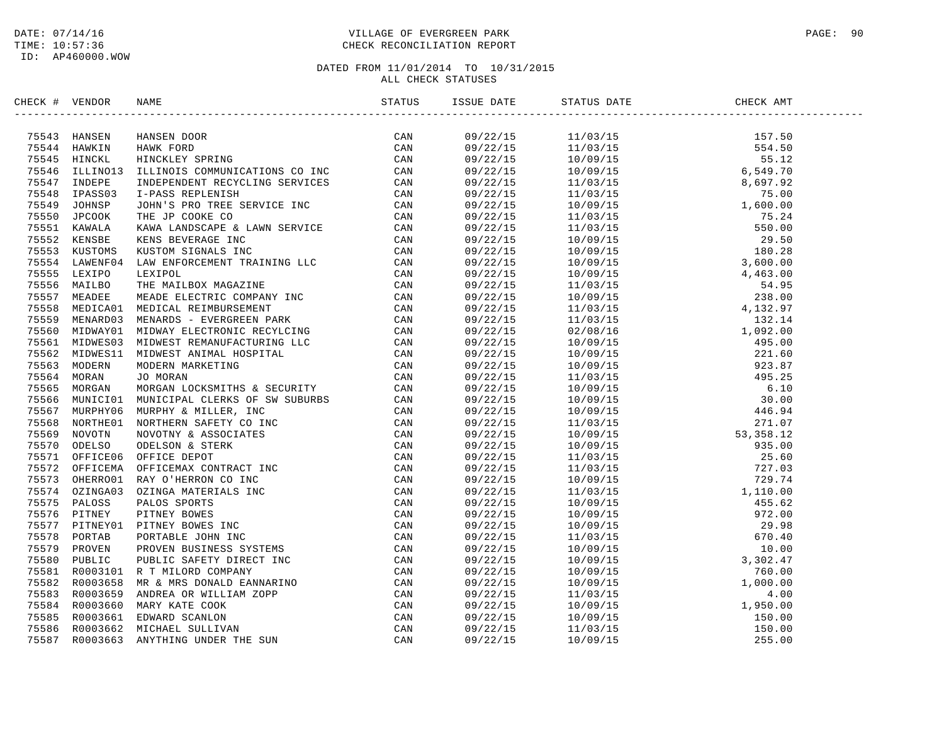## DATE: 07/14/16 PAGE: 90 PAGE: 90 TIME: 10:57:36 CHECK RECONCILIATION REPORT

| CHECK # VENDOR | NAME | STATUS | ISSUE DATE           | STATUS DATE | $\overline{C}$<br>CHECK AMT |  |
|----------------|------|--------|----------------------|-------------|-----------------------------|--|
|                |      |        | 09/22/15             |             |                             |  |
|                |      |        | 09/22/15             |             |                             |  |
|                |      |        | 09/22/15             |             |                             |  |
|                |      |        | 09/22/15             |             |                             |  |
|                |      |        | 09/22/15             |             |                             |  |
|                |      |        | 09/22/15             |             |                             |  |
|                |      |        | 09/22/15             |             |                             |  |
|                |      |        | 09/22/15             |             |                             |  |
|                |      |        | 09/22/15             |             |                             |  |
|                |      |        | 09/22/15             |             |                             |  |
|                |      |        | 09/22/15             |             |                             |  |
|                |      |        | 09/22/15             |             |                             |  |
|                |      |        | 09/22/15             |             |                             |  |
|                |      |        | 09/22/15             |             |                             |  |
|                |      |        | 09/22/15             |             |                             |  |
|                |      |        | 09/22/15             |             |                             |  |
|                |      |        | 09/22/15             |             |                             |  |
|                |      |        | 09/22/15             |             |                             |  |
|                |      |        | 09/22/15             |             |                             |  |
|                |      |        | 09/22/15             |             |                             |  |
|                |      |        | 09/22/15             |             |                             |  |
|                |      |        | 09/22/15             |             |                             |  |
|                |      |        | 09/22/15             |             |                             |  |
|                |      |        | 09/22/15             |             |                             |  |
|                |      |        | 09/22/15             |             |                             |  |
|                |      |        | 09/22/15             |             |                             |  |
|                |      |        | 09/22/15             |             |                             |  |
|                |      |        | 09/22/15             |             |                             |  |
|                |      |        | 09/22/15             |             |                             |  |
|                |      |        |                      |             |                             |  |
|                |      |        | 09/22/15<br>09/22/15 |             |                             |  |
|                |      |        | 09/22/15             |             |                             |  |
|                |      |        | 09/22/15             |             |                             |  |
|                |      |        | 09/22/15             |             |                             |  |
|                |      |        |                      |             |                             |  |
|                |      |        | 09/22/15             |             |                             |  |
|                |      |        | 09/22/15             |             |                             |  |
|                |      |        | 09/22/15             |             |                             |  |
|                |      |        | 09/22/15             |             |                             |  |
|                |      |        | 09/22/15             |             |                             |  |
|                |      |        | 09/22/15             |             |                             |  |
|                |      |        | 09/22/15             |             |                             |  |
|                |      |        | 09/22/15             |             |                             |  |
|                |      |        | 09/22/15             |             |                             |  |
|                |      |        | 09/22/15             |             |                             |  |
|                |      |        | 09/22/15             |             |                             |  |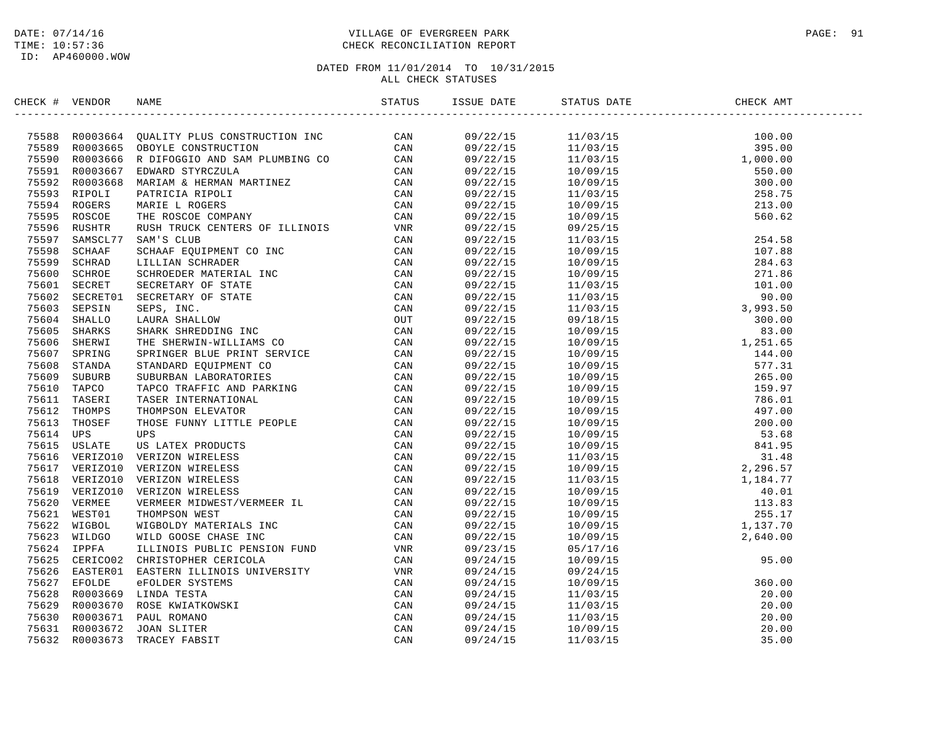## DATE: 07/14/16 PAGE: 91 PAGE: 91 TIME: 10:57:36 CHECK RECONCILIATION REPORT

| CHECK # VENDOR |                                                                                                                                                                                                                                     | ISSUE DATE STATUS DATE | CHECK AMT |
|----------------|-------------------------------------------------------------------------------------------------------------------------------------------------------------------------------------------------------------------------------------|------------------------|-----------|
|                | ERICA F VERDUA RANG (MILITY PLUS CONTRIGETION INC. CAN FORD 1998)<br>2003 - 2003 - 2003 - 2003 - 2003 - 2004 PLUS CONTRIGENTS (MILITY PLUS CONTRIGENTS)<br>2003 - 2003 - 2003 - 2003 - 2004 PLUS CONTRIGE CONTRIGE CONTROLL CAN PRE |                        |           |
|                |                                                                                                                                                                                                                                     |                        |           |
|                |                                                                                                                                                                                                                                     |                        |           |
|                |                                                                                                                                                                                                                                     |                        |           |
|                |                                                                                                                                                                                                                                     |                        |           |
|                |                                                                                                                                                                                                                                     |                        |           |
|                |                                                                                                                                                                                                                                     |                        |           |
|                |                                                                                                                                                                                                                                     |                        |           |
|                |                                                                                                                                                                                                                                     |                        |           |
|                |                                                                                                                                                                                                                                     |                        |           |
|                |                                                                                                                                                                                                                                     |                        |           |
|                |                                                                                                                                                                                                                                     |                        |           |
|                |                                                                                                                                                                                                                                     |                        |           |
|                |                                                                                                                                                                                                                                     |                        |           |
|                |                                                                                                                                                                                                                                     |                        |           |
|                |                                                                                                                                                                                                                                     |                        |           |
|                |                                                                                                                                                                                                                                     |                        |           |
|                |                                                                                                                                                                                                                                     |                        |           |
|                |                                                                                                                                                                                                                                     |                        |           |
|                |                                                                                                                                                                                                                                     |                        |           |
|                |                                                                                                                                                                                                                                     |                        |           |
|                |                                                                                                                                                                                                                                     |                        |           |
|                |                                                                                                                                                                                                                                     |                        |           |
|                |                                                                                                                                                                                                                                     |                        |           |
|                |                                                                                                                                                                                                                                     |                        |           |
|                |                                                                                                                                                                                                                                     |                        |           |
|                |                                                                                                                                                                                                                                     |                        |           |
|                |                                                                                                                                                                                                                                     |                        |           |
|                |                                                                                                                                                                                                                                     |                        |           |
|                |                                                                                                                                                                                                                                     |                        |           |
|                |                                                                                                                                                                                                                                     |                        |           |
|                |                                                                                                                                                                                                                                     |                        |           |
|                |                                                                                                                                                                                                                                     |                        |           |
|                |                                                                                                                                                                                                                                     |                        |           |
|                |                                                                                                                                                                                                                                     |                        |           |
|                |                                                                                                                                                                                                                                     |                        |           |
|                |                                                                                                                                                                                                                                     |                        |           |
|                |                                                                                                                                                                                                                                     |                        |           |
|                |                                                                                                                                                                                                                                     |                        |           |
|                |                                                                                                                                                                                                                                     |                        |           |
|                |                                                                                                                                                                                                                                     |                        |           |
|                |                                                                                                                                                                                                                                     |                        |           |
|                |                                                                                                                                                                                                                                     |                        |           |
|                |                                                                                                                                                                                                                                     |                        |           |
|                |                                                                                                                                                                                                                                     |                        |           |
|                |                                                                                                                                                                                                                                     |                        |           |
|                |                                                                                                                                                                                                                                     |                        |           |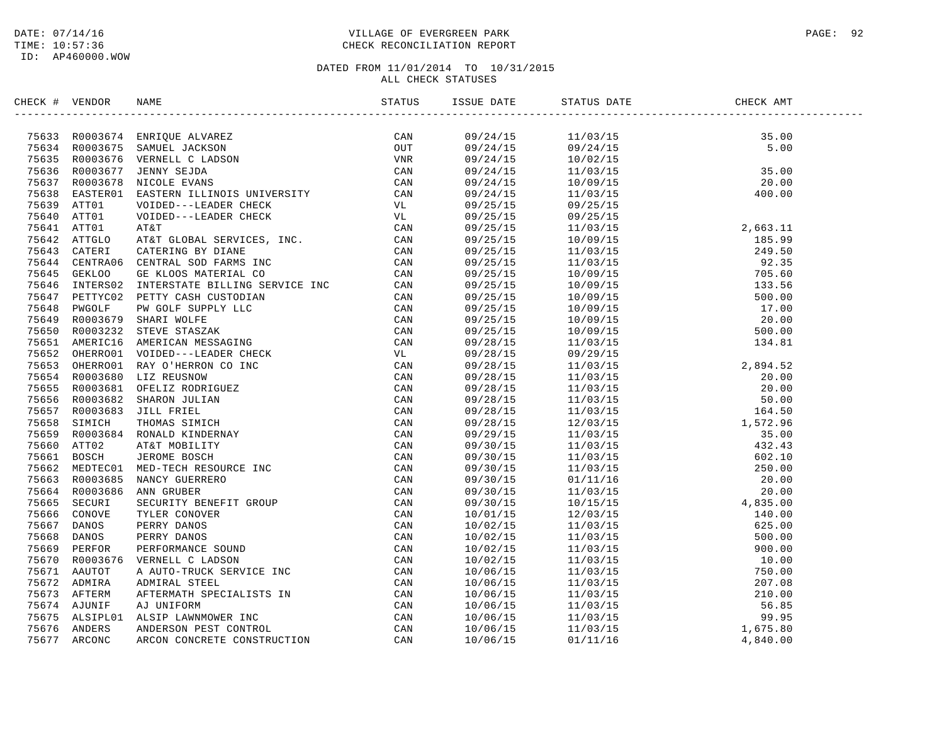## DATE: 07/14/16 PAGE: 92 TIME: 10:57:36 CHECK RECONCILIATION REPORT

| CHECK # VENDOR |                                                                                                                                                                                                                               |  |  |  |
|----------------|-------------------------------------------------------------------------------------------------------------------------------------------------------------------------------------------------------------------------------|--|--|--|
|                | INCRET (FOR EXAMPLE TRANSPORT PRODUCED AN AN ANTEN (FOR EXAMPLE THE CAN ARREST ON THE SECTION CONSERVED AND MOREOVER CAN ARREST CONSERVED AND MOREOVER CONSERVED (FOR A 2013) 2013 AND 100 CONSERVED (FOR A 2013) 2013 AND 10 |  |  |  |
|                |                                                                                                                                                                                                                               |  |  |  |
|                |                                                                                                                                                                                                                               |  |  |  |
|                |                                                                                                                                                                                                                               |  |  |  |
|                |                                                                                                                                                                                                                               |  |  |  |
|                |                                                                                                                                                                                                                               |  |  |  |
|                |                                                                                                                                                                                                                               |  |  |  |
|                |                                                                                                                                                                                                                               |  |  |  |
|                |                                                                                                                                                                                                                               |  |  |  |
|                |                                                                                                                                                                                                                               |  |  |  |
|                |                                                                                                                                                                                                                               |  |  |  |
|                |                                                                                                                                                                                                                               |  |  |  |
|                |                                                                                                                                                                                                                               |  |  |  |
|                |                                                                                                                                                                                                                               |  |  |  |
|                |                                                                                                                                                                                                                               |  |  |  |
|                |                                                                                                                                                                                                                               |  |  |  |
|                |                                                                                                                                                                                                                               |  |  |  |
|                |                                                                                                                                                                                                                               |  |  |  |
|                |                                                                                                                                                                                                                               |  |  |  |
|                |                                                                                                                                                                                                                               |  |  |  |
|                |                                                                                                                                                                                                                               |  |  |  |
|                |                                                                                                                                                                                                                               |  |  |  |
|                |                                                                                                                                                                                                                               |  |  |  |
|                |                                                                                                                                                                                                                               |  |  |  |
|                |                                                                                                                                                                                                                               |  |  |  |
|                |                                                                                                                                                                                                                               |  |  |  |
|                |                                                                                                                                                                                                                               |  |  |  |
|                |                                                                                                                                                                                                                               |  |  |  |
|                |                                                                                                                                                                                                                               |  |  |  |
|                |                                                                                                                                                                                                                               |  |  |  |
|                |                                                                                                                                                                                                                               |  |  |  |
|                |                                                                                                                                                                                                                               |  |  |  |
|                |                                                                                                                                                                                                                               |  |  |  |
|                |                                                                                                                                                                                                                               |  |  |  |
|                |                                                                                                                                                                                                                               |  |  |  |
|                |                                                                                                                                                                                                                               |  |  |  |
|                |                                                                                                                                                                                                                               |  |  |  |
|                |                                                                                                                                                                                                                               |  |  |  |
|                |                                                                                                                                                                                                                               |  |  |  |
|                |                                                                                                                                                                                                                               |  |  |  |
|                |                                                                                                                                                                                                                               |  |  |  |
|                |                                                                                                                                                                                                                               |  |  |  |
|                |                                                                                                                                                                                                                               |  |  |  |
|                |                                                                                                                                                                                                                               |  |  |  |
|                |                                                                                                                                                                                                                               |  |  |  |
|                |                                                                                                                                                                                                                               |  |  |  |
|                |                                                                                                                                                                                                                               |  |  |  |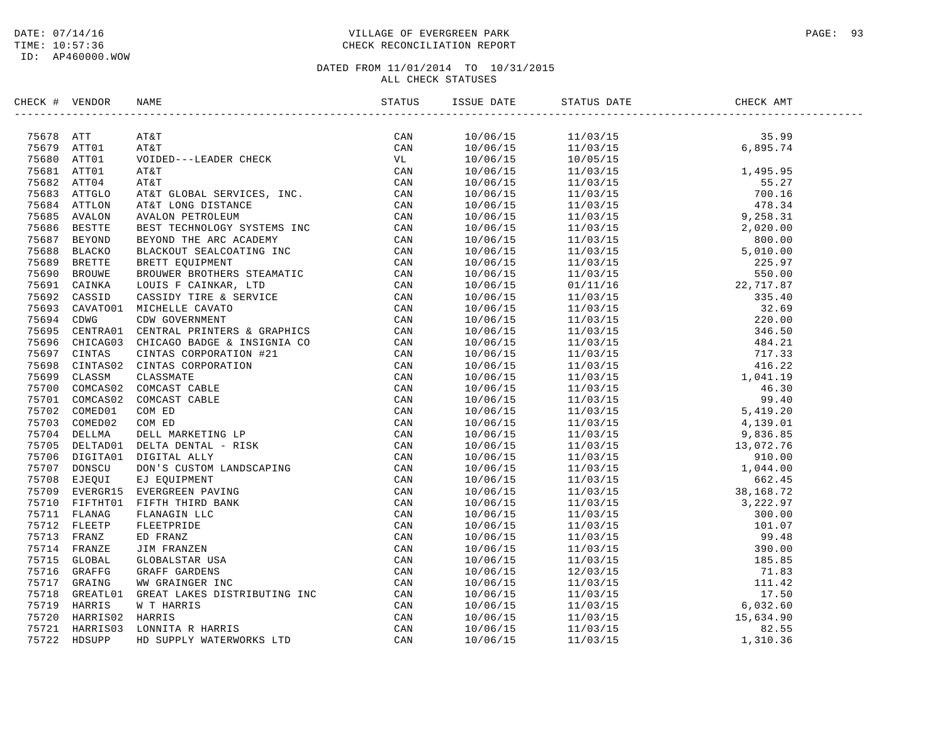ID: AP460000.WOW

## DATE: 07/14/16 PAGE: 93 TIME: 10:57:36 CHECK RECONCILIATION REPORT

| CHECK # VENDOR |                                                                                                                                                                                                                                 |  |  |  |
|----------------|---------------------------------------------------------------------------------------------------------------------------------------------------------------------------------------------------------------------------------|--|--|--|
|                | CK # VENDOR NAME<br>STATES AT A many states of the states of the states of the states of the states of the states of the states of the states of the states of the states of the states of the states of the states of the stat |  |  |  |
|                |                                                                                                                                                                                                                                 |  |  |  |
|                |                                                                                                                                                                                                                                 |  |  |  |
|                |                                                                                                                                                                                                                                 |  |  |  |
|                |                                                                                                                                                                                                                                 |  |  |  |
|                |                                                                                                                                                                                                                                 |  |  |  |
|                |                                                                                                                                                                                                                                 |  |  |  |
|                |                                                                                                                                                                                                                                 |  |  |  |
|                |                                                                                                                                                                                                                                 |  |  |  |
|                |                                                                                                                                                                                                                                 |  |  |  |
|                |                                                                                                                                                                                                                                 |  |  |  |
|                |                                                                                                                                                                                                                                 |  |  |  |
|                |                                                                                                                                                                                                                                 |  |  |  |
|                |                                                                                                                                                                                                                                 |  |  |  |
|                |                                                                                                                                                                                                                                 |  |  |  |
|                |                                                                                                                                                                                                                                 |  |  |  |
|                |                                                                                                                                                                                                                                 |  |  |  |
|                |                                                                                                                                                                                                                                 |  |  |  |
|                |                                                                                                                                                                                                                                 |  |  |  |
|                |                                                                                                                                                                                                                                 |  |  |  |
|                |                                                                                                                                                                                                                                 |  |  |  |
|                |                                                                                                                                                                                                                                 |  |  |  |
|                |                                                                                                                                                                                                                                 |  |  |  |
|                |                                                                                                                                                                                                                                 |  |  |  |
|                |                                                                                                                                                                                                                                 |  |  |  |
|                |                                                                                                                                                                                                                                 |  |  |  |
|                |                                                                                                                                                                                                                                 |  |  |  |
|                |                                                                                                                                                                                                                                 |  |  |  |
|                |                                                                                                                                                                                                                                 |  |  |  |
|                |                                                                                                                                                                                                                                 |  |  |  |
|                |                                                                                                                                                                                                                                 |  |  |  |
|                |                                                                                                                                                                                                                                 |  |  |  |
|                |                                                                                                                                                                                                                                 |  |  |  |
|                |                                                                                                                                                                                                                                 |  |  |  |
|                |                                                                                                                                                                                                                                 |  |  |  |
|                |                                                                                                                                                                                                                                 |  |  |  |
|                |                                                                                                                                                                                                                                 |  |  |  |
|                |                                                                                                                                                                                                                                 |  |  |  |
|                |                                                                                                                                                                                                                                 |  |  |  |
|                |                                                                                                                                                                                                                                 |  |  |  |
|                |                                                                                                                                                                                                                                 |  |  |  |
|                |                                                                                                                                                                                                                                 |  |  |  |
|                |                                                                                                                                                                                                                                 |  |  |  |
|                |                                                                                                                                                                                                                                 |  |  |  |
|                |                                                                                                                                                                                                                                 |  |  |  |
|                |                                                                                                                                                                                                                                 |  |  |  |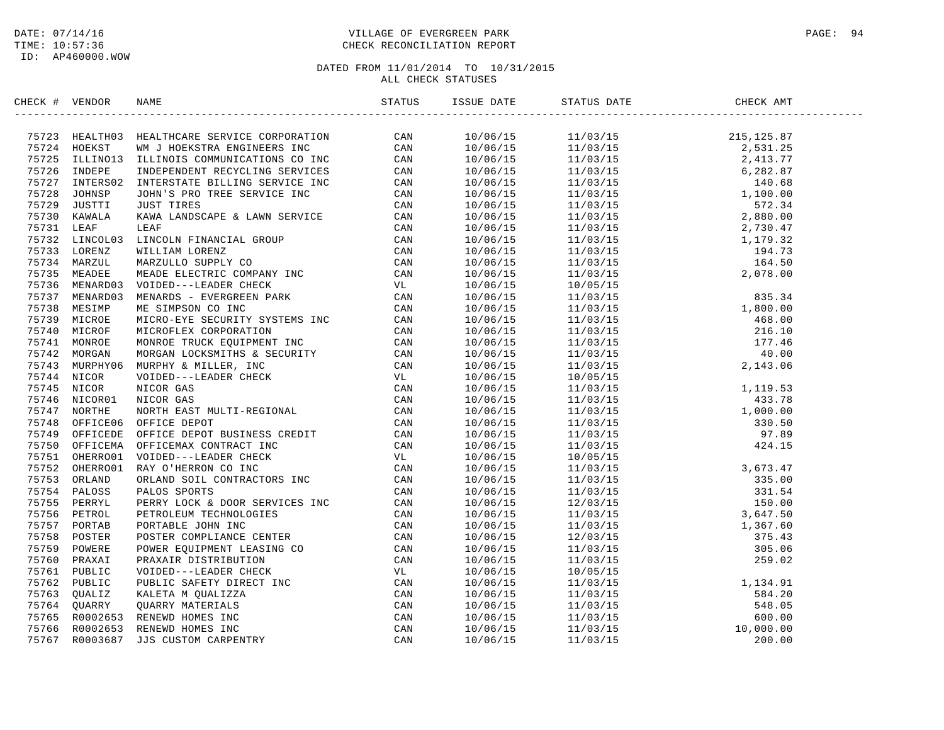## DATE: 07/14/16 PAGE: 94 TIME: 10:57:36 CHECK RECONCILIATION REPORT

| CHECK # VENDOR | NAME                                                                                                                                                                                                                                                                                          |  | STATUS DATE | CHECK AMT |  |
|----------------|-----------------------------------------------------------------------------------------------------------------------------------------------------------------------------------------------------------------------------------------------------------------------------------------------|--|-------------|-----------|--|
|                | $\begin{tabular}{cccccccc} $4$ & $96762$ & $96762$ & $96762$ & $96763$ & $96764$ & $96764$ & $96764$ & $96764$ & $96764$ & $96764$ & $96764$ & $96764$ & $1070123$ & $24324910$ & $24324910$ & $24324910$ & $24324910$ & $24324910$ & $24324910$ & $24324910$ & $24324910$ & $24324910$ & $2$ |  |             |           |  |
|                |                                                                                                                                                                                                                                                                                               |  |             |           |  |
|                |                                                                                                                                                                                                                                                                                               |  |             |           |  |
|                |                                                                                                                                                                                                                                                                                               |  |             |           |  |
|                |                                                                                                                                                                                                                                                                                               |  |             |           |  |
|                |                                                                                                                                                                                                                                                                                               |  |             |           |  |
|                |                                                                                                                                                                                                                                                                                               |  |             |           |  |
|                |                                                                                                                                                                                                                                                                                               |  |             |           |  |
|                |                                                                                                                                                                                                                                                                                               |  |             |           |  |
|                |                                                                                                                                                                                                                                                                                               |  |             |           |  |
|                |                                                                                                                                                                                                                                                                                               |  |             |           |  |
|                |                                                                                                                                                                                                                                                                                               |  |             |           |  |
|                |                                                                                                                                                                                                                                                                                               |  |             |           |  |
|                |                                                                                                                                                                                                                                                                                               |  |             |           |  |
|                |                                                                                                                                                                                                                                                                                               |  |             |           |  |
|                |                                                                                                                                                                                                                                                                                               |  |             |           |  |
|                |                                                                                                                                                                                                                                                                                               |  |             |           |  |
|                |                                                                                                                                                                                                                                                                                               |  |             |           |  |
|                |                                                                                                                                                                                                                                                                                               |  |             |           |  |
|                |                                                                                                                                                                                                                                                                                               |  |             |           |  |
|                |                                                                                                                                                                                                                                                                                               |  |             |           |  |
|                |                                                                                                                                                                                                                                                                                               |  |             |           |  |
|                |                                                                                                                                                                                                                                                                                               |  |             |           |  |
|                |                                                                                                                                                                                                                                                                                               |  |             |           |  |
|                |                                                                                                                                                                                                                                                                                               |  |             |           |  |
|                |                                                                                                                                                                                                                                                                                               |  |             |           |  |
|                |                                                                                                                                                                                                                                                                                               |  |             |           |  |
|                |                                                                                                                                                                                                                                                                                               |  |             |           |  |
|                |                                                                                                                                                                                                                                                                                               |  |             |           |  |
|                |                                                                                                                                                                                                                                                                                               |  |             |           |  |
|                |                                                                                                                                                                                                                                                                                               |  |             |           |  |
|                |                                                                                                                                                                                                                                                                                               |  |             |           |  |
|                |                                                                                                                                                                                                                                                                                               |  |             |           |  |
|                |                                                                                                                                                                                                                                                                                               |  |             |           |  |
|                |                                                                                                                                                                                                                                                                                               |  |             |           |  |
|                |                                                                                                                                                                                                                                                                                               |  |             |           |  |
|                |                                                                                                                                                                                                                                                                                               |  |             |           |  |
|                |                                                                                                                                                                                                                                                                                               |  |             |           |  |
|                |                                                                                                                                                                                                                                                                                               |  |             |           |  |
|                |                                                                                                                                                                                                                                                                                               |  |             |           |  |
|                |                                                                                                                                                                                                                                                                                               |  |             |           |  |
|                |                                                                                                                                                                                                                                                                                               |  |             |           |  |
|                |                                                                                                                                                                                                                                                                                               |  |             |           |  |
|                |                                                                                                                                                                                                                                                                                               |  |             |           |  |
|                |                                                                                                                                                                                                                                                                                               |  |             |           |  |
|                |                                                                                                                                                                                                                                                                                               |  |             |           |  |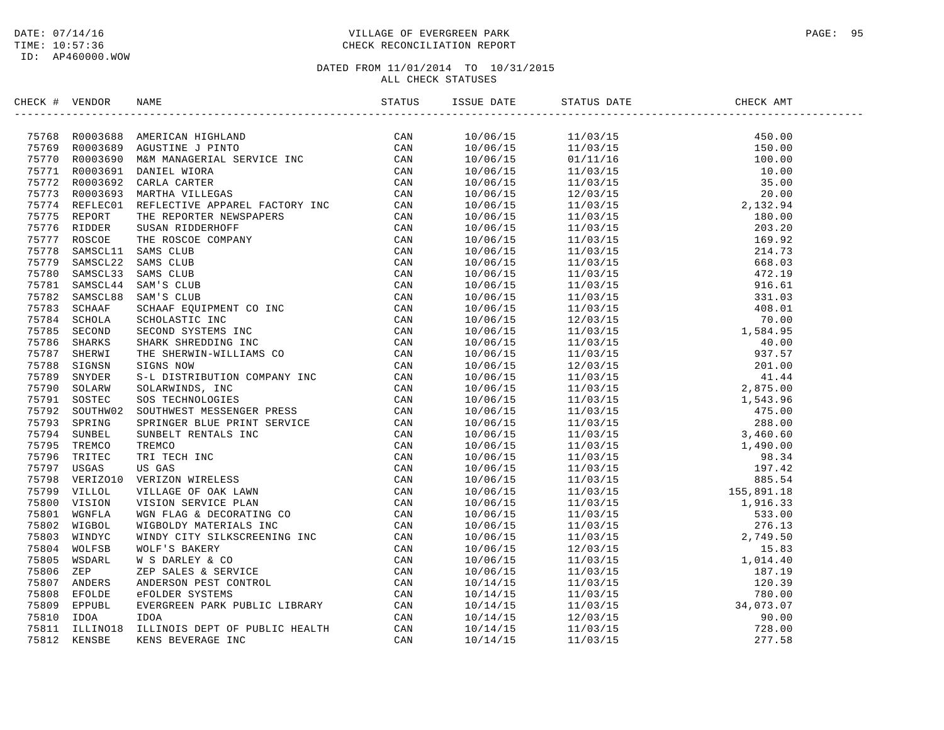## DATE: 07/14/16 PAGE: 95 TIME: 10:57:36 CHECK RECONCILIATION REPORT

| CHECK # VENDOR |                                                                                                                                                                                                                                             | ISSUE DATE | STATUS DATE | CHECK AMT |  |
|----------------|---------------------------------------------------------------------------------------------------------------------------------------------------------------------------------------------------------------------------------------------|------------|-------------|-----------|--|
|                | XROC + VERDOS NAME<br>TATS ROOD S691 AMERICAN HIGHLAND<br>TATS ROOD S691 AMERICAN HIGHLAND<br>TATS ROOD S691 MAN MARACHER LETTED<br>TATS ROOD S691 DANIEL WICK<br>TATS ROOD S691 DANIEL WICK<br>TATS ROOD S691 DANIEL WICK<br>TATS ROOD S69 |            |             |           |  |
|                |                                                                                                                                                                                                                                             |            |             |           |  |
|                |                                                                                                                                                                                                                                             |            |             |           |  |
|                |                                                                                                                                                                                                                                             |            |             |           |  |
|                |                                                                                                                                                                                                                                             |            |             |           |  |
|                |                                                                                                                                                                                                                                             |            |             |           |  |
|                |                                                                                                                                                                                                                                             |            |             |           |  |
|                |                                                                                                                                                                                                                                             |            |             |           |  |
|                |                                                                                                                                                                                                                                             |            |             |           |  |
|                |                                                                                                                                                                                                                                             |            |             |           |  |
|                |                                                                                                                                                                                                                                             |            |             |           |  |
|                |                                                                                                                                                                                                                                             |            |             |           |  |
|                |                                                                                                                                                                                                                                             |            |             |           |  |
|                |                                                                                                                                                                                                                                             |            |             |           |  |
|                |                                                                                                                                                                                                                                             |            |             |           |  |
|                |                                                                                                                                                                                                                                             |            |             |           |  |
|                |                                                                                                                                                                                                                                             |            |             |           |  |
|                |                                                                                                                                                                                                                                             |            |             |           |  |
|                |                                                                                                                                                                                                                                             |            |             |           |  |
|                |                                                                                                                                                                                                                                             |            |             |           |  |
|                |                                                                                                                                                                                                                                             |            |             |           |  |
|                |                                                                                                                                                                                                                                             |            |             |           |  |
|                |                                                                                                                                                                                                                                             |            |             |           |  |
|                |                                                                                                                                                                                                                                             |            |             |           |  |
|                |                                                                                                                                                                                                                                             |            |             |           |  |
|                |                                                                                                                                                                                                                                             |            |             |           |  |
|                |                                                                                                                                                                                                                                             |            |             |           |  |
|                |                                                                                                                                                                                                                                             |            |             |           |  |
|                |                                                                                                                                                                                                                                             |            |             |           |  |
|                |                                                                                                                                                                                                                                             |            |             |           |  |
|                |                                                                                                                                                                                                                                             |            |             |           |  |
|                |                                                                                                                                                                                                                                             |            |             |           |  |
|                |                                                                                                                                                                                                                                             |            |             |           |  |
|                |                                                                                                                                                                                                                                             |            |             |           |  |
|                |                                                                                                                                                                                                                                             |            |             |           |  |
|                |                                                                                                                                                                                                                                             |            |             |           |  |
|                |                                                                                                                                                                                                                                             |            |             |           |  |
|                |                                                                                                                                                                                                                                             |            |             |           |  |
|                |                                                                                                                                                                                                                                             |            |             |           |  |
|                |                                                                                                                                                                                                                                             |            |             |           |  |
|                |                                                                                                                                                                                                                                             |            |             |           |  |
|                |                                                                                                                                                                                                                                             |            |             |           |  |
|                |                                                                                                                                                                                                                                             |            |             |           |  |
|                |                                                                                                                                                                                                                                             |            |             |           |  |
|                |                                                                                                                                                                                                                                             |            |             |           |  |
|                |                                                                                                                                                                                                                                             |            |             |           |  |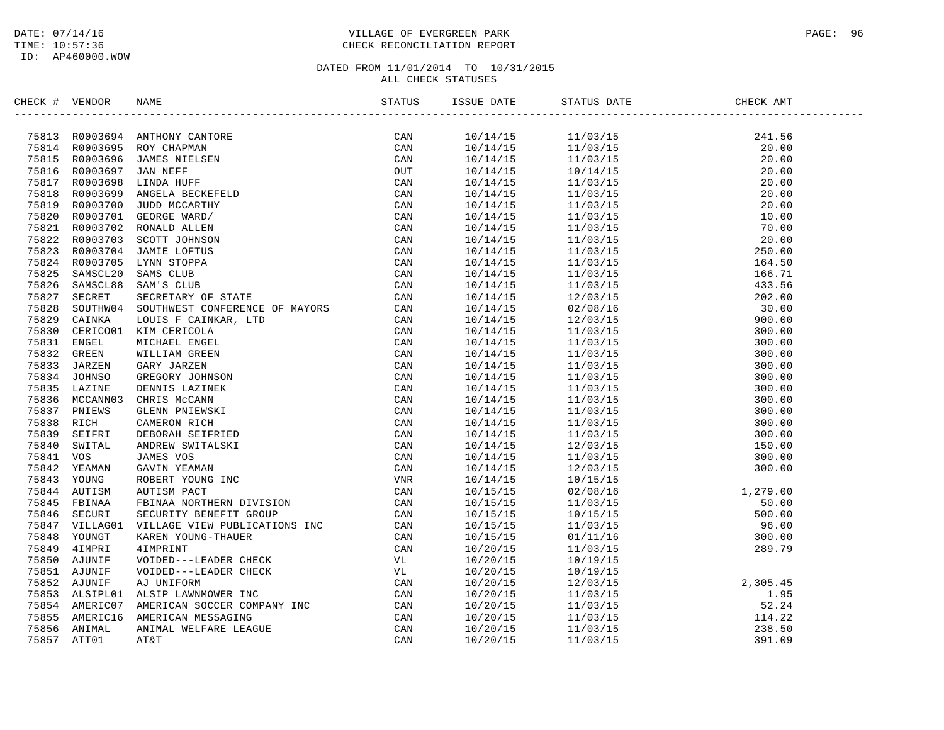## DATE: 07/14/16 PAGE: 96 PAGE: 96 PAGE: 96 PAGE: 96 PAGE: 96 PAGE: 96 PAGE: 96 PAGE: 96 PAGE: 96 TIME: 10:57:36 CHECK RECONCILIATION REPORT

| CHECK # VENDOR |                | <b>NAME</b>                                                                                                                                                                                                                                                                                                      | STATUS     | ISSUE DATE           | STATUS DATE          | CHECK AMT |  |
|----------------|----------------|------------------------------------------------------------------------------------------------------------------------------------------------------------------------------------------------------------------------------------------------------------------------------------------------------------------|------------|----------------------|----------------------|-----------|--|
|                |                | ANTHONY CANTORE<br>ROY CHAPMAN<br>JAMES NIELSEN<br>JAN NEFF<br>LINDA HUFF<br>ANGELA BECKEFELD<br>JUDD MCCARTHY<br>GEORGE WARD/<br>RONALD ALLEN<br>SCOTT JOHNSON<br>JAMIE LOFTUS<br>LYNN STOPPA<br>SAMS CLUB<br>SAM'S CLUB<br>SAM'S CLUB<br>SECRETARY OF STATE<br>SOUTHWEST CON<br>75813 R0003694 ANTHONY CANTORE | CAN        | 10/14/15             | 11/03/15             | 241.56    |  |
|                | 75814 R0003695 |                                                                                                                                                                                                                                                                                                                  | CAN        | 10/14/15             | 11/03/15             | 20.00     |  |
|                | 75815 R0003696 |                                                                                                                                                                                                                                                                                                                  | CAN        | 10/14/15             | 11/03/15             | 20.00     |  |
| 75816          | R0003697       |                                                                                                                                                                                                                                                                                                                  | OUT        | 10/14/15             | 10/14/15             | 20.00     |  |
|                | 75817 R0003698 |                                                                                                                                                                                                                                                                                                                  | CAN        | 10/14/15             | 11/03/15             | 20.00     |  |
| 75818          | R0003699       |                                                                                                                                                                                                                                                                                                                  | CAN        | 10/14/15             | 11/03/15             | 20.00     |  |
|                | 75819 R0003700 |                                                                                                                                                                                                                                                                                                                  | CAN        | 10/14/15             | 11/03/15             | 20.00     |  |
| 75820          | R0003701       |                                                                                                                                                                                                                                                                                                                  | CAN        | 10/14/15             | 11/03/15             | 10.00     |  |
| 75821          | R0003702       |                                                                                                                                                                                                                                                                                                                  | CAN        | 10/14/15             | 11/03/15             | 70.00     |  |
|                | 75822 R0003703 |                                                                                                                                                                                                                                                                                                                  | CAN        | 10/14/15             | 11/03/15             | 20.00     |  |
| 75823          | R0003704       |                                                                                                                                                                                                                                                                                                                  | CAN        | 10/14/15             | 11/03/15             | 250.00    |  |
|                | 75824 R0003705 |                                                                                                                                                                                                                                                                                                                  | CAN        | 10/14/15             | 11/03/15             | 164.50    |  |
| 75825          | SAMSCL20       |                                                                                                                                                                                                                                                                                                                  | CAN        | 10/14/15             | 11/03/15             | 166.71    |  |
| 75826          | SAMSCL88       |                                                                                                                                                                                                                                                                                                                  | CAN        | 10/14/15             | 11/03/15             | 433.56    |  |
| 75827          | SECRET         |                                                                                                                                                                                                                                                                                                                  | CAN        | 10/14/15             | 12/03/15             | 202.00    |  |
| 75828          | SOUTHW04       |                                                                                                                                                                                                                                                                                                                  | CAN        | 10/14/15             | 02/08/16             | 30.00     |  |
| 75829          | CAINKA         |                                                                                                                                                                                                                                                                                                                  | CAN        | 10/14/15             | 12/03/15             | 900.00    |  |
| 75830          | CERICO01       |                                                                                                                                                                                                                                                                                                                  | CAN        | 10/14/15             | 11/03/15             | 300.00    |  |
|                | 75831 ENGEL    |                                                                                                                                                                                                                                                                                                                  | CAN        | 10/14/15             | 11/03/15             | 300.00    |  |
| 75832          | GREEN          |                                                                                                                                                                                                                                                                                                                  | CAN        | 10/14/15             | 11/03/15             | 300.00    |  |
| 75833          | JARZEN         |                                                                                                                                                                                                                                                                                                                  | CAN        | 10/14/15             | 11/03/15             | 300.00    |  |
| 75834          | JOHNSO         |                                                                                                                                                                                                                                                                                                                  | CAN        | 10/14/15             | 11/03/15             | 300.00    |  |
| 75835          | LAZINE         |                                                                                                                                                                                                                                                                                                                  | CAN        | 10/14/15             | 11/03/15             | 300.00    |  |
| 75836          | MCCANN03       |                                                                                                                                                                                                                                                                                                                  | CAN        | 10/14/15             | 11/03/15             | 300.00    |  |
| 75837          | PNIEWS         |                                                                                                                                                                                                                                                                                                                  |            |                      |                      | 300.00    |  |
| 75838          | RICH           |                                                                                                                                                                                                                                                                                                                  | CAN<br>CAN | 10/14/15<br>10/14/15 | 11/03/15<br>11/03/15 | 300.00    |  |
| 75839          | SEIFRI         |                                                                                                                                                                                                                                                                                                                  | CAN        |                      |                      | 300.00    |  |
| 75840          | SWITAL         |                                                                                                                                                                                                                                                                                                                  | CAN        | 10/14/15             | 11/03/15             |           |  |
|                | VOS            |                                                                                                                                                                                                                                                                                                                  |            | 10/14/15             | 12/03/15             | 150.00    |  |
| 75841          |                |                                                                                                                                                                                                                                                                                                                  | CAN        | 10/14/15             | 11/03/15             | 300.00    |  |
| 75842          | YEAMAN         |                                                                                                                                                                                                                                                                                                                  | CAN        | 10/14/15             | 12/03/15             | 300.00    |  |
| 75843          | YOUNG          |                                                                                                                                                                                                                                                                                                                  | VNR        | 10/14/15             | 10/15/15             | 1, 279.00 |  |
|                | 75844 AUTISM   |                                                                                                                                                                                                                                                                                                                  | CAN        | 10/15/15             | 02/08/16             |           |  |
|                | 75845 FBINAA   |                                                                                                                                                                                                                                                                                                                  | CAN        | 10/15/15             | 11/03/15             | 50.00     |  |
| 75846          | SECURI         |                                                                                                                                                                                                                                                                                                                  | CAN        | 10/15/15             | 10/15/15             | 500.00    |  |
|                | 75847 VILLAG01 |                                                                                                                                                                                                                                                                                                                  | CAN        | 10/15/15             | 11/03/15             | 96.00     |  |
| 75848          | YOUNGT         |                                                                                                                                                                                                                                                                                                                  | CAN        | 10/15/15             | 01/11/16             | 300.00    |  |
| 75849          | 4IMPRI         |                                                                                                                                                                                                                                                                                                                  | CAN        | 10/20/15             | 11/03/15             | 289.79    |  |
| 75850          | AJUNIF         |                                                                                                                                                                                                                                                                                                                  | VL         | 10/20/15             | 10/19/15             |           |  |
|                | 75851 AJUNIF   |                                                                                                                                                                                                                                                                                                                  | VL         | 10/20/15             | 10/19/15             |           |  |
| 75852          | AJUNIF         |                                                                                                                                                                                                                                                                                                                  | CAN        | 10/20/15             | 12/03/15             | 2,305.45  |  |
|                | 75853 ALSIPL01 |                                                                                                                                                                                                                                                                                                                  | CAN        | 10/20/15             | 11/03/15             | 1.95      |  |
|                | 75854 AMERIC07 | SAM'S CLUB<br>SCRETARY OF STATE<br>SOUTHWEST CONFERENCE OF MAYORS<br>LOUIS F CAINKAR, LTD<br>MICHAEL ENGEL<br>MICHAEL ENGEL<br>WILLIAM GREEN<br>WILLIAM GREEN<br>GREY JARZEN<br>GREGORY JOHNSON<br>DENNIS LAZINE<br>CHRIS MCCANN<br>CLENN PIEWSIT<br>CANIN YEMAN<br>CLEN                                         | CAN        | 10/20/15             | 11/03/15             | 52.24     |  |
| 75855          | AMERIC16       |                                                                                                                                                                                                                                                                                                                  | CAN        | 10/20/15             | 11/03/15             | 114.22    |  |
| 75856          | ANIMAL         |                                                                                                                                                                                                                                                                                                                  | CAN        | 10/20/15             | 11/03/15             | 238.50    |  |
| 75857          | ATT01          |                                                                                                                                                                                                                                                                                                                  | CAN        | 10/20/15             | 11/03/15             | 391.09    |  |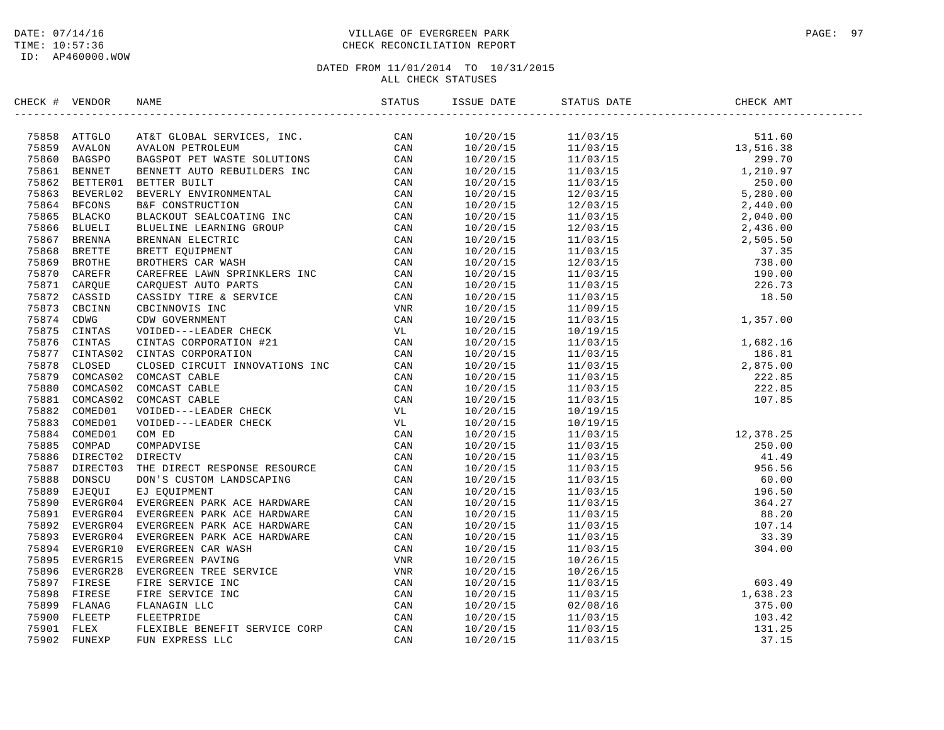## DATE: 07/14/16 PAGE: 97 PAGE: 97 TIME: 10:57:36 CHECK RECONCILIATION REPORT

| CHECK # VENDOR | NAME                                                                                                                                                                                                                                                                                                                                                                                                                  | ISSUE DATE | STATUS DATE | CHECK AMT |  |
|----------------|-----------------------------------------------------------------------------------------------------------------------------------------------------------------------------------------------------------------------------------------------------------------------------------------------------------------------------------------------------------------------------------------------------------------------|------------|-------------|-----------|--|
|                | $\begin{tabular}{cccccccc} \textbf{MSE} & \textbf{WRONN} & \textbf{BAGN} & \textbf{BAGN} & \textbf{BAGN} & \textbf{BAGN} & \textbf{BAGN} & \textbf{BAGN} & \textbf{BAGN} & \textbf{BAGN} & \textbf{BAGN} & \textbf{BAGN} & \textbf{BAGN} & \textbf{BAGN} & \textbf{BAGN} & \textbf{BAGN} & \textbf{BAGN} & \textbf{BAGN} & \textbf{BAGN} & \textbf{BAGN} & \textbf{BAGN} & \textbf{BAGN} & \textbf{BAGN} & \textbf{B$ |            |             |           |  |
|                |                                                                                                                                                                                                                                                                                                                                                                                                                       |            |             |           |  |
|                |                                                                                                                                                                                                                                                                                                                                                                                                                       |            |             |           |  |
|                |                                                                                                                                                                                                                                                                                                                                                                                                                       |            |             |           |  |
|                |                                                                                                                                                                                                                                                                                                                                                                                                                       |            |             |           |  |
|                |                                                                                                                                                                                                                                                                                                                                                                                                                       |            |             |           |  |
|                |                                                                                                                                                                                                                                                                                                                                                                                                                       |            |             |           |  |
|                |                                                                                                                                                                                                                                                                                                                                                                                                                       |            |             |           |  |
|                |                                                                                                                                                                                                                                                                                                                                                                                                                       |            |             |           |  |
|                |                                                                                                                                                                                                                                                                                                                                                                                                                       |            |             |           |  |
|                |                                                                                                                                                                                                                                                                                                                                                                                                                       |            |             |           |  |
|                |                                                                                                                                                                                                                                                                                                                                                                                                                       |            |             |           |  |
|                |                                                                                                                                                                                                                                                                                                                                                                                                                       |            |             |           |  |
|                |                                                                                                                                                                                                                                                                                                                                                                                                                       |            |             |           |  |
|                |                                                                                                                                                                                                                                                                                                                                                                                                                       |            |             |           |  |
|                |                                                                                                                                                                                                                                                                                                                                                                                                                       |            |             |           |  |
|                |                                                                                                                                                                                                                                                                                                                                                                                                                       |            |             |           |  |
|                |                                                                                                                                                                                                                                                                                                                                                                                                                       |            |             |           |  |
|                |                                                                                                                                                                                                                                                                                                                                                                                                                       |            |             |           |  |
|                |                                                                                                                                                                                                                                                                                                                                                                                                                       |            |             |           |  |
|                |                                                                                                                                                                                                                                                                                                                                                                                                                       |            |             |           |  |
|                |                                                                                                                                                                                                                                                                                                                                                                                                                       |            |             |           |  |
|                |                                                                                                                                                                                                                                                                                                                                                                                                                       |            |             |           |  |
|                |                                                                                                                                                                                                                                                                                                                                                                                                                       |            |             |           |  |
|                |                                                                                                                                                                                                                                                                                                                                                                                                                       |            |             |           |  |
|                |                                                                                                                                                                                                                                                                                                                                                                                                                       |            |             |           |  |
|                |                                                                                                                                                                                                                                                                                                                                                                                                                       |            |             |           |  |
|                |                                                                                                                                                                                                                                                                                                                                                                                                                       |            |             |           |  |
|                |                                                                                                                                                                                                                                                                                                                                                                                                                       |            |             |           |  |
|                |                                                                                                                                                                                                                                                                                                                                                                                                                       |            |             |           |  |
|                |                                                                                                                                                                                                                                                                                                                                                                                                                       |            |             |           |  |
|                |                                                                                                                                                                                                                                                                                                                                                                                                                       |            |             |           |  |
|                |                                                                                                                                                                                                                                                                                                                                                                                                                       |            |             |           |  |
|                |                                                                                                                                                                                                                                                                                                                                                                                                                       |            |             |           |  |
|                |                                                                                                                                                                                                                                                                                                                                                                                                                       |            |             |           |  |
|                |                                                                                                                                                                                                                                                                                                                                                                                                                       |            |             |           |  |
|                |                                                                                                                                                                                                                                                                                                                                                                                                                       |            |             |           |  |
|                |                                                                                                                                                                                                                                                                                                                                                                                                                       |            |             |           |  |
|                |                                                                                                                                                                                                                                                                                                                                                                                                                       |            |             |           |  |
|                |                                                                                                                                                                                                                                                                                                                                                                                                                       |            |             |           |  |
|                |                                                                                                                                                                                                                                                                                                                                                                                                                       |            |             |           |  |
|                |                                                                                                                                                                                                                                                                                                                                                                                                                       |            |             |           |  |
|                |                                                                                                                                                                                                                                                                                                                                                                                                                       |            |             |           |  |
|                |                                                                                                                                                                                                                                                                                                                                                                                                                       |            |             |           |  |
|                |                                                                                                                                                                                                                                                                                                                                                                                                                       |            |             |           |  |
|                |                                                                                                                                                                                                                                                                                                                                                                                                                       |            |             |           |  |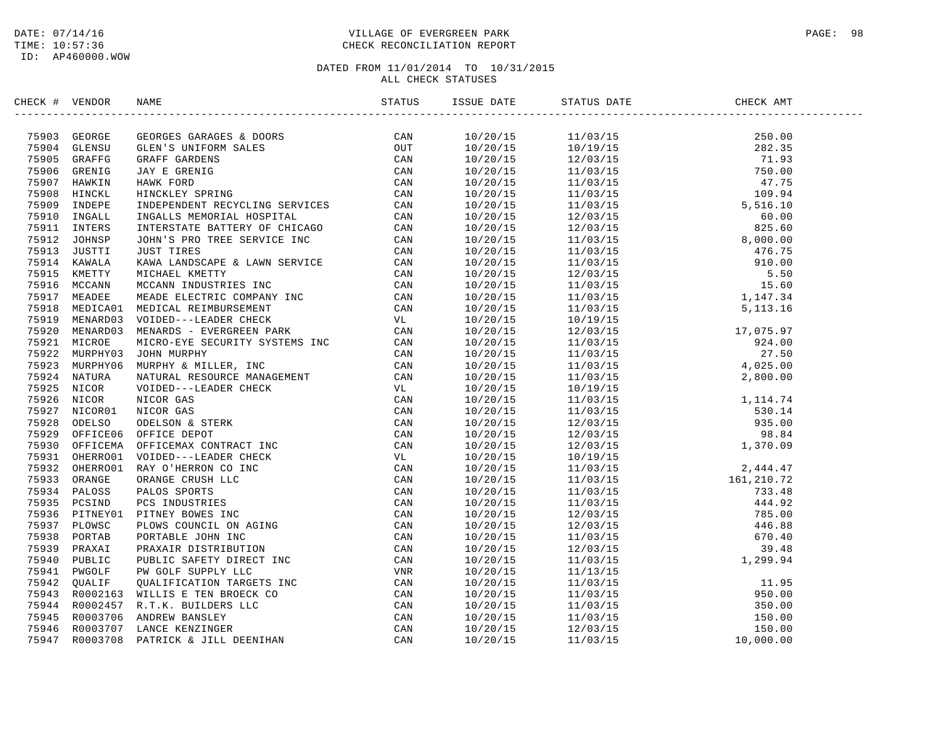## DATE: 07/14/16 PAGE: 98 TIME: 10:57:36 CHECK RECONCILIATION REPORT

| CHECK # VENDOR | NAME                                                                                                                                                                                                                          | ISSUE DATE | STATUS DATE | CHECK AMT |  |
|----------------|-------------------------------------------------------------------------------------------------------------------------------------------------------------------------------------------------------------------------------|------------|-------------|-----------|--|
|                | INCREASE VERIFIES (1990) STATISTICS (1990) STATISTICS (1990) STATISTICS (1990) STATISTICS (1990) STATISTICS (1990) STATISTICS (1990) STATISTICS (1990) STATISTICS (1990) STATISTICS (1990) STATISTICS (1990) STATISTICS (1990 |            |             |           |  |
|                |                                                                                                                                                                                                                               |            |             |           |  |
|                |                                                                                                                                                                                                                               |            |             |           |  |
|                |                                                                                                                                                                                                                               |            |             |           |  |
|                |                                                                                                                                                                                                                               |            |             |           |  |
|                |                                                                                                                                                                                                                               |            |             |           |  |
|                |                                                                                                                                                                                                                               |            |             |           |  |
|                |                                                                                                                                                                                                                               |            |             |           |  |
|                |                                                                                                                                                                                                                               |            |             |           |  |
|                |                                                                                                                                                                                                                               |            |             |           |  |
|                |                                                                                                                                                                                                                               |            |             |           |  |
|                |                                                                                                                                                                                                                               |            |             |           |  |
|                |                                                                                                                                                                                                                               |            |             |           |  |
|                |                                                                                                                                                                                                                               |            |             |           |  |
|                |                                                                                                                                                                                                                               |            |             |           |  |
|                |                                                                                                                                                                                                                               |            |             |           |  |
|                |                                                                                                                                                                                                                               |            |             |           |  |
|                |                                                                                                                                                                                                                               |            |             |           |  |
|                |                                                                                                                                                                                                                               |            |             |           |  |
|                |                                                                                                                                                                                                                               |            |             |           |  |
|                |                                                                                                                                                                                                                               |            |             |           |  |
|                |                                                                                                                                                                                                                               |            |             |           |  |
|                |                                                                                                                                                                                                                               |            |             |           |  |
|                |                                                                                                                                                                                                                               |            |             |           |  |
|                |                                                                                                                                                                                                                               |            |             |           |  |
|                |                                                                                                                                                                                                                               |            |             |           |  |
|                |                                                                                                                                                                                                                               |            |             |           |  |
|                |                                                                                                                                                                                                                               |            |             |           |  |
|                |                                                                                                                                                                                                                               |            |             |           |  |
|                |                                                                                                                                                                                                                               |            |             |           |  |
|                |                                                                                                                                                                                                                               |            |             |           |  |
|                |                                                                                                                                                                                                                               |            |             |           |  |
|                |                                                                                                                                                                                                                               |            |             |           |  |
|                |                                                                                                                                                                                                                               |            |             |           |  |
|                |                                                                                                                                                                                                                               |            |             |           |  |
|                |                                                                                                                                                                                                                               |            |             |           |  |
|                |                                                                                                                                                                                                                               |            |             |           |  |
|                |                                                                                                                                                                                                                               |            |             |           |  |
|                |                                                                                                                                                                                                                               |            |             |           |  |
|                |                                                                                                                                                                                                                               |            |             |           |  |
|                |                                                                                                                                                                                                                               |            |             |           |  |
|                |                                                                                                                                                                                                                               |            |             |           |  |
|                |                                                                                                                                                                                                                               |            |             |           |  |
|                |                                                                                                                                                                                                                               |            |             |           |  |
|                |                                                                                                                                                                                                                               |            |             |           |  |
|                |                                                                                                                                                                                                                               |            |             |           |  |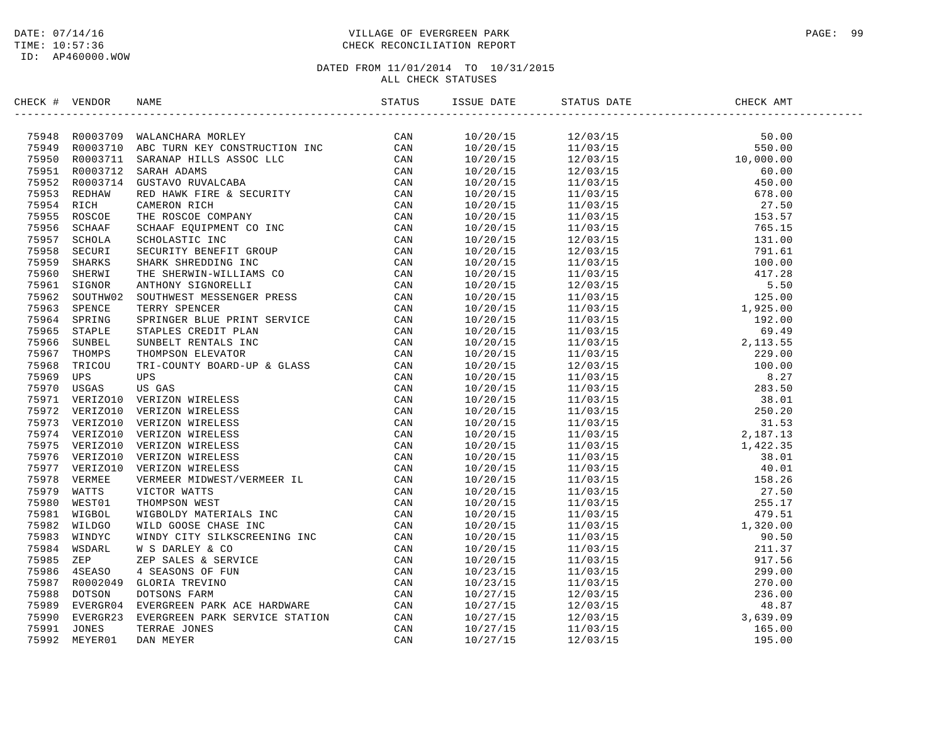## DATE: 07/14/16 PAGE: 99 TIME: 10:57:36 CHECK RECONCILIATION REPORT

| CHECK # VENDOR | NAME                                                                                                                                                                                                                                      | ISSUE DATE | STATUS DATE                                                                                                                                                                                                                                                                                                                                                                                                                                           | CHECK AMT<br>-------------------------- |
|----------------|-------------------------------------------------------------------------------------------------------------------------------------------------------------------------------------------------------------------------------------------|------------|-------------------------------------------------------------------------------------------------------------------------------------------------------------------------------------------------------------------------------------------------------------------------------------------------------------------------------------------------------------------------------------------------------------------------------------------------------|-----------------------------------------|
|                | THEORY VERDOR NAME (1982)<br>1994 RODOSTON MALMORARA MOLEY (1992)<br>1994 RODOSTON MALMORARA MOLEY CONSTRUCTION DCC CAN<br>1995 RODOSTON SARAH ADAMS<br>1995 RODOSTON SARAH ADAMS<br>1995 RODOSTON GUSTACON NAVIGABA<br>1995 RODOSTON GUS |            | $\begin{tabular}{l c c c c} \hline \multicolumn{1}{c}{\textbf{0.1}} \hline \multicolumn{1}{c}{\textbf{0.1}} \hline \multicolumn{1}{c}{\textbf{0.1}} \hline \multicolumn{1}{c}{\textbf{0.1}} \hline \multicolumn{1}{c}{\textbf{0.1}} \hline \multicolumn{1}{c}{\textbf{0.1}} \hline \multicolumn{1}{c}{\textbf{1.1}} \hline \multicolumn{1}{c}{\textbf{1.1}} \hline \multicolumn{1}{c}{\textbf{1.1}} \hline \multicolumn{1}{c}{\textbf{1.1}} \hline \$ |                                         |
|                |                                                                                                                                                                                                                                           |            |                                                                                                                                                                                                                                                                                                                                                                                                                                                       |                                         |
|                |                                                                                                                                                                                                                                           |            |                                                                                                                                                                                                                                                                                                                                                                                                                                                       |                                         |
|                |                                                                                                                                                                                                                                           |            |                                                                                                                                                                                                                                                                                                                                                                                                                                                       |                                         |
|                |                                                                                                                                                                                                                                           |            |                                                                                                                                                                                                                                                                                                                                                                                                                                                       |                                         |
|                |                                                                                                                                                                                                                                           |            |                                                                                                                                                                                                                                                                                                                                                                                                                                                       |                                         |
|                |                                                                                                                                                                                                                                           |            |                                                                                                                                                                                                                                                                                                                                                                                                                                                       |                                         |
|                |                                                                                                                                                                                                                                           |            |                                                                                                                                                                                                                                                                                                                                                                                                                                                       |                                         |
|                |                                                                                                                                                                                                                                           |            |                                                                                                                                                                                                                                                                                                                                                                                                                                                       |                                         |
|                |                                                                                                                                                                                                                                           |            |                                                                                                                                                                                                                                                                                                                                                                                                                                                       |                                         |
|                |                                                                                                                                                                                                                                           |            |                                                                                                                                                                                                                                                                                                                                                                                                                                                       |                                         |
|                |                                                                                                                                                                                                                                           |            |                                                                                                                                                                                                                                                                                                                                                                                                                                                       |                                         |
|                |                                                                                                                                                                                                                                           |            |                                                                                                                                                                                                                                                                                                                                                                                                                                                       |                                         |
|                |                                                                                                                                                                                                                                           |            |                                                                                                                                                                                                                                                                                                                                                                                                                                                       |                                         |
|                |                                                                                                                                                                                                                                           |            |                                                                                                                                                                                                                                                                                                                                                                                                                                                       |                                         |
|                |                                                                                                                                                                                                                                           |            |                                                                                                                                                                                                                                                                                                                                                                                                                                                       |                                         |
|                |                                                                                                                                                                                                                                           |            |                                                                                                                                                                                                                                                                                                                                                                                                                                                       |                                         |
|                |                                                                                                                                                                                                                                           |            |                                                                                                                                                                                                                                                                                                                                                                                                                                                       |                                         |
|                |                                                                                                                                                                                                                                           |            |                                                                                                                                                                                                                                                                                                                                                                                                                                                       |                                         |
|                |                                                                                                                                                                                                                                           |            |                                                                                                                                                                                                                                                                                                                                                                                                                                                       |                                         |
|                |                                                                                                                                                                                                                                           |            |                                                                                                                                                                                                                                                                                                                                                                                                                                                       |                                         |
|                |                                                                                                                                                                                                                                           |            |                                                                                                                                                                                                                                                                                                                                                                                                                                                       |                                         |
|                |                                                                                                                                                                                                                                           |            |                                                                                                                                                                                                                                                                                                                                                                                                                                                       |                                         |
|                |                                                                                                                                                                                                                                           |            |                                                                                                                                                                                                                                                                                                                                                                                                                                                       |                                         |
|                |                                                                                                                                                                                                                                           |            |                                                                                                                                                                                                                                                                                                                                                                                                                                                       |                                         |
|                |                                                                                                                                                                                                                                           |            |                                                                                                                                                                                                                                                                                                                                                                                                                                                       |                                         |
|                |                                                                                                                                                                                                                                           |            |                                                                                                                                                                                                                                                                                                                                                                                                                                                       |                                         |
|                |                                                                                                                                                                                                                                           |            |                                                                                                                                                                                                                                                                                                                                                                                                                                                       |                                         |
|                |                                                                                                                                                                                                                                           |            |                                                                                                                                                                                                                                                                                                                                                                                                                                                       |                                         |
|                |                                                                                                                                                                                                                                           |            |                                                                                                                                                                                                                                                                                                                                                                                                                                                       |                                         |
|                |                                                                                                                                                                                                                                           |            |                                                                                                                                                                                                                                                                                                                                                                                                                                                       |                                         |
|                |                                                                                                                                                                                                                                           |            |                                                                                                                                                                                                                                                                                                                                                                                                                                                       |                                         |
|                |                                                                                                                                                                                                                                           |            |                                                                                                                                                                                                                                                                                                                                                                                                                                                       |                                         |
|                |                                                                                                                                                                                                                                           |            |                                                                                                                                                                                                                                                                                                                                                                                                                                                       |                                         |
|                |                                                                                                                                                                                                                                           |            |                                                                                                                                                                                                                                                                                                                                                                                                                                                       |                                         |
|                |                                                                                                                                                                                                                                           |            |                                                                                                                                                                                                                                                                                                                                                                                                                                                       |                                         |
|                |                                                                                                                                                                                                                                           |            |                                                                                                                                                                                                                                                                                                                                                                                                                                                       |                                         |
|                |                                                                                                                                                                                                                                           |            |                                                                                                                                                                                                                                                                                                                                                                                                                                                       |                                         |
|                |                                                                                                                                                                                                                                           |            |                                                                                                                                                                                                                                                                                                                                                                                                                                                       |                                         |
|                |                                                                                                                                                                                                                                           |            |                                                                                                                                                                                                                                                                                                                                                                                                                                                       |                                         |
|                |                                                                                                                                                                                                                                           |            |                                                                                                                                                                                                                                                                                                                                                                                                                                                       |                                         |
|                |                                                                                                                                                                                                                                           |            |                                                                                                                                                                                                                                                                                                                                                                                                                                                       |                                         |
|                |                                                                                                                                                                                                                                           |            |                                                                                                                                                                                                                                                                                                                                                                                                                                                       |                                         |
|                |                                                                                                                                                                                                                                           |            |                                                                                                                                                                                                                                                                                                                                                                                                                                                       |                                         |
|                |                                                                                                                                                                                                                                           |            |                                                                                                                                                                                                                                                                                                                                                                                                                                                       |                                         |
|                |                                                                                                                                                                                                                                           |            |                                                                                                                                                                                                                                                                                                                                                                                                                                                       |                                         |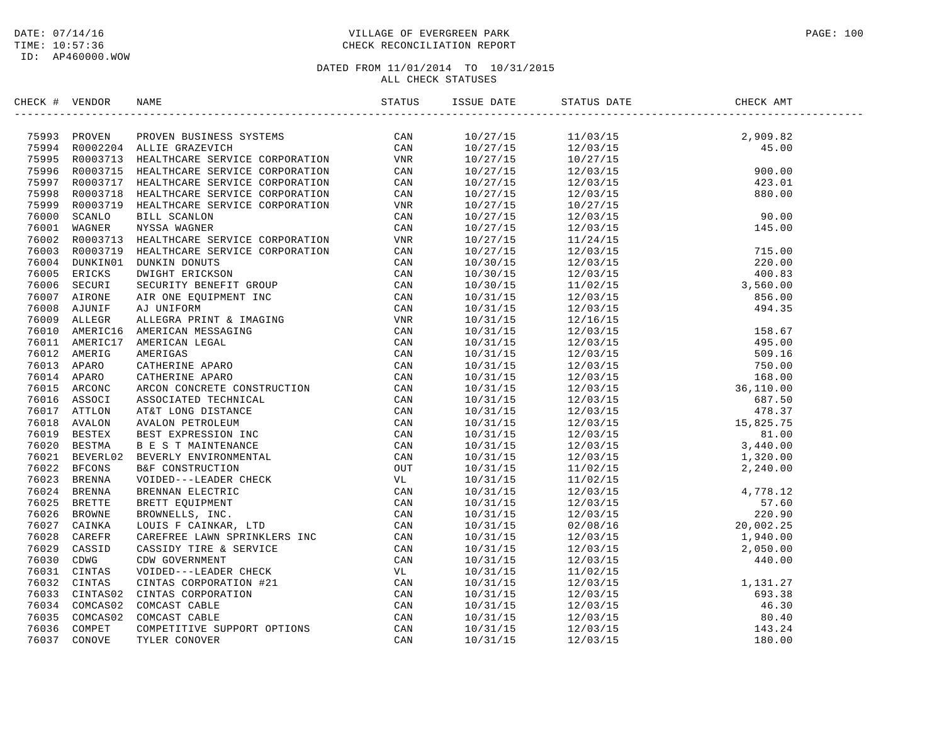## DATE: 07/14/16 PAGE: 100 TIME: 10:57:36 CHECK RECONCILIATION REPORT

| CHECK # VENDOR | NAME                                                                                                                                                                                                                                   | ISSUE DATE | STATUS DATE                                                                                                                                                                                                                                                                    | CHECK AMT                                                                                                                                                                                                                                                                |
|----------------|----------------------------------------------------------------------------------------------------------------------------------------------------------------------------------------------------------------------------------------|------------|--------------------------------------------------------------------------------------------------------------------------------------------------------------------------------------------------------------------------------------------------------------------------------|--------------------------------------------------------------------------------------------------------------------------------------------------------------------------------------------------------------------------------------------------------------------------|
|                |                                                                                                                                                                                                                                        |            | $\begin{tabular}{cccccc} 11/03/15 & 2,909.82 \\ 11/03/15 & 2,909.82 \\ 12/03/15 & 45.00 \\ 12/03/15 & 12/03/15 & 800.00 \\ 12/03/15 & 423.01 \\ 12/03/15 & 423.01 \\ 12/03/15 & 423.01 \\ 12/03/15 & 145.00 \\ 11/24/15 & 145.00 \\ 12/03/15 & 715.00 \\ 12/03/15 & 400.83 \\$ |                                                                                                                                                                                                                                                                          |
|                | 75993 PROVEN PROVEN BUSINESS SYSTEMS CAN<br>75994 R0002204 ALLIE GRAZEVICH CAN<br>75995 R0003713 HEALTHCARE SERVICE CORPORATION VNR<br>75996 R0003715 HEALTHCARE SERVICE CORPORATION CAN<br>75997 R0003717 HEALTHCARE SERVICE CORPORAT | 10/27/15   |                                                                                                                                                                                                                                                                                |                                                                                                                                                                                                                                                                          |
|                |                                                                                                                                                                                                                                        | 10/27/15   |                                                                                                                                                                                                                                                                                |                                                                                                                                                                                                                                                                          |
|                |                                                                                                                                                                                                                                        | 10/27/15   |                                                                                                                                                                                                                                                                                |                                                                                                                                                                                                                                                                          |
|                |                                                                                                                                                                                                                                        | 10/27/15   |                                                                                                                                                                                                                                                                                |                                                                                                                                                                                                                                                                          |
|                |                                                                                                                                                                                                                                        | 10/27/15   |                                                                                                                                                                                                                                                                                |                                                                                                                                                                                                                                                                          |
|                |                                                                                                                                                                                                                                        | 10/27/15   |                                                                                                                                                                                                                                                                                |                                                                                                                                                                                                                                                                          |
|                |                                                                                                                                                                                                                                        | 10/27/15   |                                                                                                                                                                                                                                                                                |                                                                                                                                                                                                                                                                          |
|                |                                                                                                                                                                                                                                        | 10/27/15   |                                                                                                                                                                                                                                                                                |                                                                                                                                                                                                                                                                          |
|                |                                                                                                                                                                                                                                        | 10/27/15   |                                                                                                                                                                                                                                                                                |                                                                                                                                                                                                                                                                          |
|                |                                                                                                                                                                                                                                        | 10/27/15   |                                                                                                                                                                                                                                                                                |                                                                                                                                                                                                                                                                          |
|                |                                                                                                                                                                                                                                        | 10/27/15   |                                                                                                                                                                                                                                                                                |                                                                                                                                                                                                                                                                          |
|                |                                                                                                                                                                                                                                        | 10/30/15   |                                                                                                                                                                                                                                                                                |                                                                                                                                                                                                                                                                          |
|                |                                                                                                                                                                                                                                        | 10/30/15   |                                                                                                                                                                                                                                                                                |                                                                                                                                                                                                                                                                          |
|                |                                                                                                                                                                                                                                        | 10/30/15   |                                                                                                                                                                                                                                                                                |                                                                                                                                                                                                                                                                          |
|                |                                                                                                                                                                                                                                        | 10/31/15   |                                                                                                                                                                                                                                                                                |                                                                                                                                                                                                                                                                          |
|                |                                                                                                                                                                                                                                        | 10/31/15   |                                                                                                                                                                                                                                                                                |                                                                                                                                                                                                                                                                          |
|                |                                                                                                                                                                                                                                        | 10/31/15   |                                                                                                                                                                                                                                                                                |                                                                                                                                                                                                                                                                          |
|                |                                                                                                                                                                                                                                        | 10/31/15   |                                                                                                                                                                                                                                                                                |                                                                                                                                                                                                                                                                          |
|                |                                                                                                                                                                                                                                        | 10/31/15   |                                                                                                                                                                                                                                                                                |                                                                                                                                                                                                                                                                          |
|                |                                                                                                                                                                                                                                        | 10/31/15   |                                                                                                                                                                                                                                                                                |                                                                                                                                                                                                                                                                          |
|                |                                                                                                                                                                                                                                        | 10/31/15   |                                                                                                                                                                                                                                                                                |                                                                                                                                                                                                                                                                          |
|                |                                                                                                                                                                                                                                        | 10/31/15   |                                                                                                                                                                                                                                                                                |                                                                                                                                                                                                                                                                          |
|                |                                                                                                                                                                                                                                        | 10/31/15   |                                                                                                                                                                                                                                                                                |                                                                                                                                                                                                                                                                          |
|                |                                                                                                                                                                                                                                        | 10/31/15   |                                                                                                                                                                                                                                                                                |                                                                                                                                                                                                                                                                          |
|                |                                                                                                                                                                                                                                        | 10/31/15   |                                                                                                                                                                                                                                                                                |                                                                                                                                                                                                                                                                          |
|                |                                                                                                                                                                                                                                        | 10/31/15   |                                                                                                                                                                                                                                                                                |                                                                                                                                                                                                                                                                          |
|                |                                                                                                                                                                                                                                        | 10/31/15   |                                                                                                                                                                                                                                                                                |                                                                                                                                                                                                                                                                          |
|                |                                                                                                                                                                                                                                        | 10/31/15   |                                                                                                                                                                                                                                                                                |                                                                                                                                                                                                                                                                          |
|                |                                                                                                                                                                                                                                        | 10/31/15   |                                                                                                                                                                                                                                                                                |                                                                                                                                                                                                                                                                          |
|                |                                                                                                                                                                                                                                        | 10/31/15   |                                                                                                                                                                                                                                                                                |                                                                                                                                                                                                                                                                          |
|                |                                                                                                                                                                                                                                        | 10/31/15   |                                                                                                                                                                                                                                                                                |                                                                                                                                                                                                                                                                          |
|                |                                                                                                                                                                                                                                        | 10/31/15   |                                                                                                                                                                                                                                                                                | $\begin{array}{cccc} 11/02/15 & 2, 240.00 \\ 11/02/15 & 2, 240.00 \\ 12/03/15 & 4, 778.12 \\ 12/03/15 & 57.60 \\ 12/03/15 & 220.90 \\ 02/08/16 & 20, 002.25 \\ 12/03/15 & 1, 940.00 \\ 12/03/15 & 2, 050.00 \\ 11/02/15 & 1, 240.00 \\ 11/02/15 & 1, 131.27 \end{array}$ |
|                |                                                                                                                                                                                                                                        | 10/31/15   |                                                                                                                                                                                                                                                                                |                                                                                                                                                                                                                                                                          |
|                |                                                                                                                                                                                                                                        | 10/31/15   |                                                                                                                                                                                                                                                                                |                                                                                                                                                                                                                                                                          |
|                |                                                                                                                                                                                                                                        | 10/31/15   |                                                                                                                                                                                                                                                                                |                                                                                                                                                                                                                                                                          |
|                |                                                                                                                                                                                                                                        | 10/31/15   |                                                                                                                                                                                                                                                                                |                                                                                                                                                                                                                                                                          |
|                |                                                                                                                                                                                                                                        | 10/31/15   |                                                                                                                                                                                                                                                                                |                                                                                                                                                                                                                                                                          |
|                |                                                                                                                                                                                                                                        | 10/31/15   |                                                                                                                                                                                                                                                                                |                                                                                                                                                                                                                                                                          |
|                |                                                                                                                                                                                                                                        | 10/31/15   |                                                                                                                                                                                                                                                                                |                                                                                                                                                                                                                                                                          |
|                |                                                                                                                                                                                                                                        | 10/31/15   |                                                                                                                                                                                                                                                                                |                                                                                                                                                                                                                                                                          |
|                |                                                                                                                                                                                                                                        | 10/31/15   |                                                                                                                                                                                                                                                                                |                                                                                                                                                                                                                                                                          |
|                |                                                                                                                                                                                                                                        | 10/31/15   |                                                                                                                                                                                                                                                                                |                                                                                                                                                                                                                                                                          |
|                |                                                                                                                                                                                                                                        | 10/31/15   |                                                                                                                                                                                                                                                                                |                                                                                                                                                                                                                                                                          |
|                |                                                                                                                                                                                                                                        | 10/31/15   |                                                                                                                                                                                                                                                                                |                                                                                                                                                                                                                                                                          |
|                | 75697 ROODSTIP HEALTHCARE SERVICE CORPORATION CAN ARRIVE CARDINAL CARRICLESS ROODSTIP HEALTHCARE SERVICE CORPORATION CAN 756998 ROODSTIP HEALTHCARE SERVICE CORPORATION CAN CHANGE THE CAN DUITS IN THE CANNON CORPORATION CAN         | 10/31/15   |                                                                                                                                                                                                                                                                                |                                                                                                                                                                                                                                                                          |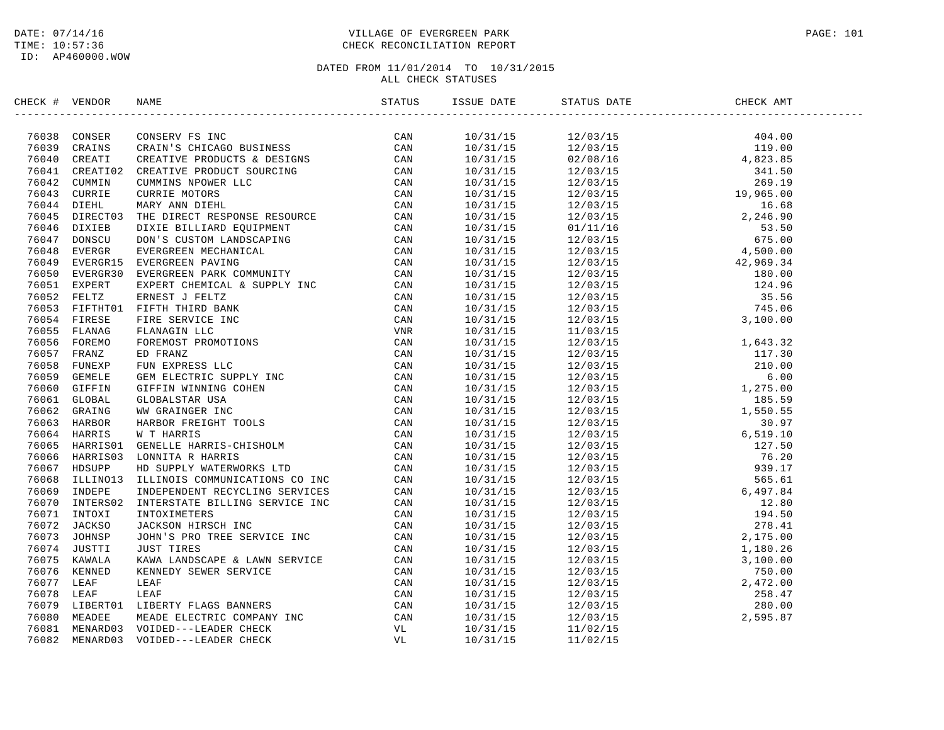## DATE: 07/14/16 PAGE: 101 TIME: 10:57:36 CHECK RECONCILIATION REPORT

| CHECK # VENDOR | NAME                                                                                                                                                                                                                                    | STATUS | ISSUE DATE | STATUS DATE                                                                                                                                                                                                                                                                                                     | CHECK AMT |  |
|----------------|-----------------------------------------------------------------------------------------------------------------------------------------------------------------------------------------------------------------------------------------|--------|------------|-----------------------------------------------------------------------------------------------------------------------------------------------------------------------------------------------------------------------------------------------------------------------------------------------------------------|-----------|--|
|                |                                                                                                                                                                                                                                         |        |            | $\begin{tabular}{cccccccc} $1.11/31/15$ & $12/03/15$ & $40.40$ \\[-0.5ex] $10/31/15$ & $12/03/15$ & $48.43$ \\ \hline $10/31/15$ & $12/03/15$ & $48.43$ \\ \hline $10/31/15$ & $12/03/15$ & $48.23$ \\ \hline $10/31/15$ & $12/03/15$ & $48.23$ \\ \hline $10/31/15$ & $12/03/15$ & $58.50$ \\ \hline $10/31/1$ |           |  |
|                |                                                                                                                                                                                                                                         |        |            |                                                                                                                                                                                                                                                                                                                 |           |  |
|                |                                                                                                                                                                                                                                         |        |            |                                                                                                                                                                                                                                                                                                                 |           |  |
|                |                                                                                                                                                                                                                                         |        |            |                                                                                                                                                                                                                                                                                                                 |           |  |
|                |                                                                                                                                                                                                                                         |        |            |                                                                                                                                                                                                                                                                                                                 |           |  |
|                |                                                                                                                                                                                                                                         |        |            |                                                                                                                                                                                                                                                                                                                 |           |  |
|                |                                                                                                                                                                                                                                         |        |            |                                                                                                                                                                                                                                                                                                                 |           |  |
|                |                                                                                                                                                                                                                                         |        |            |                                                                                                                                                                                                                                                                                                                 |           |  |
|                |                                                                                                                                                                                                                                         |        |            |                                                                                                                                                                                                                                                                                                                 |           |  |
|                |                                                                                                                                                                                                                                         |        |            |                                                                                                                                                                                                                                                                                                                 |           |  |
|                |                                                                                                                                                                                                                                         |        |            |                                                                                                                                                                                                                                                                                                                 |           |  |
|                |                                                                                                                                                                                                                                         |        |            |                                                                                                                                                                                                                                                                                                                 |           |  |
|                |                                                                                                                                                                                                                                         |        |            |                                                                                                                                                                                                                                                                                                                 |           |  |
|                |                                                                                                                                                                                                                                         |        |            |                                                                                                                                                                                                                                                                                                                 |           |  |
|                |                                                                                                                                                                                                                                         |        |            |                                                                                                                                                                                                                                                                                                                 |           |  |
|                |                                                                                                                                                                                                                                         |        |            |                                                                                                                                                                                                                                                                                                                 |           |  |
|                |                                                                                                                                                                                                                                         |        |            |                                                                                                                                                                                                                                                                                                                 |           |  |
|                |                                                                                                                                                                                                                                         |        |            |                                                                                                                                                                                                                                                                                                                 |           |  |
|                |                                                                                                                                                                                                                                         |        |            |                                                                                                                                                                                                                                                                                                                 |           |  |
|                |                                                                                                                                                                                                                                         |        |            |                                                                                                                                                                                                                                                                                                                 |           |  |
|                |                                                                                                                                                                                                                                         |        |            |                                                                                                                                                                                                                                                                                                                 |           |  |
|                |                                                                                                                                                                                                                                         |        |            |                                                                                                                                                                                                                                                                                                                 |           |  |
|                |                                                                                                                                                                                                                                         |        |            |                                                                                                                                                                                                                                                                                                                 |           |  |
|                |                                                                                                                                                                                                                                         |        |            |                                                                                                                                                                                                                                                                                                                 |           |  |
|                |                                                                                                                                                                                                                                         |        |            |                                                                                                                                                                                                                                                                                                                 |           |  |
|                |                                                                                                                                                                                                                                         |        |            |                                                                                                                                                                                                                                                                                                                 |           |  |
|                |                                                                                                                                                                                                                                         |        |            |                                                                                                                                                                                                                                                                                                                 |           |  |
|                |                                                                                                                                                                                                                                         |        |            |                                                                                                                                                                                                                                                                                                                 |           |  |
|                |                                                                                                                                                                                                                                         |        |            |                                                                                                                                                                                                                                                                                                                 |           |  |
|                |                                                                                                                                                                                                                                         |        |            |                                                                                                                                                                                                                                                                                                                 |           |  |
|                |                                                                                                                                                                                                                                         |        |            |                                                                                                                                                                                                                                                                                                                 |           |  |
|                | 76068 ILLINO13 ILLINOIS COMMUNICATIONS CO INC                                                                                                                                                                                           | CAN    |            |                                                                                                                                                                                                                                                                                                                 |           |  |
|                |                                                                                                                                                                                                                                         |        |            |                                                                                                                                                                                                                                                                                                                 |           |  |
|                |                                                                                                                                                                                                                                         |        |            |                                                                                                                                                                                                                                                                                                                 |           |  |
|                |                                                                                                                                                                                                                                         |        |            |                                                                                                                                                                                                                                                                                                                 |           |  |
|                |                                                                                                                                                                                                                                         |        |            |                                                                                                                                                                                                                                                                                                                 |           |  |
|                |                                                                                                                                                                                                                                         |        |            |                                                                                                                                                                                                                                                                                                                 |           |  |
|                |                                                                                                                                                                                                                                         |        |            |                                                                                                                                                                                                                                                                                                                 |           |  |
|                |                                                                                                                                                                                                                                         |        |            |                                                                                                                                                                                                                                                                                                                 |           |  |
|                |                                                                                                                                                                                                                                         |        |            |                                                                                                                                                                                                                                                                                                                 |           |  |
|                |                                                                                                                                                                                                                                         |        |            |                                                                                                                                                                                                                                                                                                                 |           |  |
|                |                                                                                                                                                                                                                                         |        |            |                                                                                                                                                                                                                                                                                                                 |           |  |
|                | 76068 ILLINO13 ILLINOIS COMMUNICATIONS CO INC<br>76069 INDEPENDE INDEPENDENT RECYCLING SERVICES<br>76070 INTERSO2 INTERSTATE BILLING SERVICE INC<br>76071 INTOXI INTOXIMETERS<br>76072 JACKSO JACKSON HIRSCH INC<br>76073 JOHNSP JOHN'S |        |            |                                                                                                                                                                                                                                                                                                                 |           |  |
|                |                                                                                                                                                                                                                                         |        |            |                                                                                                                                                                                                                                                                                                                 |           |  |
|                |                                                                                                                                                                                                                                         |        |            |                                                                                                                                                                                                                                                                                                                 |           |  |
|                |                                                                                                                                                                                                                                         |        | 10/31/15   | 11/02/15                                                                                                                                                                                                                                                                                                        |           |  |
|                |                                                                                                                                                                                                                                         |        | 10/31/15   | 11/02/15                                                                                                                                                                                                                                                                                                        |           |  |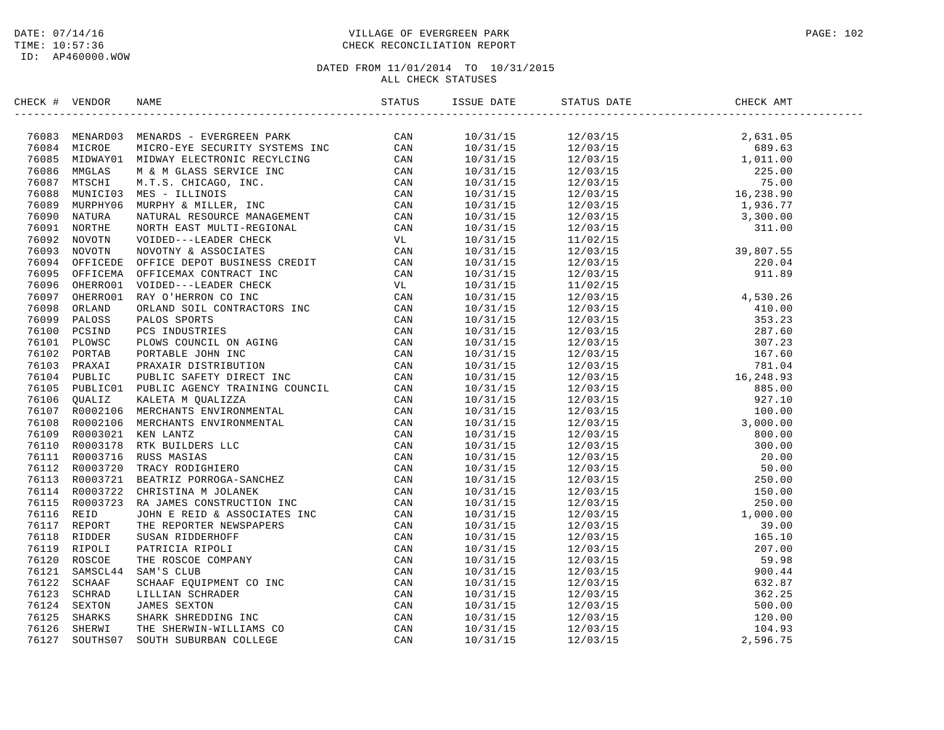ID: AP460000.WOW

## DATE: 07/14/16 PAGE: 102 TIME: 10:57:36 CHECK RECONCILIATION REPORT

| CHECK # VENDOR |                                                                                                                                                                                                                                                                                                                                                                                    | ISSUE DATE | STATUS DATE | CHECK AMT |  |
|----------------|------------------------------------------------------------------------------------------------------------------------------------------------------------------------------------------------------------------------------------------------------------------------------------------------------------------------------------------------------------------------------------|------------|-------------|-----------|--|
|                | $\begin{tabular}{cccccccc} $\mathbf{198167} & $\mathbf{08168} & $\mathbf{08168} & $\mathbf{08168} & $\mathbf{08168} & $\mathbf{08168} & $\mathbf{08168} & $\mathbf{08168} & $\mathbf{08168} & $\mathbf{08168} & $\mathbf{08168} & $\mathbf{08168} & $\mathbf{08168} \\ \mathbf{19141} & $\mathbf{081688} & $\mathbf{081688} & $\mathbf{08168} & $\mathbf{08168} & $\mathbf{08168}$ |            |             |           |  |
|                |                                                                                                                                                                                                                                                                                                                                                                                    |            |             |           |  |
|                |                                                                                                                                                                                                                                                                                                                                                                                    |            |             |           |  |
|                |                                                                                                                                                                                                                                                                                                                                                                                    |            |             |           |  |
|                |                                                                                                                                                                                                                                                                                                                                                                                    |            |             |           |  |
|                |                                                                                                                                                                                                                                                                                                                                                                                    |            |             |           |  |
|                |                                                                                                                                                                                                                                                                                                                                                                                    |            |             |           |  |
|                |                                                                                                                                                                                                                                                                                                                                                                                    |            |             |           |  |
|                |                                                                                                                                                                                                                                                                                                                                                                                    |            |             |           |  |
|                |                                                                                                                                                                                                                                                                                                                                                                                    |            |             |           |  |
|                |                                                                                                                                                                                                                                                                                                                                                                                    |            |             |           |  |
|                |                                                                                                                                                                                                                                                                                                                                                                                    |            |             |           |  |
|                |                                                                                                                                                                                                                                                                                                                                                                                    |            |             |           |  |
|                |                                                                                                                                                                                                                                                                                                                                                                                    |            |             |           |  |
|                |                                                                                                                                                                                                                                                                                                                                                                                    |            |             |           |  |
|                |                                                                                                                                                                                                                                                                                                                                                                                    |            |             |           |  |
|                |                                                                                                                                                                                                                                                                                                                                                                                    |            |             |           |  |
|                |                                                                                                                                                                                                                                                                                                                                                                                    |            |             |           |  |
|                |                                                                                                                                                                                                                                                                                                                                                                                    |            |             |           |  |
|                |                                                                                                                                                                                                                                                                                                                                                                                    |            |             |           |  |
|                |                                                                                                                                                                                                                                                                                                                                                                                    |            |             |           |  |
|                |                                                                                                                                                                                                                                                                                                                                                                                    |            |             |           |  |
|                |                                                                                                                                                                                                                                                                                                                                                                                    |            |             |           |  |
|                |                                                                                                                                                                                                                                                                                                                                                                                    |            |             |           |  |
|                |                                                                                                                                                                                                                                                                                                                                                                                    |            |             |           |  |
|                |                                                                                                                                                                                                                                                                                                                                                                                    |            |             |           |  |
|                |                                                                                                                                                                                                                                                                                                                                                                                    |            |             |           |  |
|                |                                                                                                                                                                                                                                                                                                                                                                                    |            |             |           |  |
|                |                                                                                                                                                                                                                                                                                                                                                                                    |            |             |           |  |
|                |                                                                                                                                                                                                                                                                                                                                                                                    |            |             |           |  |
|                |                                                                                                                                                                                                                                                                                                                                                                                    |            |             |           |  |
|                |                                                                                                                                                                                                                                                                                                                                                                                    |            |             |           |  |
|                |                                                                                                                                                                                                                                                                                                                                                                                    |            |             |           |  |
|                |                                                                                                                                                                                                                                                                                                                                                                                    |            |             |           |  |
|                |                                                                                                                                                                                                                                                                                                                                                                                    |            |             |           |  |
|                |                                                                                                                                                                                                                                                                                                                                                                                    |            |             |           |  |
|                |                                                                                                                                                                                                                                                                                                                                                                                    |            |             |           |  |
|                |                                                                                                                                                                                                                                                                                                                                                                                    |            |             |           |  |
|                |                                                                                                                                                                                                                                                                                                                                                                                    |            |             |           |  |
|                |                                                                                                                                                                                                                                                                                                                                                                                    |            |             |           |  |
|                |                                                                                                                                                                                                                                                                                                                                                                                    |            |             |           |  |
|                |                                                                                                                                                                                                                                                                                                                                                                                    |            |             |           |  |
|                |                                                                                                                                                                                                                                                                                                                                                                                    |            |             |           |  |
|                |                                                                                                                                                                                                                                                                                                                                                                                    |            |             |           |  |
|                |                                                                                                                                                                                                                                                                                                                                                                                    |            |             |           |  |
|                |                                                                                                                                                                                                                                                                                                                                                                                    |            |             |           |  |